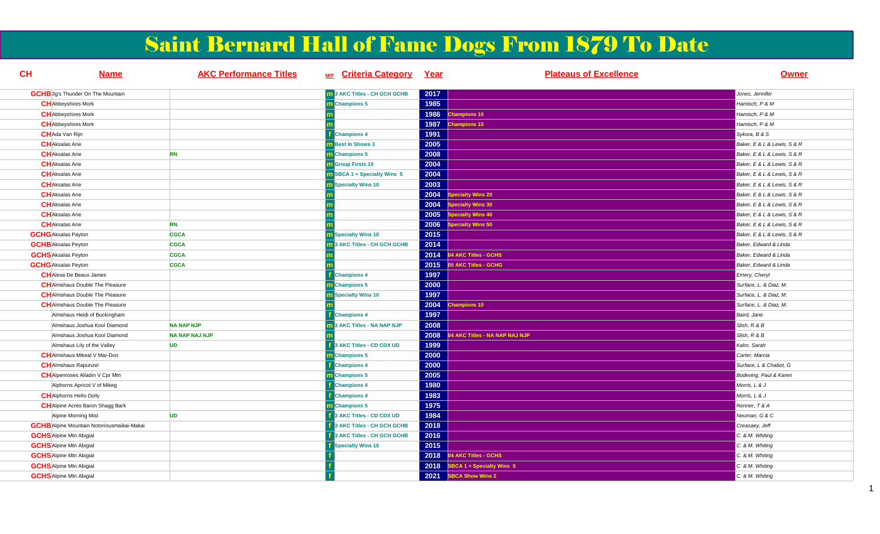# Saint Bernard Hall of Fame Dogs From 1879 To Date

| <b>CH</b> | <b>Name</b>                                       | <b>AKC Performance Titles</b> | M/F Criteria Category Year          |      | <b>Plateaus of Excellence</b>      | <b>Owner</b>                |
|-----------|---------------------------------------------------|-------------------------------|-------------------------------------|------|------------------------------------|-----------------------------|
|           | <b>GCHB</b> 3g's Thunder On The Mountain          |                               | <b>m</b> 3 AKC Titles - CH GCH GCHB | 2017 |                                    | Jones, Jennifer             |
|           | <b>CH</b> Abbeyshires Mork                        |                               | m Champions 5                       | 1985 |                                    | Hamisch, P & M              |
|           | <b>CH</b> Abbeyshires Mork                        |                               |                                     | 1986 | <b>Champions 10</b>                | Hamisch, P & M              |
|           | <b>CH</b> Abbeyshires Mork                        |                               |                                     | 1987 | hampions 15                        | Hamisch, P & M              |
|           | CH Ada Van Rijn                                   |                               | <b>Champions 4</b>                  | 1991 |                                    | Sykora, B & S               |
|           | <b>CH</b> Aksalas Arie                            |                               | <b>Best In Shows 3</b>              | 2005 |                                    | Baker, E & L & Lewis, S & R |
|           | <b>CH</b> Aksalas Arie                            | <b>RN</b>                     | m Champions 5                       | 2008 |                                    | Baker, E & L & Lewis, S & R |
|           | <b>CH</b> Aksalas Arie                            |                               | <b>n</b> Group Firsts 10            | 2004 |                                    | Baker, E & L & Lewis, S & R |
|           | <b>CH</b> Aksalas Arie                            |                               | <b>BBCA 1 + Specialty Wins 5</b>    | 2004 |                                    | Baker, E & L & Lewis, S & R |
|           | <b>CH</b> Aksalas Arie                            |                               | <b>Specialty Wins 10</b>            | 2003 |                                    | Baker, E & L & Lewis, S & R |
|           | <b>CH</b> Aksalas Arie                            |                               |                                     | 2004 | pecialty Wins 20                   | Baker, E & L & Lewis, S & R |
|           | <b>CH</b> Aksalas Arie                            |                               |                                     | 2004 | pecialty Wins 30                   | Baker, E & L & Lewis, S & R |
|           | <b>CH</b> Aksalas Arie                            |                               |                                     | 2005 | ecialty Wins 40                    | Baker, E & L & Lewis, S & R |
|           | <b>CH</b> Aksalas Arie                            | <b>RN</b>                     |                                     | 2006 | pecialty Wins 50                   | Baker, E & L & Lewis, S & R |
|           | <b>GCHG</b> Aksalas Payton                        | <b>CGCA</b>                   | <b>B</b> Specialty Wins 10          | 2015 |                                    | Baker, E & L & Lewis, S & R |
|           | <b>GCHB</b> Aksalas Peyton                        | <b>CGCA</b>                   | 3 AKC Titles - CH GCH GCHB          | 2014 |                                    | Baker, Edward & Linda       |
|           | <b>GCHS</b> Aksalas Peyton                        | <b>CGCA</b>                   |                                     | 2014 | 4 AKC Titles - GCHS                | Baker, Edward & Linda       |
|           | <b>GCHG</b> Aksalas Peyton                        | <b>CGCA</b>                   |                                     | 2015 | <b>5 AKC Titles - GCHG</b>         | Baker, Edward & Linda       |
|           | <b>CH</b> Alexa De Beaux James                    |                               | <b>Champions 4</b>                  | 1997 |                                    | Emery, Cheryl               |
|           | <b>CH</b> Almshaus Double The Pleasure            |                               | <b>Champions 5</b>                  | 2000 |                                    | Surface, L. & Diaz, M.      |
|           | <b>CH</b> Almshaus Double The Pleasure            |                               | <b>Specialty Wins 10</b>            | 1997 |                                    | Surface, L. & Diaz. M.      |
|           | <b>CH</b> Almshaus Double The Pleasure            |                               |                                     | 2004 | <b>Champions 10</b>                | Surface, L. & Diaz, M.      |
|           | Almshaus Heidi of Buckingham                      |                               | <b>Champions 4</b>                  | 1997 |                                    | Baird, Jane                 |
|           | Almshaus Joshua Kool Diamond                      | <b>NA NAP NJP</b>             | 3 AKC Titles - NA NAP NJP           | 2008 |                                    | Slish, R & B                |
|           | Almshaus Joshua Kool Diamond                      | <b>NA NAP NAJ NJP</b>         |                                     | 2008 | <b>AKC Titles - NA NAP NAJ NJP</b> | Slish, R & B                |
|           | Almshaus Lily of the Valley                       | <b>UD</b>                     | 3 AKC Titles - CD CDX UD            | 1999 |                                    | Kahn, Sarah                 |
|           | <b>CH</b> Almshaus Mikeal V Mar-Don               |                               | <b>Champions 5</b>                  | 2000 |                                    | Carter, Marcia              |
|           | <b>CH</b> AImshaus Rapunzel                       |                               | Champions 4                         | 2000 |                                    | Surface, L & Chabot, G      |
|           | <b>CH</b> Alpenroses Alladin V Cpr Mtn            |                               | <b>Champions 5</b>                  | 2005 |                                    | Bodeving, Paul & Karen      |
|           | Alphorns Apricot V of Mikeg                       |                               | <b>Champions 4</b>                  | 1980 |                                    | Morris, L & J               |
|           | <b>CH</b> Alphorns Hello Dolly                    |                               | <b>Champions 4</b>                  | 1983 |                                    | Morris, L & J               |
|           | <b>CH</b> Alpine Acres Baron Shagg Bark           |                               | <b>Champions 5</b>                  | 1975 |                                    | Renner, T & A               |
|           | Alpine Morning Mist                               | <b>UD</b>                     | 3 AKC Titles - CD CDX UD            | 1984 |                                    | Neuman, G & C               |
|           | <b>GCHB</b> Alpine Mountain Notoriousmaikai-Makai |                               | 3 AKC Titles - CH GCH GCHB          | 2018 |                                    | Creasaey, Jeff              |
|           | <b>GCHS</b> Alpine Mtn Abigial                    |                               | 3 AKC Titles - CH GCH GCHB          | 2016 |                                    | C. & M. Whiting             |
|           | <b>GCHS</b> Alpine Mtn Abigial                    |                               | <b>Specialty Wins 10</b>            | 2015 |                                    | C. & M. Whiting             |
|           | <b>GCHS</b> Alpine Mtn Abigial                    |                               |                                     | 2018 | 04 AKC Titles - GCHS               | C. & M. Whiting             |
|           | <b>GCHS</b> Alpine Mtn Abigial                    |                               |                                     | 2018 | BCA 1 + Specialty Wins 5           | C. & M. Whiting             |
|           | <b>GCHS</b> Alpine Mtn Abigial                    |                               |                                     | 2021 | <b>BCA Show Wins 2</b>             | C. & M. Whiting             |

1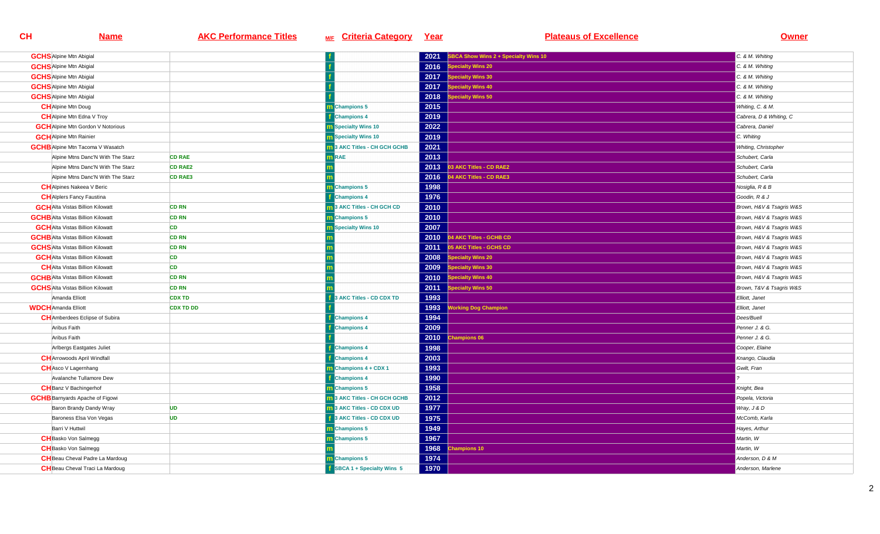| <b>GCHS</b> Alpine Mtn Abigial           |                  |                                     | 2021 | SBCA Show Wins 2 + Specialty Wins 10      | C. & M. Whiting          |
|------------------------------------------|------------------|-------------------------------------|------|-------------------------------------------|--------------------------|
| <b>GCHS</b> Alpine Mtn Abigial           |                  |                                     | 2016 | pecialty Wins 20                          | C. & M. Whiting          |
| <b>GCHS</b> Alpine Mtn Abigial           |                  |                                     | 2017 | <b>Specialty Wins 30</b>                  | C. & M. Whiting          |
| <b>GCHS</b> Alpine Mtn Abigial           |                  |                                     | 2017 | pecialty Wins 40                          | C. & M. Whiting          |
| <b>GCHS</b> Alpine Mtn Abigial           |                  |                                     | 2018 | pecialty Wins 50                          | C. & M. Whiting          |
| <b>CH</b> Alpine Mtn Doug                |                  | m Champions 5                       | 2015 |                                           | Whiting, C. & M.         |
| <b>CH</b> Alpine Mtn Edna V Troy         |                  | <b>Champions 4</b>                  | 2019 |                                           | Cabrera, D & Whiting, C  |
| <b>GCH</b> Alpine Mtn Gordon V Notorious |                  | <b>n</b> Specialty Wins 10          | 2022 |                                           | Cabrera, Daniel          |
| <b>GCH</b> Alpine Mtn Rainier            |                  | <b>n</b> Specialty Wins 10          | 2019 |                                           | C. Whiting               |
| <b>GCHB</b> Alpine Mtn Tacoma V Wasatch  |                  | 1 3 AKC Titles - CH GCH GCHB        | 2021 |                                           | Whiting, Christopher     |
| Alpine Mtns Danc'N With The Starz        | <b>CD RAE</b>    | n RAE                               | 2013 |                                           | Schubert, Carla          |
| Alpine Mtns Danc'N With The Starz        | <b>CD RAE2</b>   |                                     | 2013 | 03 AKC Titles - CD RAE2                   | Schubert, Carla          |
| Alpine Mtns Danc'N With The Starz        | <b>CD RAE3</b>   |                                     | 2016 | 14 AKC Titles - CD RAE3                   | Schubert, Carla          |
| <b>CH</b> Alpines Nakeea V Beric         |                  | <b>Champions 5</b>                  | 1998 |                                           | Nosiglia, R & B          |
| <b>CH</b> Alplers Fancy Faustina         |                  | <b>Champions 4</b>                  | 1976 |                                           | Goodin, R & J            |
| <b>GCH</b> Alta Vistas Billion Kilowatt  | <b>CD RN</b>     | 3 AKC Titles - CH GCH CD            | 2010 |                                           | Brown, H&V & Tsagris W&S |
| <b>GCHB</b> Alta Vistas Billion Kilowatt | <b>CD RN</b>     | m Champions 5                       | 2010 |                                           | Brown, H&V & Tsagris W&S |
| <b>GCH</b> Alta Vistas Billion Kilowatt  | CD               | <b>B</b> Specialty Wins 10          | 2007 |                                           | Brown, H&V & Tsagris W&S |
| <b>GCHB</b> Alta Vistas Billion Kilowatt | <b>CD RN</b>     |                                     | 2010 | 04 AKC Titles - GCHB CD                   | Brown, H&V & Tsagris W&S |
| <b>GCHS</b> Alta Vistas Billion Kilowatt | <b>CD RN</b>     |                                     | 2011 | 05 AKC Titles - GCHS CD                   | Brown, H&V & Tsagris W&S |
| <b>GCH</b> Alta Vistas Billion Kilowatt  | <b>CD</b>        |                                     | 2008 | <b>Specialty Wins 20</b>                  | Brown, H&V & Tsagris W&S |
| <b>CH</b> Alta Vistas Billion Kilowatt   | <b>CD</b>        |                                     | 2009 | pecialty Wins 30                          | Brown, H&V & Tsagris W&S |
| <b>GCHB</b> Alta Vistas Billion Kilowatt | <b>CD RN</b>     |                                     | 2010 | pecialty Wins 40                          | Brown, H&V & Tsagris W&S |
| <b>GCHS</b> Alta Vistas Billion Kilowatt | <b>CD RN</b>     |                                     | 2011 | pecialty Wins 50                          | Brown, T&V & Tsagris W&S |
| Amanda Elliott                           | <b>CDX TD</b>    | 3 AKC Titles - CD CDX TD            | 1993 |                                           | Elliott, Janet           |
| <b>WDCH</b> Amanda Elliott               | <b>CDX TD DD</b> |                                     | 1993 | <b><i><u>Iorking Dog Champion</u></i></b> | Elliott. Janet           |
| <b>CH</b> Amberdees Eclipse of Subira    |                  | <b>Champions 4</b>                  | 1994 |                                           | Dees/Buell               |
| Aribus Faith                             |                  | <b>Champions 4</b>                  | 2009 |                                           | Penner J. & G.           |
| Aribus Faith                             |                  |                                     | 2010 | hampions 06                               | Penner J. & G.           |
| Arlbergs Eastgates Juliet                |                  | <b>Champions 4</b>                  | 1998 |                                           | Cooper, Elaine           |
| <b>CH</b> Arrowoods April Windfall       |                  | <b>Champions 4</b>                  | 2003 |                                           | Knango, Claudia          |
| <b>CH</b> Asco V Lagernhang              |                  | Champions 4 + CDX 1                 | 1993 |                                           | Gwilt, Fran              |
| Avalanche Tullamore Dew                  |                  | <b>Champions 4</b>                  | 1990 |                                           |                          |
| <b>CH</b> Banz V Bachingerhof            |                  | m Champions 5                       | 1958 |                                           | Knight, Bea              |
| <b>GCHB</b> Barnyards Apache of Figowi   |                  | <b>m</b> 3 AKC Titles - CH GCH GCHB | 2012 |                                           | Popela, Victoria         |
| Baron Brandy Dandy Wray                  | <b>UD</b>        | <b>n</b> 3 AKC Titles - CD CDX UD   | 1977 |                                           | Wray, J & D              |
| Baroness Elsa Von Vegas                  | <b>UD</b>        | 3 AKC Titles - CD CDX UD            | 1975 |                                           | McComb, Karla            |
| Barri V Huttwil                          |                  | m Champions 5                       | 1949 |                                           | Hayes, Arthur            |
| <b>CH</b> Basko Von Salmegg              |                  | m Champions 5                       | 1967 |                                           | Martin, W                |
| <b>CH</b> Basko Von Salmegg              |                  |                                     | 1968 | hampions 10                               | Martin, W                |
| <b>CH</b> Beau Cheval Padre La Mardoug   |                  | m Champions 5                       | 1974 |                                           | Anderson, D & M          |
| <b>CH</b> Beau Cheval Traci La Mardoug   |                  | <b>SBCA 1 + Specialty Wins 5</b>    | 1970 |                                           | Anderson, Marlene        |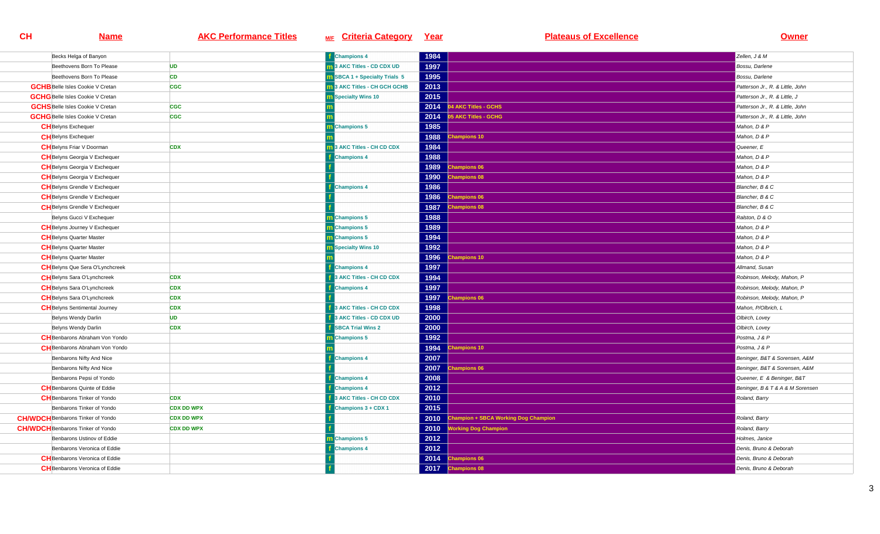| Becks Helga of Banyon                    |                   | <b>f</b> Champions 4        | 1984 |                                      | Zellen, J & M                    |
|------------------------------------------|-------------------|-----------------------------|------|--------------------------------------|----------------------------------|
| Beethovens Born To Please                | <b>UD</b>         | 13 AKC Titles - CD CDX UD   | 1997 |                                      | Bossu, Darlene                   |
| Beethovens Born To Please                | <b>CD</b>         | SBCA 1 + Specialty Trials 5 | 1995 |                                      | Bossu, Darlene                   |
| <b>GCHB</b> Belle Isles Cookie V Cretan  | <b>CGC</b>        | 13 AKC Titles - CH GCH GCHB | 2013 |                                      | Patterson Jr., R. & Little, John |
| <b>GCHG</b> Belle Isles Cookie V Cretan  |                   | <b>n</b> Specialty Wins 10  | 2015 |                                      | Patterson Jr., R. & Little, J    |
| <b>GCHS</b> Belle Isles Cookie V Cretan  | <b>CGC</b>        |                             | 2014 | 4 AKC Titles - GCHS                  | Patterson Jr., R. & Little, John |
| <b>GCHG</b> Belle Isles Cookie V Cretan  | <b>CGC</b>        |                             | 2014 | 05 AKC Titles - GCHG                 | Patterson Jr., R. & Little, John |
| <b>CH</b> Belyns Exchequer               |                   | Champions 5                 | 1985 |                                      | Mahon, D & P                     |
| <b>CH</b> Belyns Exchequer               |                   |                             | 1988 | hampions 10                          | Mahon, D & P                     |
| <b>CH</b> Belyns Friar V Doorman         | <b>CDX</b>        | 3 AKC Titles - CH CD CDX    | 1984 |                                      | Queener, E                       |
| <b>CH</b> Belyns Georgia V Exchequer     |                   | <b>Champions 4</b>          | 1988 |                                      | Mahon, D & P                     |
| <b>CH</b> Belyns Georgia V Exchequer     |                   |                             | 1989 | hampions 06                          | Mahon, D & P                     |
| <b>CH</b> Belyns Georgia V Exchequer     |                   |                             | 1990 | hampions 08                          | Mahon, D & P                     |
| <b>CH</b> Belyns Grendle V Exchequer     |                   | <b>Champions 4</b>          | 1986 |                                      | Blancher, B & C                  |
| <b>CH</b> Belyns Grendle V Exchequer     |                   |                             | 1986 | hampions 06                          | Blancher, B & C                  |
| <b>CH</b> Belyns Grendle V Exchequer     |                   |                             | 1987 | hampions 08                          | Blancher, B & C                  |
| Belyns Gucci V Exchequer                 |                   | <b>n</b> Champions 5        | 1988 |                                      | Ralston, D & O                   |
| <b>CH</b> Belyns Journey V Exchequer     |                   | <b>n</b> Champions 5        | 1989 |                                      | Mahon, D & P                     |
| <b>CH</b> Belyns Quarter Master          |                   | Champions 5                 | 1994 |                                      | Mahon, D & P                     |
| <b>CH</b> Belyns Quarter Master          |                   | <b>m</b> Specialty Wins 10  | 1992 |                                      | Mahon, D & P                     |
| <b>CH</b> Belyns Quarter Master          |                   |                             | 1996 | hampions 10                          | Mahon, D & P                     |
| <b>CH</b> Belyns Que Sera O'Lynchcreek   |                   | <b>Champions 4</b>          | 1997 |                                      | Allmand, Susan                   |
| <b>CH</b> Belyns Sara O'Lynchcreek       | <b>CDX</b>        | 3 AKC Titles - CH CD CDX    | 1994 |                                      | Robinson, Melody, Mahon, P       |
| <b>CH</b> Belyns Sara O'Lynchcreek       | <b>CDX</b>        | <b>Champions 4</b>          | 1997 |                                      | Robinson, Melody, Mahon, P       |
| <b>CH</b> Belyns Sara O'Lynchcreek       | <b>CDX</b>        |                             | 1997 | hampions 06                          | Robinson, Melody, Mahon, P       |
| <b>CH</b> Belyns Sentimental Journey     | <b>CDX</b>        | 3 AKC Titles - CH CD CDX    | 1998 |                                      | Mahon, P/Olbrich, L              |
| Belyns Wendy Darlin                      | <b>UD</b>         | 3 AKC Titles - CD CDX UD    | 2000 |                                      | Olbirch, Lovey                   |
| Belyns Wendy Darlin                      | <b>CDX</b>        | <b>SBCA Trial Wins 2</b>    | 2000 |                                      | Olbirch, Lovey                   |
| <b>CH</b> Benbarons Abraham Von Yondo    |                   | Champions 5                 | 1992 |                                      | Postma, J & P                    |
| <b>CH</b> Benbarons Abraham Von Yondo    |                   |                             | 1994 | hampions 10                          | Postma, J & P                    |
| Benbarons Nifty And Nice                 |                   | <b>Champions 4</b>          | 2007 |                                      | Beninger, B&T & Sorensen, A&M    |
| Benbarons Nifty And Nice                 |                   |                             | 2007 | hampions 06                          | Beninger, B&T & Sorensen, A&M    |
| Benbarons Pepsi of Yondo                 |                   | <b>Champions 4</b>          | 2008 |                                      | Queener, E & Beninger, B&T       |
| <b>CH</b> Benbarons Quinte of Eddie      |                   | <b>Champions 4</b>          | 2012 |                                      | Beninger, B & T & A & M Sorensen |
| <b>CH</b> Benbarons Tinker of Yondo      | <b>CDX</b>        | 3 AKC Titles - CH CD CDX    | 2010 |                                      | Roland, Barry                    |
| Benbarons Tinker of Yondo                | <b>CDX DD WPX</b> | <b>Champions 3 + CDX 1</b>  | 2015 |                                      |                                  |
| <b>CH/WDCH</b> Benbarons Tinker of Yondo | <b>CDX DD WPX</b> |                             | 2010 | Champion + SBCA Working Dog Champion | Roland, Barry                    |
| <b>CH/WDCH</b> Benbarons Tinker of Yondo | <b>CDX DD WPX</b> |                             | 2010 | <b>Working Dog Champion</b>          | Roland, Barry                    |
| Benbarons Ustinov of Eddie               |                   | <b>Champions 5</b>          | 2012 |                                      | Holmes, Janice                   |
| Benbarons Veronica of Eddie              |                   | <b>Champions 4</b>          | 2012 |                                      | Denis, Bruno & Deborah           |
| <b>CH</b> Benbarons Veronica of Eddie    |                   |                             | 2014 | <b>Champions 06</b>                  | Denis, Bruno & Deborah           |
| <b>CH</b> Benbarons Veronica of Eddie    |                   |                             | 2017 | <b>Champions 08</b>                  | Denis. Bruno & Deborah           |
|                                          |                   |                             |      |                                      |                                  |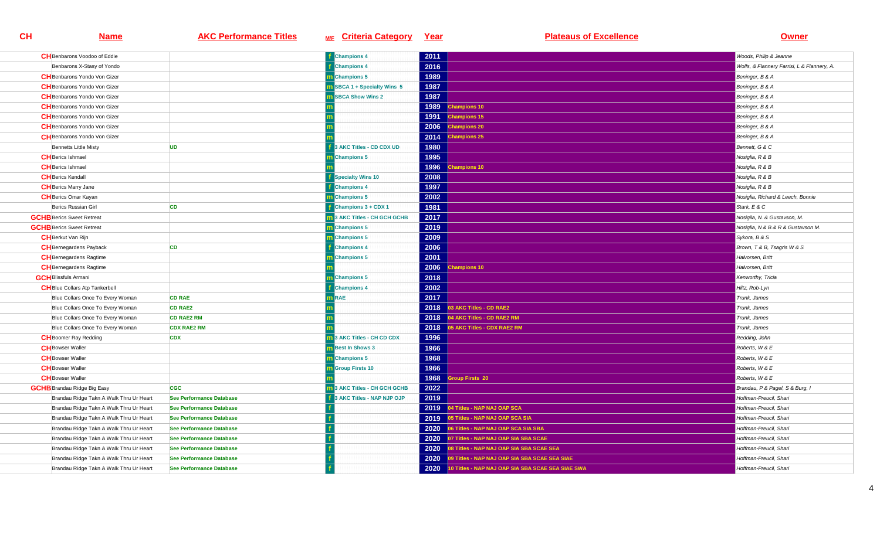| <b>CH</b> Benbarons Voodoo of Eddie     |                                 | <b>f</b> Champions 4                | 2011 |                                                   | Woods, Philip & Jeanne                      |
|-----------------------------------------|---------------------------------|-------------------------------------|------|---------------------------------------------------|---------------------------------------------|
| Benbarons X-Stasy of Yondo              |                                 | <b>Champions 4</b>                  | 2016 |                                                   | Wolfs, & Flannery Farrisi, L & Flannery, A. |
| <b>CH</b> Benbarons Yondo Von Gizer     |                                 | m Champions 5                       | 1989 |                                                   | Beninger, B & A                             |
| <b>CH</b> Benbarons Yondo Von Gizer     |                                 | <b>m</b> SBCA 1 + Specialty Wins 5  | 1987 |                                                   | Beninger, B & A                             |
| <b>CH</b> Benbarons Yondo Von Gizer     |                                 | <b>SBCA Show Wins 2</b>             | 1987 |                                                   | Beninger, B & A                             |
| <b>CH</b> Benbarons Yondo Von Gizer     |                                 |                                     | 1989 | hampions 10                                       | Beninger, B & A                             |
| <b>CH</b> Benbarons Yondo Von Gizer     |                                 |                                     | 1991 | <b>Champions 15</b>                               | Beninger, B & A                             |
| <b>CH</b> Benbarons Yondo Von Gizer     |                                 |                                     | 2006 | hampions 20                                       | Beninger, B & A                             |
| <b>CH</b> Benbarons Yondo Von Gizer     |                                 |                                     | 2014 | hampions 25                                       | Beninger, B & A                             |
| <b>Bennetts Little Misty</b>            | <b>UD</b>                       | 3 AKC Titles - CD CDX UD            | 1980 |                                                   | Bennett, G & C                              |
| <b>CH</b> Berics Ishmael                |                                 | <b>Champions 5</b>                  | 1995 |                                                   | Nosiglia, R & B                             |
| <b>CH</b> Berics Ishmael                |                                 |                                     | 1996 | hampions 10                                       | Nosiglia, R & B                             |
| <b>CH</b> Berics Kendall                |                                 | <b>Specialty Wins 10</b>            | 2008 |                                                   | Nosiglia, R & B                             |
| <b>CH</b> Berics Marry Jane             |                                 | <b>Champions 4</b>                  | 1997 |                                                   | Nosiglia, R & B                             |
| <b>CH</b> Berics Omar Kayan             |                                 | m Champions 5                       | 2002 |                                                   | Nosiglia, Richard & Leech, Bonnie           |
| Berics Russian Girl                     | <b>CD</b>                       | Champions 3 + CDX 1                 | 1981 |                                                   | Stark, E & C                                |
| <b>GCHB</b> Berics Sweet Retreat        |                                 | <b>n</b> 3 AKC Titles - CH GCH GCHB | 2017 |                                                   | Nosigila, N. & Gustavson, M.                |
| <b>GCHB</b> Berics Sweet Retreat        |                                 | m Champions 5                       | 2019 |                                                   | Nosiglia, N & B & R & Gustavson M.          |
| <b>CH</b> Berkut Van Rijn               |                                 | m Champions 5                       | 2009 |                                                   | Sykora, B & S                               |
| <b>CH</b> Bernegardens Payback          | <b>CD</b>                       | <b>Champions 4</b>                  | 2006 |                                                   | Brown, T & B, Tsagris W & S                 |
| <b>CH</b> Bernegardens Ragtime          |                                 | m Champions 5                       | 2001 |                                                   | Halvorsen, Britt                            |
| <b>CH</b> Bernegardens Ragtime          |                                 |                                     | 2006 | hampions 10                                       | Halvorsen, Britt                            |
| <b>GCH</b> Blissfuls Armani             |                                 | <b>Champions 5</b>                  | 2018 |                                                   | Kenworthy, Tricia                           |
| <b>CH</b> Blue Collars Atp Tankerbell   |                                 | <b>Champions 4</b>                  | 2002 |                                                   | Hiltz, Rob-Lyn                              |
| Blue Collars Once To Every Woman        | <b>CD RAE</b>                   | n RAE                               | 2017 |                                                   | Trunk, James                                |
| Blue Collars Once To Every Woman        | <b>CD RAE2</b>                  |                                     | 2018 | 3 AKC Titles - CD RAE2                            | Trunk, James                                |
| Blue Collars Once To Every Woman        | <b>CD RAE2 RM</b>               |                                     | 2018 | 4 AKC Titles - CD RAE2 RM                         | Trunk, James                                |
| Blue Collars Once To Every Woman        | <b>CDX RAE2 RM</b>              |                                     | 2018 | 5 AKC Titles - CDX RAE2 RM                        | Trunk, James                                |
| <b>CH</b> Boomer Ray Redding            | <b>CDX</b>                      | <b>1</b> 3 AKC Titles - CH CD CDX   | 1996 |                                                   | Redding, John                               |
| <b>CH</b> Bowser Waller                 |                                 | <b>m</b> Best In Shows 3            | 1966 |                                                   | Roberts, W & E                              |
| <b>CH</b> Bowser Waller                 |                                 | m Champions 5                       | 1968 |                                                   | Roberts, W & E                              |
| <b>CH</b> Bowser Waller                 |                                 | <b>n</b> Group Firsts 10            | 1966 |                                                   | Roberts, W & E                              |
| <b>CH</b> Bowser Waller                 |                                 |                                     | 1968 | roup Firsts 20                                    | Roberts, W & E                              |
| <b>GCHB</b> Brandau Ridge Big Easy      | <b>CGC</b>                      | <b>1</b> 3 AKC Titles - CH GCH GCHB | 2022 |                                                   | Brandau, P & Pagel, S & Burg, I             |
| Brandau Ridge Takn A Walk Thru Ur Heart | <b>See Performance Database</b> | 3 AKC Titles - NAP NJP OJP          | 2019 |                                                   | Hoffman-Preucil, Shari                      |
| Brandau Ridge Takn A Walk Thru Ur Heart | See Performance Database        |                                     | 2019 | 4 Titles - NAP NAJ OAP SCA                        | Hoffman-Preucil, Shari                      |
| Brandau Ridge Takn A Walk Thru Ur Heart | See Performance Database        |                                     | 2019 | 05 Titles - NAP NAJ OAP SCA SIA                   | Hoffman-Preucil, Shari                      |
| Brandau Ridge Takn A Walk Thru Ur Heart | See Performance Database        |                                     | 2020 | 06 Titles - NAP NAJ OAP SCA SIA SBA               | Hoffman-Preucil, Shari                      |
| Brandau Ridge Takn A Walk Thru Ur Heart | <b>See Performance Database</b> |                                     | 2020 | 07 Titles - NAP NAJ OAP SIA SBA SCAE              | Hoffman-Preucil, Shari                      |
| Brandau Ridge Takn A Walk Thru Ur Heart | <b>See Performance Database</b> |                                     | 2020 | 08 Titles - NAP NAJ OAP SIA SBA SCAE SEA          | Hoffman-Preucil, Shari                      |
| Brandau Ridge Takn A Walk Thru Ur Heart | See Performance Database        |                                     | 2020 | 09 Titles - NAP NAJ OAP SIA SBA SCAE SEA SIAE     | Hoffman-Preucil, Shari                      |
| Brandau Ridge Takn A Walk Thru Ur Heart | See Performance Database        |                                     | 2020 | 10 Titles - NAP NAJ OAP SIA SBA SCAE SEA SIAE SWA | Hoffman-Preucil, Shari                      |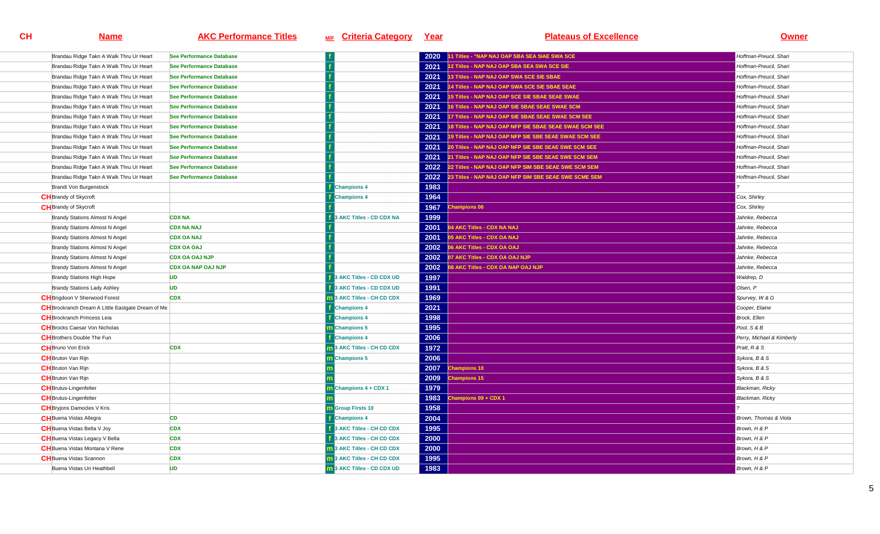| Brandau Ridge Takn A Walk Thru Ur Heart           | <b>See Performance Database</b> |                               | 2020 | 1 Titles - "NAP NAJ OAP SBA SEA SIAE SWA SCE           | Hoffman-Preucil, Shari    |
|---------------------------------------------------|---------------------------------|-------------------------------|------|--------------------------------------------------------|---------------------------|
| Brandau Ridge Takn A Walk Thru Ur Heart           | See Performance Database        |                               | 2021 | 12 Titles - NAP NAJ OAP SBA SEA SWA SCE SIE            | Hoffman-Preucil, Shari    |
| Brandau Ridge Takn A Walk Thru Ur Heart           | See Performance Database        |                               | 2021 | 13 Titles - NAP NAJ OAP SWA SCE SIE SBAE               | Hoffman-Preucil, Shari    |
| Brandau Ridge Takn A Walk Thru Ur Heart           | See Performance Database        |                               | 2021 | 14 Titles - NAP NAJ OAP SWA SCE SIE SBAE SEAE          | Hoffman-Preucil, Shari    |
| Brandau Ridge Takn A Walk Thru Ur Heart           | See Performance Database        |                               | 2021 | 15 Titles - NAP NAJ OAP SCE SIE SBAE SEAE SWAE         | Hoffman-Preucil, Shari    |
| Brandau Ridge Takn A Walk Thru Ur Heart           | See Performance Database        |                               | 2021 | 16 Titles - NAP NAJ OAP SIE SBAE SEAE SWAE SCM         | Hoffman-Preucil, Shari    |
| Brandau Ridge Takn A Walk Thru Ur Heart           | <b>See Performance Database</b> |                               | 2021 | 17 Titles - NAP NAJ OAP SIE SBAE SEAE SWAE SCM SEE     | Hoffman-Preucil, Shari    |
| Brandau Ridge Takn A Walk Thru Ur Heart           | See Performance Database        |                               | 2021 | 18 Titles - NAP NAJ OAP NFP SIE SBAE SEAE SWAE SCM SEE | Hoffman-Preucil, Shari    |
| Brandau Ridge Takn A Walk Thru Ur Heart           | See Performance Database        |                               | 2021 | 19 Titles - NAP NAJ OAP NFP SIE SBE SEAE SWAE SCM SEE  | Hoffman-Preucil, Shari    |
| Brandau Ridge Takn A Walk Thru Ur Heart           | See Performance Database        |                               | 2021 | 20 Titles - NAP NAJ OAP NFP SIE SBE SEAE SWE SCM SEE   | Hoffman-Preucil, Shari    |
| Brandau Ridge Takn A Walk Thru Ur Heart           | See Performance Database        |                               | 2021 | 21 Titles - NAP NAJ OAP NFP SIE SBE SEAE SWE SCM SEM   | Hoffman-Preucil, Shari    |
| Brandau Ridge Takn A Walk Thru Ur Heart           | See Performance Database        |                               | 2022 | 22 Titles - NAP NAJ OAP NFP SIM SBE SEAE SWE SCM SEM   | Hoffman-Preucil, Shari    |
| Brandau Ridge Takn A Walk Thru Ur Heart           | See Performance Database        |                               | 2022 | 23 Titles - NAP NAJ OAP NFP SIM SBE SEAE SWE SCME SEM  | Hoffman-Preucil, Shari    |
| Brandi Von Burgenstock                            |                                 | <b>Champions 4</b>            | 1983 |                                                        |                           |
| <b>CH</b> Brandy of Skycroft                      |                                 | <b>Champions 4</b>            | 1964 |                                                        | Cox, Shirley              |
| <b>CH</b> Brandy of Skycroft                      |                                 |                               | 1967 | hampions 06                                            | Cox, Shirley              |
| <b>Brandy Stations Almost N Angel</b>             | <b>CDX NA</b>                   | <b>AKC Titles - CD CDX NA</b> | 1999 |                                                        | Jahnke, Rebecca           |
| <b>Brandy Stations Almost N Angel</b>             | <b>CDX NA NAJ</b>               |                               | 2001 | 04 AKC Titles - CDX NA NAJ                             | Jahnke, Rebecca           |
| <b>Brandy Stations Almost N Angel</b>             | <b>CDX OA NAJ</b>               |                               | 2001 | 05 AKC Titles - CDX OA NAJ                             | Jahnke, Rebecca           |
| <b>Brandy Stations Almost N Angel</b>             | <b>CDX OA OAJ</b>               |                               | 2002 | 06 AKC Titles - CDX OA OAJ                             | Jahnke, Rebecca           |
| <b>Brandy Stations Almost N Angel</b>             | <b>CDX OA OAJ NJP</b>           |                               | 2002 | 07 AKC Titles - CDX OA OAJ NJP                         | Jahnke, Rebecca           |
| <b>Brandy Stations Almost N Angel</b>             | <b>CDX OA NAP OAJ NJP</b>       |                               | 2002 | <b>BAKC Titles - CDX OA NAP OAJ NJP</b>                | Jahnke, Rebecca           |
| Brandy Stations High Hope                         | <b>UD</b>                       | 3 AKC Titles - CD CDX UD      | 1997 |                                                        | Waldrep, D                |
| <b>Brandy Stations Lady Ashley</b>                | <b>UD</b>                       | 3 AKC Titles - CD CDX UD      | 1991 |                                                        | Olsen, P                  |
| <b>CH</b> Brigdoon V Sherwood Forest              | <b>CDX</b>                      | 3 AKC Titles - CH CD CDX      | 1969 |                                                        | Spurvey, W & G            |
| CH Brockranch Dream A Little Eastgate Dream of Me |                                 | <b>Champions 4</b>            | 2021 |                                                        | Cooper, Elaine            |
| <b>CH</b> Brockranch Princess Leia                |                                 | <b>Champions 4</b>            | 1998 |                                                        | <b>Brock, Ellen</b>       |
| <b>CH</b> Brocks Caesar Von Nicholas              |                                 | m Champions 5                 | 1995 |                                                        | Pool, S & B               |
| <b>CH</b> Brothers Double The Fun                 |                                 | <b>Champions 4</b>            | 2006 |                                                        | Perry, Michael & Kimberly |
| <b>CH</b> Bruno Von Erick                         | <b>CDX</b>                      | 3 AKC Titles - CH CD CDX      | 1972 |                                                        | Pratt, R & S              |
| <b>CH</b> Bruton Van Rijn                         |                                 | <b>Champions 5</b>            | 2006 |                                                        | Sykora, B & S             |
| <b>CH</b> Bruton Van Rijn                         |                                 |                               | 2007 | hampions 10                                            | Sykora, B & S             |
| <b>CH</b> Bruton Van Rijn                         |                                 |                               | 2009 | hampions 15                                            | Sykora, B & S             |
| <b>CH</b> Brutus-Lingenfelter                     |                                 | Champions 4 + CDX 1           | 1979 |                                                        | Blackman, Ricky           |
| <b>CH</b> Brutus-Lingenfelter                     |                                 |                               | 1983 | hampions 09 + CDX 1                                    | Blackman, Ricky           |
| <b>CH</b> Bryjons Damocles V Kris                 |                                 | <b>n</b> Group Firsts 10      | 1958 |                                                        |                           |
| <b>CH</b> Buena Vistas Allegra                    | <b>CD</b>                       | <b>Champions 4</b>            | 2004 |                                                        | Brown, Thomas & Viola     |
| <b>CH</b> Buena Vistas Bella V Joy                | <b>CDX</b>                      | 3 AKC Titles - CH CD CDX      | 1995 |                                                        | Brown, H & P              |
| <b>CH</b> Buena Vistas Legacy V Bella             | <b>CDX</b>                      | 3 AKC Titles - CH CD CDX      | 2000 |                                                        | Brown, H & P              |
| <b>CH</b> Buena Vistas Montana V Rene             | <b>CDX</b>                      | 13 AKC Titles - CH CD CDX     | 2000 |                                                        | Brown, H & P              |
| <b>CH</b> Buena Vistas Scannon                    | <b>CDX</b>                      | 13 AKC Titles - CH CD CDX     | 1995 |                                                        | Brown, H & P              |
| Buena Vistas Uri Heathbell                        | <b>UD</b>                       | 13 AKC Titles - CD CDX UD     | 1983 |                                                        | Brown, H & P              |
|                                                   |                                 |                               |      |                                                        |                           |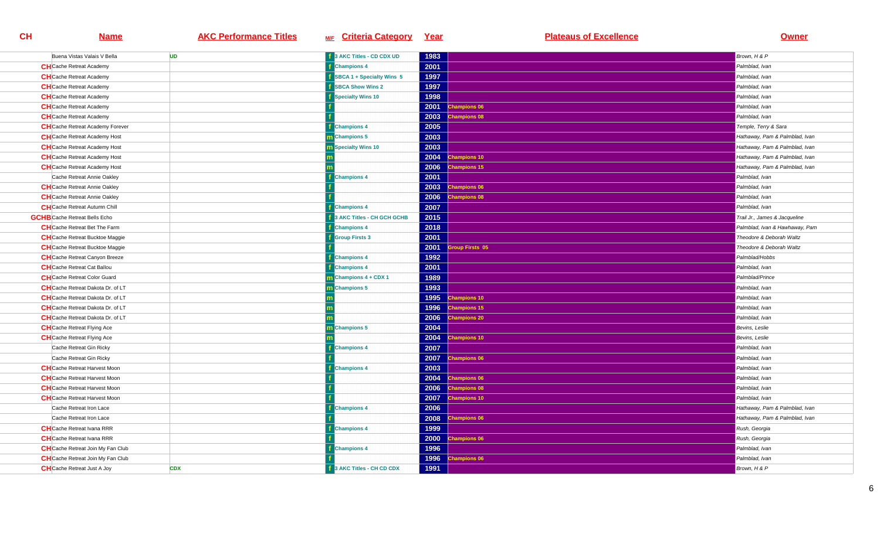| Buena Vistas Valais V Bella              | <b>UD</b>  | <b>1</b> 3 AKC Titles - CD CDX UD | 1983 |                     | Brown, H & P                   |
|------------------------------------------|------------|-----------------------------------|------|---------------------|--------------------------------|
| <b>CH</b> Cache Retreat Academy          |            | <b>Champions 4</b>                | 2001 |                     | Palmblad, Ivan                 |
| <b>CH</b> Cache Retreat Academy          |            | SBCA 1 + Specialty Wins 5         | 1997 |                     | Palmblad, Ivan                 |
| <b>CH</b> Cache Retreat Academy          |            | <b>SBCA Show Wins 2</b>           | 1997 |                     | Palmblad, Ivan                 |
| <b>CH</b> Cache Retreat Academy          |            | <b>Specialty Wins 10</b>          | 1998 |                     | Palmblad, Ivan                 |
| <b>CH</b> Cache Retreat Academy          |            |                                   | 2001 | <b>Champions 06</b> | Palmblad, Ivan                 |
| <b>CH</b> Cache Retreat Academy          |            |                                   | 2003 | <b>Champions 08</b> | Palmblad, Ivan                 |
| <b>CH</b> Cache Retreat Academy Forever  |            | <b>Champions 4</b>                | 2005 |                     | Temple, Terry & Sara           |
| <b>CH</b> Cache Retreat Academy Host     |            | m Champions 5                     | 2003 |                     | Hathaway, Pam & Palmblad, Ivan |
| <b>CH</b> Cache Retreat Academy Host     |            | Specialty Wins 10                 | 2003 |                     | Hathaway, Pam & Palmblad, Ivan |
| <b>CH</b> Cache Retreat Academy Host     |            |                                   | 2004 | <b>Champions 10</b> | Hathaway, Pam & Palmblad, Ivan |
| <b>CH</b> Cache Retreat Academy Host     |            |                                   | 2006 | <b>Champions 15</b> | Hathaway, Pam & Palmblad, Ivan |
| Cache Retreat Annie Oakley               |            | <b>Champions 4</b>                | 2001 |                     | Palmblad, Ivan                 |
| <b>CH</b> Cache Retreat Annie Oakley     |            |                                   | 2003 | <b>Champions 06</b> | Palmblad, Ivan                 |
| <b>CH</b> Cache Retreat Annie Oakley     |            |                                   | 2006 | hampions 08         | Palmblad, Ivan                 |
| <b>CH</b> Cache Retreat Autumn Chill     |            | <b>Champions 4</b>                | 2007 |                     | Palmblad, Ivan                 |
| <b>GCHB</b> Cache Retreat Bells Echo     |            | 3 AKC Titles - CH GCH GCHB        | 2015 |                     | Trail Jr., James & Jacqueline  |
| <b>CH</b> Cache Retreat Bet The Farm     |            | <b>Champions 4</b>                | 2018 |                     | Palmblad, Ivan & Hawhaway, Pam |
| <b>CH</b> Cache Retreat Bucktoe Maggie   |            | <b>Group Firsts 3</b>             | 2001 |                     | Theodore & Deborah Waltz       |
| <b>CH</b> Cache Retreat Bucktoe Maggie   |            |                                   | 2001 | roup Firsts 05      | Theodore & Deborah Waltz       |
| <b>CH</b> Cache Retreat Canyon Breeze    |            | <b>Champions 4</b>                | 1992 |                     | Palmblad/Hobbs                 |
| <b>CH</b> Cache Retreat Cat Ballou       |            | <b>Champions 4</b>                | 2001 |                     | Palmblad, Ivan                 |
| <b>CH</b> Cache Retreat Color Guard      |            | Champions 4 + CDX 1               | 1989 |                     | Palmblad/Prince                |
| <b>CH</b> Cache Retreat Dakota Dr. of LT |            | <b>Champions 5</b>                | 1993 |                     | Palmblad, Ivan                 |
| <b>CH</b> Cache Retreat Dakota Dr. of LT |            |                                   | 1995 | <b>Champions 10</b> | Palmblad, Ivan                 |
| <b>CH</b> Cache Retreat Dakota Dr. of LT |            |                                   | 1996 | <b>Champions 15</b> | Palmblad, Ivan                 |
| <b>CH</b> Cache Retreat Dakota Dr. of LT |            |                                   | 2006 | <b>Champions 20</b> | Palmblad, Ivan                 |
| <b>CH</b> Cache Retreat Flying Ace       |            | <b>Champions 5</b>                | 2004 |                     | Bevins, Leslie                 |
| <b>CH</b> Cache Retreat Flying Ace       |            |                                   | 2004 | <b>Champions 10</b> | Bevins, Leslie                 |
| Cache Retreat Gin Ricky                  |            | <b>Champions 4</b>                | 2007 |                     | Palmblad, Ivan                 |
| Cache Retreat Gin Ricky                  |            |                                   | 2007 | <b>Champions 06</b> | Palmblad, Ivan                 |
| <b>CH</b> Cache Retreat Harvest Moon     |            | <b>Champions 4</b>                | 2003 |                     | Palmblad, Ivan                 |
| <b>CH</b> Cache Retreat Harvest Moon     |            |                                   | 2004 | <b>Champions 06</b> | Palmblad, Ivan                 |
| <b>CH</b> Cache Retreat Harvest Moon     |            |                                   | 2006 | <b>Champions 08</b> | Palmblad, Ivan                 |
| <b>CH</b> Cache Retreat Harvest Moon     |            |                                   | 2007 | <b>Champions 10</b> | Palmblad, Ivan                 |
| Cache Retreat Iron Lace                  |            | <b>Champions 4</b>                | 2006 |                     | Hathaway, Pam & Palmblad, Ivan |
| Cache Retreat Iron Lace                  |            |                                   | 2008 | <b>Champions 06</b> | Hathaway, Pam & Palmblad, Ivan |
| <b>CH</b> Cache Retreat Ivana RRR        |            | <b>Champions 4</b>                | 1999 |                     | Rush, Georgia                  |
| <b>CH</b> Cache Retreat Ivana RRR        |            |                                   | 2000 | hampions 06         | Rush, Georgia                  |
| <b>CH</b> Cache Retreat Join My Fan Club |            | <b>Champions 4</b>                | 1996 |                     | Palmblad, Ivan                 |
| <b>CH</b> Cache Retreat Join My Fan Club |            |                                   | 1996 | <b>Champions 06</b> | Palmblad, Ivan                 |
| <b>CH</b> Cache Retreat Just A Joy       | <b>CDX</b> | 3 AKC Titles - CH CD CDX          | 1991 |                     | Brown, H & P                   |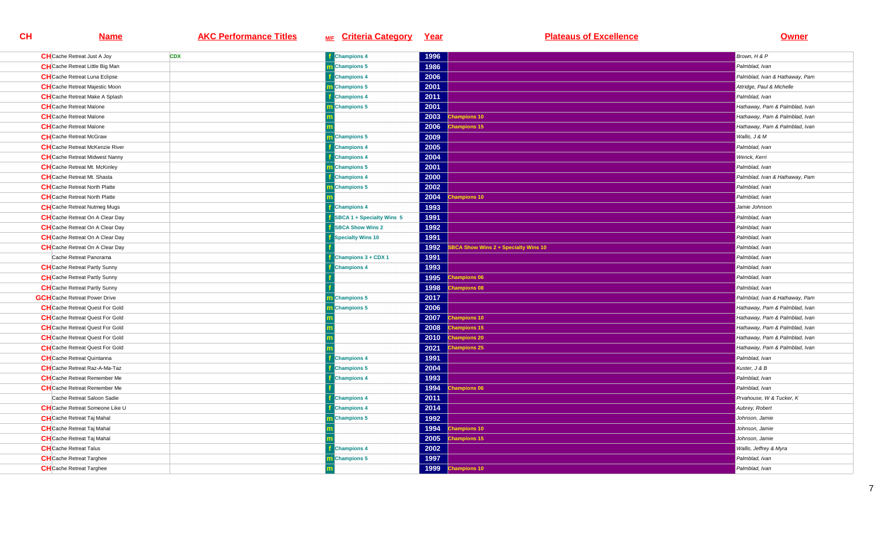| <b>CH</b> Cache Retreat Just A Joy     | <b>CDX</b> | <b>Champions 4</b>        | 1996 |                                      | Brown, H & P                   |
|----------------------------------------|------------|---------------------------|------|--------------------------------------|--------------------------------|
| <b>CH</b> Cache Retreat Little Big Man |            | <b>m</b> Champions 5      | 1986 |                                      | Palmblad, Ivan                 |
| <b>CH</b> Cache Retreat Luna Eclipse   |            | <b>Champions 4</b>        | 2006 |                                      | Palmblad, Ivan & Hathaway, Pam |
| <b>CH</b> Cache Retreat Majestic Moon  |            | m Champions 5             | 2001 |                                      | Attridge, Paul & Michelle      |
| <b>CH</b> Cache Retreat Make A Splash  |            | <b>Champions 4</b>        | 2011 |                                      | Palmblad, Ivan                 |
| <b>CH</b> Cache Retreat Malone         |            | <b>Champions 5</b>        | 2001 |                                      | Hathaway, Pam & Palmblad, Ivan |
| <b>CH</b> Cache Retreat Malone         |            |                           |      | 2003 Champions 10                    | Hathaway, Pam & Palmblad, Ivan |
| <b>CH</b> Cache Retreat Malone         |            |                           | 2006 | <b>Champions 15</b>                  | Hathaway, Pam & Palmblad, Ivan |
| <b>CH</b> Cache Retreat McGraw         |            | <b>Champions 5</b>        | 2009 |                                      | Wallis, J & M                  |
| <b>CH</b> Cache Retreat McKenzie River |            | <b>Champions 4</b>        | 2005 |                                      | Palmblad, Ivan                 |
| <b>CH</b> Cache Retreat Midwest Nanny  |            | <b>Champions 4</b>        | 2004 |                                      | Wenck, Kerri                   |
| <b>CH</b> Cache Retreat Mt. McKinley   |            | m Champions 5             | 2001 |                                      | Palmblad, Ivan                 |
| <b>CH</b> Cache Retreat Mt. Shasta     |            | <b>Champions 4</b>        | 2000 |                                      | Palmblad, Ivan & Hathaway, Pam |
| <b>CH</b> Cache Retreat North Platte   |            | m Champions 5             | 2002 |                                      | Palmblad, Ivan                 |
| <b>CH</b> Cache Retreat North Platte   |            |                           |      | 2004 Champions 10                    | Palmblad, Ivan                 |
| <b>CH</b> Cache Retreat Nutmeg Mugs    |            | <b>Champions 4</b>        | 1993 |                                      | Jamie Johnson                  |
| <b>CH</b> Cache Retreat On A Clear Day |            | SBCA 1 + Specialty Wins 5 | 1991 |                                      | Palmblad, Ivan                 |
| <b>CH</b> Cache Retreat On A Clear Day |            | <b>SBCA Show Wins 2</b>   | 1992 |                                      | Palmblad, Ivan                 |
| <b>CH</b> Cache Retreat On A Clear Day |            | <b>Specialty Wins 10</b>  | 1991 |                                      | Palmblad, Ivan                 |
| <b>CH</b> Cache Retreat On A Clear Day |            |                           | 1992 | SBCA Show Wins 2 + Specialty Wins 10 | Palmblad, Ivan                 |
| Cache Retreat Panorama                 |            | Champions 3 + CDX 1       | 1991 |                                      | Palmblad, Ivan                 |
| <b>CH</b> Cache Retreat Partly Sunny   |            | <b>Champions 4</b>        | 1993 |                                      | Palmblad, Ivan                 |
| <b>CH</b> Cache Retreat Partly Sunny   |            |                           | 1995 | <b>Champions 06</b>                  | Palmblad, Ivan                 |
| <b>CH</b> Cache Retreat Partly Sunny   |            |                           | 1998 | <b>Champions 08</b>                  | Palmblad, Ivan                 |
| <b>GCH</b> Cache Retreat Power Drive   |            | <b>Champions 5</b>        | 2017 |                                      | Palmblad, Ivan & Hathaway, Pam |
| <b>CH</b> Cache Retreat Quest For Gold |            | <b>Champions 5</b>        | 2006 |                                      | Hathaway, Pam & Palmblad, Ivan |
| <b>CH</b> Cache Retreat Quest For Gold |            |                           | 2007 | <b>Champions 10</b>                  | Hathaway, Pam & Palmblad, Ivan |
| <b>CH</b> Cache Retreat Quest For Gold |            |                           | 2008 | <b>Champions 15</b>                  | Hathaway, Pam & Palmblad, Ivan |
| <b>CH</b> Cache Retreat Quest For Gold |            |                           | 2010 | <b>Champions 20</b>                  | Hathaway, Pam & Palmblad, Ivan |
| <b>CH</b> Cache Retreat Quest For Gold |            |                           | 2021 | <b>Champions 25</b>                  | Hathaway, Pam & Palmblad, Ivan |
| <b>CH</b> Cache Retreat Quintanna      |            | <b>Champions 4</b>        | 1991 |                                      | Palmblad, Ivan                 |
| <b>CH</b> Cache Retreat Raz-A-Ma-Taz   |            | <b>Champions 5</b>        | 2004 |                                      | Kuster, J & B                  |
| <b>CH</b> Cache Retreat Remember Me    |            | <b>Champions 4</b>        | 1993 |                                      | Palmblad, Ivan                 |
| <b>CH</b> Cache Retreat Remember Me    |            |                           | 1994 | <b>Champions 06</b>                  | Palmblad, Ivan                 |
| Cache Retreat Saloon Sadie             |            | <b>Champions 4</b>        | 2011 |                                      | Prvahouse, W & Tucker, K       |
| <b>CH</b> Cache Retreat Someone Like U |            | <b>Champions 4</b>        | 2014 |                                      | Aubrey, Robert                 |
| <b>CH</b> Cache Retreat Taj Mahal      |            | m Champions 5             | 1992 |                                      | Johnson, Jamie                 |
| <b>CH</b> Cache Retreat Taj Mahal      |            |                           |      | 1994 Champions 10                    | Johnson, Jamie                 |
| <b>CH</b> Cache Retreat Taj Mahal      |            |                           | 2005 | <b>Champions 15</b>                  | Johnson, Jamie                 |
| <b>CH</b> Cache Retreat Talus          |            | <b>Champions 4</b>        | 2002 |                                      | Wallis, Jeffrey & Myra         |
| <b>CH</b> Cache Retreat Targhee        |            | m Champions 5             | 1997 |                                      | Palmblad, Ivan                 |
| <b>CH</b> Cache Retreat Targhee        |            |                           | 1999 | <b>Champions 10</b>                  | Palmblad, Ivan                 |
|                                        |            |                           |      |                                      |                                |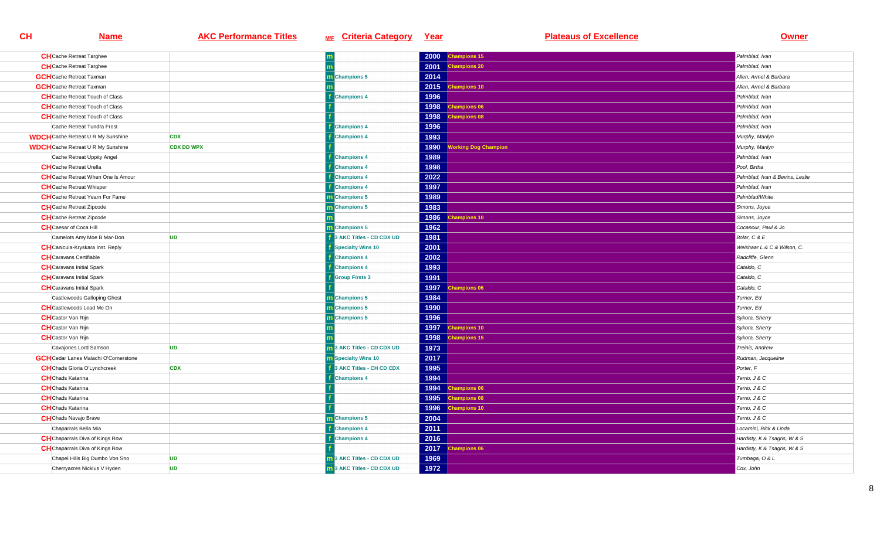| <b>CH</b> Cache Retreat Targhee              |                   |                                   | 2000 | Champions 15                              | Palmblad, Ivan                  |
|----------------------------------------------|-------------------|-----------------------------------|------|-------------------------------------------|---------------------------------|
| <b>CH</b> Cache Retreat Targhee              |                   |                                   | 2001 | <b>Champions 20</b>                       | Palmblad, Ivan                  |
| <b>GCH</b> Cache Retreat Taxman              |                   | m Champions 5                     | 2014 |                                           | Allen, Armel & Barbara          |
| <b>GCH</b> Cache Retreat Taxman              |                   |                                   | 2015 | hampions 10                               | Allen, Armel & Barbara          |
| <b>CH</b> Cache Retreat Touch of Class       |                   | <b>Champions 4</b>                | 1996 |                                           | Palmblad, Ivan                  |
| <b>CH</b> Cache Retreat Touch of Class       |                   |                                   | 1998 | <b>Champions 06</b>                       | Palmblad, Ivan                  |
| <b>CH</b> Cache Retreat Touch of Class       |                   |                                   | 1998 | <b>Champions 08</b>                       | Palmblad, Ivan                  |
| Cache Retreat Tundra Frost                   |                   | <b>Champions 4</b>                | 1996 |                                           | Palmblad, Ivan                  |
| <b>WDCH</b> Cache Retreat U R My Sunshine    | <b>CDX</b>        | <b>Champions 4</b>                | 1993 |                                           | Murphy, Marilyn                 |
| <b>WDCH</b> Cache Retreat U R My Sunshine    | <b>CDX DD WPX</b> |                                   | 1990 | <b><i><u>Iorking Dog Champion</u></i></b> | Murphy, Marilyn                 |
| Cache Retreat Uppity Angel                   |                   | <b>Champions 4</b>                | 1989 |                                           | Palmblad, Ivan                  |
| <b>CH</b> Cache Retreat Urella               |                   | <b>f</b> Champions 4              | 1998 |                                           | Pool, Birtha                    |
| <b>CH</b> Cache Retreat When One Is Amour    |                   | <b>Champions 4</b>                | 2022 |                                           | Palmblad, Ivan & Bevins, Leslie |
| <b>CH</b> Cache Retreat Whisper              |                   | <b>Champions 4</b>                | 1997 |                                           | Palmblad, Ivan                  |
| <b>CH</b> Cache Retreat Yearn For Fame       |                   | <b>Champions 5</b>                | 1989 |                                           | Palmblad/White                  |
| <b>CH</b> Cache Retreat Zipcode              |                   | <b>n</b> Champions 5              | 1983 |                                           | Simons, Joyce                   |
| <b>CH</b> Cache Retreat Zipcode              |                   |                                   | 1986 | <b>Champions 10</b>                       | Simons, Joyce                   |
| <b>CH</b> Caesar of Coca Hill                |                   | <b>m</b> Champions 5              | 1962 |                                           | Cocanour, Paul & Jo             |
| Camelots Amy Moe B Mar-Don                   | <b>UD</b>         | 3 AKC Titles - CD CDX UD          | 1981 |                                           | Bolar, C & E                    |
| <b>CH</b> Canicula-Kryskara Inst. Reply      |                   | <b>Specialty Wins 10</b>          | 2001 |                                           | Weishaar L & C & Wilson, C.     |
| <b>CH</b> Caravans Certifiable               |                   | <b>Champions 4</b>                | 2002 |                                           | Radcliffe, Glenn                |
| <b>CH</b> Caravans Initial Spark             |                   | <b>Champions 4</b>                | 1993 |                                           | Cataldo, C                      |
| <b>CH</b> Caravans Initial Spark             |                   | <b>Group Firsts 3</b>             | 1991 |                                           | Cataldo, C                      |
| <b>CH</b> Caravans Initial Spark             |                   |                                   | 1997 | <b>Champions 06</b>                       | Cataldo, C                      |
| Castlewoods Galloping Ghost                  |                   | m Champions 5                     | 1984 |                                           | Turner, Ed                      |
| <b>CH</b> Castlewoods Lead Me On             |                   | Champions 5                       | 1990 |                                           | Turner, Ed                      |
| <b>CH</b> Castor Van Rijn                    |                   | <b>Champions 5</b>                | 1996 |                                           | Sykora, Sherry                  |
| <b>CH</b> Castor Van Rijn                    |                   |                                   | 1997 | <b>Champions 10</b>                       | Sykora, Sherry                  |
| <b>CH</b> Castor Van Rijn                    |                   |                                   | 1998 | hampions 15                               | Sykora, Sherry                  |
| Cavajones Lord Samson                        | <b>UD</b>         | <b>1</b> 3 AKC Titles - CD CDX UD | 1973 |                                           | Treinis, Andrew                 |
| <b>GCH</b> Cedar Lanes Malachi O'Cornerstone |                   | <b>n</b> Specialty Wins 10        | 2017 |                                           | Rudman, Jacqueline              |
| <b>CH</b> Chads Gloria O'Lynchcreek          | <b>CDX</b>        | 3 AKC Titles - CH CD CDX          | 1995 |                                           | Porter, F                       |
| <b>CH</b> Chads Katarina                     |                   | <b>Champions 4</b>                | 1994 |                                           | Terrio, J & C                   |
| <b>CH</b> Chads Katarina                     |                   |                                   | 1994 | <b>Champions 06</b>                       | Terrio, J & C                   |
| <b>CH</b> Chads Katarina                     |                   |                                   | 1995 | <b>Champions 08</b>                       | Terrio, J & C                   |
| <b>CH</b> Chads Katarina                     |                   |                                   | 1996 | <b>Champions 10</b>                       | Terrio, J & C                   |
| <b>CH</b> Chads Navajo Brave                 |                   | m Champions 5                     | 2004 |                                           | Terrio, J & C                   |
| Chaparrals Bella Mia                         |                   | <b>Champions 4</b>                | 2011 |                                           | Locarnini. Rick & Linda         |
| <b>CH</b> Chaparrals Diva of Kings Row       |                   | <b>Champions 4</b>                | 2016 |                                           | Hardisty, K & Tsagris, W & S    |
| <b>CH</b> Chaparrals Diva of Kings Row       |                   |                                   |      | 2017 Champions 06                         | Hardisty, K & Tsagris, W & S    |
| Chapel Hills Big Dumbo Von Sno               | <b>UD</b>         | m 3 AKC Titles - CD CDX UD        | 1969 |                                           | Tumbaga, O & L                  |
| Cherryacres Nicklus V Hyden                  | <b>UD</b>         | 11 3 AKC Titles - CD CDX UD       | 1972 |                                           | Cox, John                       |
|                                              |                   |                                   |      |                                           |                                 |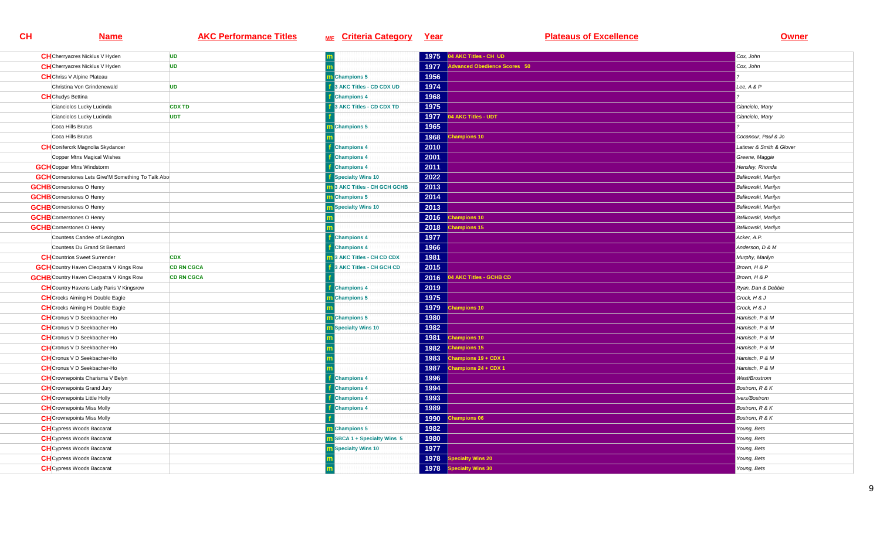| <b>CH</b> Cherryacres Nicklus V Hyden                     | <b>UD</b>         |                                    | 1975 | 04 AKC Titles - CH UD        | Cox, John                |
|-----------------------------------------------------------|-------------------|------------------------------------|------|------------------------------|--------------------------|
| <b>CH</b> Cherryacres Nicklus V Hyden                     | <b>UD</b>         |                                    | 1977 | Advanced Obedience Scores 50 | Cox, John                |
| <b>CH</b> Chriss V Alpine Plateau                         |                   | m Champions 5                      | 1956 |                              |                          |
| Christina Von Grindenewald                                | <b>UD</b>         | 3 AKC Titles - CD CDX UD           | 1974 |                              | Lee, A & P               |
| <b>CH</b> Chudys Bettina                                  |                   | <b>Champions 4</b>                 | 1968 |                              |                          |
| Cianciolos Lucky Lucinda                                  | <b>CDX TD</b>     | <b>3 AKC Titles - CD CDX TD</b>    | 1975 |                              | Cianciolo, Mary          |
| Cianciolos Lucky Lucinda                                  | <b>UDT</b>        |                                    | 1977 | 4 AKC Titles - UDT           | Cianciolo, Mary          |
| Coca Hills Brutus                                         |                   | m Champions 5                      | 1965 |                              |                          |
| Coca Hills Brutus                                         |                   |                                    | 1968 | hampions 10                  | Cocanour, Paul & Jo      |
| <b>CH</b> Conifercrk Magnolia Skydancer                   |                   | <b>Champions 4</b>                 | 2010 |                              | Latimer & Smith & Glover |
| Copper Mtns Magical Wishes                                |                   | <b>Champions 4</b>                 | 2001 |                              | Greene, Maggie           |
| <b>GCH</b> Copper Mtns Windstorm                          |                   | <b>Champions 4</b>                 | 2011 |                              | Hensley, Rhonda          |
| <b>GCH</b> Cornerstones Lets Give'M Something To Talk Abo |                   | Specialty Wins 10                  | 2022 |                              | Balikowski, Marilyn      |
| <b>GCHB</b> Cornerstones O Henry                          |                   | 3 AKC Titles - CH GCH GCHB         | 2013 |                              | Balikowski, Marilyn      |
| <b>GCHB</b> Cornerstones O Henry                          |                   | <b>Champions 5</b>                 | 2014 |                              | Balikowski, Marilyn      |
| <b>GCHB</b> Cornerstones O Henry                          |                   | <b>Specialty Wins 10</b>           | 2013 |                              | Balikowski, Marilyn      |
| <b>GCHB</b> Cornerstones O Henry                          |                   |                                    | 2016 | <b>Champions 10</b>          | Balikowski, Marilyn      |
| <b>GCHB</b> Cornerstones O Henry                          |                   |                                    | 2018 | <b>Champions 15</b>          | Balikowski, Marilyn      |
| Countess Candee of Lexington                              |                   | <b>Champions 4</b>                 | 1977 |                              | Acker, A.P.              |
| Countess Du Grand St Bernard                              |                   | <b>Champions 4</b>                 | 1966 |                              | Anderson, D & M          |
| <b>CH</b> Countrios Sweet Surrender                       | <b>CDX</b>        | 3 AKC Titles - CH CD CDX           | 1981 |                              | Murphy, Marilyn          |
| <b>GCH</b> Country Haven Cleopatra V Kings Row            | <b>CD RN CGCA</b> | <b>BAKC Titles - CH GCH CD</b>     | 2015 |                              | Brown, H & P             |
| <b>GCHB</b> Country Haven Cleopatra V Kings Row           | <b>CD RN CGCA</b> |                                    | 2016 | 4 AKC Titles - GCHB CD       | Brown, H & P             |
| <b>CH</b> Country Havens Lady Paris V Kingsrow            |                   | <b>Champions 4</b>                 | 2019 |                              | Ryan, Dan & Debbie       |
| <b>CH</b> Crocks Aiming Hi Double Eagle                   |                   | Champions 5                        | 1975 |                              | Crock, H & J             |
| <b>CH</b> Crocks Aiming Hi Double Eagle                   |                   |                                    | 1979 | <b>Champions 10</b>          | Crock, H & J             |
| <b>CH</b> Cronus V D Seekbacher-Ho                        |                   | m Champions 5                      | 1980 |                              | Hamisch, P & M           |
| <b>CH</b> Cronus V D Seekbacher-Ho                        |                   | Specialty Wins 10                  | 1982 |                              | Hamisch, P & M           |
| <b>CH</b> Cronus V D Seekbacher-Ho                        |                   |                                    | 1981 | hampions 10                  | Hamisch, P & M           |
| <b>CH</b> Cronus V D Seekbacher-Ho                        |                   |                                    | 1982 | <b>Champions 15</b>          | Hamisch, P & M           |
| <b>CH</b> Cronus V D Seekbacher-Ho                        |                   |                                    | 1983 | Champions 19 + CDX 1         | Hamisch, P & M           |
| <b>CH</b> Cronus V D Seekbacher-Ho                        |                   |                                    | 1987 | Champions 24 + CDX 1         | Hamisch, P & M           |
| <b>CH</b> Crownepoints Charisma V Belyn                   |                   | <b>Champions 4</b>                 | 1996 |                              | West/Brostrom            |
| <b>CH</b> Crownepoints Grand Jury                         |                   | <b>Champions 4</b>                 | 1994 |                              | Bostrom, R & K           |
| <b>CH</b> Crownepoints Little Holly                       |                   | <b>Champions 4</b>                 | 1993 |                              | Ivers/Bostrom            |
| <b>CH</b> Crownepoints Miss Molly                         |                   | <b>Champions 4</b>                 | 1989 |                              | Bostrom, R & K           |
| <b>CH</b> Crownepoints Miss Molly                         |                   |                                    | 1990 | hampions 06                  | Bostrom, R & K           |
| <b>CH</b> Cypress Woods Baccarat                          |                   | m Champions 5                      | 1982 |                              | Young, Bets              |
| <b>CH</b> Cypress Woods Baccarat                          |                   | <b>n</b> SBCA 1 + Specialty Wins 5 | 1980 |                              | Young, Bets              |
| <b>CH</b> Cypress Woods Baccarat                          |                   | <b>n</b> Specialty Wins 10         | 1977 |                              | Young, Bets              |
| <b>CH</b> Cypress Woods Baccarat                          |                   |                                    | 1978 | pecialty Wins 20             | Young, Bets              |
| <b>CH</b> Cypress Woods Baccarat                          |                   |                                    | 1978 | <b>Specialty Wins 30</b>     | Young, Bets              |
|                                                           |                   |                                    |      |                              |                          |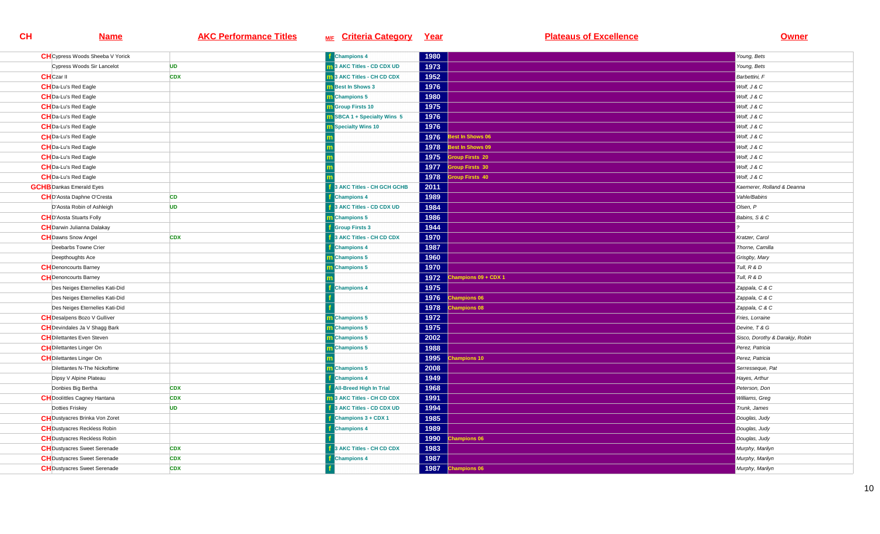| <b>CH</b> Cypress Woods Sheeba V Yorick |            | <b>Champions 4</b>                 | 1980 |                         | Young, Bets                     |
|-----------------------------------------|------------|------------------------------------|------|-------------------------|---------------------------------|
| Cypress Woods Sir Lancelot              | <b>UD</b>  | 3 AKC Titles - CD CDX UD           | 1973 |                         | Young, Bets                     |
| <b>CH</b> Czar II                       | <b>CDX</b> | <b>3 AKC Titles - CH CD CDX</b>    | 1952 |                         | Barbettini, F                   |
| <b>CH</b> Da-Lu's Red Eagle             |            | <b>n</b> Best In Shows 3           | 1976 |                         | Wolf, J & C                     |
| <b>CH</b> Da-Lu's Red Eagle             |            | m Champions 5                      | 1980 |                         | Wolf, J & C                     |
| <b>CH</b> Da-Lu's Red Eagle             |            | <b>n</b> Group Firsts 10           | 1975 |                         | Wolf, J & C                     |
| <b>CH</b> Da-Lu's Red Eagle             |            | <b>n</b> SBCA 1 + Specialty Wins 5 | 1976 |                         | Wolf, J & C                     |
| <b>CH</b> Da-Lu's Red Eagle             |            | <b>n</b> Specialty Wins 10         | 1976 |                         | Wolf, J & C                     |
| <b>CH</b> Da-Lu's Red Eagle             |            |                                    | 1976 | Best In Shows 06        | Wolf, J & C                     |
| <b>CH</b> Da-Lu's Red Eagle             |            |                                    | 1978 | <b>Best In Shows 09</b> | Wolf, J & C                     |
| <b>CH</b> Da-Lu's Red Eagle             |            |                                    | 1975 | <b>Group Firsts 20</b>  | Wolf, J & C                     |
| <b>CH</b> Da-Lu's Red Eagle             |            |                                    | 1977 | <b>Group Firsts 30</b>  | Wolf, J & C                     |
| <b>CH</b> Da-Lu's Red Eagle             |            |                                    | 1978 | <b>Sroup Firsts 40</b>  | Wolf, J & C                     |
| <b>GCHB</b> Dankas Emerald Eyes         |            | <b>AKC Titles - CH GCH GCHB</b>    | 2011 |                         | Kaemerer, Rolland & Deanna      |
| <b>CH</b> D'Aosta Daphne O'Cresta       | <b>CD</b>  | <b>Champions 4</b>                 | 1989 |                         | Vahle/Babins                    |
| D'Aosta Robin of Ashleigh               | <b>UD</b>  | 3 AKC Titles - CD CDX UD           | 1984 |                         | Olsen, P                        |
| <b>CHD'Aosta Stuarts Folly</b>          |            | m Champions 5                      | 1986 |                         | Babins, S & C                   |
| <b>CH</b> Darwin Julianna Dalakay       |            | <b>Group Firsts 3</b>              | 1944 |                         |                                 |
| <b>CH</b> Dawns Snow Angel              | <b>CDX</b> | 3 AKC Titles - CH CD CDX           | 1970 |                         | Kratzer, Carol                  |
| Deebarbs Towne Crier                    |            | <b>Champions 4</b>                 | 1987 |                         | Thorne, Camilla                 |
| Deepthoughts Ace                        |            | m Champions 5                      | 1960 |                         | Grisgby, Mary                   |
| <b>CH</b> Denoncourts Barney            |            | m Champions 5                      | 1970 |                         | Tull, R & D                     |
| <b>CH</b> Denoncourts Barney            |            |                                    | 1972 | Champions 09 + CDX 1    | Tull, R & D                     |
| Des Neiges Eternelles Kati-Did          |            | <b>Champions 4</b>                 | 1975 |                         | Zappala, C & C                  |
| Des Neiges Eternelles Kati-Did          |            |                                    |      | 1976 Champions 06       | Zappala, C & C                  |
| Des Neiges Eternelles Kati-Did          |            |                                    | 1978 | <b>Champions 08</b>     | Zappala, C & C                  |
| <b>CH</b> Desalpens Bozo V Gulliver     |            | m Champions 5                      | 1972 |                         | Fries, Lorraine                 |
| <b>CH</b> Devindales Ja V Shagg Bark    |            | m Champions 5                      | 1975 |                         | Devine, T & G                   |
| <b>CH</b> Dilettantes Even Steven       |            | <b>n</b> Champions 5               | 2002 |                         | Sisco, Dorothy & Darakjy, Robin |
| <b>CH</b> Dilettantes Linger On         |            | m Champions 5                      | 1988 |                         | Perez, Patricia                 |
| <b>CH</b> Dilettantes Linger On         |            |                                    | 1995 | <b>Champions 10</b>     | Perez, Patricia                 |
| Dilettantes N-The Nickoftime            |            | m Champions 5                      | 2008 |                         | Serresseque, Pat                |
| Dipsy V Alpine Plateau                  |            | <b>Champions 4</b>                 | 1949 |                         | Hayes, Arthur                   |
| Donbies Big Bertha                      | <b>CDX</b> | <b>All-Breed High In Trial</b>     | 1968 |                         | Peterson, Don                   |
| <b>CH</b> Doolittles Cagney Hantana     | <b>CDX</b> | 13 AKC Titles - CH CD CDX          | 1991 |                         | Williams, Greg                  |
| Dotties Friskey                         | <b>UD</b>  | 3 AKC Titles - CD CDX UD           | 1994 |                         | Trunk, James                    |
| <b>CH</b> Dustyacres Brinka Von Zoret   |            | Champions 3 + CDX 1                | 1985 |                         | Douglas, Judy                   |
| <b>CH</b> Dustyacres Reckless Robin     |            | <b>Champions 4</b>                 | 1989 |                         | Douglas, Judy                   |
| <b>CH</b> Dustyacres Reckless Robin     |            |                                    | 1990 | <b>Champions 06</b>     | Douglas, Judy                   |
| <b>CH</b> Dustyacres Sweet Serenade     | <b>CDX</b> | <b>AKC Titles - CH CD CDX</b>      | 1983 |                         | Murphy, Marilyn                 |
| <b>CH</b> Dustyacres Sweet Serenade     | <b>CDX</b> | <b>Champions 4</b>                 | 1987 |                         | Murphy, Marilyn                 |
| <b>CH</b> Dustyacres Sweet Serenade     | <b>CDX</b> |                                    | 1987 | <b>Champions 06</b>     | Murphy, Marilyn                 |
|                                         |            |                                    |      |                         |                                 |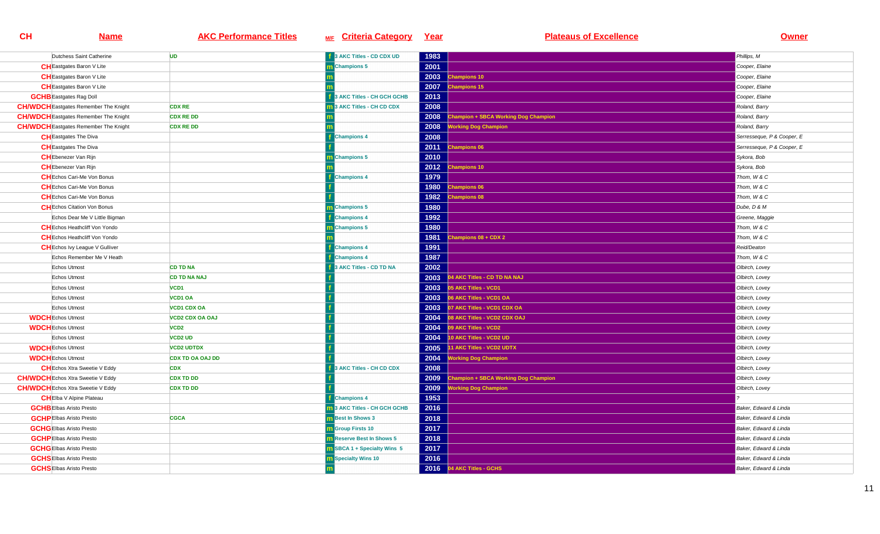| Dutchess Saint Catherine                     | <b>UD</b>               | <b>1</b> 3 AKC Titles - CD CDX UD  | 1983 |                                             | Phillips, M                |
|----------------------------------------------|-------------------------|------------------------------------|------|---------------------------------------------|----------------------------|
| <b>CH</b> Eastgates Baron V Lite             |                         | m Champions 5                      | 2001 |                                             | Cooper, Elaine             |
| <b>CH</b> Eastgates Baron V Lite             |                         |                                    | 2003 | hampions 10                                 | Cooper, Elaine             |
| <b>CH</b> Eastgates Baron V Lite             |                         |                                    | 2007 | hampions 15                                 | Cooper, Elaine             |
| <b>GCHB</b> Eastgates Rag Doll               |                         | 3 AKC Titles - CH GCH GCHB         | 2013 |                                             | Cooper, Elaine             |
| <b>CH/WDCH</b> Eastgates Remember The Knight | <b>CDX RE</b>           | 3 AKC Titles - CH CD CDX           | 2008 |                                             | Roland, Barry              |
| <b>CH/WDCH</b> Eastgates Remember The Knight | <b>CDX RE DD</b>        |                                    | 2008 | <b>Champion + SBCA Working Dog Champion</b> | Roland, Barry              |
| <b>CH/WDCH</b> Eastgates Remember The Knight | <b>CDX RE DD</b>        |                                    | 2008 | <b>/orking Dog Champion</b>                 | Roland, Barry              |
| <b>CH</b> Eastgates The Diva                 |                         | <b>Champions 4</b>                 | 2008 |                                             | Serresseque, P & Cooper, E |
| <b>CH</b> Eastgates The Diva                 |                         |                                    | 2011 | <b>Champions 06</b>                         | Serresseque, P & Cooper, E |
| <b>CH</b> Ebenezer Van Rijn                  |                         | <b>Champions 5</b>                 | 2010 |                                             | Sykora, Bob                |
| <b>CH</b> Ebenezer Van Rijn                  |                         |                                    | 2012 | hampions 10                                 | Sykora, Bob                |
| <b>CH</b> Echos Cari-Me Von Bonus            |                         | <b>Champions 4</b>                 | 1979 |                                             | Thom. W & C                |
| <b>CH</b> Echos Cari-Me Von Bonus            |                         |                                    | 1980 | <b>Champions 06</b>                         | Thom, W & C                |
| <b>CH</b> Echos Cari-Me Von Bonus            |                         |                                    | 1982 | <b>Champions 08</b>                         | Thom, W & C                |
| <b>CH</b> Echos Citation Von Bonus           |                         | m Champions 5                      | 1980 |                                             | Dube, D & M                |
| Echos Dear Me V Little Bigman                |                         | <b>Champions 4</b>                 | 1992 |                                             | Greene, Maggie             |
| <b>CH</b> Echos Heathcliff Von Yondo         |                         | m Champions 5                      | 1980 |                                             | Thom, W & C                |
| <b>CH</b> Echos Heathcliff Von Yondo         |                         |                                    | 1981 | hampions 08 + CDX 2                         | Thom, W & C                |
| <b>CH</b> Echos Ivy League V Gulliver        |                         | <b>Champions 4</b>                 | 1991 |                                             | Reid/Deaton                |
| Echos Remember Me V Heath                    |                         | <b>Champions 4</b>                 | 1987 |                                             | Thom, W & C                |
| Echos Utmost                                 | <b>CD TD NA</b>         | 3 AKC Titles - CD TD NA            | 2002 |                                             | Olbirch, Lovey             |
| Echos Utmost                                 | <b>CD TD NA NAJ</b>     |                                    | 2003 | 04 AKC Titles - CD TD NA NAJ                | Olbirch, Lovey             |
| Echos Utmost                                 | VCD <sub>1</sub>        |                                    | 2003 | 05 AKC Titles - VCD1                        | Olbirch, Lovey             |
| Echos Utmost                                 | VCD1 OA                 |                                    | 2003 | 06 AKC Titles - VCD1 OA                     | Olbirch, Lovey             |
| Echos Utmost                                 | <b>VCD1 CDX OA</b>      |                                    | 2003 | 07 AKC Titles - VCD1 CDX OA                 | Olbirch, Lovey             |
| <b>WDCH</b> Echos Utmost                     | <b>VCD2 CDX OA OAJ</b>  |                                    | 2004 | 08 AKC Titles - VCD2 CDX OAJ                | Olbirch, Lovey             |
| <b>WDCH</b> Echos Utmost                     | VCD <sub>2</sub>        |                                    | 2004 | 09 AKC Titles - VCD2                        | Olbirch, Lovey             |
| Echos Utmost                                 | <b>VCD2 UD</b>          |                                    | 2004 | 10 AKC Titles - VCD2 UD                     | Olbirch, Lovey             |
| <b>WDCH</b> Echos Utmost                     | <b>VCD2 UDTDX</b>       |                                    | 2005 | 11 AKC Titles - VCD2 UDTX                   | Olbirch, Lovey             |
| <b>WDCH</b> Echos Utmost                     | <b>CDX TD OA OAJ DD</b> |                                    | 2004 | <b>Working Dog Champion</b>                 | Olbirch, Lovey             |
| <b>CH</b> Echos Xtra Sweetie V Eddy          | <b>CDX</b>              | 3 AKC Titles - CH CD CDX           | 2008 |                                             | Olbirch, Lovey             |
| <b>CH/WDCH</b> Echos Xtra Sweetie V Eddy     | <b>CDX TD DD</b>        |                                    | 2009 | hampion + SBCA Working Dog Champion         | Olbirch, Lovey             |
| <b>CH/WDCH</b> Echos Xtra Sweetie V Eddy     | <b>CDX TD DD</b>        |                                    | 2009 | <b>Norking Dog Champion</b>                 | Olbirch, Lovey             |
| <b>CHEIba V Alpine Plateau</b>               |                         | <b>Champions 4</b>                 | 1953 |                                             |                            |
| <b>GCHB</b> Elbas Aristo Presto              |                         | 3 AKC Titles - CH GCH GCHB         | 2016 |                                             | Baker, Edward & Linda      |
| <b>GCHP</b> Elbas Aristo Presto              | <b>CGCA</b>             | <b>m</b> Best In Shows 3           | 2018 |                                             | Baker, Edward & Linda      |
| <b>GCHG</b> Elbas Aristo Presto              |                         | <b>m</b> Group Firsts 10           | 2017 |                                             | Baker, Edward & Linda      |
| <b>GCHP</b> Elbas Aristo Presto              |                         | <b>n</b> Reserve Best In Shows 5   | 2018 |                                             | Baker, Edward & Linda      |
| <b>GCHGEIbas Aristo Presto</b>               |                         | <b>m</b> SBCA 1 + Specialty Wins 5 | 2017 |                                             | Baker, Edward & Linda      |
| <b>GCHSEIbas Aristo Presto</b>               |                         | <b>m</b> Specialty Wins 10         | 2016 |                                             | Baker, Edward & Linda      |
| <b>GCHSEIbas Aristo Presto</b>               |                         |                                    | 2016 | 04 AKC Titles - GCHS                        | Baker, Edward & Linda      |
|                                              |                         |                                    |      |                                             |                            |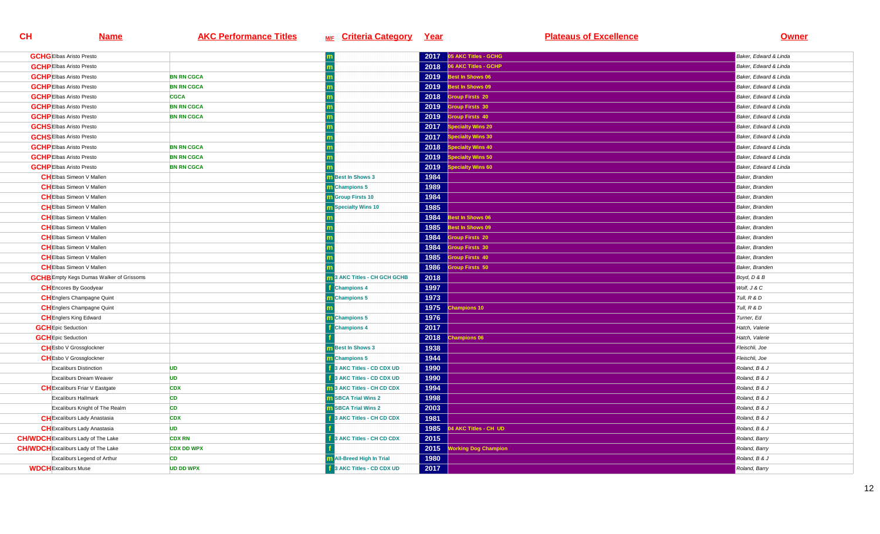| <b>GCHG</b> Elbas Aristo Presto                 |                   |                                   |      | $2017$ 05 AKC Titles - GCHG        | Baker, Edward & Linda |
|-------------------------------------------------|-------------------|-----------------------------------|------|------------------------------------|-----------------------|
| <b>GCHP</b> Elbas Aristo Presto                 |                   |                                   | 2018 | 06 AKC Titles - GCHP               | Baker, Edward & Linda |
| <b>GCHP</b> Elbas Aristo Presto                 | <b>BN RN CGCA</b> |                                   | 2019 | Best In Shows 06                   | Baker, Edward & Linda |
| <b>GCHP</b> Elbas Aristo Presto                 | <b>BN RN CGCA</b> |                                   | 2019 | Best In Shows 09                   | Baker, Edward & Linda |
| <b>GCHPEIbas Aristo Presto</b>                  | <b>CGCA</b>       |                                   | 2018 | <b>Sroup Firsts 20</b>             | Baker, Edward & Linda |
| <b>GCHP</b> Elbas Aristo Presto                 | <b>BN RN CGCA</b> |                                   | 2019 | roup Firsts 30                     | Baker, Edward & Linda |
| <b>GCHP</b> Elbas Aristo Presto                 | <b>BN RN CGCA</b> |                                   | 2019 | <b>Group Firsts 40</b>             | Baker, Edward & Linda |
| <b>GCHS</b> Elbas Aristo Presto                 |                   |                                   | 2017 | pecialty Wins 20                   | Baker, Edward & Linda |
| <b>GCHSEIbas Aristo Presto</b>                  |                   |                                   | 2017 | pecialty Wins 30                   | Baker, Edward & Linda |
| <b>GCHP</b> Elbas Aristo Presto                 | <b>BN RN CGCA</b> |                                   | 2018 | pecialty Wins 40                   | Baker, Edward & Linda |
| <b>GCHPEIbas Aristo Presto</b>                  | <b>BN RN CGCA</b> |                                   | 2019 | pecialty Wins 50                   | Baker, Edward & Linda |
| <b>GCHPEIbas Aristo Presto</b>                  | <b>BN RN CGCA</b> |                                   | 2019 | pecialty Wins 60                   | Baker, Edward & Linda |
| <b>CHEIbas Simeon V Mallen</b>                  |                   | <b>Best In Shows 3</b>            | 1984 |                                    | Baker, Branden        |
| <b>CHEIbas Simeon V Mallen</b>                  |                   | m Champions 5                     | 1989 |                                    | Baker, Branden        |
| <b>CH</b> Elbas Simeon V Mallen                 |                   | <b>Group Firsts 10</b>            | 1984 |                                    | Baker, Branden        |
| <b>CH</b> Elbas Simeon V Mallen                 |                   | <b>Specialty Wins 10</b>          | 1985 |                                    | Baker, Branden        |
| <b>CHEIbas Simeon V Mallen</b>                  |                   |                                   | 1984 | est In Shows 06                    | Baker, Branden        |
| <b>CHEIbas Simeon V Mallen</b>                  |                   |                                   | 1985 | Best In Shows 09                   | Baker, Branden        |
| <b>CH</b> Elbas Simeon V Mallen                 |                   |                                   | 1984 | <b>Group Firsts 20</b>             | Baker, Branden        |
| <b>CHEIbas Simeon V Mallen</b>                  |                   |                                   | 1984 | <b>Group Firsts 30</b>             | Baker, Branden        |
| <b>CH</b> Elbas Simeon V Mallen                 |                   |                                   | 1985 | roup Firsts 40                     | Baker, Branden        |
| <b>CHEIbas Simeon V Mallen</b>                  |                   |                                   | 1986 | roup Firsts 50                     | Baker, Branden        |
| <b>GCHB</b> Empty Kegs Dumas Walker of Grissoms |                   | 3 AKC Titles - CH GCH GCHB        | 2018 |                                    | Boyd, D & B           |
| <b>CH</b> Encores By Goodyear                   |                   | <b>Champions 4</b>                | 1997 |                                    | Wolf, J & C           |
| <b>CH</b> Englers Champagne Quint               |                   | <b>Champions 5</b>                | 1973 |                                    | Tull, R & D           |
| <b>CH</b> Englers Champagne Quint               |                   |                                   | 1975 | <b>Champions 10</b>                | Tull, R & D           |
| <b>CH</b> Englers King Edward                   |                   | <b>Champions 5</b>                | 1976 |                                    | Turner, Ed            |
| <b>GCH</b> Epic Seduction                       |                   | <b>Champions 4</b>                | 2017 |                                    | Hatch, Valerie        |
| <b>GCH</b> Epic Seduction                       |                   |                                   | 2018 | <b>Champions 06</b>                | Hatch, Valerie        |
| <b>CH</b> Esbo V Grossglockner                  |                   | <b>Best In Shows 3</b>            | 1938 |                                    | Fleischli, Joe        |
| <b>CH</b> Esbo V Grossglockner                  |                   | <b>Champions 5</b>                | 1944 |                                    | Fleischli, Joe        |
| <b>Excaliburs Distinction</b>                   | <b>UD</b>         | 3 AKC Titles - CD CDX UD          | 1990 |                                    | Roland, B & J         |
| Excaliburs Dream Weaver                         | <b>UD</b>         | 3 AKC Titles - CD CDX UD          | 1990 |                                    | Roland, B & J         |
| <b>CH</b> Excaliburs Friar V Eastgate           | <b>CDX</b>        | <b>1</b> 3 AKC Titles - CH CD CDX | 1994 |                                    | Roland, B & J         |
| <b>Excaliburs Hallmark</b>                      | <b>CD</b>         | <b>SBCA Trial Wins 2</b>          | 1998 |                                    | Roland, B & J         |
| Excaliburs Knight of The Realm                  | <b>CD</b>         | <b>n</b> SBCA Trial Wins 2        | 2003 |                                    | Roland, B & J         |
| <b>CH</b> Excaliburs Lady Anastasia             | <b>CDX</b>        | 3 AKC Titles - CH CD CDX          | 1981 |                                    | Roland, B & J         |
| <b>CH</b> Excaliburs Lady Anastasia             | <b>UD</b>         |                                   | 1985 | 4 AKC Titles - CH UD               | Roland, B & J         |
| <b>CH/WDCH</b> Excaliburs Lady of The Lake      | <b>CDX RN</b>     | <b>BAKC Titles - CH CD CDX</b>    | 2015 |                                    | Roland, Barry         |
| <b>CH/WDCH</b> Excaliburs Lady of The Lake      | <b>CDX DD WPX</b> |                                   | 2015 | <b><i>Vorking Dog Champion</i></b> | Roland, Barry         |
| Excaliburs Legend of Arthur                     | <b>CD</b>         | <b>All-Breed High In Trial</b>    | 1980 |                                    | Roland, B & J         |
| <b>WDCH</b> Excaliburs Muse                     | <b>UD DD WPX</b>  | 3 AKC Titles - CD CDX UD          | 2017 |                                    | Roland, Barry         |
|                                                 |                   |                                   |      |                                    |                       |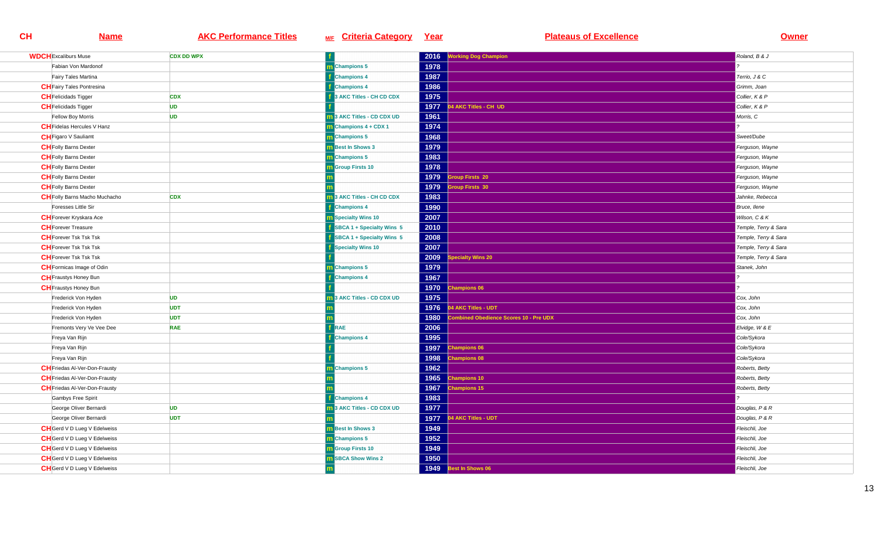| <b>WDCH</b> Excaliburs Muse          | <b>CDX DD WPX</b> |                                             | 2016 | <b>Working Dog Champion</b>           | Roland, B & J        |
|--------------------------------------|-------------------|---------------------------------------------|------|---------------------------------------|----------------------|
| Fabian Von Mardonof                  |                   | m Champions 5                               | 1978 |                                       |                      |
| Fairy Tales Martina                  |                   | <b>Champions 4</b>                          | 1987 |                                       | Terrio, J & C        |
| <b>CH</b> Fairy Tales Pontresina     |                   | <b>f</b> Champions 4                        | 1986 |                                       | Grimm, Joan          |
| <b>CH</b> Felicidads Tigger          | <b>CDX</b>        | 3 AKC Titles - CH CD CDX                    | 1975 |                                       | Collier, K & P       |
| <b>CH</b> Felicidads Tigger          | <b>UD</b>         |                                             | 1977 | 4 AKC Titles - CH UD                  | Collier, K & P       |
| Fellow Boy Morris                    | <b>UD</b>         | <b>n</b> 3 AKC Titles - CD CDX UD           | 1961 |                                       | Morris, C            |
| <b>CH</b> Fidelas Hercules V Hanz    |                   | $\overline{\mathbf{m}}$ Champions 4 + CDX 1 | 1974 |                                       |                      |
| <b>CH</b> Figaro V Sauliamt          |                   | m Champions 5                               | 1968 |                                       | Sweet/Dube           |
| <b>CH</b> Folly Barns Dexter         |                   | <b>m</b> Best In Shows 3                    | 1979 |                                       | Ferguson, Wayne      |
| <b>CH</b> Folly Barns Dexter         |                   | m Champions 5                               | 1983 |                                       | Ferguson, Wayne      |
| <b>CH</b> Folly Barns Dexter         |                   | <b>m</b> Group Firsts 10                    | 1978 |                                       | Ferguson, Wayne      |
| <b>CH</b> Folly Barns Dexter         |                   |                                             | 1979 | <b>Sroup Firsts 20</b>                | Ferguson, Wayne      |
| <b>CH</b> Folly Barns Dexter         |                   |                                             | 1979 | <b>Sroup Firsts 30</b>                | Ferguson, Wayne      |
| <b>CH</b> Folly Barns Macho Muchacho | <b>CDX</b>        | 3 AKC Titles - CH CD CDX                    | 1983 |                                       | Jahnke, Rebecca      |
| Foresses Little Sir                  |                   | <b>Champions 4</b>                          | 1990 |                                       | Bruce, llene         |
| <b>CH</b> Forever Kryskara Ace       |                   | <b>Specialty Wins 10</b>                    | 2007 |                                       | Wilson, C & K        |
| <b>CH</b> Forever Treasure           |                   | SBCA 1 + Specialty Wins 5                   | 2010 |                                       | Temple, Terry & Sara |
| <b>CH</b> Forever Tsk Tsk Tsk        |                   | SBCA 1 + Specialty Wins 5                   | 2008 |                                       | Temple, Terry & Sara |
| <b>CH</b> Forever Tsk Tsk Tsk        |                   | Specialty Wins 10                           | 2007 |                                       | Temple, Terry & Sara |
| <b>CH</b> Forever Tsk Tsk Tsk        |                   |                                             | 2009 | pecialty Wins 20                      | Temple, Terry & Sara |
| <b>CH</b> Formicas Image of Odin     |                   | Champions 5                                 | 1979 |                                       | Stanek, John         |
| <b>CH</b> Fraustys Honey Bun         |                   | <b>Champions 4</b>                          | 1967 |                                       |                      |
| <b>CH</b> Fraustys Honey Bun         |                   |                                             | 1970 | <b>Champions 06</b>                   |                      |
| Frederick Von Hyden                  | <b>UD</b>         | 3 AKC Titles - CD CDX UD                    | 1975 |                                       | Cox, John            |
| Frederick Von Hyden                  | <b>UDT</b>        |                                             | 1976 | 4 AKC Titles - UDT                    | Cox, John            |
| Frederick Von Hyden                  | <b>UDT</b>        |                                             | 1980 | ombined Obedience Scores 10 - Pre UDX | Cox, John            |
| Fremonts Very Ve Vee Dee             | <b>RAE</b>        | RAE                                         | 2006 |                                       | Elvidge, W & E       |
| Freya Van Rijn                       |                   | <b>Champions 4</b>                          | 1995 |                                       | Cole/Sykora          |
| Freya Van Rijn                       |                   |                                             | 1997 | <b>Champions 06</b>                   | Cole/Sykora          |
| Freya Van Rijn                       |                   |                                             | 1998 | <b>Champions 08</b>                   | Cole/Sykora          |
| <b>CH</b> Friedas Al-Ver-Don-Frausty |                   | m Champions 5                               | 1962 |                                       | Roberts, Betty       |
| <b>CH</b> Friedas Al-Ver-Don-Frausty |                   |                                             | 1965 | hampions 10                           | Roberts, Betty       |
| <b>CH</b> Friedas Al-Ver-Don-Frausty |                   |                                             | 1967 | Champions 15                          | Roberts, Betty       |
| Gambys Free Spirit                   |                   | <b>Champions 4</b>                          | 1983 |                                       |                      |
| George Oliver Bernardi               | <b>UD</b>         | 3 AKC Titles - CD CDX UD                    | 1977 |                                       | Douglas, P & R       |
| George Oliver Bernardi               | <b>UDT</b>        |                                             | 1977 | 4 AKC Titles - UDT                    | Douglas, P & R       |
| <b>CH</b> Gerd V D Lueg V Edelweiss  |                   | <b>m</b> Best In Shows 3                    | 1949 |                                       | Fleischli, Joe       |
| <b>CH</b> Gerd V D Lueg V Edelweiss  |                   | <b>m</b> Champions 5                        | 1952 |                                       | Fleischli, Joe       |
| <b>CH</b> Gerd V D Lueg V Edelweiss  |                   | <b>m</b> Group Firsts 10                    | 1949 |                                       | Fleischli, Joe       |
| <b>CH</b> Gerd V D Lueg V Edelweiss  |                   | <b>m</b> SBCA Show Wins 2                   | 1950 |                                       | Fleischli, Joe       |
| <b>CH</b> Gerd V D Lueg V Edelweiss  |                   |                                             | 1949 | Best In Shows 06                      | Fleischli, Joe       |
|                                      |                   |                                             |      |                                       |                      |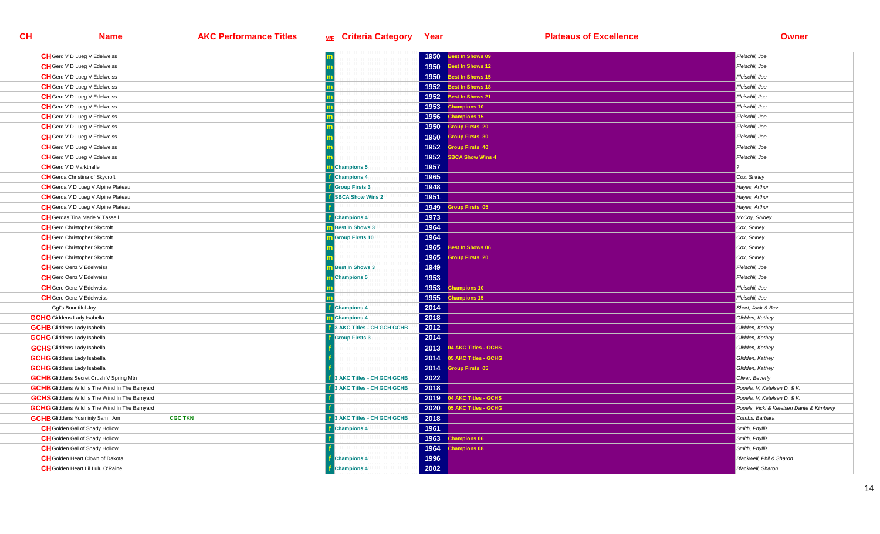| <b>CH</b> Gerd V D Lueg V Edelweiss                      |                                 | 1950 | Best In Shows 09       | Fleischli, Joe                            |
|----------------------------------------------------------|---------------------------------|------|------------------------|-------------------------------------------|
| <b>CH</b> Gerd V D Lueg V Edelweiss                      |                                 | 1950 | Best In Shows 12       | Fleischli, Joe                            |
| <b>CH</b> Gerd V D Lueg V Edelweiss                      |                                 | 1950 | Best In Shows 15       | Fleischli, Joe                            |
| <b>CH</b> Gerd V D Lueg V Edelweiss                      |                                 | 1952 | lest In Shows 18       | Fleischli, Joe                            |
| <b>CH</b> Gerd V D Lueg V Edelweiss                      |                                 | 1952 | Best In Shows 21       | Fleischli, Joe                            |
| <b>CH</b> Gerd V D Lueg V Edelweiss                      |                                 | 1953 | <b>Champions 10</b>    | Fleischli, Joe                            |
| <b>CH</b> Gerd V D Lueg V Edelweiss                      |                                 | 1956 | <b>Champions 15</b>    | Fleischli, Joe                            |
| <b>CH</b> Gerd V D Lueg V Edelweiss                      |                                 | 1950 | <b>Sroup Firsts 20</b> | Fleischli, Joe                            |
| <b>CH</b> Gerd V D Lueg V Edelweiss                      |                                 | 1950 | roup Firsts 30         | Fleischli, Joe                            |
| <b>CH</b> Gerd V D Lueg V Edelweiss                      |                                 | 1952 | <b>iroup Firsts 40</b> | Fleischli, Joe                            |
| <b>CH</b> Gerd V D Lueg V Edelweiss                      |                                 | 1952 | <b>BCA Show Wins 4</b> | Fleischli, Joe                            |
| <b>CH</b> Gerd V D Markthalle                            | m Champions 5                   | 1957 |                        |                                           |
| <b>CH</b> Gerda Christina of Skycroft                    | <b>Champions 4</b>              | 1965 |                        | Cox, Shirley                              |
| CH Gerda V D Lueg V Alpine Plateau                       | <b>Group Firsts 3</b>           | 1948 |                        | Hayes, Arthur                             |
| CH Gerda V D Lueg V Alpine Plateau                       | <b>SBCA Show Wins 2</b>         | 1951 |                        | Hayes, Arthur                             |
| CH Gerda V D Lueg V Alpine Plateau                       |                                 | 1949 | roup Firsts 05         | Hayes, Arthur                             |
| <b>CH</b> Gerdas Tina Marie V Tassell                    | <b>Champions 4</b>              | 1973 |                        | McCoy, Shirley                            |
| <b>CH</b> Gero Christopher Skycroft                      | <b>n</b> Best In Shows 3        | 1964 |                        | Cox, Shirley                              |
| <b>CH</b> Gero Christopher Skycroft                      | <b>m</b> Group Firsts 10        | 1964 |                        | Cox, Shirley                              |
| <b>CH</b> Gero Christopher Skycroft                      |                                 | 1965 | est In Shows 06        | Cox, Shirley                              |
| <b>CH</b> Gero Christopher Skycroft                      |                                 | 1965 | <b>iroup Firsts 20</b> | Cox, Shirley                              |
| <b>CH</b> Gero Oenz V Edelweiss                          | <b>n</b> Best In Shows 3        | 1949 |                        | Fleischli, Joe                            |
| <b>CH</b> Gero Oenz V Edelweiss                          | <b>Champions 5</b>              | 1953 |                        | Fleischli, Joe                            |
| <b>CH</b> Gero Oenz V Edelweiss                          |                                 | 1953 | hampions 10            | Fleischli, Joe                            |
| <b>CH</b> Gero Oenz V Edelweiss                          |                                 | 1955 | <b>Champions 15</b>    | Fleischli, Joe                            |
| Ggf's Bountiful Joy                                      | <b>Champions 4</b>              | 2014 |                        | Short, Jack & Bev                         |
| <b>GCHG</b> Giddens Lady Isabella                        | m Champions 4                   | 2018 |                        | Glidden, Kathey                           |
| <b>GCHB</b> Gliddens Lady Isabella                       | 3 AKC Titles - CH GCH GCHB      | 2012 |                        | Glidden, Kathey                           |
| <b>GCHG</b> Gliddens Lady Isabella                       | <b>Group Firsts 3</b>           | 2014 |                        | Glidden, Kathey                           |
| <b>GCHS</b> Gliddens Lady Isabella                       |                                 | 2013 | 04 AKC Titles - GCHS   | Glidden, Kathey                           |
| <b>GCHG</b> Gliddens Lady Isabella                       |                                 | 2014 | 5 AKC Titles - GCHG    | Glidden, Kathey                           |
| <b>GCHG</b> Gliddens Lady Isabella                       |                                 | 2014 | <b>iroup Firsts 05</b> | Glidden, Kathey                           |
| <b>GCHB</b> Gliddens Secret Crush V Spring Mtn           | 3 AKC Titles - CH GCH GCHB      | 2022 |                        | Oliver, Beverly                           |
| <b>GCHB</b> Gliddens Wild Is The Wind In The Barnyard    | 3 AKC Titles - CH GCH GCHB      | 2018 |                        | Popela, V, Ketelsen D. & K.               |
| <b>GCHS</b> Gliddens Wild Is The Wind In The Barnyard    |                                 | 2019 | 4 AKC Titles - GCHS    | Popela, V, Ketelsen D. & K.               |
| <b>GCHG</b> Gliddens Wild Is The Wind In The Barnyard    |                                 | 2020 | 05 AKC Titles - GCHG   | Popels, Vicki & Ketelsen Dante & Kimberly |
| <b>GCHB</b> Gliddens Yosminty Sam I Am<br><b>CGC TKN</b> | <b>AKC Titles - CH GCH GCHB</b> | 2018 |                        | Combs, Barbara                            |
| <b>CH</b> Golden Gal of Shady Hollow                     | <b>Champions 4</b>              | 1961 |                        | Smith, Phyllis                            |
| <b>CH</b> Golden Gal of Shady Hollow                     |                                 | 1963 | hampions 06            | Smith, Phyllis                            |
| <b>CH</b> Golden Gal of Shady Hollow                     |                                 | 1964 | hampions 08            | Smith, Phyllis                            |
| <b>CH</b> Golden Heart Clown of Dakota                   | <b>Champions 4</b>              | 1996 |                        | Blackwell, Phil & Sharon                  |
| <b>CH</b> Golden Heart Lil Lulu O'Raine                  | <b>Champions 4</b>              | 2002 |                        | <b>Blackwell</b> , Sharon                 |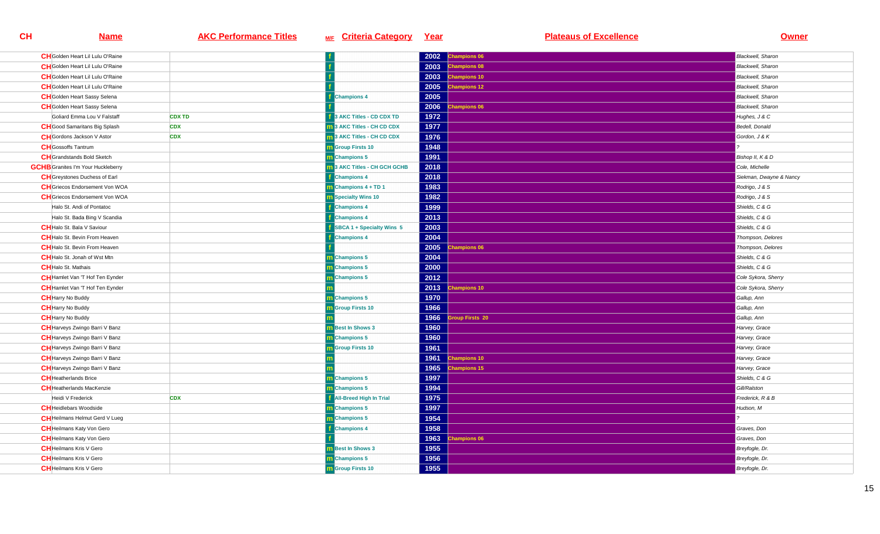| <b>CH</b> Golden Heart Lil Lulu O'Raine   |               |                                     |      | 2002 Champions 06   | <b>Blackwell</b> , Sharon |
|-------------------------------------------|---------------|-------------------------------------|------|---------------------|---------------------------|
| <b>CH</b> Golden Heart Lil Lulu O'Raine   |               |                                     | 2003 | <b>Champions 08</b> | <b>Blackwell</b> , Sharon |
| <b>CH</b> Golden Heart Lil Lulu O'Raine   |               |                                     | 2003 | Champions 10        | Blackwell, Sharon         |
| <b>CH</b> Golden Heart Lil Lulu O'Raine   |               |                                     | 2005 | <b>Champions 12</b> | <b>Blackwell</b> , Sharon |
| <b>CH</b> Golden Heart Sassy Selena       |               | <b>Champions 4</b>                  | 2005 |                     | Blackwell, Sharon         |
| <b>CH</b> Golden Heart Sassy Selena       |               |                                     | 2006 | <b>Champions 06</b> | Blackwell, Sharon         |
| Goliard Emma Lou V Falstaff               | <b>CDX TD</b> | 3 AKC Titles - CD CDX TD            | 1972 |                     | Hughes, J & C             |
| <b>CH</b> Good Samaritans Big Splash      | <b>CDX</b>    | 3 AKC Titles - CH CD CDX            | 1977 |                     | Bedell, Donald            |
| <b>CH</b> Gordons Jackson V Astor         | <b>CDX</b>    | 3 AKC Titles - CH CD CDX            | 1976 |                     | Gordon, J & K             |
| <b>CH</b> Gossoffs Tantrum                |               | <b>n</b> Group Firsts 10            | 1948 |                     |                           |
| <b>CH</b> Grandstands Bold Sketch         |               | <b>Champions 5</b>                  | 1991 |                     | Bishop II, K & D          |
| <b>GCHB</b> Granites I'm Your Huckleberry |               | <b>n</b> 3 AKC Titles - CH GCH GCHB | 2018 |                     | Cole, Michelle            |
| <b>CH</b> Greystones Duchess of Earl      |               | <b>Champions 4</b>                  | 2018 |                     | Siekman, Dwayne & Nancy   |
| <b>CH</b> Griecos Endorsement Von WOA     |               | Champions 4 + TD 1                  | 1983 |                     | Rodrigo, J & S            |
| <b>CH</b> Griecos Endorsement Von WOA     |               | Specialty Wins 10                   | 1982 |                     | Rodrigo, J & S            |
| Halo St. Andi of Pontatoc                 |               | <b>Champions 4</b>                  | 1999 |                     | Shields, C & G            |
| Halo St. Bada Bing V Scandia              |               | <b>Champions 4</b>                  | 2013 |                     | Shields, C & G            |
| <b>CH</b> Halo St. Bala V Saviour         |               | SBCA 1 + Specialty Wins 5           | 2003 |                     | Shields, C & G            |
| <b>CH</b> Halo St. Bevin From Heaven      |               | <b>Champions 4</b>                  | 2004 |                     | Thompson, Delores         |
| <b>CH</b> Halo St. Bevin From Heaven      |               |                                     | 2005 | <b>Champions 06</b> | Thompson, Delores         |
| <b>CH</b> Halo St. Jonah of Wst Mtn       |               | <b>Champions 5</b>                  | 2004 |                     | Shields, C & G            |
| <b>CH</b> Halo St. Mathais                |               | m Champions 5                       | 2000 |                     | Shields, C & G            |
| <b>CH</b> Hamlet Van 'T Hof Ten Eynder    |               | <b>Champions 5</b>                  | 2012 |                     | Cole Sykora, Sherry       |
| <b>CH</b> Hamlet Van 'T Hof Ten Eynder    |               |                                     | 2013 | <b>Champions 10</b> | Cole Sykora, Sherry       |
| <b>CH</b> Harry No Buddy                  |               | Champions 5                         | 1970 |                     | Gallup, Ann               |
| <b>CH</b> Harry No Buddy                  |               | <b>Group Firsts 10</b>              | 1966 |                     | Gallup, Ann               |
| <b>CH</b> Harry No Buddy                  |               |                                     | 1966 | oup Firsts 20       | Gallup, Ann               |
| <b>CH</b> Harveys Zwingo Barri V Banz     |               | m Best In Shows 3                   | 1960 |                     | Harvey, Grace             |
| <b>CH</b> Harveys Zwingo Barri V Banz     |               | m Champions 5                       | 1960 |                     | Harvey, Grace             |
| <b>CH</b> Harveys Zwingo Barri V Banz     |               | <b>Group Firsts 10</b>              | 1961 |                     | Harvey, Grace             |
| <b>CH</b> Harveys Zwingo Barri V Banz     |               |                                     | 1961 | <b>Champions 10</b> | Harvey, Grace             |
| <b>CH</b> Harveys Zwingo Barri V Banz     |               |                                     | 1965 | <b>Champions 15</b> | Harvey, Grace             |
| <b>CH</b> Heatherlands Brice              |               | m Champions 5                       | 1997 |                     | Shields, C & G            |
| <b>CH</b> Heatherlands MacKenzie          |               | <b>Champions 5</b>                  | 1994 |                     | Gill/Ralston              |
| Heidi V Frederick                         | <b>CDX</b>    | <b>All-Breed High In Trial</b>      | 1975 |                     | Frederick, R & B          |
| <b>CH</b> Heidlebars Woodside             |               | <b>n</b> Champions 5                | 1997 |                     | Hudson, M                 |
| <b>CH</b> Heilmans Helmut Gerd V Lueg     |               | m Champions 5                       | 1954 |                     |                           |
| <b>CH</b> Heilmans Katy Von Gero          |               | <b>Champions 4</b>                  | 1958 |                     | Graves, Don               |
| <b>CH</b> Heilmans Katy Von Gero          |               |                                     | 1963 | hampions 06         | Graves, Don               |
| <b>CH</b> Heilmans Kris V Gero            |               | <b>m</b> Best In Shows 3            | 1955 |                     | Breyfogle, Dr.            |
| <b>CH</b> Heilmans Kris V Gero            |               | m Champions 5                       | 1956 |                     | Breyfogle, Dr.            |
| <b>CH</b> Heilmans Kris V Gero            |               | <b>m</b> Group Firsts 10            | 1955 |                     | Breyfogle, Dr.            |
|                                           |               |                                     |      |                     |                           |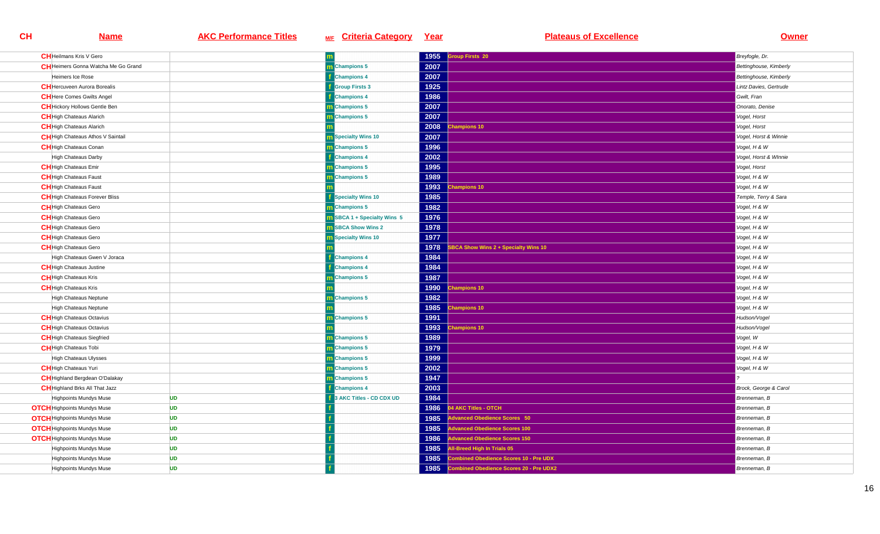| <b>CH</b> Heilmans Kris V Gero             |           |                                    | 1955 | <b>Group Firsts 20</b>                  | Breyfogle, Dr.         |
|--------------------------------------------|-----------|------------------------------------|------|-----------------------------------------|------------------------|
| <b>CH</b> Heimers Gonna Watcha Me Go Grand |           | m Champions 5                      | 2007 |                                         | Bettinghouse, Kimberly |
| Heimers Ice Rose                           |           | <b>Champions 4</b>                 | 2007 |                                         | Bettinghouse, Kimberly |
| <b>CH</b> Hercuveen Aurora Borealis        |           | <b>f</b> Group Firsts 3            | 1925 |                                         | Lintz Davies, Gertrude |
| <b>CH</b> Here Comes Gwilts Angel          |           | <b>Champions 4</b>                 | 1986 |                                         | Gwilt, Fran            |
| <b>CH</b> Hickory Hollows Gentle Ben       |           | m Champions 5                      | 2007 |                                         | Onorato, Denise        |
| <b>CH</b> High Chateaus Alarich            |           | Champions 5                        | 2007 |                                         | Vogel, Horst           |
| <b>CH</b> High Chateaus Alarich            |           |                                    | 2008 | <b>Champions 10</b>                     | Vogel, Horst           |
| <b>CH</b> High Chateaus Athos V Saintail   |           | m Specialty Wins 10                | 2007 |                                         | Vogel, Horst & Winnie  |
| <b>CH</b> High Chateaus Conan              |           | m Champions 5                      | 1996 |                                         | Vogel, H & W           |
| High Chateaus Darby                        |           | <b>Champions 4</b>                 | 2002 |                                         | Vogel, Horst & Winnie  |
| <b>CH</b> High Chateaus Emir               |           | m Champions 5                      | 1995 |                                         | Vogel, Horst           |
| <b>CH</b> High Chateaus Faust              |           | m Champions 5                      | 1989 |                                         | Vogel, H & W           |
| <b>CH</b> High Chateaus Faust              |           |                                    | 1993 | <b>Champions 10</b>                     | Vogel, H & W           |
| <b>CH</b> High Chateaus Forever Bliss      |           | <b>Specialty Wins 10</b>           | 1985 |                                         | Temple, Terry & Sara   |
| <b>CH</b> High Chateaus Gero               |           | <b>Champions 5</b>                 | 1982 |                                         | Vogel, H & W           |
| <b>CH</b> High Chateaus Gero               |           | <b>n</b> SBCA 1 + Specialty Wins 5 | 1976 |                                         | Vogel, H & W           |
| <b>CH</b> High Chateaus Gero               |           | <b>SBCA Show Wins 2</b>            | 1978 |                                         | Vogel, H & W           |
| <b>CH</b> High Chateaus Gero               |           | <b>Specialty Wins 10</b>           | 1977 |                                         | Vogel, H & W           |
| <b>CH</b> High Chateaus Gero               |           |                                    | 1978 | BCA Show Wins 2 + Specialty Wins 10     | Vogel, H & W           |
| High Chateaus Gwen V Joraca                |           | <b>Champions 4</b>                 | 1984 |                                         | Vogel, H & W           |
| <b>CH</b> High Chateaus Justine            |           | <b>Champions 4</b>                 | 1984 |                                         | Vogel, H & W           |
| <b>CH</b> High Chateaus Kris               |           | <b>Champions 5</b>                 | 1987 |                                         | Vogel, H & W           |
| <b>CH</b> High Chateaus Kris               |           |                                    | 1990 | <b>Champions 10</b>                     | Vogel, H & W           |
| High Chateaus Neptune                      |           | m Champions 5                      | 1982 |                                         | Vogel, H & W           |
| High Chateaus Neptune                      |           |                                    | 1985 | hampions 10                             | Vogel, H & W           |
| <b>CH</b> High Chateaus Octavius           |           | <b>Champions 5</b>                 | 1991 |                                         | Hudson/Vogel           |
| <b>CH</b> High Chateaus Octavius           |           |                                    | 1993 | <b>Champions 10</b>                     | Hudson/Vogel           |
| <b>CH</b> High Chateaus Siegfried          |           | Champions 5                        | 1989 |                                         | Vogel, W               |
| <b>CH</b> High Chateaus Tobi               |           | m Champions 5                      | 1979 |                                         | Vogel, H & W           |
| High Chateaus Ulysses                      |           | <b>n</b> Champions 5               | 1999 |                                         | Vogel, H & W           |
| <b>CH</b> High Chateaus Yuri               |           | m Champions 5                      | 2002 |                                         | Vogel, H & W           |
| <b>CH</b> Highland Bergdean O'Dalakay      |           | Champions 5                        | 1947 |                                         |                        |
| <b>CH</b> Highland Brks All That Jazz      |           | <b>Champions 4</b>                 | 2003 |                                         | Brock, George & Carol  |
| Highpoints Mundys Muse                     | <b>UD</b> | 3 AKC Titles - CD CDX UD           | 1984 |                                         | Brenneman, B           |
| <b>OTCH</b> Highpoints Mundys Muse         | <b>UD</b> |                                    | 1986 | 4 AKC Titles - OTCH                     | Brenneman, B           |
| <b>OTCH</b> Highpoints Mundys Muse         | <b>UD</b> |                                    | 1985 | dvanced Obedience Scores 50             | Brenneman, B           |
| <b>OTCH</b> Highpoints Mundys Muse         | <b>UD</b> |                                    | 1985 | <b>Advanced Obedience Scores 100</b>    | Brenneman, B           |
| <b>OTCH</b> Highpoints Mundys Muse         | <b>UD</b> |                                    | 1986 | dvanced Obedience Scores 150            | Brenneman, B           |
| <b>Highpoints Mundys Muse</b>              | <b>UD</b> |                                    | 1985 | All-Breed High In Trials 05             | Brenneman, B           |
| <b>Highpoints Mundys Muse</b>              | <b>UD</b> |                                    | 1985 | Combined Obedience Scores 10 - Pre UDX  | Brenneman, B           |
| Highpoints Mundys Muse                     | <b>UD</b> |                                    | 1985 | Combined Obedience Scores 20 - Pre UDX2 | Brenneman, B           |
|                                            |           |                                    |      |                                         |                        |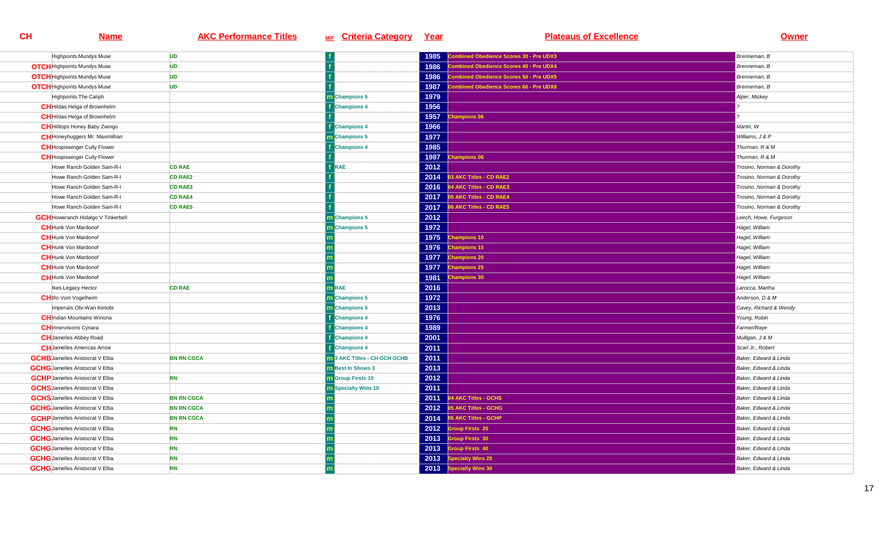| Highpoints Mundys Muse                    | <b>UD</b>         |                            | 1985 | ombined Obedience Scores 30 - Pre UDX3         | Brenneman, B              |
|-------------------------------------------|-------------------|----------------------------|------|------------------------------------------------|---------------------------|
| <b>OTCH</b> Highpoints Mundys Muse        | <b>UD</b>         |                            | 1986 | <b>combined Obedience Scores 40 - Pre UDX4</b> | Brenneman, B              |
| <b>OTCH</b> Highpoints Mundys Muse        | <b>UD</b>         |                            | 1986 | ombined Obedience Scores 50 - Pre UDX5         | Brenneman, B              |
| <b>OTCH</b> Highpoints Mundys Muse        | <b>UD</b>         |                            | 1987 | ombined Obedience Scores 60 - Pre UDX6         | Brenneman, B              |
| <b>Highpoints The Caliph</b>              |                   | <b>Champions 5</b>         | 1979 |                                                | Alper, Mickey             |
| <b>CH</b> Hildas Helga of Brownhelm       |                   | <b>Champions 4</b>         | 1956 |                                                |                           |
| <b>CH</b> Hildas Helga of Brownhelm       |                   |                            | 1957 | <b>Champions 06</b>                            |                           |
| <b>CH</b> Hilltops Honey Baby Zwingo      |                   | <b>f</b> Champions 4       | 1966 |                                                | Martin, W                 |
| <b>CH</b> Honeyhuggers Mr. Maximillian    |                   | Champions 5                | 1977 |                                                | Williams, J & P           |
| <b>CH</b> Hospiswinger Cully Flower       |                   | <b>Champions 4</b>         | 1985 |                                                | Thurman, R & M            |
| <b>CH</b> Hospiswinger Cully Flower       |                   |                            | 1987 | hampions 06                                    | Thurman, R & M            |
| Howe Ranch Golden Sam-R-I                 | <b>CD RAE</b>     | RAE                        | 2012 |                                                | Trosino, Norman & Dorothy |
| Howe Ranch Golden Sam-R-I                 | <b>CD RAE2</b>    |                            | 2014 | 3 AKC Titles - CD RAE2                         | Trosino, Norman & Dorothy |
| Howe Ranch Golden Sam-R-I                 | <b>CD RAE3</b>    |                            | 2016 | 04 AKC Titles - CD RAE3                        | Trosino, Norman & Dorothy |
| Howe Ranch Golden Sam-R-I                 | <b>CD RAE4</b>    |                            | 2017 | 05 AKC Titles - CD RAE4                        | Trosino, Norman & Dorothy |
| Howe Ranch Golden Sam-R-I                 | <b>CD RAE5</b>    |                            | 2017 | 06 AKC Titles - CD RAE5                        | Trosino, Norman & Dorothy |
| <b>GCH</b> Howeranch Hidalgo V Tinkerbell |                   | Champions 5                | 2012 |                                                | Leech, Howe, Furgeson     |
| <b>CH</b> Hunk Von Mardonof               |                   | Champions 5                | 1972 |                                                | Hagel, William            |
| <b>CH</b> Hunk Von Mardonof               |                   |                            | 1975 | hampions 10                                    | Hagel, William            |
| <b>CH</b> Hunk Von Mardonof               |                   |                            | 1976 | <b>Champions 15</b>                            | Hagel, William            |
| <b>CH</b> Hunk Von Mardonof               |                   |                            | 1977 | hampions 20                                    | Hagel, William            |
| <b>CH</b> Hunk Von Mardonof               |                   |                            | 1977 | <b>Champions 25</b>                            | Hagel, William            |
| <b>CH</b> Hunk Von Mardonof               |                   |                            | 1981 | hampions 30                                    | Hagel, William            |
| Ikes Legacy Hector                        | <b>CD RAE</b>     | <b>m</b> RAE               | 2016 |                                                | Larocca, Martha           |
| <b>CHIIIo Vom Vogelheim</b>               |                   | m Champions 5              | 1972 |                                                | Anderson, D & M           |
| Imperials Obi-Wan Kenobi                  |                   | Champions 5                | 2013 |                                                | Cavey, Richard & Wendy    |
| <b>CH</b> Indian Mountains Winona         |                   | <b>Champions 4</b>         | 1976 |                                                | Young, Robin              |
| <b>CH</b> Innervisions Cynara             |                   | <b>Champions 4</b>         | 1989 |                                                | Farmer/Raye               |
| <b>CH</b> Jamelles Abbey Road             |                   | <b>Champions 4</b>         | 2001 |                                                | Mulligan, J & M           |
| <b>CH</b> Jamelles Americas Arrow         |                   | <b>Champions 4</b>         | 2011 |                                                | Scarl Jr., Robert         |
| <b>GCHB</b> Jamelles Aristocrat V Elba    | <b>BN RN CGCA</b> | 3 AKC Titles - CH GCH GCHB | 2011 |                                                | Baker, Edward & Linda     |
| <b>GCHG</b> Jamelles Aristocrat V Elba    |                   | <b>m</b> Best In Shows 3   | 2013 |                                                | Baker, Edward & Linda     |
| <b>GCHP</b> Jamelles Aristocrat V Elba    | <b>RN</b>         | <b>m</b> Group Firsts 10   | 2012 |                                                | Baker, Edward & Linda     |
| <b>GCHS</b> Jamelles Aristocrat V Elba    |                   | <b>Specialty Wins 10</b>   | 2011 |                                                | Baker, Edward & Linda     |
| <b>GCHS</b> Jamelles Aristocrat V Elba    | <b>BN RN CGCA</b> |                            | 2011 | 04 AKC Titles - GCHS                           | Baker, Edward & Linda     |
| <b>GCHG</b> Jamelles Aristocrat V Elba    | <b>BN RN CGCA</b> |                            |      | 2012 05 AKC Titles - GCHG                      | Baker, Edward & Linda     |
| <b>GCHP</b> Jamelles Aristocrat V Elba    | <b>BN RN CGCA</b> |                            | 2014 | 06 AKC Titles - GCHP                           | Baker, Edward & Linda     |
| <b>GCHG</b> Jamelles Aristocrat V Elba    | <b>RN</b>         |                            | 2012 | <b>Group Firsts 20</b>                         | Baker, Edward & Linda     |
| <b>GCHG</b> Jamelles Aristocrat V Elba    | <b>RN</b>         |                            | 2013 | <b>Troup Firsts 30</b>                         | Baker, Edward & Linda     |
| <b>GCHG</b> Jamelles Aristocrat V Elba    | <b>RN</b>         |                            | 2013 | <b>Group Firsts 40</b>                         | Baker, Edward & Linda     |
| <b>GCHG</b> Jamelles Aristocrat V Elba    | <b>RN</b>         |                            | 2013 | pecialty Wins 20                               | Baker, Edward & Linda     |
| <b>GCHG</b> Jamelles Aristocrat V Elba    | <b>RN</b>         |                            |      | 2013 Specialty Wins 30                         | Baker, Edward & Linda     |
|                                           |                   |                            |      |                                                |                           |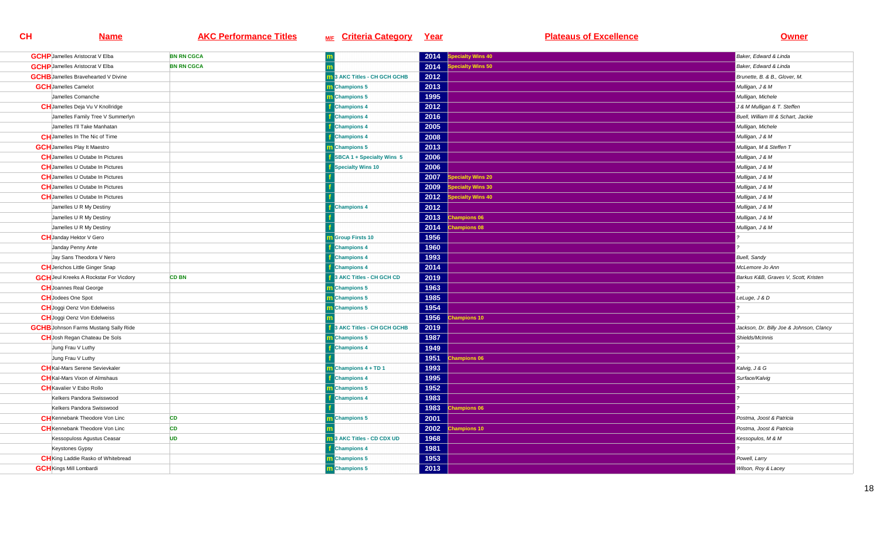| <b>GCHP</b> Jamelles Aristocrat V Elba        | <b>BN RN CGCA</b> |                                     | 2014 | pecialty Wins 40         | Baker, Edward & Linda                    |
|-----------------------------------------------|-------------------|-------------------------------------|------|--------------------------|------------------------------------------|
| <b>GCHP</b> Jamelles Aristocrat V Elba        | <b>BN RN CGCA</b> |                                     | 2014 | ecialty Wins 50          | Baker, Edward & Linda                    |
| <b>GCHB</b> Jamelles Bravehearted V Divine    |                   | <b>1</b> 3 AKC Titles - CH GCH GCHB | 2012 |                          | Brunette, B. & B., Glover, M.            |
| <b>GCH</b> Jamelles Camelot                   |                   | m Champions 5                       | 2013 |                          | Mulligan, J & M                          |
| Jamelles Comanche                             |                   | <b>Champions 5</b>                  | 1995 |                          | Mulligan, Michele                        |
| <b>CH</b> Jamelles Deja Vu V Knollridge       |                   | <b>Champions 4</b>                  | 2012 |                          | J & M Mulligan & T. Steffen              |
| Jamelles Family Tree V Summerlyn              |                   | <b>Champions 4</b>                  | 2016 |                          | Buell, William III & Schart, Jackie      |
| Jamelles I'll Take Manhatan                   |                   | <b>Champions 4</b>                  | 2005 |                          | Mulligan, Michele                        |
| <b>CH</b> Jamelles In The Nic of Time         |                   | <b>Champions 4</b>                  | 2008 |                          | Mulligan, J & M                          |
| <b>GCH</b> Jamelles Play It Maestro           |                   | <b>n</b> Champions 5                | 2013 |                          | Mulligan, M & Steffen T                  |
| <b>CH</b> Jamelles U Outabe In Pictures       |                   | SBCA 1 + Specialty Wins 5           | 2006 |                          | Mulligan, J & M                          |
| <b>CH</b> Jamelles U Outabe In Pictures       |                   | <b>Specialty Wins 10</b>            | 2006 |                          | Mulligan, J & M                          |
| <b>CH</b> Jamelles U Outabe In Pictures       |                   |                                     | 2007 | pecialty Wins 20         | Mulligan, J & M                          |
| <b>CH</b> Jamelles U Outabe In Pictures       |                   |                                     | 2009 | pecialty Wins 30         | Mulligan, J & M                          |
| <b>CH</b> Jamelles U Outabe In Pictures       |                   |                                     | 2012 | <b>Specialty Wins 40</b> | Mulligan, J & M                          |
| Jamelles U R My Destiny                       |                   | <b>Champions 4</b>                  | 2012 |                          | Mulligan, J & M                          |
| Jamelles U R My Destiny                       |                   |                                     | 2013 | <b>Champions 06</b>      | Mulligan, J & M                          |
| Jamelles U R My Destiny                       |                   |                                     | 2014 | <b>Champions 08</b>      | Mulligan, J & M                          |
| <b>CH</b> Janday Hektor V Gero                |                   | <b>Group Firsts 10</b>              | 1956 |                          |                                          |
| Janday Penny Ante                             |                   | <b>Champions 4</b>                  | 1960 |                          |                                          |
| Jay Sans Theodora V Nero                      |                   | <b>Champions 4</b>                  | 1993 |                          | <b>Buell</b> , Sandy                     |
| <b>CH</b> Jerichos Little Ginger Snap         |                   | <b>Champions 4</b>                  | 2014 |                          | McLemore Jo Ann                          |
| <b>GCH</b> Jeul Kreeks A Rockstar For Vicdory | <b>CD BN</b>      | 3 AKC Titles - CH GCH CD            | 2019 |                          | Barkus K&B, Graves V, Scott, Kristen     |
| <b>CH</b> Joannes Real George                 |                   | m Champions 5                       | 1963 |                          |                                          |
| <b>CH</b> Jodees One Spot                     |                   | <b>n</b> Champions 5                | 1985 |                          | LeLuge, J & D                            |
| <b>CH</b> Joggi Oenz Von Edelweiss            |                   | Champions 5                         | 1954 |                          |                                          |
| <b>CH</b> Joggi Oenz Von Edelweiss            |                   |                                     | 1956 | hampions 10              |                                          |
| <b>GCHB</b> Johnson Farms Mustang Sally Ride  |                   | 3 AKC Titles - CH GCH GCHB          | 2019 |                          | Jackson, Dr. Billy Joe & Johnson, Clancy |
| <b>CH</b> Josh Regan Chateau De Sols          |                   | Champions 5                         | 1987 |                          | Shields/McInnis                          |
| Jung Frau V Luthy                             |                   | <b>Champions 4</b>                  | 1949 |                          |                                          |
| Jung Frau V Luthy                             |                   |                                     | 1951 | hampions 06              |                                          |
| <b>CH</b> Kal-Mars Serene Sevievkaler         |                   | <b>n</b> Champions 4 + TD 1         | 1993 |                          | Kalvig, J & G                            |
| <b>CH</b> Kal-Mars Vixon of Almshaus          |                   | <b>Champions 4</b>                  | 1995 |                          | Surface/Kalvig                           |
| <b>CH</b> Kavalier V Esbo Rollo               |                   | <b>Champions 5</b>                  | 1952 |                          |                                          |
| Kelkers Pandora Swisswood                     |                   | <b>Champions 4</b>                  | 1983 |                          |                                          |
| Kelkers Pandora Swisswood                     |                   |                                     |      | 1983 Champions 06        |                                          |
| <b>CH</b> Kennebank Theodore Von Linc         | <b>CD</b>         | m Champions 5                       | 2001 |                          | Postma, Joost & Patricia                 |
| <b>CH</b> Kennebank Theodore Von Linc         | <b>CD</b>         |                                     | 2002 | <b>Champions 10</b>      | Postma, Joost & Patricia                 |
| Kessopuloss Agustus Ceasar                    | <b>UD</b>         | 3 AKC Titles - CD CDX UD            | 1968 |                          | Kessopulos, M & M                        |
| Keystones Gypsy                               |                   | <b>Champions 4</b>                  | 1981 |                          |                                          |
| <b>CH</b> King Laddie Rasko of Whitebread     |                   | m Champions 5                       | 1953 |                          | Powell, Larry                            |
| <b>GCH</b> Kings Mill Lombardi                |                   | m Champions 5                       | 2013 |                          | Wilson, Roy & Lacey                      |
|                                               |                   |                                     |      |                          |                                          |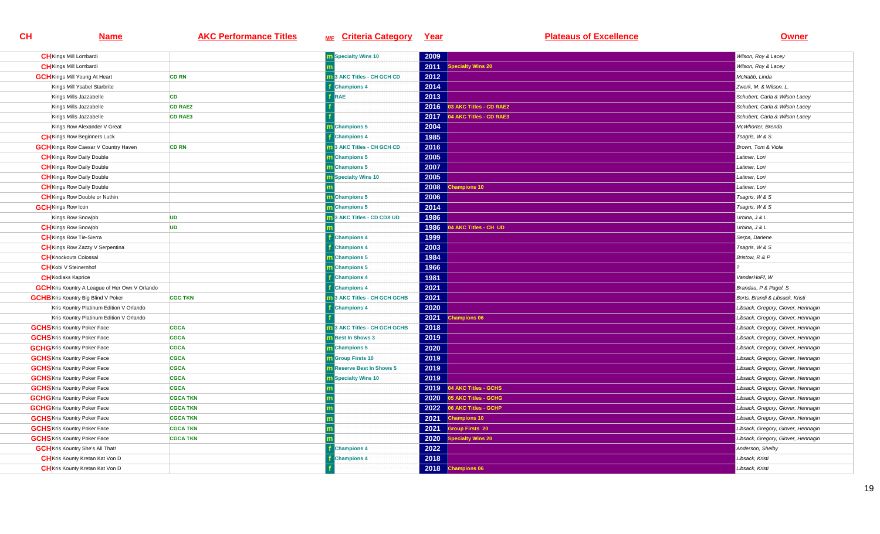| <b>CH</b> Kings Mill Lombardi                         |                 | <b>m</b> Specialty Wins 10     | 2009 |                         | Wilson, Roy & Lacey                |
|-------------------------------------------------------|-----------------|--------------------------------|------|-------------------------|------------------------------------|
| <b>CH</b> Kings Mill Lombardi                         |                 |                                | 2011 | pecialty Wins 20        | Wilson, Roy & Lacey                |
| <b>GCH</b> Kings Mill Young At Heart                  | <b>CD RN</b>    | 3 AKC Titles - CH GCH CD       | 2012 |                         | McNabb, Linda                      |
| Kings Mill Ysabel Starbrite                           |                 | <b>Champions 4</b>             | 2014 |                         | Zwerk. M. & Wilson. L.             |
| Kings Mills Jazzabelle                                | <b>CD</b>       | <b>RAE</b>                     | 2013 |                         | Schubert, Carla & Wilson Lacey     |
| Kings Mills Jazzabelle                                | <b>CD RAE2</b>  |                                | 2016 | 03 AKC Titles - CD RAE2 | Schubert, Carla & Wilson Lacey     |
| Kings Mills Jazzabelle                                | <b>CD RAE3</b>  |                                | 2017 | 4 AKC Titles - CD RAE3  | Schubert, Carla & Wilson Lacey     |
| Kings Row Alexander V Great                           |                 | Champions 5                    | 2004 |                         | McWhorter, Brenda                  |
| <b>CH</b> Kings Row Beginners Luck                    |                 | <b>Champions 4</b>             | 1985 |                         | Tsagris, W & S                     |
| <b>GCH</b> Kings Row Caesar V Country Haven           | <b>CD RN</b>    | 13 AKC Titles - CH GCH CD      | 2016 |                         | Brown, Tom & Viola                 |
| <b>CH</b> Kings Row Daily Double                      |                 | <b>Champions 5</b>             | 2005 |                         | Latimer, Lori                      |
| <b>CH</b> Kings Row Daily Double                      |                 | m Champions 5                  | 2007 |                         | Latimer, Lori                      |
| <b>CH</b> Kings Row Daily Double                      |                 | <b>n</b> Specialty Wins 10     | 2005 |                         | Latimer, Lori                      |
| <b>CH</b> Kings Row Daily Double                      |                 |                                | 2008 | <b>Champions 10</b>     | Latimer, Lori                      |
| <b>CH</b> Kings Row Double or Nuthin                  |                 | m Champions 5                  | 2006 |                         | Tsagris, W & S                     |
| <b>GCH</b> Kings Row Icon                             |                 | <b>Champions 5</b>             | 2014 |                         | Tsagris, W & S                     |
| Kings Row Snowjob                                     | <b>UD</b>       | 3 AKC Titles - CD CDX UD       | 1986 |                         | Urbina, J & L                      |
| <b>CH</b> Kings Row Snowjob                           | <b>UD</b>       |                                | 1986 | 4 AKC Titles - CH UD    | Urbina, J & L                      |
| <b>CH</b> Kings Row Tie-Sierra                        |                 | <b>Champions 4</b>             | 1999 |                         | Serpa, Darlene                     |
| <b>CH</b> Kings Row Zazzy V Serpentina                |                 | <b>Champions 4</b>             | 2003 |                         | Tsagris, W & S                     |
| <b>CH</b> Knockouts Colossal                          |                 | m Champions 5                  | 1984 |                         | Bristow, R & P                     |
| <b>CH</b> Kobi V Steinernhof                          |                 | Champions 5                    | 1966 |                         |                                    |
| <b>CH</b> Kodiaks Kaprice                             |                 | <b>Champions 4</b>             | 1981 |                         | VanderHoFf, W                      |
| <b>GCH</b> Kris Kountry A League of Her Own V Orlando |                 | <b>Champions 4</b>             | 2021 |                         | Brandau, P & Pagel, S              |
| <b>GCHB</b> Kris Kountry Big Blind V Poker            | <b>CGC TKN</b>  | 3 AKC Titles - CH GCH GCHB     | 2021 |                         | Borts, Brandi & Libsack, Kristi    |
| Kris Kountry Platinum Edition V Orlando               |                 | <b>Champions 4</b>             | 2020 |                         | Libsack, Gregory, Glover, Hennagin |
| Kris Kountry Platinum Edition V Orlando               |                 |                                | 2021 | <b>Champions 06</b>     | Libsack, Gregory, Glover, Hennagin |
| <b>GCHS</b> Kris Kountry Poker Face                   | <b>CGCA</b>     | 3 AKC Titles - CH GCH GCHB     | 2018 |                         | Libsack, Gregory, Glover, Hennagin |
| <b>GCHS</b> Kris Kountry Poker Face                   | <b>CGCA</b>     | <b>Best In Shows 3</b>         | 2019 |                         | Libsack, Gregory, Glover, Hennagin |
| <b>GCHG</b> Kris Kountry Poker Face                   | <b>CGCA</b>     | m Champions 5                  | 2020 |                         | Libsack, Gregory, Glover, Hennagin |
| <b>GCHS</b> Kris Kountry Poker Face                   | <b>CGCA</b>     | <b>Group Firsts 10</b>         | 2019 |                         | Libsack, Gregory, Glover, Hennagin |
| <b>GCHS</b> Kris Kountry Poker Face                   | <b>CGCA</b>     | <b>Reserve Best In Shows 5</b> | 2019 |                         | Libsack, Gregory, Glover, Hennagin |
| <b>GCHS</b> Kris Kountry Poker Face                   | <b>CGCA</b>     | <b>Specialty Wins 10</b>       | 2019 |                         | Libsack, Gregory, Glover, Hennagin |
| <b>GCHS</b> Kris Kountry Poker Face                   | <b>CGCA</b>     |                                | 2019 | 04 AKC Titles - GCHS    | Libsack, Gregory, Glover, Hennagin |
| <b>GCHG</b> Kris Kountry Poker Face                   | <b>CGCA TKN</b> |                                | 2020 | 05 AKC Titles - GCHG    | Libsack, Gregory, Glover, Hennagin |
| <b>GCHG</b> Kris Kountry Poker Face                   | <b>CGCA TKN</b> |                                | 2022 | 06 AKC Titles - GCHP    | Libsack, Gregory, Glover, Hennagin |
| <b>GCHS</b> Kris Kountry Poker Face                   | <b>CGCA TKN</b> |                                | 2021 | <b>Champions 10</b>     | Libsack, Gregory, Glover, Hennagin |
| <b>GCHS</b> Kris Kountry Poker Face                   | <b>CGCA TKN</b> |                                | 2021 | <b>Sroup Firsts 20</b>  | Libsack, Gregory, Glover, Hennagin |
| <b>GCHS</b> Kris Kountry Poker Face                   | <b>CGCA TKN</b> |                                | 2020 | ecialty Wins 20         | Libsack, Gregory, Glover, Hennagin |
| <b>GCH</b> Kris Kountry She's All That!               |                 | <b>Champions 4</b>             | 2022 |                         | Anderson, Shelby                   |
| <b>CH</b> Kris Kounty Kretan Kat Von D                |                 | <b>Champions 4</b>             | 2018 |                         | Libsack, Kristi                    |
| <b>CH</b> Kris Kounty Kretan Kat Von D                |                 |                                |      | 2018 Champions 06       | Libsack, Kristi                    |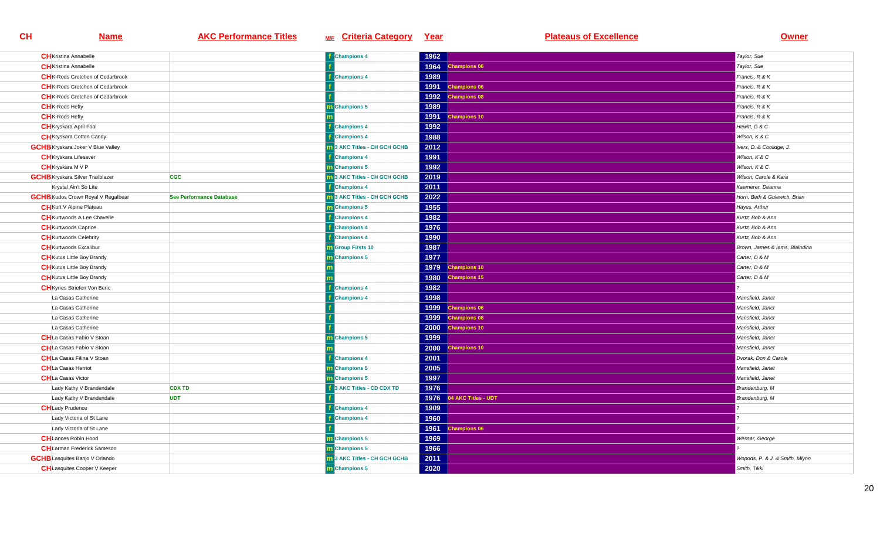| <b>CH</b> Kristina Annabelle              |                          | <b>f</b> Champions 4                | 1962 |                     | Taylor, Sue                    |
|-------------------------------------------|--------------------------|-------------------------------------|------|---------------------|--------------------------------|
| <b>CH</b> Kristina Annabelle              |                          |                                     | 1964 | hampions 06         | Taylor, Sue                    |
| <b>CH</b> K-Rods Gretchen of Cedarbrook   |                          | <b>Champions 4</b>                  | 1989 |                     | Francis, R & K                 |
| <b>CH</b> K-Rods Gretchen of Cedarbrook   |                          |                                     | 1991 | <b>Champions 06</b> | Francis, R & K                 |
| <b>CH</b> K-Rods Gretchen of Cedarbrook   |                          |                                     | 1992 | hampions 08         | Francis, R & K                 |
| <b>CH</b> <sub>K</sub> -Rods Hefty        |                          | <b>n</b> Champions 5                | 1989 |                     | Francis, R & K                 |
| <b>CH</b> <sub>K</sub> -Rods Hefty        |                          |                                     | 1991 | hampions 10         | Francis, R & K                 |
| <b>CH</b> Kryskara April Fool             |                          | <b>Champions 4</b>                  | 1992 |                     | Hewitt, G & C                  |
| <b>CH</b> Kryskara Cotton Candy           |                          | <b>f</b> Champions 4                | 1988 |                     | Wilson, K & C                  |
| <b>GCHB</b> Kryskara Joker V Blue Valley  |                          | 13 AKC Titles - CH GCH GCHB         | 2012 |                     | Ivers, D. & Coolidge, J.       |
| <b>CH</b> Kryskara Lifesaver              |                          | <b>Champions 4</b>                  | 1991 |                     | Wilson, K & C                  |
| <b>CH</b> Kryskara M V P                  |                          | m Champions 5                       | 1992 |                     | Wilson, K & C                  |
| <b>GCHB</b> Kryskara Silver Trailblazer   | <b>CGC</b>               | 13 AKC Titles - CH GCH GCHB         | 2019 |                     | Wilson, Carole & Kara          |
| Krystal Ain't So Lite                     |                          | <b>Champions 4</b>                  | 2011 |                     | Kaemerer, Deanna               |
| <b>GCHB</b> Kudos Crown Royal V Regalbear | See Performance Database | 3 AKC Titles - CH GCH GCHB          | 2022 |                     | Horn, Beth & Gulewich, Brian   |
| <b>CH</b> Kurt V Alpine Plateau           |                          | m Champions 5                       | 1955 |                     | Hayes, Arthur                  |
| <b>CH</b> Kurtwoods A Lee Chavelle        |                          | <b>f</b> Champions 4                | 1982 |                     | Kurtz, Bob & Ann               |
| <b>CH</b> Kurtwoods Caprice               |                          | <b>Champions 4</b>                  | 1976 |                     | Kurtz, Bob & Ann               |
| <b>CH</b> Kurtwoods Celebrity             |                          | <b>Champions 4</b>                  | 1990 |                     | Kurtz, Bob & Ann               |
| <b>CH</b> Kurtwoods Excalibur             |                          | <b>m</b> Group Firsts 10            | 1987 |                     | Brown, James & lams, BlaIndina |
| <b>CH</b> Kutus Little Boy Brandy         |                          | Champions 5                         | 1977 |                     | Carter, D & M                  |
| <b>CH</b> Kutus Little Boy Brandy         |                          |                                     | 1979 | hampions 10         | Carter, D & M                  |
| <b>CH</b> Kutus Little Boy Brandy         |                          |                                     | 1980 | hampions 15         | Carter, D & M                  |
| <b>CH</b> Kyries Striefen Von Beric       |                          | <b>Champions 4</b>                  | 1982 |                     |                                |
| La Casas Catherine                        |                          | <b>Champions 4</b>                  | 1998 |                     | Mansfield, Janet               |
| La Casas Catherine                        |                          |                                     | 1999 | <b>Champions 06</b> | Mansfield, Janet               |
| La Casas Catherine                        |                          |                                     | 1999 | hampions 08         | Mansfield, Janet               |
| La Casas Catherine                        |                          |                                     | 2000 | <b>Champions 10</b> | Mansfield, Janer               |
| <b>CH</b> La Casas Fabio V Stoan          |                          | m Champions 5                       | 1999 |                     | Mansfield, Janet               |
| <b>CH</b> La Casas Fabio V Stoan          |                          |                                     | 2000 | hampions 10         | Mansfield, Janet               |
| <b>CH</b> La Casas Filina V Stoan         |                          | <b>f</b> Champions 4                | 2001 |                     | Dvorak, Don & Carole           |
| <b>CH</b> La Casas Herriot                |                          | m Champions 5                       | 2005 |                     | Mansfield, Janet               |
| <b>CH</b> La Casas Victor                 |                          | m Champions 5                       | 1997 |                     | Mansfield, Janet               |
| Lady Kathy V Brandendale                  | <b>CDX TD</b>            | 3 AKC Titles - CD CDX TD            | 1976 |                     | Brandenburg, M                 |
| Lady Kathy V Brandendale                  | <b>UDT</b>               |                                     | 1976 | 4 AKC Titles - UDT  | Brandenburg, M                 |
| <b>CH</b> Lady Prudence                   |                          | <b>Champions 4</b>                  | 1909 |                     |                                |
| Lady Victoria of St Lane                  |                          | <b>Champions 4</b>                  | 1960 |                     |                                |
| Lady Victoria of St Lane                  |                          |                                     | 1961 | hampions 06         |                                |
| <b>CH</b> Lances Robin Hood               |                          | m Champions 5                       | 1969 |                     | Wessar, George                 |
| <b>CH</b> Larman Frederick Sameson        |                          | m Champions 5                       | 1966 |                     |                                |
| <b>GCHB</b> Lasquites Banjo V Orlando     |                          | <b>m</b> 3 AKC Titles - CH GCH GCHB | 2011 |                     | Wopods, P. & J. & Smith, Mlynn |
| <b>CH</b> Lasquites Cooper V Keeper       |                          | m Champions 5                       | 2020 |                     | Smith, Tikki                   |
|                                           |                          |                                     |      |                     |                                |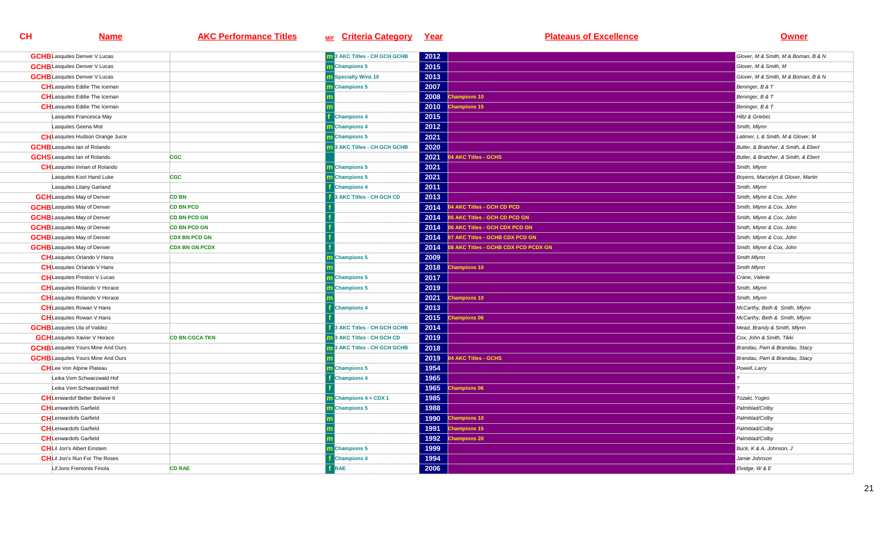| <b>m</b> 3 AKC Titles - CH GCH GCHB<br>2012<br><b>GCHB</b> Lasquites Denver V Lucas<br>2015<br><b>GCHB</b> Lasquites Denver V Lucas<br><b>m</b> Champions 5<br>2013<br><b>GCHB</b> Lasquites Denver V Lucas<br><b>n</b> Specialty Wins 10<br><b>CH</b> Lasquites Eddie The Iceman<br>m Champions 5<br>2007<br>2008<br><b>CH</b> Lasquites Eddie The Iceman<br>hampions 10<br><b>CH</b> Lasquites Eddie The Iceman<br>2010<br>hampions 15 | Glover, M & Smith, M & Boman, B & N<br>Glover, M & Smith, M<br>Glover, M & Smith, M & Boman, B & N<br>Beninger, B & T<br>Beninger, B & T<br>Beninger, B & T<br>Hiltz & Griebel,<br>Smith, Mlynn |
|------------------------------------------------------------------------------------------------------------------------------------------------------------------------------------------------------------------------------------------------------------------------------------------------------------------------------------------------------------------------------------------------------------------------------------------|-------------------------------------------------------------------------------------------------------------------------------------------------------------------------------------------------|
|                                                                                                                                                                                                                                                                                                                                                                                                                                          |                                                                                                                                                                                                 |
|                                                                                                                                                                                                                                                                                                                                                                                                                                          |                                                                                                                                                                                                 |
|                                                                                                                                                                                                                                                                                                                                                                                                                                          |                                                                                                                                                                                                 |
|                                                                                                                                                                                                                                                                                                                                                                                                                                          |                                                                                                                                                                                                 |
|                                                                                                                                                                                                                                                                                                                                                                                                                                          |                                                                                                                                                                                                 |
|                                                                                                                                                                                                                                                                                                                                                                                                                                          |                                                                                                                                                                                                 |
| 2015<br>Lasquites Francesca May<br><b>Champions 4</b>                                                                                                                                                                                                                                                                                                                                                                                    |                                                                                                                                                                                                 |
| m Champions 4<br>2012<br>Lasquites Geena Mist                                                                                                                                                                                                                                                                                                                                                                                            |                                                                                                                                                                                                 |
| m Champions 5<br>2021<br><b>CH</b> Lasquites Hudson Orange Juice                                                                                                                                                                                                                                                                                                                                                                         | Latimer, L & Smith, M & Glover, M                                                                                                                                                               |
| 3 AKC Titles - CH GCH GCHB<br>2020<br><b>GCHB</b> Lasquites Ian of Rolando                                                                                                                                                                                                                                                                                                                                                               | Butler, & Bratcher, & Smith, & Ebert                                                                                                                                                            |
| AKC Titles - GCHS<br><b>GCHS</b> Lasquites Ian of Rolando<br><b>CGC</b><br>2021                                                                                                                                                                                                                                                                                                                                                          | Butler, & Bratcher, & Smith, & Ebert                                                                                                                                                            |
| 2021<br><b>CH</b> Lasquites Inman of Rolando<br><b>m</b> Champions 5                                                                                                                                                                                                                                                                                                                                                                     | Smith, Mlynn                                                                                                                                                                                    |
| 2021<br><b>CGC</b><br><b>m</b> Champions 5<br>Lasquites Kool Hand Luke                                                                                                                                                                                                                                                                                                                                                                   | Boyens, Marcelyn & Glover, Martin                                                                                                                                                               |
| Lasquites Litany Garland<br><b>Champions 4</b><br>2011                                                                                                                                                                                                                                                                                                                                                                                   | Smith, Mlynn                                                                                                                                                                                    |
| 3 AKC Titles - CH GCH CD<br>2013<br><b>GCH</b> Lasquites May of Denver<br><b>CD BN</b>                                                                                                                                                                                                                                                                                                                                                   | Smith, Mlynn & Cox, John                                                                                                                                                                        |
| <b>GCHB</b> Lasquites May of Denver<br><b>CD BN PCD</b><br>2014<br>14 AKC Titles - GCH CD PCD                                                                                                                                                                                                                                                                                                                                            | Smith, Mlynn & Cox, John                                                                                                                                                                        |
| <b>GCHB</b> Lasquites May of Denver<br><b>CD BN PCD GN</b><br>2014<br>05 AKC Titles - GCH CD PCD GN                                                                                                                                                                                                                                                                                                                                      | Smith, Mlynn & Cox, John                                                                                                                                                                        |
| <b>GCHB</b> Lasquites May of Denver<br>2014<br>6 AKC Titles - GCH CDX PCD GN<br><b>CD BN PCD GN</b>                                                                                                                                                                                                                                                                                                                                      | Smith, Mlynn & Cox, John                                                                                                                                                                        |
| <b>GCHB</b> Lasquites May of Denver<br><b>CDX BN PCD GN</b><br>2014<br>17 AKC Titles - GCHB CDX PCD GN                                                                                                                                                                                                                                                                                                                                   | Smith, Mlynn & Cox, John                                                                                                                                                                        |
| <b>GCHB</b> Lasquites May of Denver<br>2014<br>8 AKC Titles - GCHB CDX PCD PCDX GN<br><b>CDX BN GN PCDX</b>                                                                                                                                                                                                                                                                                                                              | Smith, Mlynn & Cox, John                                                                                                                                                                        |
| <b>CH</b> Lasquites Orlando V Hans<br>m Champions 5<br>2009                                                                                                                                                                                                                                                                                                                                                                              | Smith Mlynn                                                                                                                                                                                     |
| <b>CH</b> Lasquites Orlando V Hans<br>2018<br>hampions 10                                                                                                                                                                                                                                                                                                                                                                                | Smith Mlynn                                                                                                                                                                                     |
| 2017<br><b>CH</b> Lasquites Preston V Lucas<br>Champions 5                                                                                                                                                                                                                                                                                                                                                                               | Crane, Valerie                                                                                                                                                                                  |
| 2019<br><b>CH</b> Lasquites Rolando V Horace<br><b>Champions 5</b>                                                                                                                                                                                                                                                                                                                                                                       | Smith, Mlynn                                                                                                                                                                                    |
| <b>CH</b> Lasquites Rolando V Horace<br>2021<br><b>Champions 10</b>                                                                                                                                                                                                                                                                                                                                                                      | Smith, Mlynn                                                                                                                                                                                    |
| 2013<br><b>CH</b> Lasquites Rowan V Hans<br><b>Champions 4</b>                                                                                                                                                                                                                                                                                                                                                                           | McCarthy, Beth & Smith, Mlynn                                                                                                                                                                   |
| <b>CH</b> Lasquites Rowan V Hans<br>2015<br><b>Champions 06</b>                                                                                                                                                                                                                                                                                                                                                                          | McCarthy, Beth & Smith, Mlynn                                                                                                                                                                   |
| 3 AKC Titles - CH GCH GCHB<br>2014<br><b>GCHB</b> Lasquites Ula of Valdez                                                                                                                                                                                                                                                                                                                                                                | Mead, Brandy & Smith, Mlynn                                                                                                                                                                     |
| 2019<br><b>GCH</b> Lasquites Xavier V Horace<br><b>CD BN CGCA TKN</b><br><b>1</b> 3 AKC Titles - CH GCH CD                                                                                                                                                                                                                                                                                                                               | Cox, John & Smith, Tikki                                                                                                                                                                        |
| <b>GCHB</b> Lasquites Yours Mine And Ours<br>13 AKC Titles - CH GCH GCHB<br>2018                                                                                                                                                                                                                                                                                                                                                         | Brandau, Pam & Brandau, Stacy                                                                                                                                                                   |
| <b>4 AKC Titles - GCHS</b><br><b>GCHB</b> Lasquites Yours Mine And Ours<br>2019                                                                                                                                                                                                                                                                                                                                                          | Brandau, Pam & Brandau, Stacy                                                                                                                                                                   |
| <b>CH</b> Lee Von Alpine Plateau<br>Champions 5<br>1954                                                                                                                                                                                                                                                                                                                                                                                  | Powell, Larry                                                                                                                                                                                   |
| 1965<br>Leika Vom Schwarzwald Hof<br><b>Champions 4</b>                                                                                                                                                                                                                                                                                                                                                                                  |                                                                                                                                                                                                 |
| Leika Vom Schwarzwald Hof<br>1965<br>hampions 06                                                                                                                                                                                                                                                                                                                                                                                         |                                                                                                                                                                                                 |
| <b>CH</b> Lenwardof Better Believe It<br>m Champions 4 + CDX 1<br>1985                                                                                                                                                                                                                                                                                                                                                                   | Tozaki, Yogiro                                                                                                                                                                                  |
| <b>CH</b> Lenwardofs Garfield<br>m Champions 5<br>1988                                                                                                                                                                                                                                                                                                                                                                                   | Palmblad/Colby                                                                                                                                                                                  |
| 1990<br><b>CH</b> Lenwardofs Garfield<br>hampions 10                                                                                                                                                                                                                                                                                                                                                                                     | Palmblad/Colby                                                                                                                                                                                  |
| <b>CH</b> Lenwardofs Garfield<br>1991<br>hampions 15                                                                                                                                                                                                                                                                                                                                                                                     | Palmblad/Colby                                                                                                                                                                                  |
| <b>CH</b> Lenwardofs Garfield<br>1992<br>hampions 20                                                                                                                                                                                                                                                                                                                                                                                     | Palmblad/Colby                                                                                                                                                                                  |
| 1999<br><b>CH</b> Lil Jon's Albert Einstein<br><b>Champions 5</b>                                                                                                                                                                                                                                                                                                                                                                        | Buck, K & A, Johnson, J                                                                                                                                                                         |
| <b>CH</b> Lil Jon's Run For The Roses<br>1994<br><b>Champions 4</b>                                                                                                                                                                                                                                                                                                                                                                      | Jamie Johnson                                                                                                                                                                                   |
| RAE<br>2006<br>Lil'Jons Fremonts Finola<br><b>CD RAE</b>                                                                                                                                                                                                                                                                                                                                                                                 | Elvidge, W & E                                                                                                                                                                                  |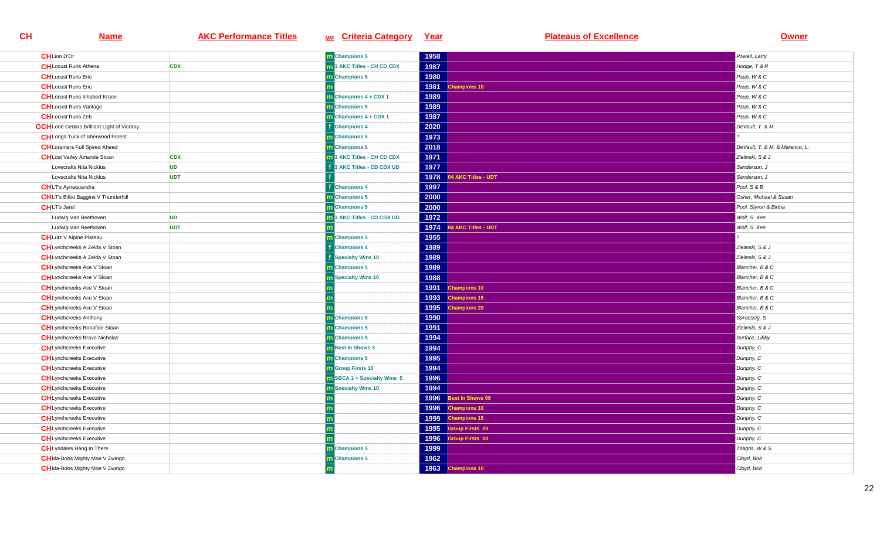| <b>CH</b> Lion D'Or                               |            | m Champions 5                      | 1958 |                        | Powell, Larry                  |
|---------------------------------------------------|------------|------------------------------------|------|------------------------|--------------------------------|
| <b>CH</b> Locust Runs Athena                      | <b>CDX</b> | 13 AKC Titles - CH CD CDX          | 1987 |                        | Hodge, T & R                   |
| <b>CH</b> Locust Runs Eric                        |            | m Champions 5                      | 1980 |                        | Paup, W & C                    |
| <b>CH</b> Locust Runs Eric                        |            |                                    | 1981 | hampions 10            | Paup, W & C                    |
| <b>CH</b> Locust Runs Ichabod Krane               |            | <b>Champions 4 + CDX 1</b>         | 1989 |                        | Paup, W & C                    |
| <b>CH</b> Locust Runs Vantage                     |            | m Champions 5                      | 1989 |                        | Paup, W & C                    |
| <b>CH</b> Locust Runs Zeb                         |            | m Champions 4 + CDX 1              | 1987 |                        | Paup, W & C                    |
| <b>GCH</b> Lone Cedars Brilliant Light of Vicdory |            | <b>Champions 4</b>                 | 2020 |                        | DeVault, T. & M.               |
| <b>CH</b> Longs Tuck of Sherwood Forest           |            | <b>n</b> Champions 5               | 1973 |                        |                                |
| <b>CH</b> Loramars Full Speed Ahead               |            | m Champions 5                      | 2018 |                        | DeVault, T. & M. & Marenco, L. |
| <b>CH</b> Lost Valley Amanda Stoan                | <b>CDX</b> | 3 AKC Titles - CH CD CDX           | 1971 |                        | Zielinski, S & J               |
| Lovecrafts Nita Nicklus                           | <b>UD</b>  | 3 AKC Titles - CD CDX UD           | 1977 |                        | Sanderson, J                   |
| Lovecrafts Nita Nicklus                           | <b>UDT</b> |                                    | 1978 | 4 AKC Titles - UDT     | Sanderson, J                   |
| <b>CH</b> LT's Aynaquandra                        |            | <b>Champions 4</b>                 | 1997 |                        | Pool, S & B                    |
| <b>CH</b> LT's Bilbo Baggins V Thunderhill        |            | <b>Champions 5</b>                 | 2000 |                        | Osher, Michael & Susan         |
| <b>CHLT's Jarel</b>                               |            | <b>n</b> Champions 5               | 2000 |                        | Pool, Styron & Birtha          |
| Ludwig Van Beethoven                              | <b>UD</b>  | 3 AKC Titles - CD CDX UD           | 1972 |                        | Wolf, S. Ken                   |
| Ludwig Van Beethoven                              | <b>UDT</b> |                                    | 1974 | 4 AKC Titles - UDT     | Wolf, S. Ken                   |
| <b>CH</b> Lutz V Alpine Plateau                   |            | m Champions 5                      | 1955 |                        |                                |
| <b>CH</b> Lynchcreeks A Zelda V Stoan             |            | <b>Champions 4</b>                 | 1989 |                        | Zielinski, S & J               |
| <b>CH</b> Lynchcreeks A Zelda V Stoan             |            | Specialty Wins 10                  | 1989 |                        | Zielinski, S & J               |
| <b>CH</b> Lynchcreeks Ace V Stoan                 |            | Champions 5                        | 1989 |                        | Blancher, B & C                |
| <b>CH</b> Lynchcreeks Ace V Stoan                 |            | <b>Specialty Wins 10</b>           | 1988 |                        | Blancher, B & C                |
| <b>CH</b> Lynchcreeks Ace V Stoan                 |            |                                    | 1991 | <b>Champions 10</b>    | Blancher, B & C                |
| <b>CH</b> Lynchcreeks Ace V Stoan                 |            |                                    | 1993 | hampions 15            | Blancher, B & C                |
| <b>CH</b> Lynchcreeks Ace V Stoan                 |            |                                    | 1995 | <b>Champions 20</b>    | Blancher, B & C                |
| <b>CH</b> Lynchcreeks Anthony                     |            | <b>n</b> Champions 5               | 1990 |                        | Sproessig, S                   |
| <b>CH</b> Lynchcreeks Bonafide Stoan              |            | m Champions 5                      | 1991 |                        | Zielinski, S & J               |
| <b>CH</b> Lynchcreeks Bravo Nicholas              |            | m Champions 5                      | 1994 |                        | Surface, Libby                 |
| <b>CH</b> Lynchcreeks Executive                   |            | <b>n</b> Best In Shows 3           | 1994 |                        | Dunphy, C                      |
| <b>CH</b> Lynchcreeks Executive                   |            | <b>n</b> Champions 5               | 1995 |                        | Dunphy, C                      |
| <b>CH</b> Lynchcreeks Executive                   |            | <b>n</b> Group Firsts 10           | 1994 |                        | Dunphy, C                      |
| <b>CH</b> Lynchcreeks Executive                   |            | <b>n</b> SBCA 1 + Specialty Wins 5 | 1996 |                        | Dunphy, C                      |
| <b>CH</b> Lynchcreeks Executive                   |            | <b>Specialty Wins 10</b>           | 1994 |                        | Dunphy, C                      |
| <b>CH</b> Lynchcreeks Executive                   |            |                                    | 1996 | Best In Shows 06       | Dunphy, C                      |
| <b>CH</b> Lynchcreeks Executive                   |            |                                    | 1996 | <b>Champions 10</b>    | Dunphy, C                      |
| <b>CH</b> Lynchcreeks Executive                   |            |                                    | 1999 | <b>Champions 15</b>    | Dunphy, C                      |
| <b>CH</b> Lynchcreeks Executive                   |            |                                    | 1995 | <b>Sroup Firsts 20</b> | Dunphy, C                      |
| <b>CH</b> Lynchcreeks Executive                   |            |                                    | 1996 | <b>iroup Firsts 30</b> | Dunphy, C                      |
| <b>CH</b> Lyndales Hang In There                  |            | m Champions 5                      | 1999 |                        | Tsagris, W & S                 |
| <b>CH</b> Ma-Bobs Mighty Moe V Zwingo             |            | m Champions 5                      | 1962 |                        | Cloyd, Bob                     |
| <b>CH</b> Ma-Bobs Mighty Moe V Zwingo             |            |                                    | 1963 | <b>Champions 10</b>    | Cloyd, Bob                     |
|                                                   |            |                                    |      |                        |                                |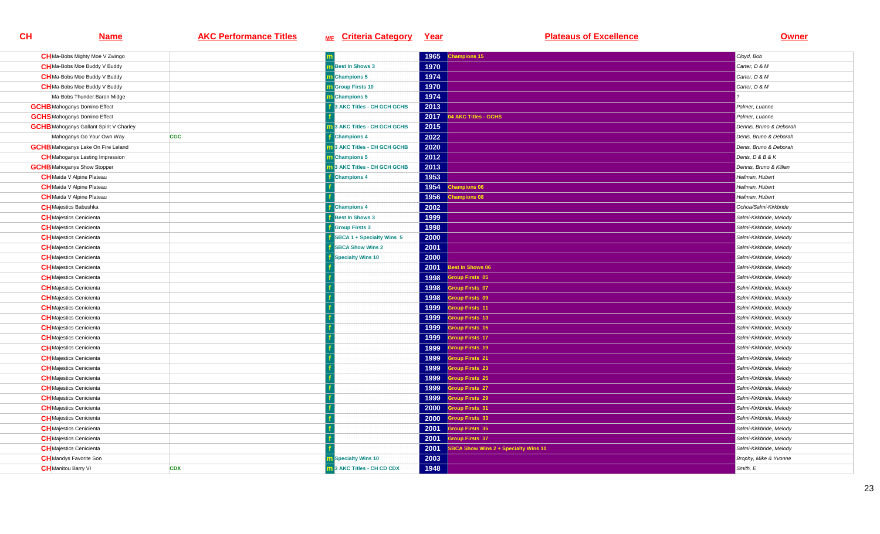| <b>CH</b> Ma-Bobs Mighty Moe V Zwingo          |            |                             | 1965 | hampions 15                         | Cloyd, Bob              |
|------------------------------------------------|------------|-----------------------------|------|-------------------------------------|-------------------------|
| <b>CH</b> Ma-Bobs Moe Buddy V Buddy            |            | <b>n</b> Best In Shows 3    | 1970 |                                     | Carter, D & M           |
| <b>CH</b> Ma-Bobs Moe Buddy V Buddy            |            | Champions 5                 | 1974 |                                     | Carter, D & M           |
| <b>CH</b> Ma-Bobs Moe Buddy V Buddy            |            | <b>m</b> Group Firsts 10    | 1970 |                                     | Carter, D & M           |
| Ma-Bobs Thunder Baron Midge                    |            | m Champions 5               | 1974 |                                     |                         |
| <b>GCHB</b> Mahoganys Domino Effect            |            | 3 AKC Titles - CH GCH GCHB  | 2013 |                                     | Palmer, Luanne          |
| <b>GCHS</b> Mahoganys Domino Effect            |            |                             | 2017 | <b>4 AKC Titles - GCHS</b>          | Palmer, Luanne          |
| <b>GCHB</b> Mahoganys Gallant Spirit V Charley |            | 3 AKC Titles - CH GCH GCHB  | 2015 |                                     | Dennis, Bruno & Deborah |
| Mahoganys Go Your Own Way                      | <b>CGC</b> | <b>Champions 4</b>          | 2022 |                                     | Denis, Bruno & Deborah  |
| <b>GCHB</b> Mahoganys Lake On Fire Leland      |            | 3 AKC Titles - CH GCH GCHB  | 2020 |                                     | Denis, Bruno & Deborah  |
| <b>CH</b> Mahoganys Lasting Impression         |            | <b>Champions 5</b>          | 2012 |                                     | Denis, D & B & K        |
| <b>GCHB</b> Mahoganys Show Stopper             |            | 13 AKC Titles - CH GCH GCHB | 2013 |                                     | Dennis, Bruno & Killian |
| <b>CH</b> Maida V Alpine Plateau               |            | <b>Champions 4</b>          | 1953 |                                     | Heilman, Hubert         |
| <b>CH</b> Maida V Alpine Plateau               |            |                             | 1954 | hampions 06                         | Heilman, Hubert         |
| <b>CH</b> Maida V Alpine Plateau               |            |                             | 1956 | hampions 08                         | Heilman, Hubert         |
| <b>CH</b> Majestics Babushka                   |            | <b>Champions 4</b>          | 2002 |                                     | Ochoa/Salmi-Kirkbride   |
| <b>CH</b> Majestics Cenicienta                 |            | <b>Best In Shows 3</b>      | 1999 |                                     | Salmi-Kirkbride, Melody |
| <b>CH</b> Majestics Cenicienta                 |            | <b>Group Firsts 3</b>       | 1998 |                                     | Salmi-Kirkbride, Melody |
| <b>CH</b> Majestics Cenicienta                 |            | SBCA 1 + Specialty Wins 5   | 2000 |                                     | Salmi-Kirkbride, Melody |
| <b>CH</b> Majestics Cenicienta                 |            | <b>SBCA Show Wins 2</b>     | 2001 |                                     | Salmi-Kirkbride, Melody |
| <b>CH</b> Majestics Cenicienta                 |            | Specialty Wins 10           | 2000 |                                     | Salmi-Kirkbride, Melody |
| <b>CH</b> Majestics Cenicienta                 |            |                             | 2001 | lest In Shows 06                    | Salmi-Kirkbride, Melody |
| <b>CH</b> Majestics Cenicienta                 |            |                             | 1998 | roup Firsts 05                      | Salmi-Kirkbride, Melody |
| <b>CH</b> Majestics Cenicienta                 |            |                             | 1998 | <b>Sroup Firsts 07</b>              | Salmi-Kirkbride, Melody |
| <b>CH</b> Majestics Cenicienta                 |            |                             | 1998 | roup Firsts 09                      | Salmi-Kirkbride, Melody |
| <b>CH</b> Majestics Cenicienta                 |            |                             | 1999 | <b>iroup Firsts 11</b>              | Salmi-Kirkbride, Melody |
| <b>CH</b> Majestics Cenicienta                 |            |                             | 1999 | roup Firsts 13                      | Salmi-Kirkbride, Melody |
| <b>CH</b> Majestics Cenicienta                 |            |                             | 1999 | <b>iroup Firsts 15</b>              | Salmi-Kirkbride, Melody |
| <b>CH</b> Majestics Cenicienta                 |            |                             | 1999 | roup Firsts 17                      | Salmi-Kirkbride, Melody |
| <b>CH</b> Majestics Cenicienta                 |            |                             | 1999 | <b>Troup Firsts 19</b>              | Salmi-Kirkbride, Melody |
| <b>CH</b> Majestics Cenicienta                 |            |                             | 1999 | <b>iroup Firsts 21</b>              | Salmi-Kirkbride, Melody |
| <b>CH</b> Majestics Cenicienta                 |            |                             | 1999 | <b>Sroup Firsts 23</b>              | Salmi-Kirkbride, Melody |
| <b>CH</b> Majestics Cenicienta                 |            |                             | 1999 | roup Firsts 25                      | Salmi-Kirkbride, Melody |
| <b>CH</b> Majestics Cenicienta                 |            |                             | 1999 | roup Firsts 27                      | Salmi-Kirkbride, Melody |
| <b>CH</b> Majestics Cenicienta                 |            |                             | 1999 | <b>iroup Firsts 29</b>              | Salmi-Kirkbride, Melody |
| <b>CH</b> Majestics Cenicienta                 |            |                             | 2000 | <b>Sroup Firsts 31</b>              | Salmi-Kirkbride, Melody |
| <b>CH</b> Majestics Cenicienta                 |            |                             | 2000 | <b>iroup Firsts 33</b>              | Salmi-Kirkbride, Melody |
| <b>CH</b> Majestics Cenicienta                 |            |                             | 2001 | <b>Sroup Firsts 35</b>              | Salmi-Kirkbride, Melody |
| <b>CH</b> Majestics Cenicienta                 |            |                             | 2001 | <b>iroup Firsts 37</b>              | Salmi-Kirkbride, Melody |
| <b>CH</b> Majestics Cenicienta                 |            |                             | 2001 | BCA Show Wins 2 + Specialty Wins 10 | Salmi-Kirkbride, Melody |
| <b>CH</b> Mandys Favorite Son                  |            | <b>m</b> Specialty Wins 10  | 2003 |                                     | Brophy, Mike & Yvonne   |
| <b>CH</b> Manitou Barry VI                     | <b>CDX</b> | 13 AKC Titles - CH CD CDX   | 1948 |                                     | Smith, E                |
|                                                |            |                             |      |                                     |                         |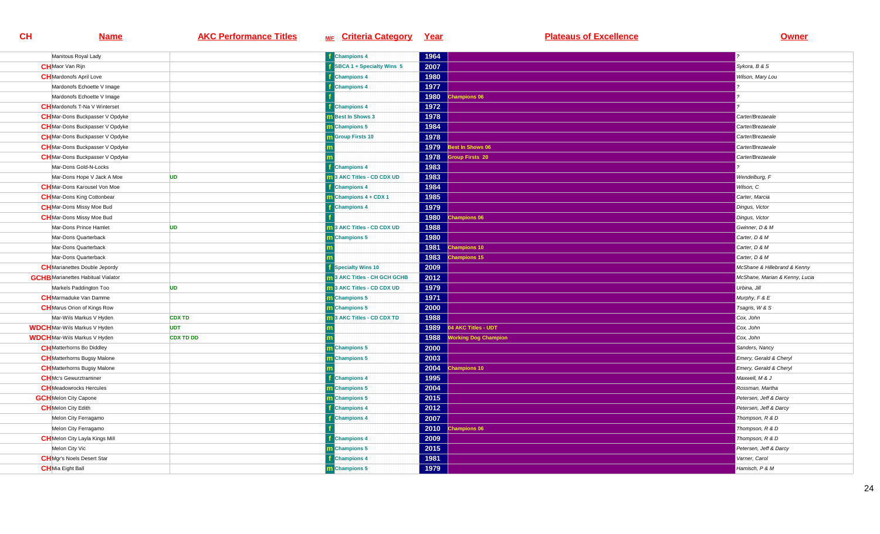| Manitous Royal Lady                       |                  | <b>f</b> Champions 4       | 1964 |                             |                                |
|-------------------------------------------|------------------|----------------------------|------|-----------------------------|--------------------------------|
| <b>CH</b> Maor Van Rijn                   |                  | SBCA 1 + Specialty Wins 5  | 2007 |                             | Sykora, B & S                  |
| <b>CH</b> Mardonofs April Love            |                  | <b>Champions 4</b>         | 1980 |                             | Wilson, Mary Lou               |
| Mardonofs Echoette V Image                |                  | <b>Champions 4</b>         | 1977 |                             |                                |
| Mardonofs Echoette V Image                |                  |                            | 1980 | hampions 06                 |                                |
| <b>CH</b> Mardonofs T-Na V Winterset      |                  | <b>Champions 4</b>         | 1972 |                             |                                |
| <b>CH</b> Mar-Dons Buckpasser V Opdyke    |                  | <b>Best In Shows 3</b>     | 1978 |                             | Carter/Brezaeale               |
| <b>CH</b> Mar-Dons Buckpasser V Opdyke    |                  | m Champions 5              | 1984 |                             | Carter/Brezaeale               |
| <b>CH</b> Mar-Dons Buckpasser V Opdyke    |                  | <b>Group Firsts 10</b>     | 1978 |                             | Carter/Brezaeale               |
| <b>CH</b> Mar-Dons Buckpasser V Opdyke    |                  |                            | 1979 | Best In Shows 06            | Carter/Brezaeale               |
| <b>CH</b> Mar-Dons Buckpasser V Opdyke    |                  |                            | 1978 | <b>Sroup Firsts 20</b>      | Carter/Brezaeale               |
| Mar-Dons Gold-N-Locks                     |                  | <b>Champions 4</b>         | 1983 |                             |                                |
| Mar-Dons Hope V Jack A Moe                | <b>UD</b>        | 3 AKC Titles - CD CDX UD   | 1983 |                             | Wendelburg, F                  |
| <b>CH</b> Mar-Dons Karousel Von Moe       |                  | <b>Champions 4</b>         | 1984 |                             | Wilson, C                      |
| <b>CH</b> Mar-Dons King Cottonbear        |                  | Champions 4 + CDX 1        | 1985 |                             | Carter, Marcia                 |
| <b>CH</b> Mar-Dons Missy Moe Bud          |                  | <b>Champions 4</b>         | 1979 |                             | Dingus, Victor                 |
| <b>CH</b> Mar-Dons Missy Moe Bud          |                  |                            | 1980 | <b>Champions 06</b>         | Dingus, Victor                 |
| Mar-Dons Prince Hamlet                    | <b>UD</b>        | 3 AKC Titles - CD CDX UD   | 1988 |                             | Gwinner, D & M                 |
| Mar-Dons Quarterback                      |                  | <b>Champions 5</b>         | 1980 |                             | Carter, D & M                  |
| Mar-Dons Quarterback                      |                  |                            | 1981 | <b>Champions 10</b>         | Carter, D & M                  |
| Mar-Dons Quarterback                      |                  |                            | 1983 | hampions 15                 | Carter, D & M                  |
| <b>CH</b> Marianettes Double Jepordy      |                  | <b>Specialty Wins 10</b>   | 2009 |                             | McShane & Hillebrand & Kenny   |
| <b>GCHB</b> Marianettes Habitual Vialator |                  | 3 AKC Titles - CH GCH GCHB | 2012 |                             | McShane, Marian & Kenny, Lucia |
| Markels Paddington Too                    | <b>UD</b>        | 13 AKC Titles - CD CDX UD  | 1979 |                             | Urbina, Jill                   |
| <b>CH</b> Marmaduke Van Damme             |                  | <b>m</b> Champions 5       | 1971 |                             | Murphy, $F & E$                |
| <b>CH</b> Marus Orion of Kings Row        |                  | m Champions 5              | 2000 |                             | Tsagris, W & S                 |
| Mar-Wils Markus V Hyden                   | <b>CDX TD</b>    | 3 AKC Titles - CD CDX TD   | 1988 |                             | Cox, John                      |
| <b>WDCH</b> Mar-Wils Markus V Hyden       | <b>UDT</b>       |                            | 1989 | 04 AKC Titles - UDT         | Cox, John                      |
| <b>WDCH</b> Mar-Wils Markus V Hyden       | <b>CDX TD DD</b> |                            | 1988 | <b>Vorking Dog Champion</b> | Cox, John                      |
| <b>CH</b> Matterhorns Bo Diddley          |                  | <b>Champions 5</b>         | 2000 |                             | Sanders, Nancy                 |
| <b>CH</b> Matterhorns Bugsy Malone        |                  | <b>Champions 5</b>         | 2003 |                             | Emery, Gerald & Cheryl         |
| <b>CH</b> Matterhorns Bugsy Malone        |                  |                            | 2004 | <b>Champions 10</b>         | Emery, Gerald & Cheryl         |
| <b>CH</b> Mc's Gewurztraminer             |                  | <b>Champions 4</b>         | 1995 |                             | Maxwell, M & J                 |
| <b>CH</b> Meadowrocks Hercules            |                  | m Champions 5              | 2004 |                             | Rossman, Martha                |
| <b>GCH</b> Melon City Capone              |                  | m Champions 5              | 2015 |                             | Petersen, Jeff & Darcy         |
| <b>CH</b> Melon City Edith                |                  | <b>Champions 4</b>         | 2012 |                             | Petersen, Jeff & Darcy         |
| Melon City Ferragamo                      |                  | <b>Champions 4</b>         | 2007 |                             | Thompson, R & D                |
| Melon City Ferragamo                      |                  |                            | 2010 | <b>Champions 06</b>         | Thompson, R & D                |
| <b>CH</b> Melon City Layla Kings Mill     |                  | <b>Champions 4</b>         | 2009 |                             | Thompson, R & D                |
| Melon City Vic                            |                  | m Champions 5              | 2015 |                             | Petersen, Jeff & Darcy         |
| <b>CH</b> Mgr's Noels Desert Star         |                  | <b>Champions 4</b>         | 1981 |                             | Varner, Carol                  |
| <b>CH</b> Mia Eight Ball                  |                  | m Champions 5              | 1979 |                             | Hamisch, P & M                 |
|                                           |                  |                            |      |                             |                                |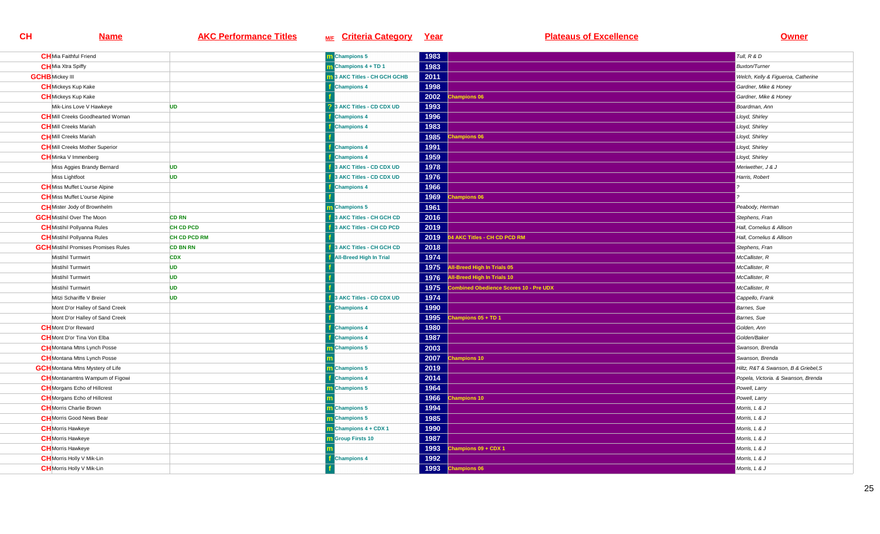| <b>CH</b> Mia Faithful Friend               |                     | <b>m</b> Champions 5                | 1983 |                                        | Tull, R & D                          |
|---------------------------------------------|---------------------|-------------------------------------|------|----------------------------------------|--------------------------------------|
| <b>CH</b> Mia Xtra Spiffy                   |                     | $\overline{m}$ Champions 4 + TD 1   | 1983 |                                        | <b>Buxton/Turner</b>                 |
| <b>GCHB</b> Mickey III                      |                     | <b>n</b> 3 AKC Titles - CH GCH GCHB | 2011 |                                        | Welch, Kelly & Figueroa, Catherine   |
| <b>CH</b> Mickeys Kup Kake                  |                     | <b>Champions 4</b>                  | 1998 |                                        | Gardner, Mike & Honey                |
| <b>CH</b> Mickeys Kup Kake                  |                     |                                     | 2002 | <b>Champions 06</b>                    | Gardner, Mike & Honey                |
| Mik-Lins Love V Hawkeye                     | <b>UD</b>           | 3 AKC Titles - CD CDX UD            | 1993 |                                        | Boardman, Ann                        |
| <b>CH</b> Mill Creeks Goodhearted Woman     |                     | <b>Champions 4</b>                  | 1996 |                                        | Lloyd, Shirley                       |
| <b>CH</b> Mill Creeks Mariah                |                     | <b>Champions 4</b>                  | 1983 |                                        | Lloyd, Shirley                       |
| <b>CH</b> Mill Creeks Mariah                |                     |                                     | 1985 | <b>Champions 06</b>                    | Lloyd, Shirley                       |
| <b>CH</b> Mill Creeks Mother Superior       |                     | <b>Champions 4</b>                  | 1991 |                                        | Lloyd, Shirley                       |
| <b>CH</b> Minka V Immenberg                 |                     | <b>Champions 4</b>                  | 1959 |                                        | Lloyd, Shirley                       |
| Miss Aggies Brandy Bernard                  | <b>UD</b>           | 3 AKC Titles - CD CDX UD            | 1978 |                                        | Meriwether, J & J                    |
| Miss Lightfoot                              | <b>UD</b>           | 3 AKC Titles - CD CDX UD            | 1976 |                                        | Harris, Robert                       |
| <b>CH</b> Miss Muffet L'ourse Alpine        |                     | <b>Champions 4</b>                  | 1966 |                                        |                                      |
| <b>CH</b> Miss Muffet L'ourse Alpine        |                     |                                     | 1969 | <b>Champions 06</b>                    |                                      |
| <b>CH</b> Mister Jody of Brownhelm          |                     | <b>m</b> Champions 5                | 1961 |                                        | Peabody, Herman                      |
| <b>GCH</b> Mistihil Over The Moon           | <b>CD RN</b>        | 3 AKC Titles - CH GCH CD            | 2016 |                                        | Stephens, Fran                       |
| <b>CH</b> Mistihil Pollyanna Rules          | CH CD PCD           | 3 AKC Titles - CH CD PCD            | 2019 |                                        | Hall, Cornelius & Allison            |
| <b>CH</b> Mistihil Pollyanna Rules          | <b>CH CD PCD RM</b> |                                     | 2019 | 4 AKC Titles - CH CD PCD RM            | Hall, Cornelius & Allison            |
| <b>GCH</b> Mistihil Promises Promises Rules | <b>CD BN RN</b>     | 3 AKC Titles - CH GCH CD            | 2018 |                                        | Stephens, Fran                       |
| Mistihil Turmwirt                           | <b>CDX</b>          | <b>All-Breed High In Trial</b>      | 1974 |                                        | McCallister, R                       |
| Mistihil Turmwirt                           | <b>UD</b>           |                                     | 1975 | <b>All-Breed High In Trials 05</b>     | McCallister, R                       |
| Mistihil Turmwirt                           | <b>UD</b>           |                                     | 1976 | All-Breed High In Trials 10            | McCallister, R                       |
| Mistihil Turmwirt                           | <b>UD</b>           |                                     | 1975 | Combined Obedience Scores 10 - Pre UDX | McCallister, R                       |
| Mitzi Schariffe V Breier                    | <b>UD</b>           | 3 AKC Titles - CD CDX UD            | 1974 |                                        | Cappello, Frank                      |
| Mont D'or Halley of Sand Creek              |                     | <b>Champions 4</b>                  | 1990 |                                        | Barnes, Sue                          |
| Mont D'or Halley of Sand Creek              |                     |                                     | 1995 | Champions 05 + TD 1                    | Barnes, Sue                          |
| <b>CH</b> Mont D'or Reward                  |                     | <b>Champions 4</b>                  | 1980 |                                        | Golden, Ann                          |
| <b>CH</b> Mont D'or Tina Von Elba           |                     | <b>Champions 4</b>                  | 1987 |                                        | Golden/Baker                         |
| <b>CH</b> Montana Mtns Lynch Posse          |                     | Champions 5                         | 2003 |                                        | Swanson, Brenda                      |
| <b>CH</b> Montana Mtns Lynch Posse          |                     |                                     | 2007 | <b>Champions 10</b>                    | Swanson, Brenda                      |
| <b>GCH</b> Montana Mtns Mystery of Life     |                     | m Champions 5                       | 2019 |                                        | Hiltz, R&T & Swanson, B & Griebel, S |
| <b>CH</b> Montanamtns Wampum of Figowi      |                     | <b>Champions 4</b>                  | 2014 |                                        | Popela, Victoria. & Swanson, Brenda  |
| <b>CH</b> Morgans Echo of Hillcrest         |                     | <b>n</b> Champions 5                | 1964 |                                        | Powell, Larry                        |
| <b>CH</b> Morgans Echo of Hillcrest         |                     |                                     | 1966 | hampions 10                            | Powell, Larry                        |
| <b>CH</b> Morris Charlie Brown              |                     | m Champions 5                       | 1994 |                                        | Morris, L & J                        |
| <b>CH</b> Morris Good News Bear             |                     | m Champions 5                       | 1985 |                                        | Morris, L & J                        |
| <b>CH</b> Morris Hawkeye                    |                     | Champions 4 + CDX 1                 | 1990 |                                        | Morris, L & J                        |
| <b>CH</b> Morris Hawkeye                    |                     | <b>Group Firsts 10</b>              | 1987 |                                        | Morris, L & J                        |
| <b>CH</b> Morris Hawkeye                    |                     |                                     | 1993 | Champions 09 + CDX 1                   | Morris, L & J                        |
| <b>CH</b> Morris Holly V Mik-Lin            |                     | <b>Champions 4</b>                  | 1992 |                                        | Morris, L & J                        |
| <b>CH</b> Morris Holly V Mik-Lin            |                     |                                     |      | 1993 Champions 06                      | Morris, L & J                        |
|                                             |                     |                                     |      |                                        |                                      |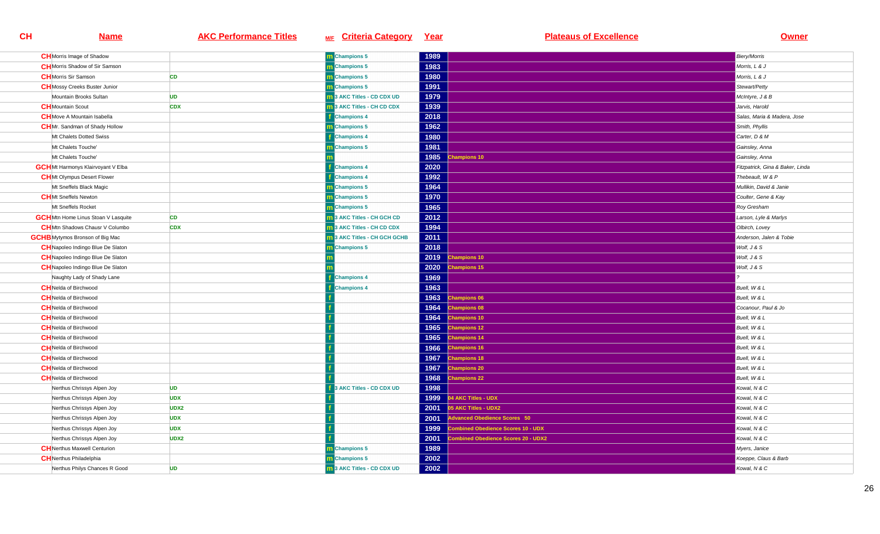| <b>CH</b> Morris Image of Shadow           |                  | m Champions 5                     | 1989 |                                           | <b>Biery/Morris</b>              |
|--------------------------------------------|------------------|-----------------------------------|------|-------------------------------------------|----------------------------------|
| <b>CH</b> Morris Shadow of Sir Samson      |                  | <b>m</b> Champions 5              | 1983 |                                           | Morris, L & J                    |
| <b>CH</b> Morris Sir Samson                | CD               | Champions 5                       | 1980 |                                           | Morris, L & J                    |
| <b>CH</b> Mossy Creeks Buster Junior       |                  | m Champions 5                     | 1991 |                                           | Stewart/Petty                    |
| Mountain Brooks Sultan                     | <b>UD</b>        | 3 AKC Titles - CD CDX UD          | 1979 |                                           | McIntyre, J & B                  |
| <b>CH</b> Mountain Scout                   | <b>CDX</b>       | 13 AKC Titles - CH CD CDX         | 1939 |                                           | Jarvis, Harold                   |
| <b>CH</b> Move A Mountain Isabella         |                  | <b>Champions 4</b>                | 2018 |                                           | Salas, Maria & Madera, Jose      |
| <b>CH</b> Mr. Sandman of Shady Hollow      |                  | m Champions 5                     | 1962 |                                           | Smith, Phyllis                   |
| Mt Chalets Dotted Swiss                    |                  | <b>Champions 4</b>                | 1980 |                                           | Carter, D & M                    |
| Mt Chalets Touche'                         |                  | Champions 5                       | 1981 |                                           | Gainsley, Anna                   |
| Mt Chalets Touche'                         |                  |                                   | 1985 | hampions 10                               | Gainsley, Anna                   |
| <b>GCH</b> Mt Harmonys Klairvoyant V Elba  |                  | <b>Champions 4</b>                | 2020 |                                           | Fitzpatrick, Gina & Baker, Linda |
| <b>CH</b> Mt Olympus Desert Flower         |                  | <b>Champions 4</b>                | 1992 |                                           | Thebeault, W & P                 |
| Mt Sneffels Black Magic                    |                  | <b>n</b> Champions 5              | 1964 |                                           | Mullikin, David & Janie          |
| <b>CH</b> Mt Sneffels Newton               |                  | <b>Champions 5</b>                | 1970 |                                           | Coulter, Gene & Kay              |
| Mt Sneffels Rocket                         |                  | <b>n</b> Champions 5              | 1965 |                                           | Roy Gresham                      |
| <b>GCH</b> Mtn Home Linus Stoan V Lasquite | <b>CD</b>        | <b>1</b> 3 AKC Titles - CH GCH CD | 2012 |                                           | Larson, Lyle & Marlys            |
| <b>CH</b> Mtn Shadows Chausr V Columbo     | <b>CDX</b>       | 3 AKC Titles - CH CD CDX          | 1994 |                                           | Olbirch, Lovey                   |
| <b>GCHB</b> Mytymos Bronson of Big Mac     |                  | 3 AKC Titles - CH GCH GCHB        | 2011 |                                           | Anderson, Jalen & Tobie          |
| <b>CH</b> Napoleo Indingo Blue De Slaton   |                  | m Champions 5                     | 2018 |                                           | Wolf, J & S                      |
| <b>CH</b> Napoleo Indingo Blue De Slaton   |                  |                                   | 2019 | hampions 10                               | Wolf, J & S                      |
| <b>CH</b> Napoleo Indingo Blue De Slaton   |                  |                                   | 2020 | <b>Champions 15</b>                       | Wolf, J & S                      |
| Naughty Lady of Shady Lane                 |                  | <b>Champions 4</b>                | 1969 |                                           |                                  |
| <b>CH</b> Nelda of Birchwood               |                  | <b>Champions 4</b>                | 1963 |                                           | Buell, W & L                     |
| <b>CH</b> Nelda of Birchwood               |                  |                                   | 1963 | hampions 06                               | Buell, W & L                     |
| <b>CH</b> Nelda of Birchwood               |                  |                                   | 1964 | <b>Champions 08</b>                       | Cocanour, Paul & Jo              |
| <b>CH</b> Nelda of Birchwood               |                  |                                   | 1964 | <b>Champions 10</b>                       | Buell, W & L                     |
| <b>CH</b> Nelda of Birchwood               |                  |                                   | 1965 | <b>Champions 12</b>                       | Buell, W & L                     |
| <b>CH</b> Nelda of Birchwood               |                  |                                   | 1965 | <b>Champions 14</b>                       | Buell, W & L                     |
| <b>CH</b> Nelda of Birchwood               |                  |                                   | 1966 | <b>Champions 16</b>                       | Buell, W & L                     |
| <b>CH</b> Nelda of Birchwood               |                  |                                   | 1967 | <b>Champions 18</b>                       | Buell, W & L                     |
| <b>CH</b> Nelda of Birchwood               |                  |                                   | 1967 | <b>Champions 20</b>                       | Buell, W & L                     |
| <b>CH</b> Nelda of Birchwood               |                  |                                   | 1968 | hampions 22                               | Buell, W & L                     |
| Nerthus Chrissys Alpen Joy                 | <b>UD</b>        | 3 AKC Titles - CD CDX UD          | 1998 |                                           | Kowal, N & C                     |
| Nerthus Chrissys Alpen Joy                 | <b>UDX</b>       |                                   | 1999 | 04 AKC Titles - UDX                       | Kowal, N & C                     |
| Nerthus Chrissys Alpen Joy                 | UDX2             |                                   | 2001 | 05 AKC Titles - UDX2                      | Kowal, N & C                     |
| Nerthus Chrissys Alpen Joy                 | <b>UDX</b>       |                                   | 2001 | dvanced Obedience Scores 50               | Kowal, N & C                     |
| Nerthus Chrissys Alpen Joy                 | <b>UDX</b>       |                                   | 1999 | <b>Combined Obedience Scores 10 - UDX</b> | Kowal, N & C                     |
| Nerthus Chrissys Alpen Joy                 | UDX <sub>2</sub> |                                   | 2001 | ombined Obedience Scores 20 - UDX2        | Kowal, N & C                     |
| <b>CH</b> Nerthus Maxwell Centurion        |                  | m Champions 5                     | 1989 |                                           | Myers, Janice                    |
| <b>CH</b> Nerthus Philadelphia             |                  | m Champions 5                     | 2002 |                                           | Koeppe, Claus & Barb             |
| Nerthus Philys Chances R Good              | <b>UD</b>        | 13 AKC Titles - CD CDX UD         | 2002 |                                           | Kowal, N & C                     |
|                                            |                  |                                   |      |                                           |                                  |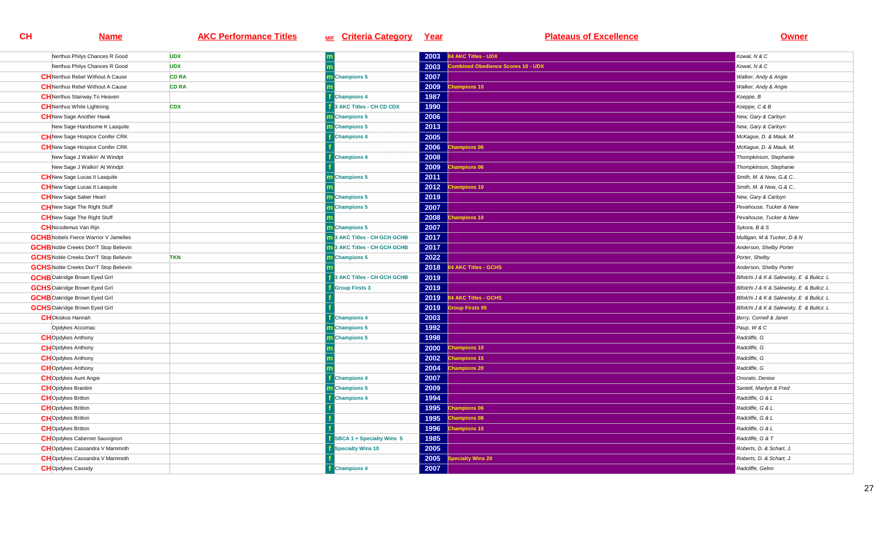| Nerthus Philys Chances R Good                | <b>UDX</b>   |                            | 2003 | 04 AKC Titles - UDX               | Kowal, N & C                             |
|----------------------------------------------|--------------|----------------------------|------|-----------------------------------|------------------------------------------|
| Nerthus Philys Chances R Good                | <b>UDX</b>   |                            | 2003 | ombined Obedience Scores 10 - UDX | Kowal, N & C                             |
| <b>CH</b> Nerthus Rebel Without A Cause      | <b>CD RA</b> | <b>Champions 5</b>         | 2007 |                                   | Walker, Andy & Angie                     |
| <b>CH</b> Nerthus Rebel Without A Cause      | <b>CD RA</b> |                            | 2009 | hampions 10                       | Walker, Andy & Angie                     |
| <b>CH</b> Nerthus Stairway To Heaven         |              | <b>Champions 4</b>         | 1987 |                                   | Koeppe, B                                |
| <b>CH</b> Nerthus White Lightning            | <b>CDX</b>   | 3 AKC Titles - CH CD CDX   | 1990 |                                   | Koeppe, C & B                            |
| <b>CH</b> New Sage Another Hawk              |              | <b>Champions 5</b>         | 2006 |                                   | New, Gary & Carloyn                      |
| New Sage Handsome K Lasquite                 |              | Champions 5                | 2013 |                                   | New, Gary & Carloyn                      |
| <b>CH</b> New Sage Hospice Conifer CRK       |              | <b>Champions 4</b>         | 2005 |                                   | McKague, D. & Mauk, M.                   |
| <b>CH</b> New Sage Hospice Conifer CRK       |              |                            | 2006 | <b>Champions 06</b>               | McKague, D. & Mauk, M.                   |
| New Sage J Walkin' At Windpt                 |              | <b>Champions 4</b>         | 2008 |                                   | Thompkinson, Stephanie                   |
| New Sage J Walkin' At Windpt                 |              |                            | 2009 | <b>Champions 06</b>               | Thompkinson, Stephanie                   |
| <b>CH</b> New Sage Lucas II Lasquite         |              | m Champions 5              | 2011 |                                   | Smith, M. & New, G.& C.,                 |
| <b>CH</b> New Sage Lucas II Lasquite         |              |                            | 2012 | <b>Champions 10</b>               | Smith, M. & New, G.& C                   |
| <b>CH</b> New Sage Saber Heart               |              | <b>Champions 5</b>         | 2019 |                                   | New, Gary & Carloyn                      |
| <b>CH</b> New Sage The Right Stuff           |              | <b>Champions 5</b>         | 2007 |                                   | Pevahouse, Tucker & New                  |
| <b>CH</b> New Sage The Right Stuff           |              |                            | 2008 | <b>Champions 10</b>               | Pevahouse, Tucker & New                  |
| <b>CH</b> Nicodemus Van Rijn                 |              | <b>Champions 5</b>         | 2007 |                                   | Sykora, B & S                            |
| <b>GCHB</b> Nobels Fierce Warrior V Jamelles |              | 3 AKC Titles - CH GCH GCHB | 2017 |                                   | Mulligan, M & Tucker, D & N              |
| <b>GCHB</b> Noble Creeks Don'T Stop Believin |              | 3 AKC Titles - CH GCH GCHB | 2017 |                                   | Anderson, Shelby Porter                  |
| <b>GCHS</b> Noble Creeks Don'T Stop Believin | <b>TKN</b>   | <b>Champions 5</b>         | 2022 |                                   | Porter, Shelby                           |
| <b>GCHS</b> Noble Creeks Don'T Stop Believin |              |                            | 2018 | <b>4 AKC Titles - GCHS</b>        | Anderson, Shelby Porter                  |
| <b>GCHB</b> Oakridge Brown Eyed Girl         |              | 3 AKC Titles - CH GCH GCHB | 2019 |                                   | Bifolchi J & K & Salewsky, E & Bulicz. L |
| <b>GCHS</b> Oakridge Brown Eyed Girl         |              | <b>Group Firsts 3</b>      | 2019 |                                   | Bifolchi J & K & Salewsky, E & Bulicz. L |
| <b>GCHB</b> Oakridge Brown Eyed Girl         |              |                            | 2019 | 4 AKC Titles - GCHS               | Bifolchi J & K & Salewsky, E & Bulicz. L |
| <b>GCHS</b> Oakridge Brown Eyed Girl         |              |                            | 2019 | roup Firsts 05                    | Bifolchi J & K & Salewsky, E & Bulicz. L |
| <b>CHO</b> kiskos Hannah                     |              | <b>Champions 4</b>         | 2003 |                                   | Berry, Cornell & Janet                   |
| Opdykes Accomac                              |              | <b>Champions 5</b>         | 1992 |                                   | Paup, W & C                              |
| <b>CH</b> Opdykes Anthony                    |              | <b>Champions 5</b>         | 1998 |                                   | Radcliffe, G                             |
| <b>CH</b> Opdykes Anthony                    |              |                            | 2000 | <b>Champions 10</b>               | Radcliffe, G                             |
| <b>CH</b> Opdykes Anthony                    |              |                            | 2002 | <b>Champions 15</b>               | Radcliffe, G                             |
| <b>CH</b> Opdykes Anthony                    |              |                            | 2004 | <b>Champions 20</b>               | Radcliffe, G                             |
| <b>CH</b> Opdykes Aunt Angie                 |              | <b>Champions 4</b>         | 2007 |                                   | Onorato, Denise                          |
| <b>CH</b> Opdykes Brantini                   |              | <b>Champions 5</b>         | 2009 |                                   | Santell, Marilyn & Fred                  |
| <b>CH</b> Opdykes Britton                    |              | <b>Champions 4</b>         | 1994 |                                   | Radcliffe, G & L                         |
| <b>CH</b> Opdykes Britton                    |              |                            | 1995 | <b>Champions 06</b>               | Radcliffe, G & L                         |
| <b>CH</b> Opdykes Britton                    |              |                            | 1995 | <b>Champions 08</b>               | Radcliffe, G & L                         |
| <b>CH</b> Opdykes Britton                    |              |                            | 1996 | <b>Champions 10</b>               | Radcliffe, G & L                         |
| <b>CH</b> Opdykes Cabernet Sauvignon         |              | SBCA 1 + Specialty Wins 5  | 1985 |                                   | Radcliffe, G & T                         |
| <b>CH</b> Opdykes Cassandra V Mammoth        |              | <b>Specialty Wins 10</b>   | 2005 |                                   | Roberts, D. & Schart, J.                 |
| <b>CH</b> Opdykes Cassandra V Mammoth        |              |                            | 2005 | pecialty Wins 20                  | Roberts, D. & Schart, J.                 |
| <b>CH</b> Opdykes Cassidy                    |              | <b>Champions 4</b>         | 2007 |                                   | Radcliffe, Gelnn                         |
|                                              |              |                            |      |                                   |                                          |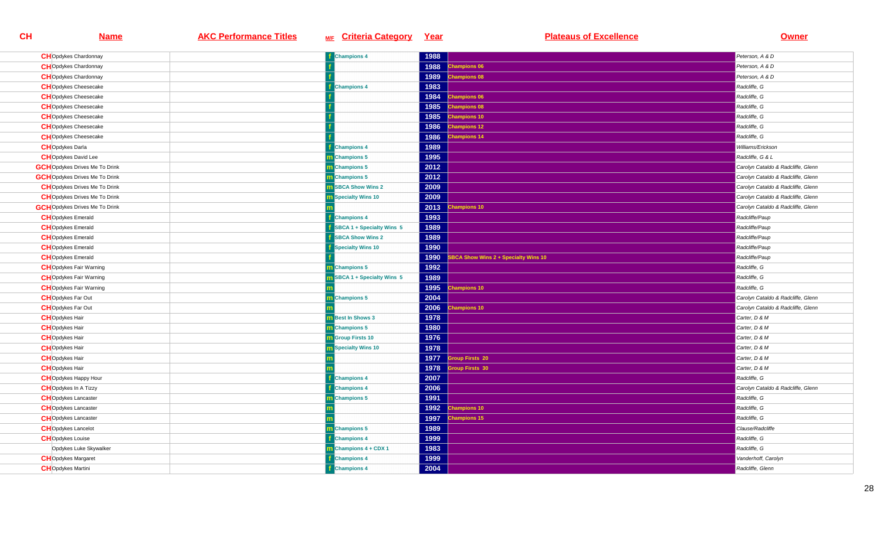| <b>CH</b> Opdykes Chardonnay          | <b>Champions 4</b>         | 1988 |                                     | Peterson, A & D                    |
|---------------------------------------|----------------------------|------|-------------------------------------|------------------------------------|
| <b>CH</b> Opdykes Chardonnay          |                            | 1988 | hampions 06                         | Peterson, A & D                    |
| <b>CH</b> Opdykes Chardonnay          |                            | 1989 | <b>Champions 08</b>                 | Peterson, A & D                    |
| <b>CH</b> Opdykes Cheesecake          | <b>Champions 4</b>         | 1983 |                                     | Radcliffe, G                       |
| <b>CH</b> Opdykes Cheesecake          |                            | 1984 | <b>Champions 06</b>                 | Radcliffe, G                       |
| <b>CH</b> Opdykes Cheesecake          |                            | 1985 | <b>Champions 08</b>                 | Radcliffe, G                       |
| <b>CH</b> Opdykes Cheesecake          |                            | 1985 | <b>Champions 10</b>                 | Radcliffe, G                       |
| <b>CH</b> Opdykes Cheesecake          |                            | 1986 | <b>Champions 12</b>                 | Radcliffe, G                       |
| <b>CH</b> Opdykes Cheesecake          |                            | 1986 | hampions 14                         | Radcliffe, G                       |
| <b>CH</b> Opdykes Darla               | <b>Champions 4</b>         | 1989 |                                     | Williams/Erickson                  |
| <b>CH</b> Opdykes David Lee           | <b>Champions 5</b>         | 1995 |                                     | Radcliffe, G & L                   |
| <b>GCH</b> Opdykes Drives Me To Drink | <b>n</b> Champions 5       | 2012 |                                     | Carolyn Cataldo & Radcliffe, Glenn |
| <b>GCH</b> Opdykes Drives Me To Drink | m Champions 5              | 2012 |                                     | Carolyn Cataldo & Radcliffe, Glenn |
| <b>CH</b> Opdykes Drives Me To Drink  | <b>BBCA Show Wins 2</b>    | 2009 |                                     | Carolyn Cataldo & Radcliffe, Glenn |
| <b>CH</b> Opdykes Drives Me To Drink  | Specialty Wins 10          | 2009 |                                     | Carolyn Cataldo & Radcliffe, Glenn |
| <b>GCH</b> Opdykes Drives Me To Drink |                            | 2013 | <b>Champions 10</b>                 | Carolyn Cataldo & Radcliffe, Glenn |
| <b>CH</b> Opdykes Emerald             | <b>Champions 4</b>         | 1993 |                                     | Radcliffe/Paup                     |
| <b>CH</b> Opdykes Emerald             | SBCA 1 + Specialty Wins 5  | 1989 |                                     | Radcliffe/Paup                     |
| <b>CH</b> Opdykes Emerald             | <b>SBCA Show Wins 2</b>    | 1989 |                                     | Radcliffe/Paup                     |
| <b>CH</b> Opdykes Emerald             | <b>Specialty Wins 10</b>   | 1990 |                                     | Radcliffe/Paup                     |
| <b>CH</b> Opdykes Emerald             |                            | 1990 | BCA Show Wins 2 + Specialty Wins 10 | Radcliffe/Paup                     |
| <b>CH</b> Opdykes Fair Warning        | Champions 5                | 1992 |                                     | Radcliffe, G                       |
| <b>CH</b> Opdykes Fair Warning        | SBCA 1 + Specialty Wins 5  | 1989 |                                     | Radcliffe, G                       |
| <b>CH</b> Opdykes Fair Warning        |                            | 1995 | <b>Champions 10</b>                 | Radcliffe, G                       |
| <b>CHO</b> pdykes Far Out             | <b>Champions 5</b>         | 2004 |                                     | Carolyn Cataldo & Radcliffe, Glenn |
| <b>CH</b> Opdykes Far Out             |                            | 2006 | hampions 10                         | Carolyn Cataldo & Radcliffe, Glenn |
| <b>CH</b> Opdykes Hair                | <b>Best In Shows 3</b>     | 1978 |                                     | Carter, D & M                      |
| <b>CH</b> Opdykes Hair                | <b>n</b> Champions 5       | 1980 |                                     | Carter, D & M                      |
| <b>CH</b> Opdykes Hair                | <b>Group Firsts 10</b>     | 1976 |                                     | Carter, D & M                      |
| <b>CH</b> Opdykes Hair                | <b>n</b> Specialty Wins 10 | 1978 |                                     | Carter, D & M                      |
| <b>CH</b> Opdykes Hair                |                            | 1977 | roup Firsts 20                      | Carter, D & M                      |
| <b>CH</b> Opdykes Hair                |                            | 1978 | roup Firsts 30                      | Carter, D & M                      |
| <b>CH</b> Opdykes Happy Hour          | <b>Champions 4</b>         | 2007 |                                     | Radcliffe, G                       |
| <b>CH</b> Opdykes In A Tizzy          | <b>Champions 4</b>         | 2006 |                                     | Carolyn Cataldo & Radcliffe, Glenn |
| <b>CH</b> Opdykes Lancaster           | Champions 5                | 1991 |                                     | Radcliffe, G                       |
| <b>CH</b> Opdykes Lancaster           |                            | 1992 | <b>Champions 10</b>                 | Radcliffe, G                       |
| <b>CH</b> Opdykes Lancaster           |                            | 1997 | <b>Champions 15</b>                 | Radcliffe, G                       |
| <b>CH</b> Opdykes Lancelot            | m Champions 5              | 1989 |                                     | Clause/Radcliffe                   |
| <b>CH</b> Opdykes Louise              | <b>Champions 4</b>         | 1999 |                                     | Radcliffe, G                       |
| Opdykes Luke Skywalker                | <b>Champions 4 + CDX 1</b> | 1983 |                                     | Radcliffe, G                       |
| <b>CH</b> Opdykes Margaret            | <b>Champions 4</b>         | 1999 |                                     | Vanderhoff, Carolyn                |
| <b>CH</b> Opdykes Martini             | <b>Champions 4</b>         | 2004 |                                     | Radcliffe, Glenn                   |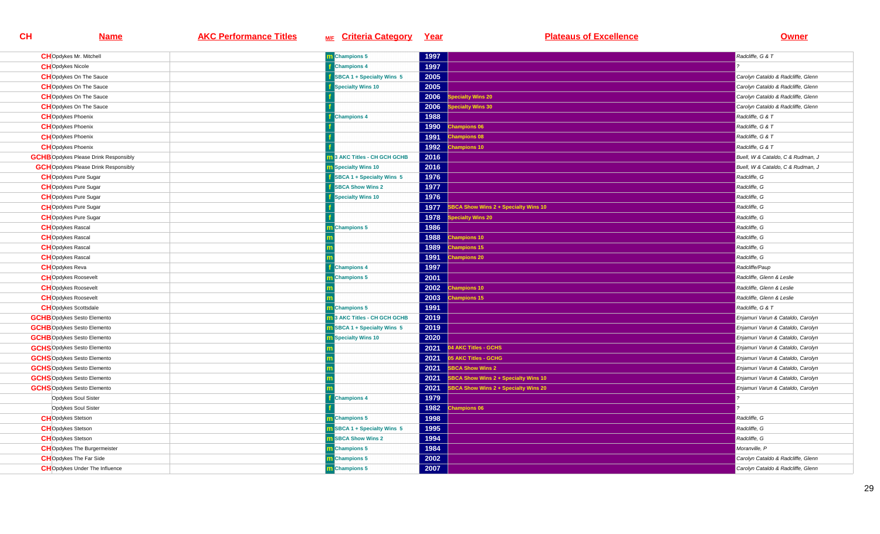| <b>CH</b> Opdykes Mr. Mitchell               | m Champions 5                      | 1997                                                | Radcliffe, G & T                   |
|----------------------------------------------|------------------------------------|-----------------------------------------------------|------------------------------------|
| <b>CHO</b> pdykes Nicole                     | <b>Champions 4</b>                 | 1997                                                |                                    |
| <b>CH</b> Opdykes On The Sauce               | SBCA 1 + Specialty Wins 5          | 2005                                                | Carolyn Cataldo & Radcliffe, Glenn |
| <b>CH</b> Opdykes On The Sauce               | Specialty Wins 10                  | 2005                                                | Carolyn Cataldo & Radcliffe, Glenn |
| <b>CH</b> Opdykes On The Sauce               |                                    | 2006<br>pecialty Wins 20                            | Carolyn Cataldo & Radcliffe, Glenn |
| <b>CH</b> Opdykes On The Sauce               |                                    | 2006<br>ecialty Wins 30                             | Carolyn Cataldo & Radcliffe, Glenn |
| <b>CH</b> Opdykes Phoenix                    | <b>Champions 4</b>                 | 1988                                                | Radcliffe, G & T                   |
| <b>CH</b> Opdykes Phoenix                    |                                    | 1990<br><b>Champions 06</b>                         | Radcliffe, G & T                   |
| <b>CH</b> Opdykes Phoenix                    |                                    | 1991<br>hampions 08                                 | Radcliffe, G & T                   |
| <b>CH</b> Opdykes Phoenix                    |                                    | 1992<br>hampions 10                                 | Radcliffe, G & T                   |
| <b>GCHB</b> Opdykes Please Drink Responsibly | 3 AKC Titles - CH GCH GCHB         | 2016                                                | Buell, W & Cataldo, C & Rudman, J  |
| <b>GCH</b> Opdykes Please Drink Responsibly  | <b>m</b> Specialty Wins 10         | 2016                                                | Buell, W & Cataldo, C & Rudman, J  |
| <b>CH</b> Opdykes Pure Sugar                 | SBCA 1 + Specialty Wins 5          | 1976                                                | Radcliffe, G                       |
| <b>CH</b> Opdykes Pure Sugar                 | <b>SBCA Show Wins 2</b>            | 1977                                                | Radcliffe, G                       |
| <b>CH</b> Opdykes Pure Sugar                 | <b>Specialty Wins 10</b>           | 1976                                                | Radcliffe, G                       |
| <b>CH</b> Opdykes Pure Sugar                 |                                    | <b>SBCA Show Wins 2 + Specialty Wins 10</b><br>1977 | Radcliffe, G                       |
| <b>CH</b> Opdykes Pure Sugar                 |                                    | pecialty Wins 20<br>1978                            | Radcliffe, G                       |
| <b>CH</b> Opdykes Rascal                     | <b>Champions 5</b>                 | 1986                                                | Radcliffe, G                       |
| <b>CH</b> Opdykes Rascal                     |                                    | 1988<br>hampions 10                                 | Radcliffe, G                       |
| <b>CH</b> Opdykes Rascal                     |                                    | 1989<br>hampions 15                                 | Radcliffe, G                       |
| <b>CH</b> Opdykes Rascal                     |                                    | 1991<br>hampions 20                                 | Radcliffe, G                       |
| <b>CH</b> Opdykes Reva                       | <b>Champions 4</b>                 | 1997                                                | Radcliffe/Paup                     |
| <b>CH</b> Opdykes Roosevelt                  | <b>Champions 5</b>                 | 2001                                                | Radcliffe, Glenn & Leslie          |
| <b>CH</b> Opdykes Roosevelt                  |                                    | 2002<br><b>Champions 10</b>                         | Radcliffe, Glenn & Leslie          |
| <b>CH</b> Opdykes Roosevelt                  |                                    | 2003<br>hampions 15                                 | Radcliffe, Glenn & Leslie          |
| <b>CH</b> Opdykes Scottsdale                 | <b>Champions 5</b>                 | 1991                                                | Radcliffe, G & T                   |
| <b>GCHB</b> Opdykes Sesto Elemento           | 3 AKC Titles - CH GCH GCHB         | 2019                                                | Enjamuri Varun & Cataldo, Carolyn  |
| <b>GCHB</b> Opdykes Sesto Elemento           | <b>m</b> SBCA 1 + Specialty Wins 5 | 2019                                                | Enjamuri Varun & Cataldo, Carolyn  |
| <b>GCHB</b> Opdykes Sesto Elemento           | <b>n</b> Specialty Wins 10         | 2020                                                | Enjamuri Varun & Cataldo, Carolyn  |
| <b>GCHS</b> Opdykes Sesto Elemento           |                                    | 04 AKC Titles - GCHS<br>2021                        | Enjamuri Varun & Cataldo, Carolyn  |
| <b>GCHS</b> Opdykes Sesto Elemento           |                                    | 2021<br>05 AKC Titles - GCHG                        | Enjamuri Varun & Cataldo, Carolyn  |
| <b>GCHS</b> Opdykes Sesto Elemento           |                                    | 2021<br><b>SBCA Show Wins 2</b>                     | Enjamuri Varun & Cataldo, Carolyn  |
| <b>GCHS</b> Opdykes Sesto Elemento           |                                    | 2021<br>BCA Show Wins 2 + Specialty Wins 10         | Enjamuri Varun & Cataldo, Carolyn  |
| <b>GCHS</b> Opdykes Sesto Elemento           |                                    | 2021<br>SBCA Show Wins 2 + Specialty Wins 20        | Enjamuri Varun & Cataldo, Carolyn  |
| Opdykes Soul Sister                          | <b>Champions 4</b>                 | 1979                                                |                                    |
| Opdykes Soul Sister                          |                                    | 1982 Champions 06                                   |                                    |
| <b>CH</b> Opdykes Stetson                    | m Champions 5                      | 1998                                                | Radcliffe, G                       |
| <b>CH</b> Opdykes Stetson                    | <b>n</b> SBCA 1 + Specialty Wins 5 | 1995                                                | Radcliffe, G                       |
| <b>CH</b> Opdykes Stetson                    | <b>m</b> SBCA Show Wins 2          | 1994                                                | Radcliffe, G                       |
| <b>CH</b> Opdykes The Burgermeister          | m Champions 5                      | 1984                                                | Moranville, P                      |
| <b>CH</b> Opdykes The Far Side               | m Champions 5                      | 2002                                                | Carolyn Cataldo & Radcliffe, Glenn |
| <b>CH</b> Opdykes Under The Influence        | m Champions 5                      | 2007                                                | Carolyn Cataldo & Radcliffe, Glenn |
|                                              |                                    |                                                     |                                    |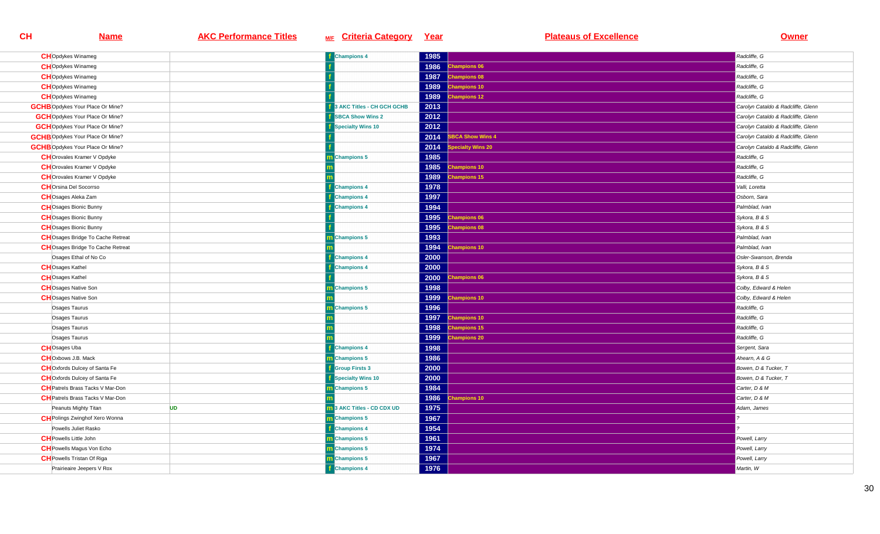| <b>CH</b> Opdykes Winameg                |           | <b>Champions 4</b>         | 1985 |                        | Radcliffe, G                       |
|------------------------------------------|-----------|----------------------------|------|------------------------|------------------------------------|
| <b>CH</b> Opdykes Winameg                |           |                            | 1986 | <b>Champions 06</b>    | Radcliffe, G                       |
| <b>CH</b> Opdykes Winameg                |           |                            |      | 1987 Champions 08      | Radcliffe, G                       |
| <b>CH</b> Opdykes Winameg                |           |                            | 1989 | <b>Champions 10</b>    | Radcliffe, G                       |
| <b>CH</b> Opdykes Winameg                |           |                            | 1989 | hampions 12            | Radcliffe, G                       |
| <b>GCHB</b> Opdykes Your Place Or Mine?  |           | 3 AKC Titles - CH GCH GCHB | 2013 |                        | Carolyn Cataldo & Radcliffe, Glenn |
| <b>GCH</b> Opdykes Your Place Or Mine?   |           | <b>SBCA Show Wins 2</b>    | 2012 |                        | Carolyn Cataldo & Radcliffe, Glenn |
| <b>GCH</b> Opdykes Your Place Or Mine?   |           | Specialty Wins 10          | 2012 |                        | Carolyn Cataldo & Radcliffe, Glenn |
| <b>GCHB</b> Opdykes Your Place Or Mine?  |           |                            | 2014 | <b>BCA Show Wins 4</b> | Carolyn Cataldo & Radcliffe, Glenn |
| <b>GCHB</b> Opdykes Your Place Or Mine?  |           |                            | 2014 | pecialty Wins 20       | Carolyn Cataldo & Radcliffe, Glenn |
| <b>CH</b> Orovales Kramer V Opdyke       |           | <b>Champions 5</b>         | 1985 |                        | Radcliffe, G                       |
| <b>CH</b> Orovales Kramer V Opdyke       |           |                            | 1985 | <b>Champions 10</b>    | Radcliffe, G                       |
| <b>CH</b> Orovales Kramer V Opdyke       |           |                            | 1989 | hampions 15            | Radcliffe, G                       |
| <b>CH</b> Orsina Del Socorrso            |           | <b>Champions 4</b>         | 1978 |                        | Valli. Loretta                     |
| <b>CH</b> Osages Aleka Zam               |           | <b>Champions 4</b>         | 1997 |                        | Osborn, Sara                       |
| <b>CH</b> Osages Bionic Bunny            |           | <b>Champions 4</b>         | 1994 |                        | Palmblad, Ivan                     |
| <b>CH</b> Osages Bionic Bunny            |           |                            | 1995 | <b>Champions 06</b>    | Sykora, B & S                      |
| <b>CH</b> Osages Bionic Bunny            |           |                            | 1995 | <b>Champions 08</b>    | Sykora, B & S                      |
| <b>CH</b> Osages Bridge To Cache Retreat |           | <b>Champions 5</b>         | 1993 |                        | Palmblad, Ivan                     |
| <b>CH</b> Osages Bridge To Cache Retreat |           |                            | 1994 | <b>Champions 10</b>    | Palmblad, Ivan                     |
| Osages Ethal of No Co                    |           | <b>Champions 4</b>         | 2000 |                        | Osler-Swanson, Brenda              |
| <b>CH</b> Osages Kathel                  |           | <b>Champions 4</b>         | 2000 |                        | Sykora, B & S                      |
| <b>CH</b> Osages Kathel                  |           |                            | 2000 | <b>Champions 06</b>    | Sykora, B & S                      |
| <b>CH</b> Osages Native Son              |           | <b>Champions 5</b>         | 1998 |                        | Colby, Edward & Helen              |
| <b>CH</b> Osages Native Son              |           |                            | 1999 | <b>Champions 10</b>    | Colby, Edward & Helen              |
| Osages Taurus                            |           | Champions 5                | 1996 |                        | Radcliffe, G                       |
| Osages Taurus                            |           |                            | 1997 | <b>Champions 10</b>    | Radcliffe, G                       |
| Osages Taurus                            |           |                            | 1998 | <b>Champions 15</b>    | Radcliffe, G                       |
| Osages Taurus                            |           |                            | 1999 | hampions 20            | Radcliffe, G                       |
| <b>CH</b> Osages Uba                     |           | <b>Champions 4</b>         | 1998 |                        | Sergent, Sara                      |
| <b>CH</b> Oxbows J.B. Mack               |           | <b>n</b> Champions 5       | 1986 |                        | Ahearn, A & G                      |
| <b>CH</b> Oxfords Dulcey of Santa Fe     |           | <b>Group Firsts 3</b>      | 2000 |                        | Bowen, D & Tucker, T               |
| <b>CH</b> Oxfords Dulcey of Santa Fe     |           | Specialty Wins 10          | 2000 |                        | Bowen, D & Tucker, T               |
| <b>CH</b> Patrels Brass Tacks V Mar-Don  |           | <b>Champions 5</b>         | 1984 |                        | Carter, D & M                      |
| <b>CH</b> Patrels Brass Tacks V Mar-Don  |           |                            | 1986 | hampions 10            | Carter, D & M                      |
| Peanuts Mighty Titan                     | <b>UD</b> | 3 AKC Titles - CD CDX UD   | 1975 |                        | Adam, James                        |
| <b>CH</b> Polings Zwinghof Xero Wonna    |           | Champions 5                | 1967 |                        |                                    |
| Powells Juliet Rasko                     |           | <b>Champions 4</b>         | 1954 |                        |                                    |
| <b>CH</b> Powells Little John            |           | m Champions 5              | 1961 |                        | Powell, Larry                      |
| <b>CH</b> Powells Magus Von Echo         |           | m Champions 5              | 1974 |                        | Powell, Larry                      |
| <b>CH</b> Powells Tristan Of Riga        |           | <b>Champions 5</b>         | 1967 |                        | Powell, Larry                      |
| Prairieaire Jeepers V Rox                |           | <b>Champions 4</b>         | 1976 |                        | Martin, W                          |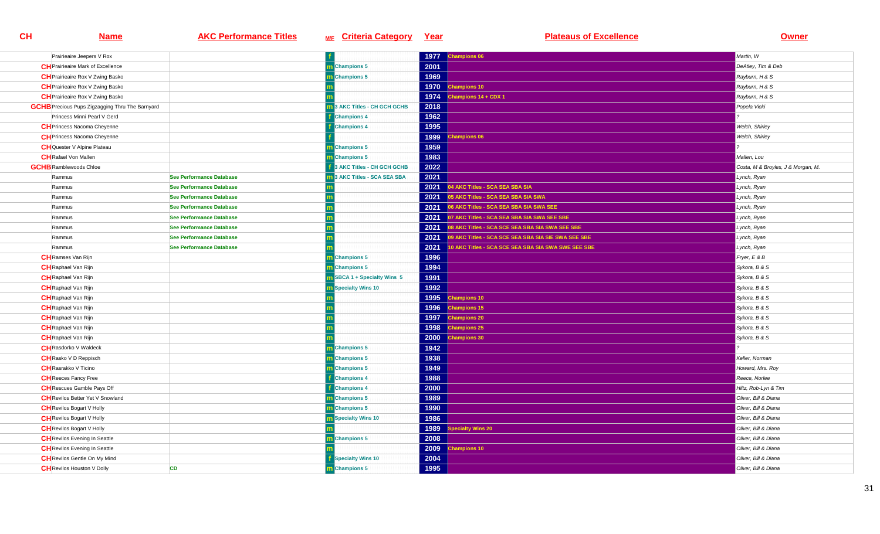| Prairieaire Jeepers V Rox                              |                                 |                                     | 1977 | Champions 06                                        | Martin, W                          |
|--------------------------------------------------------|---------------------------------|-------------------------------------|------|-----------------------------------------------------|------------------------------------|
| <b>CH</b> Prairieaire Mark of Excellence               |                                 | <b>m</b> Champions 5                | 2001 |                                                     | DeAtley, Tim & Deb                 |
| <b>CH</b> Prairieaire Rox V Zwing Basko                |                                 | <b>n</b> Champions 5                | 1969 |                                                     | Rayburn, H & S                     |
| <b>CH</b> Prairieaire Rox V Zwing Basko                |                                 |                                     | 1970 | hampions 10                                         | Rayburn, H & S                     |
| <b>CH</b> Prairieaire Rox V Zwing Basko                |                                 |                                     | 1974 | hampions 14 + CDX 1                                 | Rayburn, H & S                     |
| <b>GCHB</b> Precious Pups Zigzagging Thru The Barnyard |                                 | 3 AKC Titles - CH GCH GCHB          | 2018 |                                                     | Popela Vicki                       |
| Princess Minni Pearl V Gerd                            |                                 | <b>Champions 4</b>                  | 1962 |                                                     |                                    |
| <b>CH</b> Princess Nacoma Cheyenne                     |                                 | <b>Champions 4</b>                  | 1995 |                                                     | Welch, Shirley                     |
| <b>CH</b> Princess Nacoma Cheyenne                     |                                 |                                     | 1999 | hampions 06                                         | Welch, Shirley                     |
| <b>CH</b> Quester V Alpine Plateau                     |                                 | m Champions 5                       | 1959 |                                                     |                                    |
| <b>CH</b> Rafael Von Mallen                            |                                 | <b>n</b> Champions 5                | 1983 |                                                     | Mallen, Lou                        |
| <b>GCHB</b> Ramblewoods Chloe                          |                                 | 3 AKC Titles - CH GCH GCHB          | 2022 |                                                     | Costa, M & Broyles, J & Morgan, M. |
| Rammus                                                 | See Performance Database        | <b>1</b> 3 AKC Titles - SCA SEA SBA | 2021 |                                                     | Lynch, Ryan                        |
| Rammus                                                 | See Performance Database        |                                     | 2021 | <b>14 AKC Titles - SCA SEA SBA SIA</b>              | Lynch, Ryan                        |
| Rammus                                                 | See Performance Database        |                                     | 2021 | 05 AKC Titles - SCA SEA SBA SIA SWA                 | Lynch, Ryan                        |
| Rammus                                                 | See Performance Database        |                                     | 2021 | 06 AKC Titles - SCA SEA SBA SIA SWA SEE             | Lynch, Ryan                        |
| Rammus                                                 | <b>See Performance Database</b> |                                     | 2021 | 07 AKC Titles - SCA SEA SBA SIA SWA SEE SBE         | Lynch, Ryan                        |
| Rammus                                                 | See Performance Database        |                                     | 2021 | 08 AKC Titles - SCA SCE SEA SBA SIA SWA SEE SBE     | Lynch, Ryan                        |
| Rammus                                                 | See Performance Database        |                                     | 2021 | 09 AKC Titles - SCA SCE SEA SBA SIA SIE SWA SEE SBE | Lynch, Ryan                        |
| Rammus                                                 | See Performance Database        |                                     | 2021 | 10 AKC Titles - SCA SCE SEA SBA SIA SWA SWE SEE SBE | Lynch, Ryan                        |
| <b>CH</b> Ramses Van Rijn                              |                                 | <b>Champions 5</b>                  | 1996 |                                                     | Fryer, E & B                       |
| <b>CH</b> Raphael Van Rijn                             |                                 | Champions 5                         | 1994 |                                                     | Sykora, B & S                      |
| <b>CH</b> Raphael Van Rijn                             |                                 | SBCA 1 + Specialty Wins 5           | 1991 |                                                     | Sykora, B & S                      |
| <b>CH</b> Raphael Van Rijn                             |                                 | <b>n</b> Specialty Wins 10          | 1992 |                                                     | Sykora, B & S                      |
| <b>CH</b> Raphael Van Rijn                             |                                 |                                     | 1995 | hampions 10                                         | Sykora, B & S                      |
| <b>CH</b> Raphael Van Rijn                             |                                 |                                     | 1996 | hampions 15                                         | Sykora, B & S                      |
| <b>CH</b> Raphael Van Rijn                             |                                 |                                     | 1997 | hampions 20                                         | Sykora, B & S                      |
| <b>CH</b> Raphael Van Rijn                             |                                 |                                     | 1998 | hampions 25                                         | Sykora, B & S                      |
| <b>CH</b> Raphael Van Rijn                             |                                 |                                     | 2000 | hampions 30                                         | Sykora, B & S                      |
| <b>CH</b> Rasdorko V Waldeck                           |                                 | m Champions 5                       | 1942 |                                                     |                                    |
| <b>CH</b> Rasko V D Reppisch                           |                                 | Champions 5                         | 1938 |                                                     | Keller, Norman                     |
| <b>CH</b> Rasrakko V Ticino                            |                                 | <b>n</b> Champions 5                | 1949 |                                                     | Howard, Mrs. Roy                   |
| <b>CH</b> Reeces Fancy Free                            |                                 | <b>Champions 4</b>                  | 1988 |                                                     | Reece, Norlee                      |
| <b>CH</b> Rescues Gamble Pays Off                      |                                 | <b>Champions 4</b>                  | 2000 |                                                     | Hiltz, Rob-Lyn & Tim               |
| <b>CH</b> Revilos Better Yet V Snowland                |                                 | Champions 5                         | 1989 |                                                     | Oliver, Bill & Diana               |
| <b>CH</b> Revilos Bogart V Holly                       |                                 | <b>n</b> Champions 5                | 1990 |                                                     | Oliver, Bill & Diana               |
| <b>CH</b> Revilos Bogart V Holly                       |                                 | <b>m</b> Specialty Wins 10          | 1986 |                                                     | Oliver, Bill & Diana               |
| <b>CH</b> Revilos Bogart V Holly                       |                                 |                                     | 1989 | pecialty Wins 20                                    | Oliver, Bill & Diana               |
| <b>CH</b> Revilos Evening In Seattle                   |                                 | m Champions 5                       | 2008 |                                                     | Oliver, Bill & Diana               |
| <b>CH</b> Revilos Evening In Seattle                   |                                 |                                     | 2009 | hampions 10                                         | Oliver, Bill & Diana               |
| <b>CH</b> Revilos Gentle On My Mind                    |                                 | <b>f</b> Specialty Wins 10          | 2004 |                                                     | Oliver, Bill & Diana               |
| <b>CH</b> Revilos Houston V Dolly                      | <b>CD</b>                       | <b>m</b> Champions 5                | 1995 |                                                     | Oliver, Bill & Diana               |
|                                                        |                                 |                                     |      |                                                     |                                    |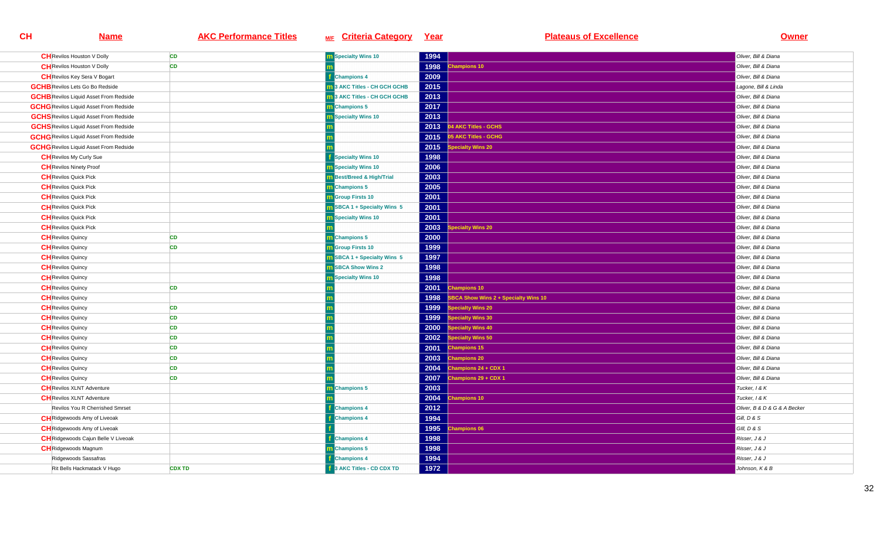| <b>CH</b> Revilos Houston V Dolly             | <b>CD</b>     | <b>m</b> Specialty Wins 10          | 1994 |                                      | Oliver, Bill & Diana         |
|-----------------------------------------------|---------------|-------------------------------------|------|--------------------------------------|------------------------------|
| <b>CH</b> Revilos Houston V Dolly             | <b>CD</b>     |                                     | 1998 | hampions 10                          | Oliver, Bill & Diana         |
| <b>CH</b> Revilos Key Sera V Bogart           |               | <b>Champions 4</b>                  | 2009 |                                      | Oliver, Bill & Diana         |
| <b>GCHB</b> Revilos Lets Go Bo Redside        |               | <b>m</b> 3 AKC Titles - CH GCH GCHB | 2015 |                                      | Lagone, Bill & Linda         |
| <b>GCHB</b> Revilos Liquid Asset From Redside |               | 3 AKC Titles - CH GCH GCHB          | 2013 |                                      | Oliver, Bill & Diana         |
| <b>GCHG</b> Revilos Liquid Asset From Redside |               | Champions 5                         | 2017 |                                      | Oliver, Bill & Diana         |
| <b>GCHS</b> Revilos Liquid Asset From Redside |               | <b>Specialty Wins 10</b>            | 2013 |                                      | Oliver, Bill & Diana         |
| <b>GCHS</b> Revilos Liquid Asset From Redside |               |                                     | 2013 | 04 AKC Titles - GCHS                 | Oliver, Bill & Diana         |
| <b>GCHG</b> Revilos Liquid Asset From Redside |               |                                     | 2015 | 5 AKC Titles - GCHG                  | Oliver, Bill & Diana         |
| <b>GCHG</b> Revilos Liquid Asset From Redside |               |                                     | 2015 | pecialty Wins 20                     | Oliver, Bill & Diana         |
| <b>CH</b> Revilos My Curly Sue                |               | <b>Specialty Wins 10</b>            | 1998 |                                      | Oliver, Bill & Diana         |
| <b>CH</b> Revilos Ninety Proof                |               | <b>n</b> Specialty Wins 10          | 2006 |                                      | Oliver, Bill & Diana         |
| <b>CH</b> Revilos Quick Pick                  |               | m Best/Breed & High/Trial           | 2003 |                                      | Oliver, Bill & Diana         |
| <b>CH</b> Revilos Quick Pick                  |               | <b>n</b> Champions 5                | 2005 |                                      | Oliver, Bill & Diana         |
| <b>CH</b> Revilos Quick Pick                  |               | <b>m</b> Group Firsts 10            | 2001 |                                      | Oliver, Bill & Diana         |
| <b>CH</b> Revilos Quick Pick                  |               | <b>n</b> SBCA 1 + Specialty Wins 5  | 2001 |                                      | Oliver, Bill & Diana         |
| <b>CH</b> Revilos Quick Pick                  |               | <b>m</b> Specialty Wins 10          | 2001 |                                      | Oliver, Bill & Diana         |
| <b>CH</b> Revilos Quick Pick                  |               |                                     | 2003 | pecialty Wins 20                     | Oliver, Bill & Diana         |
| <b>CH</b> Revilos Quincy                      | <b>CD</b>     | m Champions 5                       | 2000 |                                      | Oliver, Bill & Diana         |
| <b>CH</b> Revilos Quincy                      | CD            | <b>n</b> Group Firsts 10            | 1999 |                                      | Oliver, Bill & Diana         |
| <b>CH</b> Revilos Quincy                      |               | <b>n</b> SBCA 1 + Specialty Wins 5  | 1997 |                                      | Oliver, Bill & Diana         |
| <b>CH</b> Revilos Quincy                      |               | <b>n</b> SBCA Show Wins 2           | 1998 |                                      | Oliver, Bill & Diana         |
| <b>CH</b> Revilos Quincy                      |               | <b>n</b> Specialty Wins 10          | 1998 |                                      | Oliver, Bill & Diana         |
| <b>CH</b> Revilos Quincy                      | <b>CD</b>     |                                     | 2001 | hampions 10                          | Oliver, Bill & Diana         |
| <b>CH</b> Revilos Quincy                      |               |                                     | 1998 | SBCA Show Wins 2 + Specialty Wins 10 | Oliver, Bill & Diana         |
| <b>CH</b> Revilos Quincy                      | <b>CD</b>     |                                     | 1999 | becialty Wins 20                     | Oliver, Bill & Diana         |
| <b>CH</b> Revilos Quincy                      | CD            |                                     | 1999 | pecialty Wins 30                     | Oliver, Bill & Diana         |
| <b>CH</b> Revilos Quincy                      | CD            |                                     | 2000 | pecialty Wins 40                     | Oliver, Bill & Diana         |
| <b>CH</b> Revilos Quincy                      | <b>CD</b>     |                                     | 2002 | <b>Specialty Wins 50</b>             | Oliver, Bill & Diana         |
| <b>CH</b> Revilos Quincy                      | CD            |                                     | 2001 | <b>Champions 15</b>                  | Oliver, Bill & Diana         |
| <b>CH</b> Revilos Quincy                      | CD            |                                     | 2003 | <b>Champions 20</b>                  | Oliver, Bill & Diana         |
| <b>CH</b> Revilos Quincy                      | <b>CD</b>     |                                     | 2004 | hampions 24 + CDX 1                  | Oliver, Bill & Diana         |
| <b>CH</b> Revilos Quincy                      | <b>CD</b>     |                                     | 2007 | hampions 29 + CDX 1                  | Oliver, Bill & Diana         |
| <b>CH</b> Revilos XLNT Adventure              |               | Champions 5                         | 2003 |                                      | Tucker, I & K                |
| <b>CH</b> Revilos XLNT Adventure              |               |                                     | 2004 | hampions 10                          | Tucker, 1 & K                |
| Revilos You R Cherrished Smrset               |               | <b>Champions 4</b>                  | 2012 |                                      | Oliver, B & D & G & A Becker |
| <b>CH</b> Ridgewoods Amy of Liveoak           |               | <b>Champions 4</b>                  | 1994 |                                      | Gill, D & S                  |
| <b>CH</b> Ridgewoods Amy of Liveoak           |               |                                     | 1995 | <b>Champions 06</b>                  | GIII, D & S                  |
| <b>CH</b> Ridgewoods Cajun Belle V Liveoak    |               | <b>Champions 4</b>                  | 1998 |                                      | Risser, J & J                |
| <b>CH</b> Ridgewoods Magnum                   |               | <b>n</b> Champions 5                | 1998 |                                      | Risser, J & J                |
| Ridgewoods Sassafras                          |               | <b>Champions 4</b>                  | 1994 |                                      | Risser, J & J                |
| Rit Bells Hackmatack V Hugo                   | <b>CDX TD</b> | 3 AKC Titles - CD CDX TD            | 1972 |                                      | Johnson, K & B               |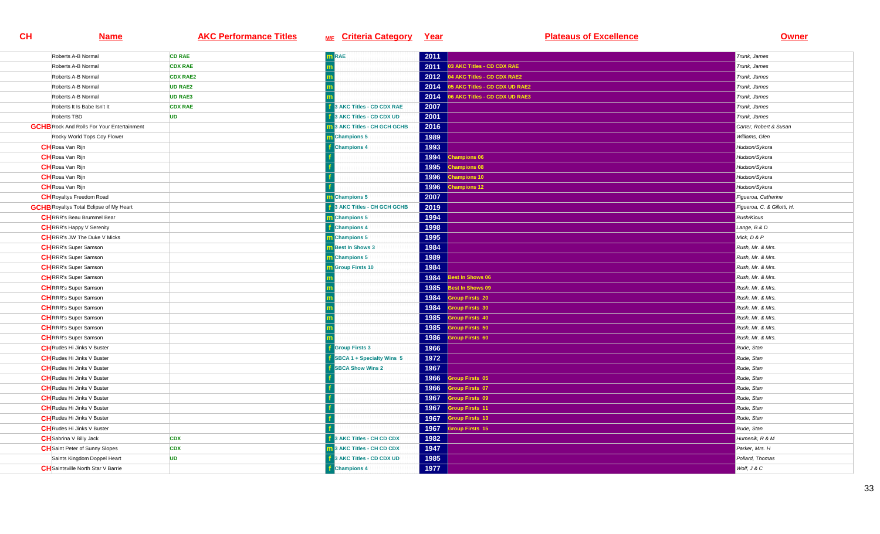| Roberts A-B Normal                                | <b>CD RAE</b>   | $m$ RAE                          | 2011 |                                     | Trunk, James                |
|---------------------------------------------------|-----------------|----------------------------------|------|-------------------------------------|-----------------------------|
| Roberts A-B Normal                                | <b>CDX RAE</b>  |                                  | 2011 | 03 AKC Titles - CD CDX RAE          | Trunk, James                |
| Roberts A-B Normal                                | <b>CDX RAE2</b> |                                  |      | 2012 04 AKC Titles - CD CDX RAE2    | Trunk, James                |
| Roberts A-B Normal                                | <b>UD RAE2</b>  |                                  |      | 2014 05 AKC Titles - CD CDX UD RAE2 | Trunk, James                |
| Roberts A-B Normal                                | <b>UD RAE3</b>  |                                  | 2014 | 06 AKC Titles - CD CDX UD RAE3      | Trunk, James                |
| Roberts It Is Babe Isn't It                       | <b>CDX RAE</b>  | <b>AKC Titles - CD CDX RAE</b>   | 2007 |                                     | Trunk, James                |
| Roberts TBD                                       | <b>UD</b>       | 3 AKC Titles - CD CDX UD         | 2001 |                                     | Trunk, James                |
| <b>GCHB</b> Rock And Rolls For Your Entertainment |                 | 13 AKC Titles - CH GCH GCHB      | 2016 |                                     | Carter, Robert & Susan      |
| Rocky World Tops Coy Flower                       |                 | m Champions 5                    | 1989 |                                     | Williams, Glen              |
| <b>CH</b> Rosa Van Rijn                           |                 | <b>Champions 4</b>               | 1993 |                                     | Hudson/Sykora               |
| <b>CH</b> Rosa Van Rijn                           |                 |                                  | 1994 | <b>Champions 06</b>                 | Hudson/Sykora               |
| <b>CH</b> Rosa Van Rijn                           |                 |                                  | 1995 | <b>Champions 08</b>                 | Hudson/Sykora               |
| <b>CH</b> Rosa Van Rijn                           |                 |                                  | 1996 | <b>Champions 10</b>                 | Hudson/Sykora               |
| <b>CH</b> Rosa Van Rijn                           |                 |                                  | 1996 | <b>Champions 12</b>                 | Hudson/Sykora               |
| <b>CH</b> Royaltys Freedom Road                   |                 | <b>n</b> Champions 5             | 2007 |                                     | Figueroa, Catherine         |
| <b>GCHB</b> Royaltys Total Eclipse of My Heart    |                 | 3 AKC Titles - CH GCH GCHB       | 2019 |                                     | Figueroa, C. & Gillotti, H. |
| <b>CH</b> RRR's Beau Brummel Bear                 |                 | m Champions 5                    | 1994 |                                     | Rush/Kious                  |
| <b>CH</b> RRR's Happy V Serenity                  |                 | <b>Champions 4</b>               | 1998 |                                     | Lange, B & D                |
| <b>CH</b> RRR's JW The Duke V Micks               |                 | m Champions 5                    | 1995 |                                     | Mick, D & P                 |
| <b>CH</b> RRR's Super Samson                      |                 | <b>m</b> Best In Shows 3         | 1984 |                                     | Rush, Mr. & Mrs.            |
| <b>CH</b> RRR's Super Samson                      |                 | <b>n</b> Champions 5             | 1989 |                                     | Rush, Mr. & Mrs.            |
| <b>CH</b> RRR's Super Samson                      |                 | <b>m</b> Group Firsts 10         | 1984 |                                     | Rush, Mr. & Mrs.            |
| <b>CH</b> RRR's Super Samson                      |                 |                                  | 1984 | Best In Shows 06                    | Rush, Mr. & Mrs.            |
| <b>CH</b> RRR's Super Samson                      |                 |                                  | 1985 | Best In Shows 09                    | Rush, Mr. & Mrs.            |
| <b>CH</b> RRR's Super Samson                      |                 |                                  | 1984 | <b>Group Firsts 20</b>              | Rush, Mr. & Mrs.            |
| <b>CH</b> RRR's Super Samson                      |                 |                                  | 1984 | <b>Group Firsts 30</b>              | Rush, Mr. & Mrs.            |
| <b>CH</b> RRR's Super Samson                      |                 |                                  | 1985 | <b>Sroup Firsts 40</b>              | Rush, Mr. & Mrs.            |
| <b>CH</b> RRR's Super Samson                      |                 |                                  | 1985 | <b>Sroup Firsts 50</b>              | Rush, Mr. & Mrs.            |
| <b>CH</b> RRR's Super Samson                      |                 |                                  | 1986 | roup Firsts 60                      | Rush, Mr. & Mrs.            |
| <b>CH</b> Rudes Hi Jinks V Buster                 |                 | <b>Group Firsts 3</b>            | 1966 |                                     | Rude, Stan                  |
| <b>CH</b> Rudes Hi Jinks V Buster                 |                 | <b>SBCA 1 + Specialty Wins 5</b> | 1972 |                                     | Rude, Stan                  |
| <b>CH</b> Rudes Hi Jinks V Buster                 |                 | <b>SBCA Show Wins 2</b>          | 1967 |                                     | Rude, Stan                  |
| <b>CH</b> Rudes Hi Jinks V Buster                 |                 |                                  | 1966 | roup Firsts 05                      | Rude, Stan                  |
| <b>CH</b> Rudes Hi Jinks V Buster                 |                 |                                  | 1966 | Group Firsts 07                     | Rude, Stan                  |
| <b>CH</b> Rudes Hi Jinks V Buster                 |                 |                                  | 1967 | <b>Group Firsts 09</b>              | Rude, Stan                  |
| <b>CH</b> Rudes Hi Jinks V Buster                 |                 |                                  | 1967 | <b>Sroup Firsts 11</b>              | Rude, Stan                  |
| <b>CH</b> Rudes Hi Jinks V Buster                 |                 |                                  | 1967 | <b>Group Firsts 13</b>              | Rude, Stan                  |
| <b>CH</b> Rudes Hi Jinks V Buster                 |                 |                                  | 1967 | <b>Sroup Firsts 15</b>              | Rude, Stan                  |
| <b>CH</b> Sabrina V Billy Jack                    | <b>CDX</b>      | 3 AKC Titles - CH CD CDX         | 1982 |                                     | Humenik, R & M              |
| <b>CH</b> Saint Peter of Sunny Slopes             | <b>CDX</b>      | 3 AKC Titles - CH CD CDX         | 1947 |                                     | Parker, Mrs. H              |
| Saints Kingdom Doppel Heart                       | <b>UD</b>       | AKC Titles - CD CDX UD           | 1985 |                                     | Pollard, Thomas             |
| <b>CH</b> Saintsville North Star V Barrie         |                 | <b>Champions 4</b>               | 1977 |                                     | Wolf, J & C                 |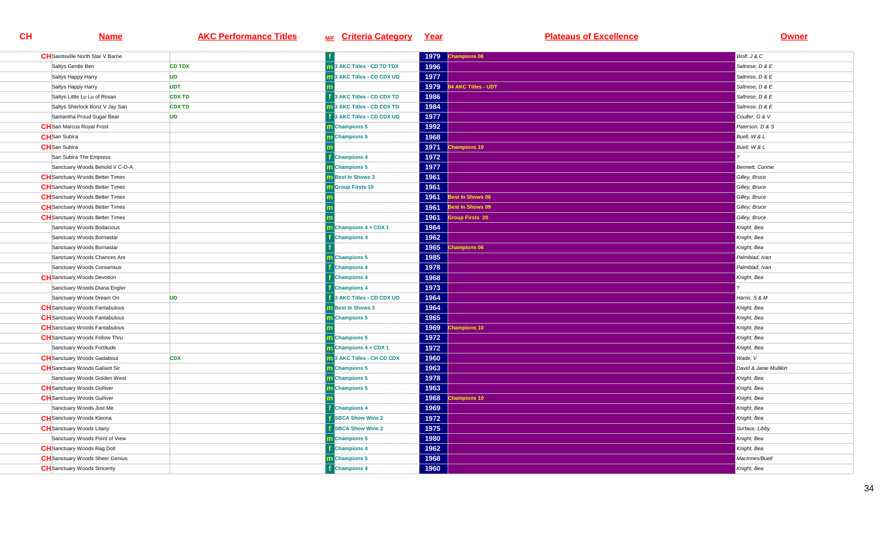| <b>CH</b> Saintsville North Star V Barrie |               |                                             | 1979 | <b>Champions 06</b>    | Wolf, J & C            |
|-------------------------------------------|---------------|---------------------------------------------|------|------------------------|------------------------|
| Saltys Gentle Ben                         | <b>CD TDX</b> | 13 AKC Titles - CD TD TDX                   | 1996 |                        | Saltrese, D & E        |
| Saltys Happy Harry                        | <b>UD</b>     | 3 AKC Titles - CD CDX UD                    | 1977 |                        | Saltrese, D & E        |
| Saltys Happy Harry                        | <b>UDT</b>    |                                             | 1979 | 4 AKC Titles - UDT     | Saltrese, D & E        |
| Saltys Little Lu Lu of Rosan              | <b>CDX TD</b> | 3 AKC Titles - CD CDX TD                    | 1986 |                        | Saltrese, D & E        |
| Saltys Sherlock Bonz V Jay San            | <b>CDX TD</b> | 3 AKC Titles - CD CDX TD                    | 1984 |                        | Saltrese, D & E        |
| Samantha Proud Sugar Bear                 | <b>UD</b>     | 3 AKC Titles - CD CDX UD                    | 1977 |                        | Coulter, G & V         |
| <b>CH</b> San Marcos Royal Frost          |               | <b>Champions 5</b>                          | 1992 |                        | Paterson, D & S        |
| <b>CH</b> San Subira                      |               | m Champions 5                               | 1968 |                        | Buell, W & L           |
| <b>CH</b> San Subira                      |               |                                             | 1971 | <b>Champions 10</b>    | Buell, W & L           |
| San Subira The Empress                    |               | <b>f</b> Champions 4                        | 1972 |                        |                        |
| Sanctuary Woods Behold V C-O-A            |               | <b>Champions 5</b>                          | 1977 |                        | Bennett, Connie        |
| <b>CH</b> Sanctuary Woods Better Times    |               | <b>n</b> Best In Shows 3                    | 1961 |                        | Gilley, Bruce          |
| <b>CH</b> Sanctuary Woods Better Times    |               | <b>Group Firsts 10</b>                      | 1961 |                        | Gilley, Bruce          |
| <b>CH</b> Sanctuary Woods Better Times    |               |                                             | 1961 | Best In Shows 06       | Gilley, Bruce          |
| <b>CH</b> Sanctuary Woods Better Times    |               |                                             | 1961 | Best In Shows 09       | Gilley, Bruce          |
| <b>CH</b> Sanctuary Woods Better Times    |               |                                             | 1961 | <b>Group Firsts 20</b> | Gilley, Bruce          |
| Sanctuary Woods Bodacious                 |               | $\overline{\mathbf{m}}$ Champions 4 + CDX 1 | 1964 |                        | Knight, Bea            |
| Sanctuary Woods Bornastar                 |               | <b>Champions 4</b>                          | 1962 |                        | Knight, Bea            |
| Sanctuary Woods Bornastar                 |               |                                             | 1965 | <b>Champions 06</b>    | Knight, Bea            |
| Sanctuary Woods Chances Are               |               | <b>Champions 5</b>                          | 1985 |                        | Palmblad, Ivan         |
| Sanctuary Woods Consensus                 |               | <b>Exercise 1</b>                           | 1978 |                        | Palmblad, Ivan         |
| <b>CH</b> Sanctuary Woods Devotion        |               | <b>Champions 4</b>                          | 1968 |                        | Knight, Bea            |
| Sanctuary Woods Diana Engler              |               | <b>Champions 4</b>                          | 1973 |                        |                        |
| Sanctuary Woods Dream On                  | <b>UD</b>     | 3 AKC Titles - CD CDX UD                    | 1964 |                        | Harris, S & M          |
| <b>CH</b> Sanctuary Woods Fantabulous     |               | <b>n</b> Best In Shows 3                    | 1964 |                        | Knight, Bea            |
| <b>CH</b> Sanctuary Woods Fantabulous     |               | m Champions 5                               | 1965 |                        | Knight, Bea            |
| <b>CH</b> Sanctuary Woods Fantabulous     |               |                                             | 1969 | <b>Champions 10</b>    | Knight, Bea            |
| <b>CH</b> Sanctuary Woods Follow Thru     |               | m Champions 5                               | 1972 |                        | Knight, Bea            |
| Sanctuary Woods Fortitude                 |               | m Champions 4 + CDX 1                       | 1972 |                        | Knight, Bea            |
| <b>CH</b> Sanctuary Woods Gadabout        | <b>CDX</b>    | <b>n</b> 3 AKC Titles - CH CD CDX           | 1960 |                        | Wade, V                |
| <b>CH</b> Sanctuary Woods Gallant Sir     |               | m Champions 5                               | 1963 |                        | David & Janie Mullikin |
| Sanctuary Woods Golden West               |               | m Champions 5                               | 1978 |                        | Knight, Bea            |
| <b>CH</b> Sanctuary Woods Gulliver        |               | <b>Champions 5</b>                          | 1963 |                        | Knight, Bea            |
| <b>CH</b> Sanctuary Woods Gulliver        |               |                                             | 1968 | hampions 10            | Knight, Bea            |
| Sanctuary Woods Just Me                   |               | <b>Champions 4</b>                          | 1969 |                        | Knight, Bea            |
| <b>CH</b> Sanctuary Woods Kleona          |               | <b>SBCA Show Wins 2</b>                     | 1972 |                        | Knight, Bea            |
| <b>CH</b> Sanctuary Woods Litany          |               | <b>SBCA Show Wins 2</b>                     | 1975 |                        | Surface, Libby         |
| Sanctuary Woods Point of View             |               | m Champions 5                               | 1980 |                        | Knight, Bea            |
| <b>CH</b> Sanctuary Woods Rag Doll        |               | <b>Champions 4</b>                          | 1962 |                        | Knight, Bea            |
| <b>CH</b> Sanctuary Woods Sheer Genius    |               | m Champions 5                               | 1968 |                        | MacInnes/Buell         |
| <b>CH</b> Sanctuary Woods Sincerity       |               | <b>f</b> Champions 4                        | 1960 |                        | Knight, Bea            |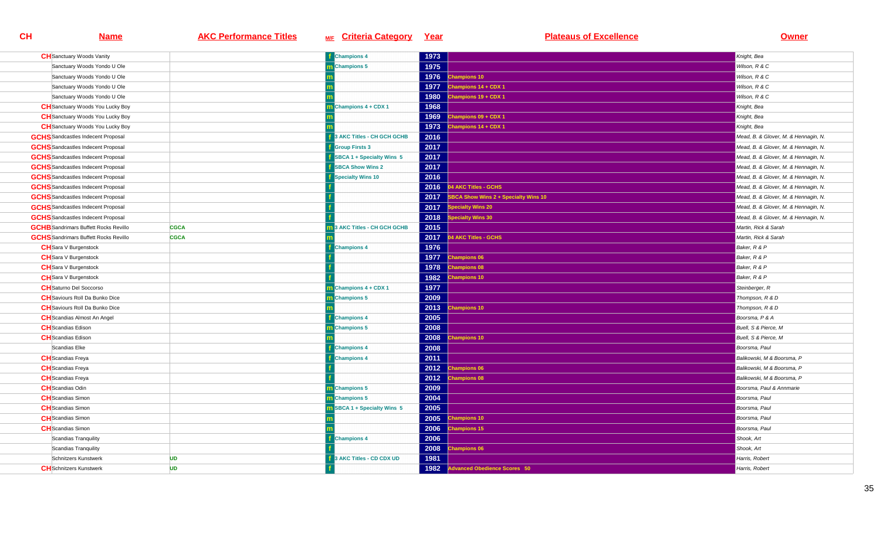| <b>CH</b> Sanctuary Woods Vanity             |             | <b>f</b> Champions 4            | 1973 |                                             | Knight, Bea                          |
|----------------------------------------------|-------------|---------------------------------|------|---------------------------------------------|--------------------------------------|
| Sanctuary Woods Yondo U Ole                  |             | <b>n</b> Champions 5            | 1975 |                                             | Wilson, R & C                        |
| Sanctuary Woods Yondo U Ole                  |             |                                 | 1976 | <b>Champions 10</b>                         | Wilson, R & C                        |
| Sanctuary Woods Yondo U Ole                  |             |                                 | 1977 | Champions 14 + CDX 1                        | Wilson, R & C                        |
| Sanctuary Woods Yondo U Ole                  |             |                                 | 1980 | hampions 19 + CDX 1                         | Wilson, R & C                        |
| <b>CH</b> Sanctuary Woods You Lucky Boy      |             | Champions 4 + CDX 1             | 1968 |                                             | Knight, Bea                          |
| <b>CH</b> Sanctuary Woods You Lucky Boy      |             |                                 | 1969 | hampions 09 + CDX 1                         | Knight, Bea                          |
| <b>CH</b> Sanctuary Woods You Lucky Boy      |             |                                 | 1973 | Champions 14 + CDX 1                        | Knight, Bea                          |
| <b>GCHS</b> Sandcastles Indecent Proposal    |             | 3 AKC Titles - CH GCH GCHB      | 2016 |                                             | Mead, B. & Glover, M. & Hennagin, N. |
| <b>GCHS</b> Sandcastles Indecent Proposal    |             | <b>Group Firsts 3</b>           | 2017 |                                             | Mead, B. & Glover, M. & Hennagin, N. |
| <b>GCHS</b> Sandcastles Indecent Proposal    |             | SBCA 1 + Specialty Wins 5       | 2017 |                                             | Mead, B. & Glover, M. & Hennagin, N. |
| <b>GCHS</b> Sandcastles Indecent Proposal    |             | <b>SBCA Show Wins 2</b>         | 2017 |                                             | Mead, B. & Glover, M. & Hennagin, N. |
| <b>GCHS</b> Sandcastles Indecent Proposal    |             | <b>Specialty Wins 10</b>        | 2016 |                                             | Mead, B. & Glover, M. & Hennagin, N. |
| <b>GCHS</b> Sandcastles Indecent Proposal    |             |                                 | 2016 | 14 AKC Titles - GCHS                        | Mead, B. & Glover, M. & Hennagin, N. |
| <b>GCHS</b> Sandcastles Indecent Proposal    |             |                                 | 2017 | <b>SBCA Show Wins 2 + Specialty Wins 10</b> | Mead, B. & Glover, M. & Hennagin, N. |
| <b>GCHS</b> Sandcastles Indecent Proposal    |             |                                 | 2017 | pecialty Wins 20                            | Mead, B. & Glover, M. & Hennagin, N. |
| <b>GCHS</b> Sandcastles Indecent Proposal    |             |                                 | 2018 | <b>Specialty Wins 30</b>                    | Mead, B. & Glover, M. & Hennagin, N. |
| <b>GCHB</b> Sandrimars Buffett Rocks Revillo | <b>CGCA</b> | <b>AKC Titles - CH GCH GCHB</b> | 2015 |                                             | Martin, Rick & Sarah                 |
| <b>GCHS</b> Sandrimars Buffett Rocks Revillo | <b>CGCA</b> |                                 | 2017 | 04 AKC Titles - GCHS                        | Martin, Rick & Sarah                 |
| <b>CH</b> Sara V Burgenstock                 |             | <b>Champions 4</b>              | 1976 |                                             | Baker, R & P                         |
| <b>CH</b> Sara V Burgenstock                 |             |                                 | 1977 | <b>Champions 06</b>                         | Baker, R & P                         |
| <b>CH</b> Sara V Burgenstock                 |             |                                 | 1978 | hampions 08                                 | Baker, R & P                         |
| <b>CH</b> Sara V Burgenstock                 |             |                                 | 1982 | <b>Champions 10</b>                         | Baker, R & P                         |
| <b>CH</b> Saturno Del Soccorso               |             | Champions 4 + CDX 1             | 1977 |                                             | Steinberger, R                       |
| <b>CH</b> Saviours Roll Da Bunko Dice        |             | Champions 5                     | 2009 |                                             | Thompson, R & D                      |
| <b>CH</b> Saviours Roll Da Bunko Dice        |             |                                 | 2013 | hampions 10                                 | Thompson, R & D                      |
| <b>CH</b> Scandias Almost An Angel           |             | <b>Champions 4</b>              | 2005 |                                             | Boorsma, P & A                       |
| <b>CH</b> Scandias Edison                    |             | <b>Champions 5</b>              | 2008 |                                             | Buell, S & Pierce, M                 |
| <b>CH</b> Scandias Edison                    |             |                                 | 2008 | <b>Champions 10</b>                         | Buell, S & Pierce, M                 |
| Scandias Elke                                |             | <b>Champions 4</b>              | 2008 |                                             | Boorsma, Paul                        |
| <b>CH</b> Scandias Freya                     |             | <b>Champions 4</b>              | 2011 |                                             | Balikowski, M & Boorsma, P           |
| <b>CH</b> Scandias Freya                     |             |                                 | 2012 | <b>Champions 06</b>                         | Balikowski, M & Boorsma, P           |
| <b>CH</b> Scandias Freya                     |             |                                 | 2012 | <b>Champions 08</b>                         | Balikowski, M & Boorsma, P           |
| <b>CH</b> Scandias Odin                      |             | <b>n</b> Champions 5            | 2009 |                                             | Boorsma, Paul & Annmarie             |
| <b>CH</b> Scandias Simon                     |             | <b>n</b> Champions 5            | 2004 |                                             | Boorsma, Paul                        |
| <b>CH</b> Scandias Simon                     |             | SBCA 1 + Specialty Wins 5       | 2005 |                                             | Boorsma, Paul                        |
| <b>CH</b> Scandias Simon                     |             |                                 | 2005 | hampions 10                                 | Boorsma, Paul                        |
| <b>CH</b> Scandias Simon                     |             |                                 | 2006 | <b>Champions 15</b>                         | Boorsma, Paul                        |
| Scandias Tranquility                         |             | <b>Champions 4</b>              | 2006 |                                             | Shook, Art                           |
| Scandias Tranquility                         |             |                                 | 2008 | <b>Champions 06</b>                         | Shook, Art                           |
| Schnitzers Kunstwerk                         | <b>UD</b>   | <b>AKC Titles - CD CDX UD</b>   | 1981 |                                             | Harris, Robert                       |
| <b>CH</b> Schnitzers Kunstwerk               | <b>UD</b>   |                                 | 1982 | <b>Advanced Obedience Scores 50</b>         | Harris, Robert                       |
|                                              |             |                                 |      |                                             |                                      |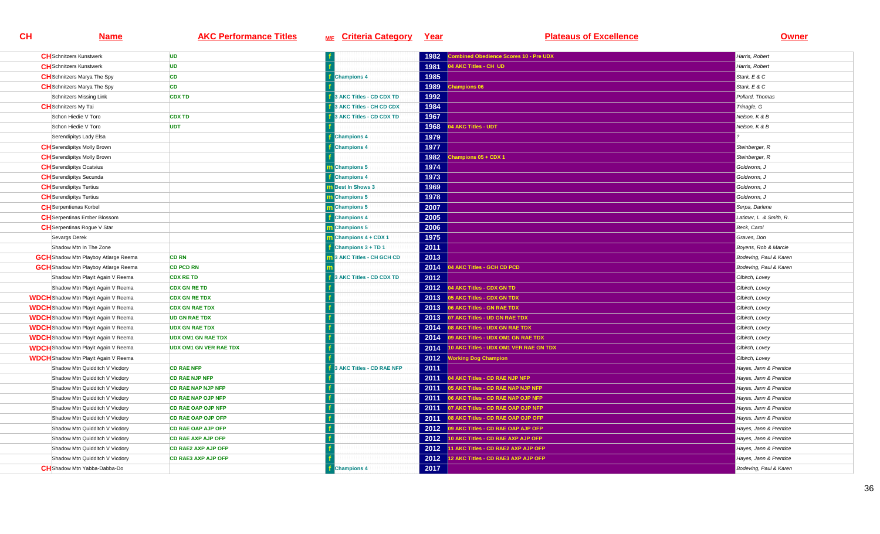| <b>CH</b> Schnitzers Kunstwerk              | <b>UD</b>                     |                                | 1982 | ombined Obedience Scores 10 - Pre UDX   | Harris, Robert         |
|---------------------------------------------|-------------------------------|--------------------------------|------|-----------------------------------------|------------------------|
| <b>CH</b> Schnitzers Kunstwerk              | <b>UD</b>                     |                                | 1981 | 04 AKC Titles - CH UD                   | Harris, Robert         |
| <b>CH</b> Schnitzers Marya The Spy          | CD                            | <b>Champions 4</b>             | 1985 |                                         | Stark, E & C           |
| <b>CH</b> Schnitzers Marya The Spy          | <b>CD</b>                     |                                | 1989 | <b>Champions 06</b>                     | Stark, E & C           |
| Schnitzers Missing Link                     | <b>CDX TD</b>                 | 3 AKC Titles - CD CDX TD       | 1992 |                                         | Pollard, Thomas        |
| <b>CH</b> Schnitzers My Tai                 |                               | 3 AKC Titles - CH CD CDX       | 1984 |                                         | Trinagle, G            |
| Schon Hiedie V Toro                         | <b>CDX TD</b>                 | 3 AKC Titles - CD CDX TD       | 1967 |                                         | Nelson, K & B          |
| Schon Hiedie V Toro                         | <b>UDT</b>                    |                                | 1968 | 4 AKC Titles - UDT                      | Nelson, K & B          |
| Serendipitys Lady Elsa                      |                               | <b>Champions 4</b>             | 1979 |                                         |                        |
| <b>CH</b> Serendipitys Molly Brown          |                               | <b>Champions 4</b>             | 1977 |                                         | Steinberger, R         |
| <b>CH</b> Serendipitys Molly Brown          |                               |                                | 1982 | Champions 05 + CDX 1                    | Steinberger, R         |
| <b>CH</b> Serendipitys Ocatvius             |                               | <b>Champions 5</b>             | 1974 |                                         | Goldworm, J            |
| <b>CH</b> Serendipitys Secunda              |                               | <b>Champions 4</b>             | 1973 |                                         | Goldworm, J            |
| <b>CH</b> Serendipitys Tertius              |                               | <b>Best In Shows 3</b>         | 1969 |                                         | Goldworm, J            |
| <b>CH</b> Serendipitys Tertius              |                               | <b>Champions 5</b>             | 1978 |                                         | Goldworm, J            |
| <b>CH</b> Serpentienas Korbel               |                               | m Champions 5                  | 2007 |                                         | Serpa, Darlene         |
| <b>CH</b> Serpentinas Ember Blossom         |                               | <b>Champions 4</b>             | 2005 |                                         | Latimer, L & Smith, R. |
| <b>CH</b> Serpentinas Rogue V Star          |                               | m Champions 5                  | 2006 |                                         | Beck, Carol            |
| Sevargs Derek                               |                               | Champions 4 + CDX 1            | 1975 |                                         | Graves, Don            |
| Shadow Mtn In The Zone                      |                               | Champions 3 + TD 1             | 2011 |                                         | Boyens, Rob & Marcie   |
| <b>GCH</b> Shadow Mtn Playboy Atlarge Reema | <b>CD RN</b>                  | 3 AKC Titles - CH GCH CD       | 2013 |                                         | Bodeving, Paul & Karen |
| <b>GCH</b> Shadow Mtn Playboy Atlarge Reema | <b>CD PCD RN</b>              |                                | 2014 | 4 AKC Titles - GCH CD PCD               | Bodeving, Paul & Karen |
| Shadow Mtn Playit Again V Reema             | <b>CDX RE TD</b>              | <b>AKC Titles - CD CDX TD</b>  | 2012 |                                         | Olbirch, Lovey         |
| Shadow Mtn Playit Again V Reema             | <b>CDX GN RE TD</b>           |                                | 2012 | 04 AKC Titles - CDX GN TD               | Olbirch, Lovey         |
| <b>WDCH</b> Shadow Mtn Playit Again V Reema | <b>CDX GN RE TDX</b>          |                                | 2013 | 05 AKC Titles - CDX GN TDX              | Olbirch, Lovey         |
| <b>WDCH</b> Shadow Mtn Playit Again V Reema | <b>CDX GN RAE TDX</b>         |                                | 2013 | 06 AKC Titles - GN RAE TDX              | Olbirch, Lovey         |
| <b>WDCH</b> Shadow Mtn Playit Again V Reema | <b>UD GN RAE TDX</b>          |                                | 2013 | 07 AKC Titles - UD GN RAE TDX           | Olbirch, Lovey         |
| <b>WDCH</b> Shadow Mtn Playit Again V Reema | <b>UDX GN RAE TDX</b>         |                                | 2014 | 08 AKC Titles - UDX GN RAE TDX          | Olbirch, Lovey         |
| <b>WDCH</b> Shadow Mtn Playit Again V Reema | <b>UDX OM1 GN RAE TDX</b>     |                                | 2014 | 09 AKC Titles - UDX OM1 GN RAE TDX      | Olbirch, Lovey         |
| <b>WDCH</b> Shadow Mtn Playit Again V Reema | <b>UDX OM1 GN VER RAE TDX</b> |                                | 2014 | 10 AKC Titles - UDX OM1 VER RAE GN TDX  | Olbirch, Lovey         |
| <b>WDCH</b> Shadow Mtn Playit Again V Reema |                               |                                | 2012 | <b>Vorking Dog Champion</b>             | Olbirch, Lovey         |
| Shadow Mtn Quidditch V Vicdory              | <b>CD RAE NFP</b>             | <b>AKC Titles - CD RAE NFP</b> | 2011 |                                         | Hayes, Jann & Prentice |
| Shadow Mtn Quidditch V Vicdory              | <b>CD RAE NJP NFP</b>         |                                | 2011 | <b>4 AKC Titles - CD RAE NJP NFP</b>    | Hayes, Jann & Prentice |
| Shadow Mtn Quidditch V Vicdory              | <b>CD RAE NAP NJP NFP</b>     |                                |      | 2011 05 AKC Titles - CD RAE NAP NJP NFP | Hayes, Jann & Prentice |
| Shadow Mtn Quidditch V Vicdory              | <b>CD RAE NAP OJP NFP</b>     |                                | 2011 | 06 AKC Titles - CD RAE NAP OJP NFP      | Hayes, Jann & Prentice |
| Shadow Mtn Quidditch V Vicdory              | <b>CD RAE OAP OJP NFP</b>     |                                | 2011 | 07 AKC Titles - CD RAE OAP OJP NFP      | Hayes, Jann & Prentice |
| Shadow Mtn Quidditch V Vicdory              | <b>CD RAE OAP OJP OFP</b>     |                                | 2011 | 08 AKC Titles - CD RAE OAP OJP OFP      | Hayes, Jann & Prentice |
| Shadow Mtn Quidditch V Vicdory              | <b>CD RAE OAP AJP OFP</b>     |                                |      | 2012 09 AKC Titles - CD RAE OAP AJP OFP | Hayes, Jann & Prentice |
| Shadow Mtn Quidditch V Vicdory              | <b>CD RAE AXP AJP OFP</b>     |                                | 2012 | 10 AKC Titles - CD RAE AXP AJP OFP      | Hayes, Jann & Prentice |
| Shadow Mtn Quidditch V Vicdory              | <b>CD RAE2 AXP AJP OFP</b>    |                                | 2012 | 11 AKC Titles - CD RAE2 AXP AJP OFP     | Hayes, Jann & Prentice |
| Shadow Mtn Quidditch V Vicdory              | <b>CD RAE3 AXP AJP OFP</b>    |                                | 2012 | 12 AKC Titles - CD RAE3 AXP AJP OFP     | Hayes, Jann & Prentice |
| <b>CH</b> Shadow Mtn Yabba-Dabba-Do         |                               | <b>Champions 4</b>             | 2017 |                                         | Bodeving, Paul & Karen |
|                                             |                               |                                |      |                                         |                        |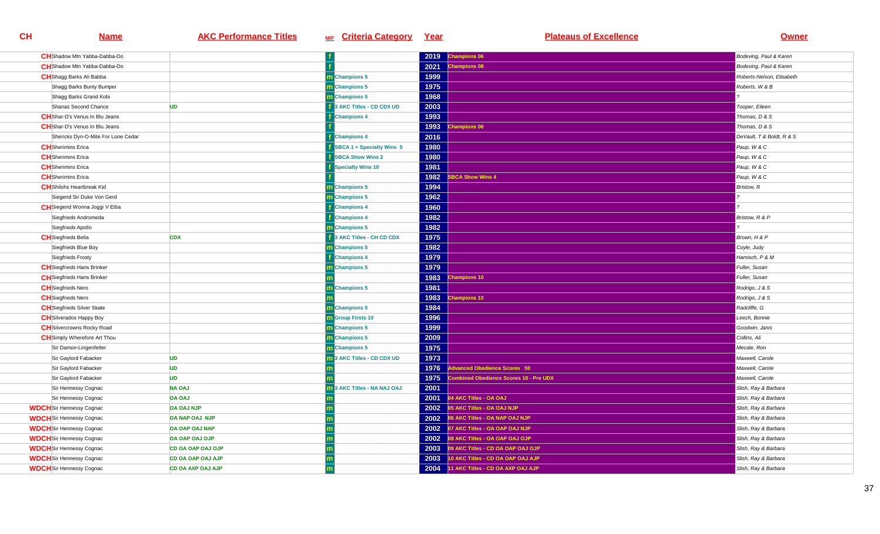| <b>CH</b> Shadow Mtn Yabba-Dabba-Do   |                          |                                 | 2019 | Champions 06                          | Bodeving, Paul & Karen    |
|---------------------------------------|--------------------------|---------------------------------|------|---------------------------------------|---------------------------|
| <b>CH</b> Shadow Mtn Yabba-Dabba-Do   |                          |                                 | 2021 | <b>Champions 08</b>                   | Bodeving, Paul & Karen    |
| <b>CH</b> Shagg Barks Ali Babba       |                          | <b>m</b> Champions 5            | 1999 |                                       | Roberts-Nelson, Elisabeth |
| Shagg Barks Bunty Bumper              |                          | m Champions 5                   | 1975 |                                       | Roberts, W & B            |
| Shagg Barks Grand Kobi                |                          | m Champions 5                   | 1968 |                                       |                           |
| Shanas Second Chance                  | <b>UD</b>                | 3 AKC Titles - CD CDX UD        | 2003 |                                       | Tooper, Eileen            |
| <b>CH</b> Shar-D's Venus In Blu Jeans |                          | <b>Champions 4</b>              | 1993 |                                       | Thomas, D & S             |
| <b>CH</b> Shar-D's Venus In Blu Jeans |                          |                                 | 1993 | <b>Champions 06</b>                   | Thomas, D & S             |
| Shericks Dyn-O-Mite For Lone Cedar    |                          | <b>Champions 4</b>              | 2016 |                                       | DeVault, T & Boldt, R & S |
| <b>CH</b> Sherimins Erica             |                          | SBCA 1 + Specialty Wins 5       | 1980 |                                       | Paup, W & C               |
| <b>CH</b> Sherimins Erica             |                          | <b>SBCA Show Wins 2</b>         | 1980 |                                       | Paup, W & C               |
| <b>CH</b> Sherimins Erica             |                          | Specialty Wins 10               | 1981 |                                       | Paup, W & C               |
| <b>CH</b> Sherimins Erica             |                          |                                 | 1982 | <b>BCA Show Wins 4</b>                | Paup, W & C               |
| <b>CH</b> Shilohs Heartbreak Kid      |                          | m Champions 5                   | 1994 |                                       | Bristow, R                |
| Siegend Sir Duke Von Gerd             |                          | <b>Champions 5</b>              | 1962 |                                       |                           |
| CH Siegend Wonna Joggi V Elba         |                          | <b>Champions 4</b>              | 1960 |                                       |                           |
| Siegfrieds Andromeda                  |                          | <b>Champions 4</b>              | 1982 |                                       | Bristow, R & P            |
| Siegfrieds Apollo                     |                          | <b>n</b> Champions 5            | 1982 |                                       |                           |
| <b>CH</b> Siegfrieds Bella            | <b>CDX</b>               | 3 AKC Titles - CH CD CDX        | 1975 |                                       | Brown, H & P              |
| Siegfrieds Blue Boy                   |                          | m Champions 5                   | 1982 |                                       | Coyle, Judy               |
| Siegfrieds Frosty                     |                          | <b>Champions 4</b>              | 1979 |                                       | Hamisch, P & M            |
| <b>CH</b> Siegfrieds Hans Brinker     |                          | Champions 5                     | 1979 |                                       | Fuller, Susan             |
| <b>CH</b> Siegfrieds Hans Brinker     |                          |                                 | 1983 | hampions 10                           | Fuller, Susan             |
| <b>CH</b> Siegfrieds Nero             |                          | m Champions 5                   | 1981 |                                       | Rodrigo, J & S            |
| <b>CH</b> Siegfrieds Nero             |                          |                                 | 1983 | hampions 10                           | Rodrigo, J & S            |
| <b>CH</b> Siegfrieds Silver Skate     |                          | m Champions 5                   | 1984 |                                       | Radcliffe, G              |
| <b>CH</b> Silverados Happy Boy        |                          | <b>m</b> Group Firsts 10        | 1996 |                                       | Leech, Bonnie             |
| <b>CH</b> Silvercrowns Rocky Road     |                          | m Champions 5                   | 1999 |                                       | Goodwin, Janis            |
| <b>CH</b> Simply Wherefore Art Thou   |                          | m Champions 5                   | 2009 |                                       | Collins, Ali              |
| Sir Damon-Lingenfelter                |                          | m Champions 5                   | 1975 |                                       | Mecale, Ron               |
| Sir Gaylord Fabacker                  | <b>UD</b>                | <b>BAKC Titles - CD CDX UD</b>  | 1973 |                                       | Maxwell, Carole           |
| Sir Gaylord Fabacker                  | <b>UD</b>                |                                 | 1976 | dvanced Obedience Scores 50           | Maxwell, Carole           |
| Sir Gaylord Fabacker                  | <b>UD</b>                |                                 | 1975 | ombined Obedience Scores 10 - Pre UDX | Maxwell, Carole           |
| Sir Hennessy Cognac                   | <b>NA OAJ</b>            | <b>BAKC Titles - NA NAJ OAJ</b> | 2001 |                                       | Slish, Ray & Barbara      |
| Sir Hennessy Cognac                   | <b>OA OAJ</b>            |                                 |      | 2001 04 AKC Titles - OA OAJ           | Slish, Ray & Barbara      |
| <b>WDCH</b> Sir Hennessy Cognac       | <b>OA OAJ NJP</b>        |                                 | 2002 | 05 AKC Titles - OA OAJ NJP            | Slish, Ray & Barbara      |
| <b>WDCH</b> Sir Hennessy Cognac       | OA NAP OAJ NJP           |                                 | 2002 | 06 AKC Titles - OA NAP OAJ NJP        | Slish, Ray & Barbara      |
| <b>WDCH</b> Sir Hennessy Cognac       | OA OAP OAJ NAP           |                                 | 2002 | 07 AKC Titles - OA OAP OAJ NJP        | Slish, Ray & Barbara      |
| <b>WDCH</b> Sir Hennessy Cognac       | OA OAP OAJ OJP           |                                 | 2002 | 08 AKC Titles - OA OAP OAJ OJP        | Slish, Ray & Barbara      |
| <b>WDCH</b> Sir Hennessy Cognac       | CD OA OAP OAJ OJP        |                                 | 2003 | 09 AKC Titles - CD OA OAP OAJ OJP     | Slish, Ray & Barbara      |
| <b>WDCH</b> Sir Hennessy Cognac       | <b>CD OA OAP OAJ AJP</b> |                                 | 2003 | 10 AKC Titles - CD OA OAP OAJ AJP     | Slish, Ray & Barbara      |
| <b>WDCH</b> Sir Hennessy Cognac       | <b>CD OA AXP OAJ AJP</b> |                                 | 2004 | 11 AKC Titles - CD OA AXP OAJ AJP     | Slish, Ray & Barbara      |
|                                       |                          |                                 |      |                                       |                           |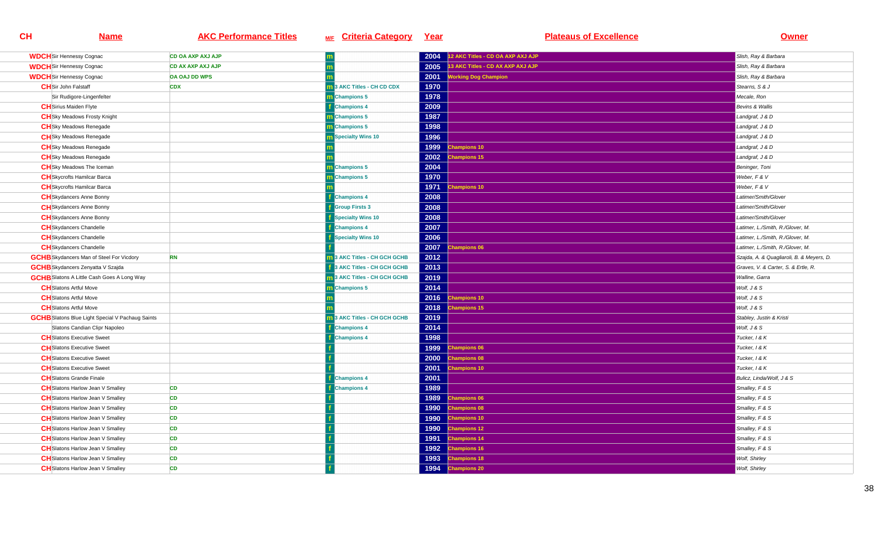| <b>WDCH</b> Sir Hennessy Cognac                         | <b>CD OA AXP AXJ AJP</b> |                                   | 2004 | 12 AKC Titles - CD OA AXP AXJ AJP | Slish, Ray & Barbara                      |
|---------------------------------------------------------|--------------------------|-----------------------------------|------|-----------------------------------|-------------------------------------------|
| <b>WDCH</b> Sir Hennessy Cognac                         | <b>CD AX AXP AXJ AJP</b> |                                   | 2005 | 13 AKC Titles - CD AX AXP AXJ AJP | Slish, Ray & Barbara                      |
| <b>WDCH</b> Sir Hennessy Cognac                         | <b>OA OAJ DD WPS</b>     |                                   | 2001 | <b>Working Dog Champion</b>       | Slish, Ray & Barbara                      |
| <b>CH</b> Sir John Falstaff                             | <b>CDX</b>               | <b>m</b> 3 AKC Titles - CH CD CDX | 1970 |                                   | Stearns, S & J                            |
| Sir Rudigore-Lingenfelter                               |                          | <b>n</b> Champions 5              | 1978 |                                   | Mecale, Ron                               |
| <b>CH</b> Sirius Maiden Flyte                           |                          | <b>Champions 4</b>                | 2009 |                                   | <b>Bevins &amp; Wallis</b>                |
| <b>CH</b> Sky Meadows Frosty Knight                     |                          | Champions 5                       | 1987 |                                   | Landgraf, J & D                           |
| <b>CH</b> Sky Meadows Renegade                          |                          | <b>n</b> Champions 5              | 1998 |                                   | Landgraf, J & D                           |
| <b>CH</b> Sky Meadows Renegade                          |                          | <b>n</b> Specialty Wins 10        | 1996 |                                   | Landgraf, J & D                           |
| <b>CH</b> Sky Meadows Renegade                          |                          |                                   | 1999 | hampions 10                       | Landgraf, J & D                           |
| <b>CH</b> Sky Meadows Renegade                          |                          |                                   | 2002 | hampions 15                       | Landgraf, J & D                           |
| <b>CH</b> Sky Meadows The Iceman                        |                          | m Champions 5                     | 2004 |                                   | Beninger, Toni                            |
| <b>CH</b> Skycrofts Hamilcar Barca                      |                          | m Champions 5                     | 1970 |                                   | Weber, F & V                              |
| <b>CH</b> Skycrofts Hamilcar Barca                      |                          |                                   | 1971 | <b>Champions 10</b>               | Weber, F & V                              |
| <b>CH</b> Skydancers Anne Bonny                         |                          | <b>Champions 4</b>                | 2008 |                                   | Latimer/Smith/Glover                      |
| <b>CH</b> Skydancers Anne Bonny                         |                          | <b>Group Firsts 3</b>             | 2008 |                                   | Latimer/Smith/Glover                      |
| <b>CH</b> Skydancers Anne Bonny                         |                          | <b>f</b> Specialty Wins 10        | 2008 |                                   | Latimer/Smith/Glover                      |
| <b>CH</b> Skydancers Chandelle                          |                          | <b>Champions 4</b>                | 2007 |                                   | Latimer, L./Smith, R./Glover, M.          |
| <b>CH</b> Skydancers Chandelle                          |                          | <b>Specialty Wins 10</b>          | 2006 |                                   | Latimer, L./Smith, R./Glover, M.          |
| <b>CH</b> Skydancers Chandelle                          |                          |                                   | 2007 | hampions 06                       | Latimer, L./Smith, R./Glover, M.          |
| <b>GCHB</b> Skydancers Man of Steel For Vicdory         | <b>RN</b>                | 13 AKC Titles - CH GCH GCHB       | 2012 |                                   | Szajda, A. & Quagliaroli, B. & Meyers, D. |
| <b>GCHB</b> Skydancers Zenyatta V Szajda                |                          | 3 AKC Titles - CH GCH GCHB        | 2013 |                                   | Graves, V. & Carter, S. & Ertle, R.       |
| <b>GCHB</b> Slatons A Little Cash Goes A Long Way       |                          | 3 AKC Titles - CH GCH GCHB        | 2019 |                                   | Walline, Garra                            |
| <b>CH</b> Slatons Artful Move                           |                          | <b>Champions 5</b>                | 2014 |                                   | Wolf, J & S                               |
| <b>CH</b> Slatons Artful Move                           |                          |                                   | 2016 | <b>Champions 10</b>               | Wolf, J & S                               |
| <b>CH</b> Slatons Artful Move                           |                          |                                   | 2018 | hampions 15                       | Wolf, J & S                               |
| <b>GCHB</b> Slatons Blue Light Special V Pachaug Saints |                          | 3 AKC Titles - CH GCH GCHB        | 2019 |                                   | Stabley, Justin & Kristi                  |
| Slatons Candian Clipr Napoleo                           |                          | <b>Champions 4</b>                | 2014 |                                   | Wolf, J & S                               |
| <b>CH</b> Slatons Executive Sweet                       |                          | <b>Champions 4</b>                | 1998 |                                   | Tucker, 1 & K                             |
| <b>CH</b> Slatons Executive Sweet                       |                          |                                   | 1999 | hampions 06                       | Tucker, I & K                             |
| <b>CH</b> Slatons Executive Sweet                       |                          |                                   | 2000 | hampions 08                       | Tucker, 1 & K                             |
| <b>CH</b> Slatons Executive Sweet                       |                          |                                   | 2001 | hampions 10                       | Tucker, I & K                             |
| <b>CH</b> Slatons Grande Finale                         |                          | <b>Champions 4</b>                | 2001 |                                   | Bulicz, Linda/Wolf, J & S                 |
| <b>CH</b> Slatons Harlow Jean V Smalley                 | <b>CD</b>                | <b>Champions 4</b>                | 1989 |                                   | Smalley, F & S                            |
| <b>CH</b> Slatons Harlow Jean V Smalley                 | CD                       |                                   | 1989 | hampions 06                       | Smalley, F & S                            |
| <b>CH</b> Slatons Harlow Jean V Smalley                 | <b>CD</b>                |                                   | 1990 | hampions 08                       | Smalley, F & S                            |
| <b>CH</b> Slatons Harlow Jean V Smalley                 | CD                       |                                   | 1990 | hampions 10                       | Smalley, F & S                            |
| <b>CH</b> Slatons Harlow Jean V Smalley                 | <b>CD</b>                |                                   | 1990 | <b>Champions 12</b>               | Smalley, F & S                            |
| <b>CH</b> Slatons Harlow Jean V Smalley                 | <b>CD</b>                |                                   | 1991 | hampions 14                       | Smalley, F & S                            |
| <b>CH</b> Slatons Harlow Jean V Smalley                 | <b>CD</b>                |                                   | 1992 | <b>Champions 16</b>               | Smalley, F & S                            |
| <b>CH</b> Slatons Harlow Jean V Smalley                 | <b>CD</b>                |                                   | 1993 | hampions 18                       | Wolf, Shirley                             |
| <b>CH</b> Slatons Harlow Jean V Smalley                 | <b>CD</b>                |                                   | 1994 | <b>Champions 20</b>               | Wolf, Shirley                             |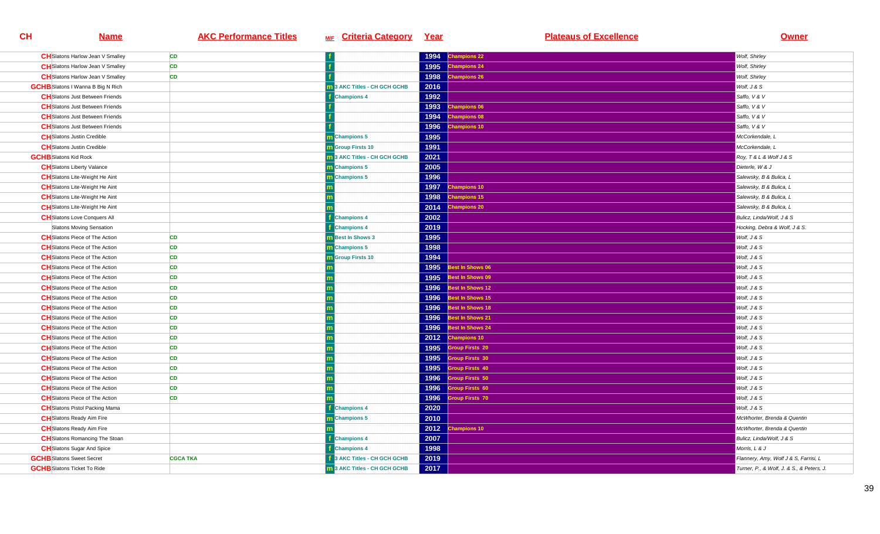| <b>CH</b> Slatons Harlow Jean V Smalley  | <b>CD</b>       |                                     | 1994 | hampions 22            | Wolf, Shirley                             |
|------------------------------------------|-----------------|-------------------------------------|------|------------------------|-------------------------------------------|
| <b>CH</b> Slatons Harlow Jean V Smalley  | <b>CD</b>       |                                     | 1995 | <b>Champions 24</b>    | Wolf, Shirley                             |
| <b>CH</b> Slatons Harlow Jean V Smalley  | <b>CD</b>       |                                     | 1998 | <b>Champions 26</b>    | Wolf, Shirley                             |
| <b>GCHB</b> Slatons I Wanna B Big N Rich |                 | 13 AKC Titles - CH GCH GCHB         | 2016 |                        | Wolf, J & S                               |
| <b>CH</b> Slatons Just Between Friends   |                 | <b>Champions 4</b>                  | 1992 |                        | Saffo, V & V                              |
| <b>CH</b> Slatons Just Between Friends   |                 |                                     | 1993 | <b>Champions 06</b>    | Saffo, V & V                              |
| <b>CH</b> Slatons Just Between Friends   |                 |                                     | 1994 | hampions 08            | Saffo, V & V                              |
| <b>CH</b> Slatons Just Between Friends   |                 |                                     | 1996 | hampions 10            | Saffo, V & V                              |
| <b>CH</b> Slatons Justin Credible        |                 | m Champions 5                       | 1995 |                        | McCorkendale, L                           |
| <b>CH</b> Slatons Justin Credible        |                 | <b>n</b> Group Firsts 10            | 1991 |                        | McCorkendale, L                           |
| <b>GCHB</b> Slatons Kid Rock             |                 | 3 AKC Titles - CH GCH GCHB          | 2021 |                        | Roy, T & L & Wolf J & S                   |
| <b>CH</b> Slatons Liberty Valance        |                 | m Champions 5                       | 2005 |                        | Dieterle, W & J                           |
| <b>CH</b> Slatons Lite-Weight He Aint    |                 | <b>n</b> Champions 5                | 1996 |                        | Salewsky, B & Bulica, L                   |
| <b>CH</b> Slatons Lite-Weight He Aint    |                 |                                     | 1997 | hampions 10            | Salewsky, B & Bulica, L                   |
| <b>CH</b> Slatons Lite-Weight He Aint    |                 |                                     | 1998 | hampions 15            | Salewsky, B & Bulica, L                   |
| <b>CH</b> Slatons Lite-Weight He Aint    |                 |                                     | 2014 | <b>Champions 20</b>    | Salewsky, B & Bulica, L                   |
| <b>CH</b> Slatons Love Conquers All      |                 | <b>Champions 4</b>                  | 2002 |                        | Bulicz, Linda/Wolf, J & S                 |
| Slatons Moving Sensation                 |                 | <b>Champions 4</b>                  | 2019 |                        | Hocking, Debra & Wolf, J & S.             |
| <b>CH</b> Slatons Piece of The Action    | <b>CD</b>       | <b>m</b> Best In Shows 3            | 1995 |                        | Wolf, J & S                               |
| <b>CH</b> Slatons Piece of The Action    | <b>CD</b>       | m Champions 5                       | 1998 |                        | Wolf, J & S                               |
| <b>CH</b> Slatons Piece of The Action    | <b>CD</b>       | <b>Group Firsts 10</b>              | 1994 |                        | Wolf, J & S                               |
| <b>CH</b> Slatons Piece of The Action    | <b>CD</b>       |                                     | 1995 | lest In Shows 06       | Wolf, J & S                               |
| <b>CH</b> Slatons Piece of The Action    | <b>CD</b>       |                                     | 1995 | lest In Shows 09       | Wolf, J & S                               |
| <b>CH</b> Slatons Piece of The Action    | <b>CD</b>       |                                     | 1996 | Best In Shows 12       | Wolf, J & S                               |
| <b>CH</b> Slatons Piece of The Action    | <b>CD</b>       |                                     | 1996 | lest In Shows 15       | Wolf, J & S                               |
| <b>CH</b> Slatons Piece of The Action    | <b>CD</b>       |                                     | 1996 | Best In Shows 18       | Wolf, J & S                               |
| <b>CH</b> Slatons Piece of The Action    | <b>CD</b>       |                                     | 1996 | lest In Shows 21       | Wolf, J & S                               |
| <b>CH</b> Slatons Piece of The Action    | <b>CD</b>       |                                     | 1996 | Best In Shows 24       | Wolf, J & S                               |
| <b>CH</b> Slatons Piece of The Action    | <b>CD</b>       |                                     | 2012 | hampions 10            | Wolf, J & S                               |
| <b>CH</b> Slatons Piece of The Action    | <b>CD</b>       |                                     | 1995 | <b>Group Firsts 20</b> | Wolf, J & S                               |
| <b>CH</b> Slatons Piece of The Action    | CD              |                                     | 1995 | <b>Troup Firsts 30</b> | Wolf, J & S                               |
| <b>CH</b> Slatons Piece of The Action    | <b>CD</b>       |                                     | 1995 | Group Firsts 40        | Wolf, J & S                               |
| <b>CH</b> Slatons Piece of The Action    | <b>CD</b>       |                                     | 1996 | roup Firsts 50         | Wolf, J & S                               |
| <b>CH</b> Slatons Piece of The Action    | <b>CD</b>       |                                     | 1996 | <b>Troup Firsts 60</b> | Wolf, J & S                               |
| <b>CH</b> Slatons Piece of The Action    | <b>CD</b>       |                                     | 1996 | roup Firsts 70         | Wolf, J & S                               |
| <b>CH</b> Slatons Pistol Packing Mama    |                 | <b>Champions 4</b>                  | 2020 |                        | Wolf, J & S                               |
| <b>CH</b> Slatons Ready Aim Fire         |                 | m Champions 5                       | 2010 |                        | McWhorter, Brenda & Quentin               |
| <b>CH</b> Slatons Ready Aim Fire         |                 |                                     | 2012 | hampions 10            | McWhorter, Brenda & Quentin               |
| <b>CH</b> Slatons Romancing The Stoan    |                 | <b>Champions 4</b>                  | 2007 |                        | Bulicz, Linda/Wolf, J & S                 |
| <b>CH</b> Slatons Sugar And Spice        |                 | <b>Champions 4</b>                  | 1998 |                        | Morris, L & J                             |
| <b>GCHB</b> Slatons Sweet Secret         | <b>CGCA TKA</b> | <b>1</b> 3 AKC Titles - CH GCH GCHB | 2019 |                        | Flannery, Amy, Wolf J & S, Farrisi, L     |
| <b>GCHB</b> Slatons Ticket To Ride       |                 | 13 AKC Titles - CH GCH GCHB         | 2017 |                        | Turner, P., & Wolf, J. & S., & Peters, J. |
|                                          |                 |                                     |      |                        |                                           |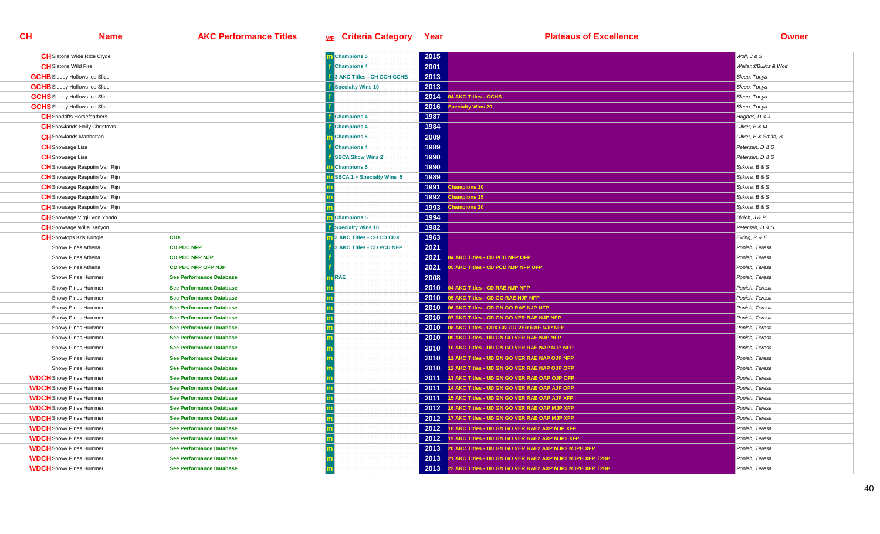| <b>CH</b> Slatons Wide Ride Clyde     |                                 | m Champions 5              | 2015 |                                                          | Wolf. J & S           |
|---------------------------------------|---------------------------------|----------------------------|------|----------------------------------------------------------|-----------------------|
| <b>CH</b> Slatons Wild Fire           |                                 | <b>E</b> Champions 4       | 2001 |                                                          | Weiland/Bulicz & Wolf |
| <b>GCHB</b> Sleepy Hollows Ice Slicer |                                 | 3 AKC Titles - CH GCH GCHB | 2013 |                                                          | Sleep, Tonya          |
| <b>GCHB</b> Sleepy Hollows Ice Slicer |                                 | <b>Specialty Wins 10</b>   | 2013 |                                                          | Sleep, Tonya          |
| <b>GCHS</b> Sleepy Hollows Ice Slicer |                                 |                            | 2014 | <b>4 AKC Titles - GCHS</b>                               | Sleep, Tonya          |
| <b>GCHS</b> Sleepy Hollows Ice Slicer |                                 |                            | 2016 | pecialty Wins 20                                         | Sleep, Tonya          |
| <b>CH</b> Snodrifts Horsefeathers     |                                 | <b>Champions 4</b>         | 1987 |                                                          | Hughes, D & J         |
| <b>CH</b> Snowlands Holly Christmas   |                                 | <b>Champions 4</b>         | 1984 |                                                          | Oliver, B & M         |
| <b>CH</b> Snowlands Manhattan         |                                 | <b>n</b> Champions 5       | 2009 |                                                          | Oliver, B & Smith, B  |
| <b>CH</b> Snowsage Lisa               |                                 | <b>Champions 4</b>         | 1989 |                                                          | Petersen, D & S       |
| <b>CH</b> Snowsage Lisa               |                                 | <b>SBCA Show Wins 2</b>    | 1990 |                                                          | Petersen, D & S       |
| <b>CH</b> Snowsage Rasputin Van Rijn  |                                 | m Champions 5              | 1990 |                                                          | Sykora, B & S         |
| <b>CH</b> Snowsage Rasputin Van Rijn  |                                 | SBCA 1 + Specialty Wins 5  | 1989 |                                                          | Sykora, B & S         |
| <b>CH</b> Snowsage Rasputin Van Rijn  |                                 |                            | 1991 | hampions 10                                              | Sykora, B & S         |
| <b>CH</b> Snowsage Rasputin Van Rijn  |                                 |                            | 1992 | hampions 15                                              | Sykora, B & S         |
| <b>CH</b> Snowsage Rasputin Van Rijn  |                                 |                            | 1993 | <b>Champions 20</b>                                      | Sykora, B & S         |
| <b>CH</b> Snowsage Virgil Von Yondo   |                                 | <b>Champions 5</b>         | 1994 |                                                          | Bibich, J & P         |
| <b>CH</b> Snowsage Willa Banyon       |                                 | <b>Specialty Wins 10</b>   | 1982 |                                                          | Petersen, D & S       |
| <b>CH</b> Snowtops Kris Kringle       | <b>CDX</b>                      | 3 AKC Titles - CH CD CDX   | 1963 |                                                          | Ewing, R & E          |
| Snowy Pines Athena                    | <b>CD PDC NFP</b>               | 3 AKC Titles - CD PCD NFP  | 2021 |                                                          | Popish, Teresa        |
| Snowy Pines Athena                    | <b>CD PDC NFP NJP</b>           |                            | 2021 | 4 AKC Titles - CD PCD NFP OFP                            | Popish, Teresa        |
| Snowy Pines Athena                    | <b>CD PDC NFP OFP NJP</b>       |                            | 2021 | 5 AKC Titles - CD PCD NJP NFP OFP                        | Popish, Teresa        |
| Snowy Pines Hummer                    | See Performance Database        | <b>RAE</b>                 | 2008 |                                                          | Popish, Teresa        |
| Snowy Pines Hummer                    | <b>See Performance Database</b> |                            | 2010 | 04 AKC Titles - CD RAE NJP NFP                           | Popish, Teresa        |
| Snowy Pines Hummer                    | See Performance Database        |                            | 2010 | 15 AKC Titles - CD GO RAE NJP NFP                        | Popish, Teresa        |
| Snowy Pines Hummer                    | <b>See Performance Database</b> |                            | 2010 | 06 AKC Titles - CD GN GO RAE NJP NFP                     | Popish, Teresa        |
| Snowy Pines Hummer                    | <b>See Performance Database</b> |                            | 2010 | 07 AKC Titles - CD GN GO VER RAE NJP NFP                 | Popish, Teresa        |
| Snowy Pines Hummer                    | See Performance Database        |                            | 2010 | 08 AKC Titles - CDX GN GO VER RAE NJP NFP                | Popish, Teresa        |
| Snowy Pines Hummer                    | See Performance Database        |                            | 2010 | 09 AKC Titles - UD GN GO VER RAE NJP NFP                 | Popish, Teresa        |
| Snowy Pines Hummer                    | See Performance Database        |                            | 2010 | 10 AKC Titles - UD GN GO VER RAE NAP NJP NFP             | Popish, Teresa        |
| Snowy Pines Hummer                    | <b>See Performance Database</b> |                            | 2010 | 11 AKC Titles - UD GN GO VER RAE NAP OJP NFP             | Popish, Teresa        |
| Snowy Pines Hummer                    | <b>See Performance Database</b> |                            | 2010 | 12 AKC Titles - UD GN GO VER RAE NAP OJP OFP             | Popish, Teresa        |
| <b>WDCH</b> Snowy Pines Hummer        | See Performance Database        |                            | 2011 | 13 AKC Titles - UD GN GO VER RAE OAP OJP OFP             | Popish, Teresa        |
| <b>WDCH</b> Snowy Pines Hummer        | See Performance Database        |                            | 2011 | 14 AKC Titles - UD GN GO VER RAE OAP AJP OFP             | Popish, Teresa        |
| <b>WDCH</b> Snowy Pines Hummer        | See Performance Database        |                            | 2011 | 15 AKC Titles - UD GN GO VER RAE OAP AJP XFP             | Popish, Teresa        |
| <b>WDCH</b> Snowy Pines Hummer        | See Performance Database        |                            | 2012 | 16 AKC Titles - UD GN GO VER RAE OAP MJP XFP             | Popish, Teresa        |
| <b>WDCH</b> Snowy Pines Hummer        | See Performance Database        |                            | 2012 | 7 AKC Titles - UD GN GO VER RAE OAP MJP XFP              | Popish, Teresa        |
| <b>WDCH</b> Snowy Pines Hummer        | See Performance Database        |                            | 2012 | 18 AKC Titles - UD GN GO VER RAE2 AXP MJP XFP            | Popish, Teresa        |
| <b>WDCH</b> Snowy Pines Hummer        | <b>See Performance Database</b> |                            | 2012 | 19 AKC Titles - UD GN GO VER RAE2 AXP MJP2 XFP           | Popish, Teresa        |
| <b>WDCH</b> Snowy Pines Hummer        | <b>See Performance Database</b> |                            |      | 2013 20 AKC Titles - UD GN GO VER RAE2 AXP MJP2 MJPB XFP | Popish, Teresa        |
| <b>WDCH</b> Snowy Pines Hummer        | See Performance Database        |                            | 2013 | 21 AKC Titles - UD GN GO VER RAE2 AXP MJP2 MJPB XFP T2BP | Popish, Teresa        |
| <b>WDCH</b> Snowy Pines Hummer        | <b>See Performance Database</b> |                            | 2013 | 22 AKC Titles - UD GN GO VER RAE2 AXP MJP3 MJPB XFP T2BP | Popish, Teresa        |
|                                       |                                 |                            |      |                                                          |                       |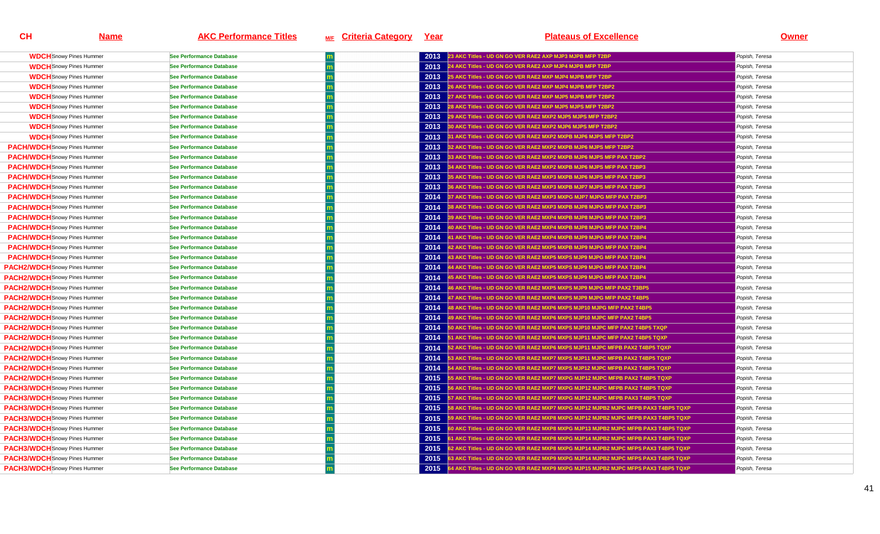| <b>WDCH</b> Snowy Pines Hummer       | <b>See Performance Database</b> | 2013 | 23 AKC Titles - UD GN GO VER RAE2 AXP MJP3 MJPB MFP T2BP                          | Popish, Teresa |
|--------------------------------------|---------------------------------|------|-----------------------------------------------------------------------------------|----------------|
| <b>WDCH</b> Snowy Pines Hummer       | <b>See Performance Database</b> | 2013 | 24 AKC Titles - UD GN GO VER RAE2 AXP MJP4 MJPB MFP T2BP                          | Popish, Teresa |
| <b>WDCH</b> Snowy Pines Hummer       | <b>See Performance Database</b> | 2013 | 25 AKC Titles - UD GN GO VER RAE2 MXP MJP4 MJPB MFP T2BP                          | Popish, Teresa |
| <b>WDCH</b> Snowy Pines Hummer       | See Performance Database        | 2013 | 26 AKC Titles - UD GN GO VER RAE2 MXP MJP4 MJPB MFP T2BP2                         | Popish, Teresa |
| <b>WDCH</b> Snowy Pines Hummer       | <b>See Performance Database</b> | 2013 | 27 AKC Titles - UD GN GO VER RAE2 MXP MJP5 MJPB MFP T2BP2                         | Popish, Teresa |
| <b>WDCH</b> Snowy Pines Hummer       | <b>See Performance Database</b> | 2013 | 28 AKC Titles - UD GN GO VER RAE2 MXP MJP5 MJPS MFP T2BP2                         | Popish, Teresa |
| <b>WDCH</b> Snowy Pines Hummer       | <b>See Performance Database</b> | 2013 | 29 AKC Titles - UD GN GO VER RAE2 MXP2 MJP5 MJPS MFP T2BP2                        | Popish, Teresa |
| <b>WDCH</b> Snowy Pines Hummer       | <b>See Performance Database</b> | 2013 | 30 AKC Titles - UD GN GO VER RAE2 MXP2 MJP6 MJPS MFP T2BP2                        | Popish, Teresa |
| <b>WDCH</b> Snowy Pines Hummer       | <b>See Performance Database</b> | 2013 | 31 AKC Titles - UD GN GO VER RAE2 MXP2 MXPB MJP6 MJPS MFP T2BP2                   | Popish, Teresa |
| <b>PACH/WDCH</b> Snowy Pines Hummer  | <b>See Performance Database</b> | 2013 | 32 AKC Titles - UD GN GO VER RAE2 MXP2 MXPB MJP6 MJPS MFP T2BP2                   | Popish, Teresa |
| <b>PACH/WDCH</b> Snowy Pines Hummer  | <b>See Performance Database</b> | 2013 | 33 AKC Titles - UD GN GO VER RAE2 MXP2 MXPB MJP6 MJPS MFP PAX T2BP2               | Popish, Teresa |
| <b>PACH/WDCH</b> Snowy Pines Hummer  | <b>See Performance Database</b> | 2013 | 34 AKC Titles - UD GN GO VER RAE2 MXP2 MXPB MJP6 MJPS MFP PAX T2BP3               | Popish, Teresa |
| <b>PACH/WDCH</b> Snowy Pines Hummer  | <b>See Performance Database</b> | 2013 | 35 AKC Titles - UD GN GO VER RAE2 MXP3 MXPB MJP6 MJPS MFP PAX T2BP3               | Popish, Teresa |
| <b>PACH/WDCH</b> Snowy Pines Hummer  | <b>See Performance Database</b> | 2013 | 36 AKC Titles - UD GN GO VER RAE2 MXP3 MXPB MJP7 MJPS MFP PAX T2BP3               | Popish, Teresa |
| <b>PACH/WDCH</b> Snowy Pines Hummer  | <b>See Performance Database</b> | 2014 | 37 AKC Titles - UD GN GO VER RAE2 MXP3 MXPG MJP7 MJPG MFP PAX T2BP3               | Popish, Teresa |
| <b>PACH/WDCH</b> Snowy Pines Hummer  | <b>See Performance Database</b> | 2014 | 38 AKC Titles - UD GN GO VER RAE2 MXP3 MXPB MJP8 MJPG MFP PAX T2BP3               | Popish, Teresa |
| <b>PACH/WDCH</b> Snowy Pines Hummer  | <b>See Performance Database</b> | 2014 | 39 AKC Titles - UD GN GO VER RAE2 MXP4 MXPB MJP8 MJPG MFP PAX T2BP3               | Popish, Teresa |
| <b>PACH/WDCH</b> Snowy Pines Hummer  | <b>See Performance Database</b> | 2014 | 40 AKC Titles - UD GN GO VER RAE2 MXP4 MXPB MJP8 MJPG MFP PAX T2BP4               | Popish, Teresa |
| <b>PACH/WDCH</b> Snowy Pines Hummer  | <b>See Performance Database</b> | 2014 | 41 AKC Titles - UD GN GO VER RAE2 MXP4 MXPB MJP9 MJPG MFP PAX T2BP4               | Popish, Teresa |
| <b>PACH/WDCH</b> Snowy Pines Hummer  | <b>See Performance Database</b> | 2014 | 42 AKC Titles - UD GN GO VER RAE2 MXP5 MXPB MJP9 MJPG MFP PAX T2BP4               | Popish, Teresa |
| <b>PACH/WDCH</b> Snowy Pines Hummer  | <b>See Performance Database</b> | 2014 | 43 AKC Titles - UD GN GO VER RAE2 MXP5 MXPS MJP9 MJPG MFP PAX T2BP4               | Popish, Teresa |
| <b>PACH2/WDCH</b> Snowy Pines Hummer | <b>See Performance Database</b> | 2014 | 44 AKC Titles - UD GN GO VER RAE2 MXP5 MXPS MJP9 MJPG MFP PAX T2BP4               | Popish, Teresa |
| PACH2/WDCH Snowy Pines Hummer        | See Performance Database        | 2014 | 45 AKC Titles - UD GN GO VER RAE2 MXP5 MXPS MJP9 MJPG MFP PAX T2BP4               | Popish, Teresa |
| <b>PACH2/WDCH</b> Snowy Pines Hummer | <b>See Performance Database</b> | 2014 | 46 AKC Titles - UD GN GO VER RAE2 MXP5 MXPS MJP9 MJPG MFP PAX2 T3BP5              | Popish, Teresa |
| <b>PACH2/WDCH</b> Snowy Pines Hummer | <b>See Performance Database</b> | 2014 | 47 AKC Titles - UD GN GO VER RAE2 MXP6 MXPS MJP9 MJPG MFP PAX2 T4BP5              | Popish, Teresa |
| <b>PACH2/WDCH</b> Snowy Pines Hummer | <b>See Performance Database</b> | 2014 | 48 AKC Titles - UD GN GO VER RAE2 MXP6 MXPS MJP10 MJPG MFP PAX2 T4BP5             | Popish, Teresa |
| <b>PACH2/WDCH</b> Snowy Pines Hummer | <b>See Performance Database</b> | 2014 | 49 AKC Titles - UD GN GO VER RAE2 MXP6 MXPS MJP10 MJPC MFP PAX2 T4BP5             | Popish, Teresa |
| <b>PACH2/WDCH</b> Snowy Pines Hummer | See Performance Database        | 2014 | 50 AKC Titles - UD GN GO VER RAE2 MXP6 MXPS MJP10 MJPC MFP PAX2 T4BP5 TXQP        | Popish, Teresa |
| <b>PACH2/WDCH</b> Snowy Pines Hummer | <b>See Performance Database</b> | 2014 | 51 AKC Titles - UD GN GO VER RAE2 MXP6 MXPS MJP11 MJPC MFP PAX2 T4BP5 TQXP        | Popish, Teresa |
| <b>PACH2/WDCH</b> Snowy Pines Hummer | <b>See Performance Database</b> | 2014 | 52 AKC Titles - UD GN GO VER RAE2 MXP6 MXPS MJP11 MJPC MFPB PAX2 T4BP5 TQXP       | Popish, Teresa |
| PACH2/WDCH Snowy Pines Hummer        | <b>See Performance Database</b> | 2014 | 53 AKC Titles - UD GN GO VER RAE2 MXP7 MXPS MJP11 MJPC MFPB PAX2 T4BP5 TQXP       | Popish, Teresa |
| <b>PACH2/WDCH</b> Snowy Pines Hummer | <b>See Performance Database</b> | 2014 | 54 AKC Titles - UD GN GO VER RAE2 MXP7 MXPS MJP12 MJPC MFPB PAX2 T4BP5 TQXP       | Popish, Teresa |
| <b>PACH2/WDCH</b> Snowy Pines Hummer | <b>See Performance Database</b> | 2015 | 55 AKC Titles - UD GN GO VER RAE2 MXP7 MXPG MJP12 MJPC MFPB PAX2 T4BP5 TQXP       | Popish, Teresa |
| <b>PACH3/WDCH</b> Snowy Pines Hummer | <b>See Performance Database</b> | 2015 | 56 AKC Titles - UD GN GO VER RAE2 MXP7 MXPG MJP12 MJPC MFPB PAX2 T4BP5 TQXP       | Popish, Teresa |
| <b>PACH3/WDCH</b> Snowy Pines Hummer | <b>See Performance Database</b> | 2015 | 57 AKC Titles - UD GN GO VER RAE2 MXP7 MXPG MJP12 MJPC MFPB PAX3 T4BP5 TQXP       | Popish, Teresa |
| <b>PACH3/WDCH</b> Snowy Pines Hummer | <b>See Performance Database</b> | 2015 | 58 AKC Titles - UD GN GO VER RAE2 MXP7 MXPG MJP12 MJPB2 MJPC MFPB PAX3 T4BP5 TQXP | Popish, Teresa |
| <b>PACH3/WDCH</b> Snowy Pines Hummer | <b>See Performance Database</b> | 2015 | 59 AKC Titles - UD GN GO VER RAE2 MXP8 MXPG MJP12 MJPB2 MJPC MFPB PAX3 T4BP5 TQXP | Popish, Teresa |
| <b>PACH3/WDCH</b> Snowy Pines Hummer | <b>See Performance Database</b> | 2015 | 60 AKC Titles - UD GN GO VER RAE2 MXP8 MXPG MJP13 MJPB2 MJPC MFPB PAX3 T4BP5 TQXP | Popish, Teresa |
| <b>PACH3/WDCH</b> Snowy Pines Hummer | <b>See Performance Database</b> | 2015 | 61 AKC Titles - UD GN GO VER RAE2 MXP8 MXPG MJP14 MJPB2 MJPC MFPB PAX3 T4BP5 TQXP | Popish, Teresa |
| PACH3/WDCH Snowy Pines Hummer        | <b>See Performance Database</b> | 2015 | 62 AKC Titles - UD GN GO VER RAE2 MXP8 MXPG MJP14 MJPB2 MJPC MFPS PAX3 T4BP5 TQXP | Popish, Teresa |
| PACH3/WDCH Snowy Pines Hummer        | <b>See Performance Database</b> | 2015 | 63 AKC Titles - UD GN GO VER RAE2 MXP9 MXPG MJP14 MJPB2 MJPC MFPS PAX3 T4BP5 TQXP | Popish, Teresa |
| <b>PACH3/WDCH</b> Snowy Pines Hummer | <b>See Performance Database</b> | 2015 | 64 AKC Titles - UD GN GO VER RAE2 MXP9 MXPG MJP15 MJPB2 MJPC MFPS PAX3 T4BP5 TQXP | Popish, Teresa |
|                                      |                                 |      |                                                                                   |                |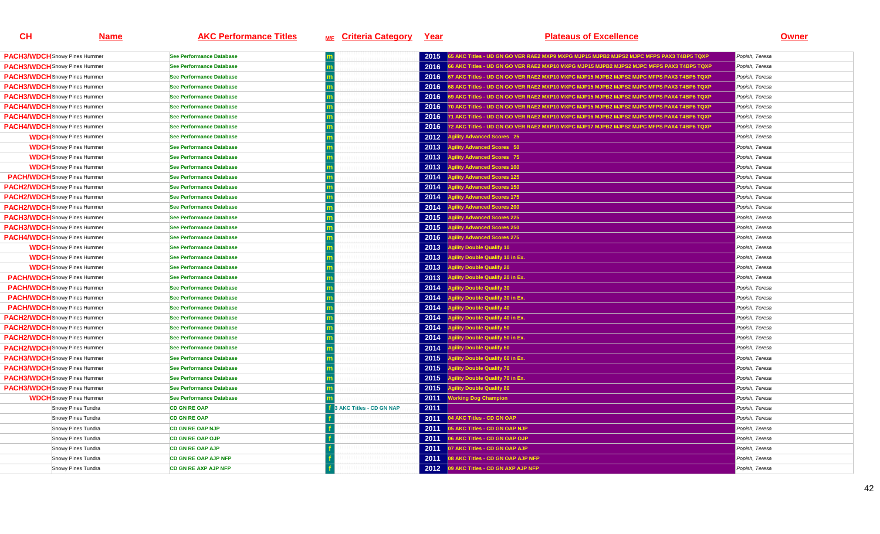| <b>PACH3/WDCH</b> Snowy Pines Hummer | See Performance Database        |                               | 2015 | 5 AKC Titles - UD GN GO VER RAE2 MXP9 MXPG MJP15 MJPB2 MJPS2 MJPC MFPS PAX3 T4BP5 TQXP   | Popish, Teresa |
|--------------------------------------|---------------------------------|-------------------------------|------|------------------------------------------------------------------------------------------|----------------|
| <b>PACH3/WDCH</b> Snowy Pines Hummer | See Performance Database        |                               | 2016 | 66 AKC Titles - UD GN GO VER RAE2 MXP10 MXPG MJP15 MJPB2 MJPS2 MJPC MFPS PAX3 T4BP5 TQXP | Popish, Teresa |
| <b>PACH3/WDCH</b> Snowy Pines Hummer | See Performance Database        |                               | 2016 | 67 AKC Titles - UD GN GO VER RAE2 MXP10 MXPC MJP15 MJPB2 MJPS2 MJPC MFPS PAX3 T4BP5 TQXP | Popish, Teresa |
| <b>PACH3/WDCH</b> Snowy Pines Hummer | See Performance Database        |                               | 2016 | 8 AKC Titles - UD GN GO VER RAE2 MXP10 MXPC MJP15 MJPB2 MJPS2 MJPC MFPS PAX3 T4BP6 TQXP  | Popish, Teresa |
| <b>PACH3/WDCH</b> Snowy Pines Hummer | See Performance Database        |                               | 2016 | 69 AKC Titles - UD GN GO VER RAE2 MXP10 MXPC MJP15 MJPB2 MJPS2 MJPC MFPS PAX4 T4BP6 TQXP | Popish, Teresa |
| <b>PACH4/WDCH</b> Snowy Pines Hummer | See Performance Database        |                               | 2016 | 70 AKC Titles - UD GN GO VER RAE2 MXP10 MXPC MJP15 MJPB2 MJPS2 MJPC MFPS PAX4 T4BP6 TQXP | Popish, Teresa |
| <b>PACH4/WDCH</b> Snowy Pines Hummer | <b>See Performance Database</b> |                               | 2016 | 71 AKC Titles - UD GN GO VER RAE2 MXP10 MXPC MJP16 MJPB2 MJPS2 MJPC MFPS PAX4 T4BP6 TQXP | Popish, Teresa |
| <b>PACH4/WDCH</b> Snowy Pines Hummer | See Performance Database        |                               | 2016 | 72 AKC Titles - UD GN GO VER RAE2 MXP10 MXPC MJP17 MJPB2 MJPS2 MJPC MFPS PAX4 T4BP6 TQXP | Popish, Teresa |
| <b>WDCH</b> Snowy Pines Hummer       | See Performance Database        |                               | 2012 | <b>Agility Advanced Scores 25</b>                                                        | Popish, Teresa |
| <b>WDCH</b> Snowy Pines Hummer       | See Performance Database        |                               | 2013 | <b>Agility Advanced Scores 50</b>                                                        | Popish, Teresa |
| <b>WDCH</b> Snowy Pines Hummer       | <b>See Performance Database</b> |                               | 2013 | <b>Agility Advanced Scores 75</b>                                                        | Popish, Teresa |
| <b>WDCH</b> Snowy Pines Hummer       | See Performance Database        |                               | 2013 | <b>Agility Advanced Scores 100</b>                                                       | Popish, Teresa |
| <b>PACH/WDCH</b> Snowy Pines Hummer  | See Performance Database        |                               | 2014 | gility Advanced Scores 125                                                               | Popish, Teresa |
| <b>PACH2/WDCH</b> Snowy Pines Hummer | See Performance Database        |                               | 2014 | <b>Agility Advanced Scores 150</b>                                                       | Popish, Teresa |
| <b>PACH2/WDCH</b> Snowy Pines Hummer | <b>See Performance Database</b> |                               | 2014 | gility Advanced Scores 175                                                               | Popish, Teresa |
| <b>PACH2/WDCH</b> Snowy Pines Hummer | <b>See Performance Database</b> |                               | 2014 | <b>Agility Advanced Scores 200</b>                                                       | Popish, Teresa |
| <b>PACH3/WDCH</b> Snowy Pines Hummer | See Performance Database        |                               | 2015 | <b>Agility Advanced Scores 225</b>                                                       | Popish, Teresa |
| <b>PACH3/WDCH</b> Snowy Pines Hummer | See Performance Database        |                               | 2015 | <b>Agility Advanced Scores 250</b>                                                       | Popish, Teresa |
| <b>PACH4/WDCH</b> Snowy Pines Hummer | <b>See Performance Database</b> |                               | 2016 | <b>Agility Advanced Scores 275</b>                                                       | Popish, Teresa |
| <b>WDCH</b> Snowy Pines Hummer       | <b>See Performance Database</b> |                               | 2013 | <b>Agility Double Qualify 10</b>                                                         | Popish, Teresa |
| <b>WDCH</b> Snowy Pines Hummer       | See Performance Database        |                               | 2013 | <b>Agility Double Qualify 10 in Ex</b>                                                   | Popish, Teresa |
| <b>WDCH</b> Snowy Pines Hummer       | See Performance Database        |                               | 2013 | <b>Agility Double Qualify 20</b>                                                         | Popish, Teresa |
| <b>PACH/WDCH</b> Snowy Pines Hummer  | See Performance Database        |                               | 2013 | <b>Agility Double Qualify 20 in Ex.</b>                                                  | Popish, Teresa |
| <b>PACH/WDCH</b> Snowy Pines Hummer  | See Performance Database        |                               | 2014 | <b>Agility Double Qualify 30</b>                                                         | Popish, Teresa |
| <b>PACH/WDCH</b> Snowy Pines Hummer  | See Performance Database        |                               | 2014 | <b>Agility Double Qualify 30 in Ex.</b>                                                  | Popish, Teresa |
| <b>PACH/WDCH</b> Snowy Pines Hummer  | See Performance Database        |                               | 2014 | gility Double Qualify 40                                                                 | Popish, Teresa |
| <b>PACH2/WDCH</b> Snowy Pines Hummer | See Performance Database        |                               | 2014 | <b>Agility Double Qualify 40 in Ex.</b>                                                  | Popish, Teresa |
| <b>PACH2/WDCH</b> Snowy Pines Hummer | <b>See Performance Database</b> |                               | 2014 | <b>Agility Double Qualify 50</b>                                                         | Popish, Teresa |
| <b>PACH2/WDCH</b> Snowy Pines Hummer | See Performance Database        |                               | 2014 | Agility Double Qualify 50 in Ex.                                                         | Popish, Teresa |
| <b>PACH2/WDCH</b> Snowy Pines Hummer | See Performance Database        |                               | 2014 | <b>Agility Double Qualify 60</b>                                                         | Popish, Teresa |
| <b>PACH3/WDCH</b> Snowy Pines Hummer | See Performance Database        |                               | 2015 | <b>Agility Double Qualify 60 in Ex</b>                                                   | Popish, Teresa |
| <b>PACH3/WDCH</b> Snowy Pines Hummer | <b>See Performance Database</b> |                               | 2015 | <b>Agility Double Qualify 70</b>                                                         | Popish, Teresa |
| <b>PACH3/WDCH</b> Snowy Pines Hummer | <b>See Performance Database</b> |                               | 2015 | Agility Double Qualify 70 in Ex.                                                         | Popish, Teresa |
| <b>PACH3/WDCH</b> Snowy Pines Hummer | See Performance Database        |                               | 2015 | <b>Agility Double Qualify 80</b>                                                         | Popish, Teresa |
| <b>WDCH</b> Snowy Pines Hummer       | See Performance Database        |                               | 2011 | <b>Working Dog Champion</b>                                                              | Popish, Teresa |
| Snowy Pines Tundra                   | <b>CD GN RE OAP</b>             | <b>AKC Titles - CD GN NAP</b> | 2011 |                                                                                          | Popish, Teresa |
| Snowy Pines Tundra                   | <b>CD GN RE OAP</b>             |                               | 2011 | 04 AKC Titles - CD GN OAP                                                                | Popish, Teresa |
| Snowy Pines Tundra                   | <b>CD GN RE OAP NJP</b>         |                               | 2011 | 05 AKC Titles - CD GN OAP NJP                                                            | Popish, Teresa |
| Snowy Pines Tundra                   | <b>CD GN RE OAP OJP</b>         |                               | 2011 | 06 AKC Titles - CD GN OAP OJP                                                            | Popish, Teresa |
| Snowy Pines Tundra                   | <b>CD GN RE OAP AJP</b>         |                               | 2011 | 07 AKC Titles - CD GN OAP AJP                                                            | Popish, Teresa |
| Snowy Pines Tundra                   | <b>CD GN RE OAP AJP NFP</b>     |                               | 2011 | 08 AKC Titles - CD GN OAP AJP NFP                                                        | Popish, Teresa |
| Snowy Pines Tundra                   | <b>CD GN RE AXP AJP NFP</b>     |                               |      | 2012 09 AKC Titles - CD GN AXP AJP NFP                                                   | Popish, Teresa |
|                                      |                                 |                               |      |                                                                                          |                |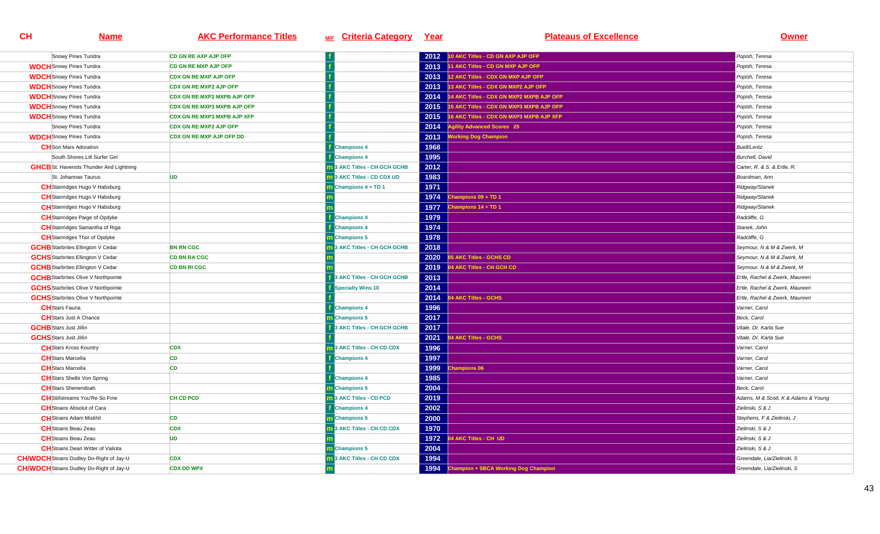| Snowy Pines Tundra                             | <b>CD GN RE AXP AJP OFP</b>        |                                     | 2012 | 10 AKC Titles - CD GN AXP AJP OFP           | Popish, Teresa                      |
|------------------------------------------------|------------------------------------|-------------------------------------|------|---------------------------------------------|-------------------------------------|
| <b>WDCH</b> Snowy Pines Tundra                 | <b>CD GN RE MXP AJP OFP</b>        |                                     | 2013 | 11 AKC Titles - CD GN MXP AJP OFP           | Popish, Teresa                      |
| <b>WDCH</b> Snowy Pines Tundra                 | <b>CDX GN RE MXP AJP OFP</b>       |                                     | 2013 | 12 AKC Titles - CDX GN MXP AJP OFP          | Popish, Teresa                      |
| <b>WDCH</b> Snowy Pines Tundra                 | <b>CDX GN RE MXP2 AJP OFP</b>      |                                     | 2013 | 13 AKC Titles - CDX GN MXP2 AJP OFP         | Popish, Teresa                      |
| <b>WDCH</b> Snowy Pines Tundra                 | CDX GN RE MXP2 MXPB AJP OFP        |                                     | 2014 | 14 AKC Titles - CDX GN MXP2 MXPB AJP OFP    | Popish, Teresa                      |
| <b>WDCH</b> Snowy Pines Tundra                 | <b>CDX GN RE MXP3 MXPB AJP OFP</b> |                                     | 2015 | 15 AKC Titles - CDX GN MXP3 MXPB AJP OFP    | Popish, Teresa                      |
| <b>WDCH</b> Snowy Pines Tundra                 | CDX GN RE MXP3 MXPB AJP XFP        |                                     | 2015 | 16 AKC Titles - CDX GN MXP3 MXPB AJP XFP    | Popish, Teresa                      |
| Snowy Pines Tundra                             | <b>CDX GN RE MXP2 AJP OFP</b>      |                                     | 2014 | <b>Agility Advanced Scores</b> 25           | Popish, Teresa                      |
| <b>WDCH</b> Snowy Pines Tundra                 | <b>CDX GN RE MXP AJP OFP DD</b>    |                                     | 2013 | <b>Working Dog Champion</b>                 | Popish, Teresa                      |
| <b>CH</b> Son Mars Adoration                   |                                    | <b>Champions 4</b>                  | 1968 |                                             | <b>Buell/Lentz</b>                  |
| South Shores Litl Surfer Girl                  |                                    | <b>Champions 4</b>                  | 1995 |                                             | Burchell, David                     |
| <b>GHCB</b> St. Havensts Thunder And Lightning |                                    | <b>m</b> 3 AKC Titles - CH GCH GCHB | 2012 |                                             | Carter, R. & S. & Ertle, R.         |
| St. Johannas Taurus                            | <b>UD</b>                          | <b>n</b> 3 AKC Titles - CD CDX UD   | 1983 |                                             | Boardman, Ann                       |
| <b>CH</b> Stanridges Hugo V Habsburg           |                                    | Champions 4 + TD 1                  | 1971 |                                             | Ridgway/Stanek                      |
| <b>CH</b> Stanridges Hugo V Habsburg           |                                    |                                     | 1974 | Champions 09 + TD 1                         | Ridgway/Stanek                      |
| <b>CH</b> Stanridges Hugo V Habsburg           |                                    |                                     | 1977 | hampions 14 + TD 1                          | Ridgway/Stanek                      |
| <b>CH</b> Stanridges Paige of Opdyke           |                                    | <b>Champions 4</b>                  | 1979 |                                             | Radcliffe, G                        |
| <b>CH</b> Stanridges Samantha of Riga          |                                    | <b>Champions 4</b>                  | 1974 |                                             | Stanek, John                        |
| <b>CH</b> Stanridges Thor of Opdyke            |                                    | <b>Champions 5</b>                  | 1978 |                                             | Radcliffe, G                        |
| <b>GCHB</b> Starbrites Ellington V Cedar       | <b>BN RN CGC</b>                   | 13 AKC Titles - CH GCH GCHB         | 2018 |                                             | Seymour, N & M & Zwerk, M           |
| <b>GCHS</b> Starbrites Ellington V Cedar       | <b>CD BN RA CGC</b>                |                                     | 2020 | <b>5 AKC Titles - GCHS CD</b>               | Seymour, N & M & Zwerk, M           |
| <b>GCHB</b> Starbrites Ellington V Cedar       | <b>CD BN RI CGC</b>                |                                     | 2019 | 4 AKC Titles - CH GCH CD                    | Seymour, N & M & Zwerk, M           |
| <b>GCHB</b> Starbrites Olive V Northpointe     |                                    | 3 AKC Titles - CH GCH GCHB          | 2013 |                                             | Ertle, Rachel & Zwerk, Maureen      |
| <b>GCHS</b> Starbrites Olive V Northpointe     |                                    | <b>Specialty Wins 10</b>            | 2014 |                                             | Ertle, Rachel & Zwerk, Maureen      |
| <b>GCHS</b> Starbrites Olive V Northpointe     |                                    |                                     | 2014 | <b>4 AKC Titles - GCHS</b>                  | Ertle, Rachel & Zwerk, Maureen      |
| <b>CH</b> Stars Fauna                          |                                    | <b>Champions 4</b>                  | 1996 |                                             | Varner, Carol                       |
| <b>CH</b> Stars Just A Chance                  |                                    | <b>Champions 5</b>                  | 2017 |                                             | Beck, Carol                         |
| <b>GCHB</b> Stars Just Jillin                  |                                    | 3 AKC Titles - CH GCH GCHB          | 2017 |                                             | Vitale, Dr. Karla Sue               |
| <b>GCHS</b> Stars Just Jillin                  |                                    |                                     | 2021 | <b>4 AKC Titles - GCHS</b>                  | Vitale, Dr. Karla Sue               |
| <b>CH</b> Stars Kross Kountry                  | <b>CDX</b>                         | 3 AKC Titles - CH CD CDX            | 1996 |                                             | Varner, Carol                       |
| <b>CH</b> Stars Marcella                       | CD                                 | <b>Champions 4</b>                  | 1997 |                                             | Varner, Carol                       |
| <b>CH</b> Stars Marcella                       | <b>CD</b>                          |                                     | 1999 | hampions 06                                 | Varner, Carol                       |
| <b>CH</b> Stars Shelbi Von Spring              |                                    | <b>Champions 4</b>                  | 1985 |                                             | Varner, Carol                       |
| <b>CH</b> Stars Shenendoah                     |                                    | <b>Champions 5</b>                  | 2004 |                                             | Beck, Carol                         |
| <b>CH</b> Stillstreams You'Re So Fine          | <b>CH CD PCD</b>                   | <b>1</b> 3 AKC Titles - CD PCD      | 2019 |                                             | Adams, M & Scott, K & Adams & Young |
| <b>CH</b> Stoans Absolut of Cara               |                                    | <b>Champions 4</b>                  | 2002 |                                             | Zielinski, S & J                    |
| <b>CH</b> Stoans Adam Mistihil                 | <b>CD</b>                          | <b>m</b> Champions 5                | 2000 |                                             | Stephens, F & Zielinski, J          |
| <b>CH</b> Stoans Beau Zeau                     | <b>CDX</b>                         | 3 AKC Titles - CH CD CDX            | 1970 |                                             | Zielinski, S & J                    |
| <b>CH</b> Stoans Beau Zeau                     | <b>UD</b>                          |                                     | 1972 | <b>4 AKC Titles - CH UD</b>                 | Zielinski, S & J                    |
| <b>CH</b> Stoans Dean Witter of Valinta        |                                    | <b>m</b> Champions 5                | 2004 |                                             | Zielinski, S & J                    |
| <b>CH/WDCH</b> Stoans Dudley Do-Right of Jay-U | <b>CDX</b>                         | m 3 AKC Titles - CH CD CDX          | 1994 |                                             | Greendale, Lia/Zielinski, S         |
| <b>CH/WDCH</b> Stoans Dudley Do-Right of Jay-U | <b>CDX DD WPX</b>                  |                                     | 1994 | <b>Champion + SBCA Working Dog Champion</b> | Greendale, Lia/Zielinski, S         |
|                                                |                                    |                                     |      |                                             |                                     |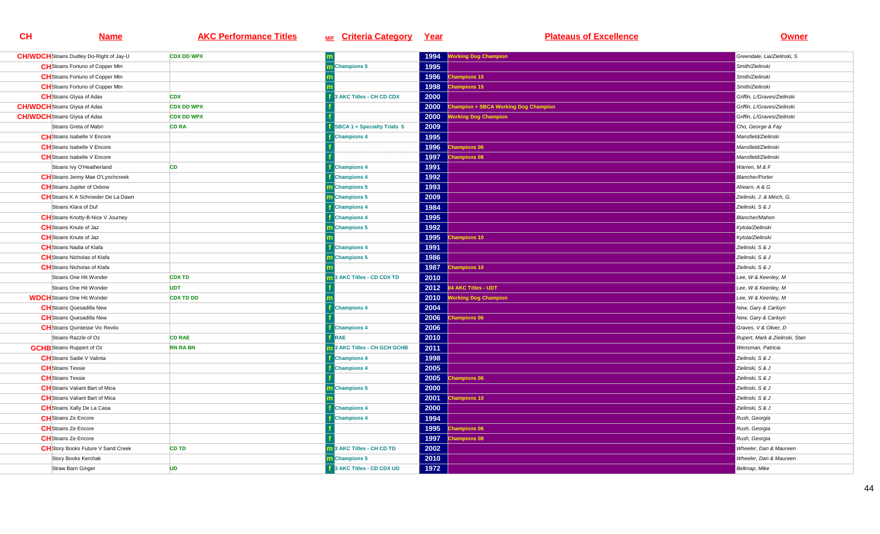| <b>CH/WDCH</b> Stoans Dudley Do-Right of Jay-U | <b>CDX DD WPX</b> |                                     | 1994 | <b>Working Dog Champion</b>                 | Greendale, Lia/Zielinski, S    |
|------------------------------------------------|-------------------|-------------------------------------|------|---------------------------------------------|--------------------------------|
| <b>CH</b> Stoans Fortuno of Copper Mtn         |                   | <b>n</b> Champions 5                | 1995 |                                             | Smith/Zielinski                |
| <b>CH</b> Stoans Fortuno of Copper Mtn         |                   |                                     | 1996 | <b>Champions 10</b>                         | Smith/Zielinski                |
| <b>CH</b> Stoans Fortuno of Copper Mtn         |                   |                                     | 1998 | hampions 15                                 | Smith/Zielinski                |
| <b>CH</b> Stoans Glysa of Adax                 | <b>CDX</b>        | <b>BAKC Titles - CH CD CDX</b>      | 2000 |                                             | Griffin, L/Graves/Zielinski    |
| <b>CH/WDCH</b> Stoans Glysa of Adax            | <b>CDX DD WPX</b> |                                     | 2000 | <b>Champion + SBCA Working Dog Champion</b> | Griffin, L/Graves/Zielinski    |
| <b>CH/WDCH</b> Stoans Glysa of Adax            | <b>CDX DD WPX</b> |                                     | 2000 | <b>Vorking Dog Champion</b>                 | Griffin. L/Graves/Zielinski    |
| Stoans Greta of Mabri                          | <b>CD RA</b>      | SBCA 1 + Specialty Trials 5         | 2009 |                                             | Cho, George & Fay              |
| <b>CH</b> Stoans Isabelle V Encore             |                   | <b>Champions 4</b>                  | 1995 |                                             | Mansfield/Zielinski            |
| <b>CH</b> Stoans Isabelle V Encore             |                   |                                     | 1996 | <b>Champions 06</b>                         | Mansfield/Zielinski            |
| <b>CH</b> Stoans Isabelle V Encore             |                   |                                     | 1997 | hampions 08                                 | Mansfield/Zielinski            |
| Stoans Ivy O'Heatherland                       | <b>CD</b>         | <b>Champions 4</b>                  | 1991 |                                             | Warren, M & F                  |
| <b>CH</b> Stoans Jenny Mae O'Lynchcreek        |                   | <b>Champions 4</b>                  | 1992 |                                             | <b>Blancher/Porter</b>         |
| <b>CH</b> Stoans Jupiter of Oxbow              |                   | <b>Champions 5</b>                  | 1993 |                                             | Ahearn, A & G                  |
| <b>CH</b> Stoans K A Schroeder De La Dawn      |                   | m Champions 5                       | 2009 |                                             | Zielinski, J. & Minch, G.      |
| Stoans Klara of Duf                            |                   | <b>Champions 4</b>                  | 1984 |                                             | Zielinski, S & J               |
| <b>CH</b> Stoans Knotty-B-Nice V Journey       |                   | <b>Champions 4</b>                  | 1995 |                                             | <b>Blancher/Mahon</b>          |
| <b>CH</b> Stoans Knute of Jaz                  |                   | <b>Champions 5</b>                  | 1992 |                                             | Kytola/Zielinski               |
| <b>CH</b> Stoans Knute of Jaz                  |                   |                                     | 1995 | hampions 10                                 | Kytola/Zielinski               |
| <b>CH</b> Stoans Nadia of Klafa                |                   | <b>Champions 4</b>                  | 1991 |                                             | Zielinski, S & J               |
| <b>CH</b> Stoans Nicholas of Klafa             |                   | <b>Champions 5</b>                  | 1986 |                                             | Zielinski, S & J               |
| <b>CH</b> Stoans Nicholas of Klafa             |                   |                                     | 1987 | hampions 10                                 | Zielinski, S & J               |
| Stoans One Hit Wonder                          | <b>CDX TD</b>     | 3 AKC Titles - CD CDX TD            | 2010 |                                             | Lee, W & Keenley, M            |
| Stoans One Hit Wonder                          | <b>UDT</b>        |                                     |      | 2012 04 AKC Titles - UDT                    | Lee, W & Keenley, M            |
| <b>WDCH</b> Stoans One Hit Wonder              | <b>CDX TD DD</b>  |                                     |      | 2010 Working Dog Champion                   | Lee, W & Keenley, M            |
| <b>CH</b> Stoans Quesadilla New                |                   | <b>Champions 4</b>                  | 2004 |                                             | New, Gary & Carloyn            |
| <b>CH</b> Stoans Quesadilla New                |                   |                                     | 2006 | Champions 06                                | New, Gary & Carloyn            |
| <b>CH</b> Stoans Quintesse Vic Revilo          |                   | <b>Champions 4</b>                  | 2006 |                                             | Graves, V & Oliver, D          |
| Stoans Razzle of Oz                            | <b>CD RAE</b>     | RAE                                 | 2010 |                                             | Rupert, Mark & Zielinski, Stan |
| <b>GCHB</b> Stoans Ruppert of Oz               | <b>RN RA BN</b>   | <b>n</b> 3 AKC Titles - CH GCH GCHB | 2011 |                                             | Wensman, Patricia              |
| <b>CH</b> Stoans Sadie V Valinta               |                   | <b>Champions 4</b>                  | 1998 |                                             | Zielinski, S & J               |
| <b>CH</b> Stoans Tessie                        |                   | <b>Champions 4</b>                  | 2005 |                                             | Zielinski, S & J               |
| <b>CH</b> Stoans Tessie                        |                   |                                     | 2005 | <b>Champions 06</b>                         | Zielinski, S & J               |
| <b>CH</b> Stoans Valiant Bart of Mica          |                   | <b>Champions 5</b>                  | 2000 |                                             | Zielinski, S & J               |
| <b>CH</b> Stoans Valiant Bart of Mica          |                   |                                     | 2001 | <b>Champions 10</b>                         | Zielinski, S & J               |
| <b>CH</b> Stoans Xally De La Casa              |                   | <b>Champions 4</b>                  | 2000 |                                             | Zielinski, S & J               |
| <b>CH</b> Stoans Ze Encore                     |                   | <b>Champions 4</b>                  | 1994 |                                             | Rush, Georgia                  |
| <b>CH</b> Stoans Ze Encore                     |                   |                                     | 1995 | <b>Champions 06</b>                         | Rush, Georgia                  |
| <b>CH</b> Stoans Ze Encore                     |                   |                                     | 1997 | hampions 08                                 | Rush, Georgia                  |
| <b>CH</b> Story Books Future V Sand Creek      | <b>CD TD</b>      | 3 AKC Titles - CH CD TD             | 2002 |                                             | Wheeler, Dan & Maureen         |
| Story Books Kerchak                            |                   | m Champions 5                       | 2010 |                                             | Wheeler, Dan & Maureen         |
| Straw Barri Ginger                             | <b>UD</b>         | 3 AKC Titles - CD CDX UD            | 1972 |                                             | Belknap, Mike                  |
|                                                |                   |                                     |      |                                             |                                |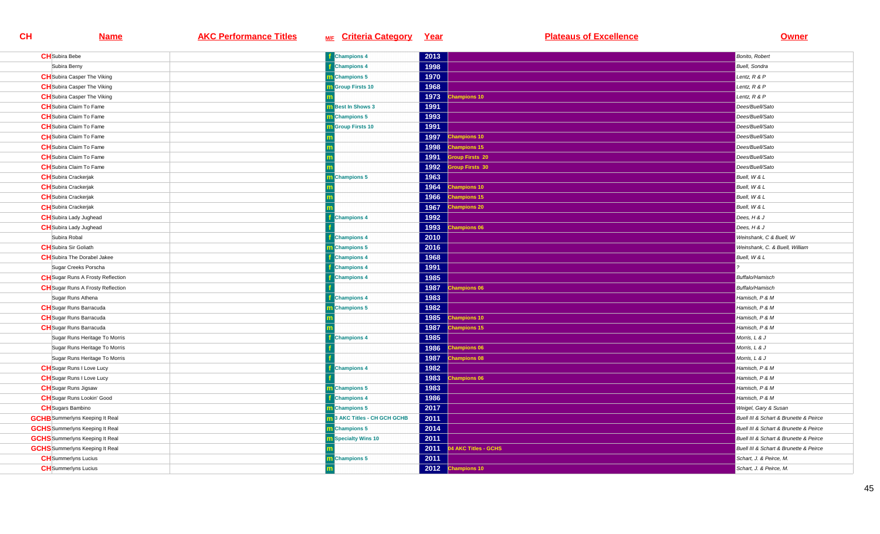| <b>CH</b> Subira Bebe                    | <b>f</b> Champions 4                | 2013 |                           | Bonito, Robert                         |
|------------------------------------------|-------------------------------------|------|---------------------------|----------------------------------------|
| Subira Berny                             | <b>Champions 4</b>                  | 1998 |                           | <b>Buell</b> , Sondra                  |
| <b>CH</b> Subira Casper The Viking       | <b>n</b> Champions 5                | 1970 |                           | Lentz, R & P                           |
| <b>CH</b> Subira Casper The Viking       | <b>n</b> Group Firsts 10            | 1968 |                           | Lentz, R & P                           |
| <b>CH</b> Subira Casper The Viking       |                                     | 1973 | <b>Champions 10</b>       | Lentz, R & P                           |
| <b>CH</b> Subira Claim To Fame           | m Best In Shows 3                   | 1991 |                           | Dees/Buell/Sato                        |
| <b>CH</b> Subira Claim To Fame           | m Champions 5                       | 1993 |                           | Dees/Buell/Sato                        |
| <b>CH</b> Subira Claim To Fame           | m Group Firsts 10                   | 1991 |                           | Dees/Buell/Sato                        |
| <b>CH</b> Subira Claim To Fame           |                                     | 1997 | Champions 10              | Dees/Buell/Sato                        |
| <b>CH</b> Subira Claim To Fame           |                                     | 1998 | <b>Champions 15</b>       | Dees/Buell/Sato                        |
| <b>CH</b> Subira Claim To Fame           |                                     | 1991 | <b>Group Firsts 20</b>    | Dees/Buell/Sato                        |
| <b>CH</b> Subira Claim To Fame           |                                     | 1992 | <b>Sroup Firsts 30</b>    | Dees/Buell/Sato                        |
| <b>CH</b> Subira Crackerjak              | <b>Champions 5</b>                  | 1963 |                           | Buell, W & L                           |
| <b>CH</b> Subira Crackerjak              |                                     | 1964 | <b>Champions 10</b>       | Buell, W & L                           |
| <b>CH</b> Subira Crackerjak              |                                     | 1966 | <b>Champions 15</b>       | Buell, W & L                           |
| <b>CH</b> Subira Crackerjak              |                                     | 1967 | <b>Champions 20</b>       | Buell, W & L                           |
| <b>CH</b> Subira Lady Jughead            | <b>Champions 4</b>                  | 1992 |                           | Dees, H & J                            |
| <b>CH</b> Subira Lady Jughead            |                                     | 1993 | <b>Champions 06</b>       | Dees, $H \& J$                         |
| Subira Robal                             | <b>Champions 4</b>                  | 2010 |                           | Weinshank, C & Buell, W                |
| <b>CH</b> Subira Sir Goliath             | m Champions 5                       | 2016 |                           | Weinshank, C. & Buell, William         |
| <b>CH</b> Subira The Dorabel Jakee       | <b>Champions 4</b>                  | 1968 |                           | Buell, W & L                           |
| Sugar Creeks Porscha                     | <b>Champions 4</b>                  | 1991 |                           |                                        |
| <b>CH</b> Sugar Runs A Frosty Reflection | <b>Champions 4</b>                  | 1985 |                           | Buffalo/Hamisch                        |
| <b>CH</b> Sugar Runs A Frosty Reflection |                                     | 1987 | <b>Champions 06</b>       | <b>Buffalo/Hamisch</b>                 |
| Sugar Runs Athena                        | <b>Champions 4</b>                  | 1983 |                           | Hamisch, P & M                         |
| <b>CH</b> Sugar Runs Barracuda           | <b>Champions 5</b>                  | 1982 |                           | Hamisch, P & M                         |
| <b>CH</b> Sugar Runs Barracuda           |                                     | 1985 | hampions 10               | Hamisch, P & M                         |
| <b>CH</b> Sugar Runs Barracuda           |                                     | 1987 | <b>Champions 15</b>       | Hamisch, P & M                         |
| Sugar Runs Heritage To Morris            | <b>Champions 4</b>                  | 1985 |                           | Morris, L & J                          |
| Sugar Runs Heritage To Morris            |                                     | 1986 | <b>Champions 06</b>       | Morris, L & J                          |
| Sugar Runs Heritage To Morris            |                                     | 1987 | <b>Champions 08</b>       | Morris, L & J                          |
| <b>CH</b> Sugar Runs I Love Lucy         | <b>Champions 4</b>                  | 1982 |                           | Hamisch, P & M                         |
| <b>CH</b> Sugar Runs I Love Lucy         |                                     | 1983 | hampions 06               | Hamisch, P & M                         |
| <b>CH</b> Sugar Runs Jigsaw              | <b>n</b> Champions 5                | 1983 |                           | Hamisch, P & M                         |
| <b>CH</b> Sugar Runs Lookin' Good        | <b>Champions 4</b>                  | 1986 |                           | Hamisch, P & M                         |
| <b>CH</b> Sugars Bambino                 | <b>n</b> Champions 5                | 2017 |                           | Weigel, Gary & Susan                   |
| <b>GCHB</b> Summerlyns Keeping It Real   | <b>m</b> 3 AKC Titles - CH GCH GCHB | 2011 |                           | Buell III & Schart & Brunette & Peirce |
| <b>GCHS</b> Summerlyns Keeping It Real   | m Champions 5                       | 2014 |                           | Buell III & Schart & Brunette & Peirce |
| <b>GCHS</b> Summerlyns Keeping It Real   | <b>m</b> Specialty Wins 10          | 2011 |                           | Buell III & Schart & Brunette & Peirce |
| <b>GCHS</b> Summerlyns Keeping It Real   |                                     |      | 2011 04 AKC Titles - GCHS | Buell III & Schart & Brunette & Peirce |
| <b>CH</b> Summerlyns Lucius              | <b>m</b> Champions 5                | 2011 |                           | Schart, J. & Peirce, M.                |
| <b>CH</b> Summerlyns Lucius              |                                     |      | 2012 Champions 10         | Schart, J. & Peirce, M.                |
|                                          |                                     |      |                           |                                        |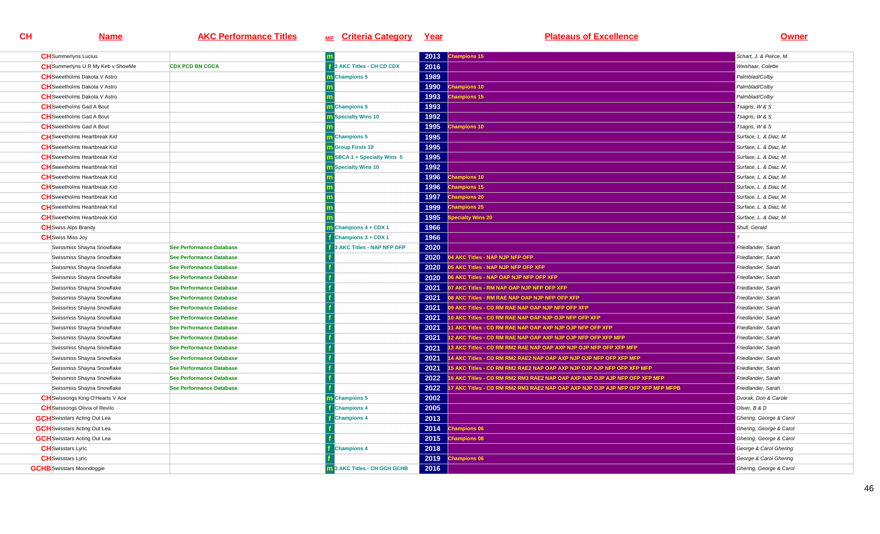| <b>CH</b> Summerlyns Lucius              |                                 |                                    | 2013 | <b>Champions 15</b>                                                            | Schart, J. & Peirce, M. |
|------------------------------------------|---------------------------------|------------------------------------|------|--------------------------------------------------------------------------------|-------------------------|
| <b>CH</b> Summerlyns U R My Keb v ShowMe | <b>CDX PCD BN CGCA</b>          | 3 AKC Titles - CH CD CDX           | 2016 |                                                                                | Weishaar, Colette       |
| <b>CH</b> Sweetholms Dakota V Astro      |                                 | <b>n</b> Champions 5               | 1989 |                                                                                | Palmblad/Colby          |
| <b>CH</b> Sweetholms Dakota V Astro      |                                 |                                    | 1990 | hampions 10                                                                    | Palmblad/Colby          |
| <b>CH</b> Sweetholms Dakota V Astro      |                                 |                                    | 1993 | <b>Champions 15</b>                                                            | Palmblad/Colby          |
| <b>CH</b> Sweetholms Gad A Bout          |                                 | <b>Champions 5</b>                 | 1993 |                                                                                | Tsagris, W & S          |
| <b>CH</b> Sweetholms Gad A Bout          |                                 | Specialty Wins 10                  | 1992 |                                                                                | Tsagris, W & S          |
| <b>CH</b> Sweetholms Gad A Bout          |                                 |                                    | 1995 | hampions 10                                                                    | Tsagris, W & S          |
| <b>CH</b> Sweetholms Heartbreak Kid      |                                 | <b>n</b> Champions 5               | 1995 |                                                                                | Surface, L. & Diaz, M.  |
| <b>CH</b> Sweetholms Heartbreak Kid      |                                 | <b>n</b> Group Firsts 10           | 1995 |                                                                                | Surface, L. & Diaz. M.  |
| <b>CH</b> Sweetholms Heartbreak Kid      |                                 | <b>n</b> SBCA 1 + Specialty Wins 5 | 1995 |                                                                                | Surface, L. & Diaz, M.  |
| <b>CH</b> Sweetholms Heartbreak Kid      |                                 | <b>n</b> Specialty Wins 10         | 1992 |                                                                                | Surface, L. & Diaz. M.  |
| <b>CH</b> Sweetholms Heartbreak Kid      |                                 |                                    | 1996 | <b>Champions 10</b>                                                            | Surface, L. & Diaz. M.  |
| <b>CH</b> Sweetholms Heartbreak Kid      |                                 |                                    | 1996 | <b>Champions 15</b>                                                            | Surface, L. & Diaz, M.  |
| <b>CH</b> Sweetholms Heartbreak Kid      |                                 |                                    | 1997 | <b>Champions 20</b>                                                            | Surface, L. & Diaz. M.  |
| <b>CH</b> Sweetholms Heartbreak Kid      |                                 |                                    | 1999 | <b>Champions 25</b>                                                            | Surface, L. & Diaz, M.  |
| <b>CH</b> Sweetholms Heartbreak Kid      |                                 |                                    | 1995 | pecialty Wins 20                                                               | Surface, L. & Diaz. M.  |
| <b>CH</b> Swiss Alps Brandy              |                                 | Champions 4 + CDX 1                | 1966 |                                                                                | Shull, Gerald           |
| <b>CH</b> Swiss Miss Joy                 |                                 | Champions 3 + CDX 1                | 1966 |                                                                                |                         |
| Swissmiss Shayna Snowflake               | See Performance Database        | 3 AKC Titles - NAP NFP OFP         | 2020 |                                                                                | Friedlander, Sarah      |
| Swissmiss Shayna Snowflake               | <b>See Performance Database</b> |                                    | 2020 | <b>14 AKC Titles - NAP NJP NFP OFP</b>                                         | Friedlander, Sarah      |
| Swissmiss Shayna Snowflake               | See Performance Database        |                                    | 2020 | 05 AKC Titles - NAP NJP NFP OFP XFP                                            | Friedlander, Sarah      |
| Swissmiss Shayna Snowflake               | See Performance Database        |                                    | 2020 | 06 AKC Titles - NAP OAP NJP NFP OFP XFP                                        | Friedlander, Sarah      |
| Swissmiss Shayna Snowflake               | <b>See Performance Database</b> |                                    | 2021 | 07 AKC Titles - RM NAP OAP NJP NFP OFP XFP                                     | Friedlander, Sarah      |
| Swissmiss Shayna Snowflake               | See Performance Database        |                                    | 2021 | 08 AKC Titles - RM RAE NAP OAP NJP NFP OFP XFP                                 | Friedlander, Sarah      |
| Swissmiss Shayna Snowflake               | See Performance Database        |                                    | 2021 | 09 AKC Titles - CD RM RAE NAP OAP NJP NFP OFP XFP                              | Friedlander, Sarah      |
| Swissmiss Shayna Snowflake               | See Performance Database        |                                    | 2021 | 10 AKC Titles - CD RM RAE NAP OAP NJP OJP NFP OFP XFP                          | Friedlander, Sarah      |
| Swissmiss Shayna Snowflake               | See Performance Database        |                                    | 2021 | 11 AKC Titles - CD RM RAE NAP OAP AXP NJP OJP NFP OFP XFP                      | Friedlander, Sarah      |
| Swissmiss Shayna Snowflake               | See Performance Database        |                                    | 2021 | 12 AKC Titles - CD RM RAE NAP OAP AXP NJP OJP NFP OFP XFP MFP                  | Friedlander, Sarah      |
| Swissmiss Shayna Snowflake               | See Performance Database        |                                    | 2021 | 13 AKC Titles - CD RM RM2 RAE NAP OAP AXP NJP OJP NFP OFP XFP MFP              | Friedlander, Sarah      |
| Swissmiss Shayna Snowflake               | See Performance Database        |                                    | 2021 | 14 AKC Titles - CD RM RM2 RAE2 NAP OAP AXP NJP OJP NFP OFP XFP MFP             | Friedlander, Sarah      |
| Swissmiss Shayna Snowflake               | <b>See Performance Database</b> |                                    | 2021 | 15 AKC Titles - CD RM RM2 RAE2 NAP OAP AXP NJP OJP AJP NFP OFP XFP MFP         | Friedlander, Sarah      |
| Swissmiss Shayna Snowflake               | See Performance Database        |                                    | 2022 | 6 AKC Titles - CD RM RM2 RM3 RAE2 NAP OAP AXP NJP OJP AJP NFP OFP XFP MFP      | Friedlander, Sarah      |
| Swissmiss Shayna Snowflake               | See Performance Database        |                                    | 2022 | 7 AKC Titles - CD RM RM2 RM3 RAE2 NAP OAP AXP NJP OJP AJP NFP OFP XFP MFP MFPB | Friedlander, Sarah      |
| <b>CH</b> Swissongs King O'Hearts V Ace  |                                 | <b>Champions 5</b>                 | 2002 |                                                                                | Dvorak, Don & Carole    |
| <b>CH</b> Swissongs Olivia of Revilo     |                                 | <b>Champions 4</b>                 | 2005 |                                                                                | Oliver, B & D           |
| <b>GCH</b> Swisstars Acting Out Lea      |                                 | <b>Champions 4</b>                 | 2013 |                                                                                | Ghering, George & Carol |
| <b>GCH</b> Swisstars Acting Out Lea      |                                 |                                    | 2014 | <b>Champions 06</b>                                                            | Ghering, George & Carol |
| <b>GCH</b> Swisstars Acting Out Lea      |                                 |                                    | 2015 | <b>Champions 08</b>                                                            | Ghering, George & Carol |
| <b>CH</b> Swisstars Lyric                |                                 | <b>Champions 4</b>                 | 2018 |                                                                                | George & Carol Ghering  |
| <b>CH</b> Swisstars Lyric                |                                 |                                    | 2019 | hampions 06                                                                    | George & Carol Ghering  |
| <b>GCHB</b> Swisstars Moondoggie         |                                 | 13 AKC Titles - CH GCH GCHB        | 2016 |                                                                                | Ghering, George & Carol |
|                                          |                                 |                                    |      |                                                                                |                         |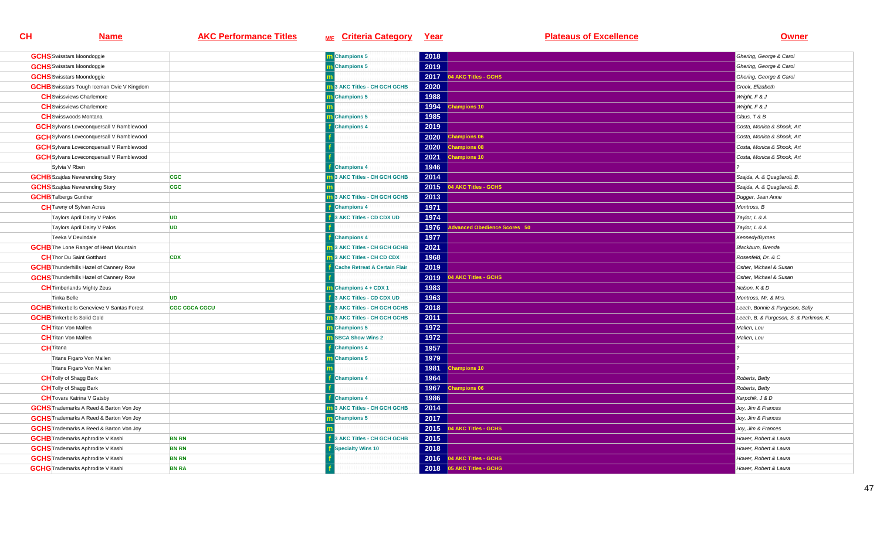| <b>GCHS</b> Swisstars Moondoggie                  |                      | m Champions 5                        | 2018 |                             | Ghering, George & Carol                |
|---------------------------------------------------|----------------------|--------------------------------------|------|-----------------------------|----------------------------------------|
| <b>GCHS</b> Swisstars Moondoggie                  |                      | Champions 5                          | 2019 |                             | Ghering, George & Carol                |
| <b>GCHS</b> Swisstars Moondoggie                  |                      |                                      | 2017 | 04 AKC Titles - GCHS        | Ghering, George & Carol                |
| <b>GCHB</b> Swisstars Tough Iceman Ovie V Kingdom |                      | <b>1</b> 3 AKC Titles - CH GCH GCHB  | 2020 |                             | Crook, Elizabeth                       |
| <b>CH</b> Swissviews Charlemore                   |                      | <b>Champions 5</b>                   | 1988 |                             | Wright, F & J                          |
| <b>CH</b> Swissviews Charlemore                   |                      |                                      | 1994 | <b>Champions 10</b>         | Wright, F & J                          |
| <b>CH</b> Swisswoods Montana                      |                      | <b>Champions 5</b>                   | 1985 |                             | Claus, T & B                           |
| <b>GCH</b> Sylvans Loveconquersall V Ramblewood   |                      | <b>Champions 4</b>                   | 2019 |                             | Costa, Monica & Shook, Art             |
| <b>GCH</b> Sylvans Loveconquersall V Ramblewood   |                      |                                      | 2020 | hampions 06                 | Costa, Monica & Shook, Art             |
| <b>GCH</b> Sylvans Loveconquersall V Ramblewood   |                      |                                      | 2020 | <b>Champions 08</b>         | Costa, Monica & Shook, Art             |
| <b>GCH</b> Sylvans Loveconquersall V Ramblewood   |                      |                                      | 2021 | <b>Champions 10</b>         | Costa, Monica & Shook, Art             |
| Sylvia V Rben                                     |                      | <b>Champions 4</b>                   | 1946 |                             |                                        |
| <b>GCHB</b> Szajdas Neverending Story             | <b>CGC</b>           | 3 AKC Titles - CH GCH GCHB           | 2014 |                             | Szajda, A. & Quagliaroli, B.           |
| <b>GCHS</b> Szajdas Neverending Story             | <b>CGC</b>           |                                      | 2015 | 04 AKC Titles - GCHS        | Szajda, A. & Quagliaroli, B.           |
| <b>GCHB</b> Talbergs Gunther                      |                      | 3 AKC Titles - CH GCH GCHB           | 2013 |                             | Dugger, Jean Anne                      |
| <b>CH</b> Tawny of Sylvan Acres                   |                      | <b>Champions 4</b>                   | 1971 |                             | Montross, B                            |
| Taylors April Daisy V Palos                       | <b>UD</b>            | 3 AKC Titles - CD CDX UD             | 1974 |                             | Taylor, L & A                          |
| Taylors April Daisy V Palos                       | <b>UD</b>            |                                      | 1976 | dvanced Obedience Scores 50 | Taylor, L & A                          |
| Teeka V Devindale                                 |                      | <b>Champions 4</b>                   | 1977 |                             | Kennedy/Byrnes                         |
| <b>GCHB</b> The Lone Ranger of Heart Mountain     |                      | 3 AKC Titles - CH GCH GCHB           | 2021 |                             | Blackburn, Brenda                      |
| <b>CH</b> Thor Du Saint Gotthard                  | <b>CDX</b>           | 3 AKC Titles - CH CD CDX             | 1968 |                             | Rosenfeld, Dr. & C                     |
| <b>GCHB</b> Thunderhills Hazel of Cannery Row     |                      | <b>Cache Retreat A Certain Flair</b> | 2019 |                             | Osher, Michael & Susan                 |
| <b>GCHS</b> Thunderhills Hazel of Cannery Row     |                      |                                      | 2019 | 4 AKC Titles - GCHS         | Osher, Michael & Susan                 |
| <b>CH</b> Timberlands Mighty Zeus                 |                      | Champions 4 + CDX 1                  | 1983 |                             | Nelson, K & D                          |
| Tinka Belle                                       | <b>UD</b>            | 3 AKC Titles - CD CDX UD             | 1963 |                             | Montross, Mr. & Mrs.                   |
| <b>GCHB</b> Tinkerbells Genevieve V Santas Forest | <b>CGC CGCA CGCU</b> | 3 AKC Titles - CH GCH GCHB           | 2018 |                             | Leech, Bonnie & Furgeson, Sally        |
| <b>GCHB</b> Tinkerbells Solid Gold                |                      | 3 AKC Titles - CH GCH GCHB           | 2011 |                             | Leech, B. & Furgeson, S. & Parkman, K. |
| <b>CH</b> Titan Von Mallen                        |                      | <b>Champions 5</b>                   | 1972 |                             | Mallen, Lou                            |
| <b>CH</b> Titan Von Mallen                        |                      | SBCA Show Wins 2                     | 1972 |                             | Mallen, Lou                            |
| <b>CH</b> Titana                                  |                      | <b>Champions 4</b>                   | 1957 |                             |                                        |
| Titans Figaro Von Mallen                          |                      | <b>Champions 5</b>                   | 1979 |                             |                                        |
| Titans Figaro Von Mallen                          |                      |                                      | 1981 | <b>Champions 10</b>         |                                        |
| <b>CH</b> Tolly of Shagg Bark                     |                      | <b>Champions 4</b>                   | 1964 |                             | Roberts, Betty                         |
| <b>CH</b> Tolly of Shagg Bark                     |                      |                                      | 1967 | <b>Champions 06</b>         | Roberts, Betty                         |
| <b>CH</b> Tovars Katrina V Gatsby                 |                      | <b>Champions 4</b>                   | 1986 |                             | Karpchik, J & D                        |
| <b>GCHS</b> Trademarks A Reed & Barton Von Joy    |                      | 3 AKC Titles - CH GCH GCHB           | 2014 |                             | Joy, Jim & Frances                     |
| <b>GCHS</b> Trademarks A Reed & Barton Von Joy    |                      | <b>Champions 5</b>                   | 2017 |                             | Joy, Jim & Frances                     |
| <b>GCHS</b> Trademarks A Reed & Barton Von Joy    |                      |                                      | 2015 | 04 AKC Titles - GCHS        | Joy, Jim & Frances                     |
| <b>GCHB</b> Trademarks Aphrodite V Kashi          | <b>BN RN</b>         | 3 AKC Titles - CH GCH GCHB           | 2015 |                             | Hower, Robert & Laura                  |
| <b>GCHS</b> Trademarks Aphrodite V Kashi          | <b>BN RN</b>         | <b>Specialty Wins 10</b>             | 2018 |                             | Hower, Robert & Laura                  |
| <b>GCHS</b> Trademarks Aphrodite V Kashi          | <b>BN RN</b>         |                                      | 2016 | 04 AKC Titles - GCHS        | Hower, Robert & Laura                  |
| <b>GCHG</b> Trademarks Aphrodite V Kashi          | <b>BN RA</b>         |                                      |      | 2018 05 AKC Titles - GCHG   | Hower, Robert & Laura                  |
|                                                   |                      |                                      |      |                             |                                        |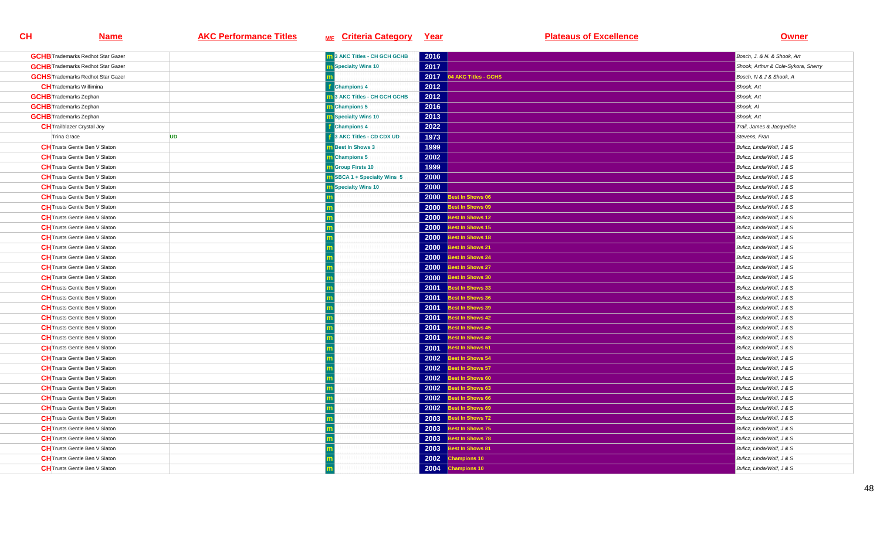| <b>GCHB</b> Trademarks Redhot Star Gazer |           | <b>n</b> 3 AKC Titles - CH GCH GCHB | 2016 |                           | Bosch, J. & N. & Shook, Art         |
|------------------------------------------|-----------|-------------------------------------|------|---------------------------|-------------------------------------|
| <b>GCHB</b> Trademarks Redhot Star Gazer |           | m Specialty Wins 10                 | 2017 |                           | Shook, Arthur & Cole-Sykora, Sherry |
| <b>GCHS</b> Trademarks Redhot Star Gazer |           |                                     |      | 2017 04 AKC Titles - GCHS | Bosch, N & J & Shook, A             |
| <b>CH</b> Trademarks Willimina           |           | <b>Champions 4</b>                  | 2012 |                           | Shook, Art                          |
| <b>GCHB</b> Trademarks Zephan            |           | 3 AKC Titles - CH GCH GCHB          | 2012 |                           | Shook, Art                          |
| <b>GCHB</b> Trademarks Zephan            |           | <b>n</b> Champions 5                | 2016 |                           | Shook, Al                           |
| <b>GCHB</b> Trademarks Zephan            |           | <b>Specialty Wins 10</b>            | 2013 |                           | Shook, Art                          |
| <b>CH</b> Trailblazer Crystal Joy        |           | <b>Champions 4</b>                  | 2022 |                           | Trail, James & Jacqueline           |
| Trina Grace                              | <b>UD</b> | 3 AKC Titles - CD CDX UD            | 1973 |                           | Stevens, Fran                       |
| <b>CH</b> Trusts Gentle Ben V Slaton     |           | <b>Best In Shows 3</b>              | 1999 |                           | Bulicz, Linda/Wolf, J & S           |
| <b>CH</b> Trusts Gentle Ben V Slaton     |           | <b>Champions 5</b>                  | 2002 |                           | Bulicz, Linda/Wolf, J & S           |
| <b>CH</b> Trusts Gentle Ben V Slaton     |           | <b>m</b> Group Firsts 10            | 1999 |                           | Bulicz, Linda/Wolf, J & S           |
| <b>CH</b> Trusts Gentle Ben V Slaton     |           | <b>n</b> SBCA 1 + Specialty Wins 5  | 2000 |                           | Bulicz, Linda/Wolf, J & S           |
| <b>CH</b> Trusts Gentle Ben V Slaton     |           | <b>Specialty Wins 10</b>            | 2000 |                           | Bulicz, Linda/Wolf, J & S           |
| <b>CH</b> Trusts Gentle Ben V Slaton     |           |                                     | 2000 | est In Shows 06           | Bulicz, Linda/Wolf, J & S           |
| <b>CH</b> Trusts Gentle Ben V Slaton     |           |                                     | 2000 | <b>Best In Shows 09</b>   | Bulicz, Linda/Wolf, J & S           |
| <b>CH</b> Trusts Gentle Ben V Slaton     |           |                                     | 2000 | Best In Shows 12          | Bulicz, Linda/Wolf, J & S           |
| <b>CH</b> Trusts Gentle Ben V Slaton     |           |                                     | 2000 | <b>Best In Shows 15</b>   | Bulicz, Linda/Wolf, J & S           |
| <b>CH</b> Trusts Gentle Ben V Slaton     |           |                                     | 2000 | <b>Best In Shows 18</b>   | Bulicz, Linda/Wolf, J & S           |
| <b>CH</b> Trusts Gentle Ben V Slaton     |           |                                     | 2000 | Best In Shows 21          | Bulicz, Linda/Wolf, J & S           |
| <b>CH</b> Trusts Gentle Ben V Slaton     |           |                                     | 2000 | Best In Shows 24          | Bulicz, Linda/Wolf, J & S           |
| <b>CH</b> Trusts Gentle Ben V Slaton     |           |                                     | 2000 | Best In Shows 27          | Bulicz, Linda/Wolf, J & S           |
| <b>CH</b> Trusts Gentle Ben V Slaton     |           |                                     | 2000 | Best In Shows 30          | Bulicz, Linda/Wolf, J & S           |
| <b>CH</b> Trusts Gentle Ben V Slaton     |           |                                     |      | 2001 Best In Shows 33     | Bulicz, Linda/Wolf, J & S           |
| <b>CH</b> Trusts Gentle Ben V Slaton     |           |                                     | 2001 | Best In Shows 36          | Bulicz, Linda/Wolf, J & S           |
| <b>CH</b> Trusts Gentle Ben V Slaton     |           |                                     | 2001 | <b>Best In Shows 39</b>   | Bulicz, Linda/Wolf, J & S           |
| <b>CH</b> Trusts Gentle Ben V Slaton     |           |                                     | 2001 | <b>Best In Shows 42</b>   | Bulicz, Linda/Wolf, J & S           |
| <b>CH</b> Trusts Gentle Ben V Slaton     |           |                                     |      | 2001 Best In Shows 45     | Bulicz, Linda/Wolf, J & S           |
| <b>CH</b> Trusts Gentle Ben V Slaton     |           |                                     | 2001 | Best In Shows 48          | Bulicz, Linda/Wolf, J & S           |
| <b>CH</b> Trusts Gentle Ben V Slaton     |           |                                     | 2001 | Best In Shows 51          | Bulicz, Linda/Wolf, J & S           |
| <b>CH</b> Trusts Gentle Ben V Slaton     |           |                                     | 2002 | Best In Shows 54          | Bulicz, Linda/Wolf, J & S           |
| <b>CH</b> Trusts Gentle Ben V Slaton     |           |                                     |      | 2002 Best In Shows 57     | Bulicz, Linda/Wolf, J & S           |
| <b>CH</b> Trusts Gentle Ben V Slaton     |           |                                     | 2002 | Best In Shows 60          | Bulicz, Linda/Wolf, J & S           |
| <b>CH</b> Trusts Gentle Ben V Slaton     |           |                                     | 2002 | Best In Shows 63          | Bulicz, Linda/Wolf, J & S           |
| <b>CH</b> Trusts Gentle Ben V Slaton     |           |                                     | 2002 | Best In Shows 66          | Bulicz, Linda/Wolf, J & S           |
| <b>CH</b> Trusts Gentle Ben V Slaton     |           |                                     |      | 2002 Best In Shows 69     | Bulicz, Linda/Wolf, J & S           |
| <b>CH</b> Trusts Gentle Ben V Slaton     |           |                                     | 2003 | Best In Shows 72          | Bulicz, Linda/Wolf, J & S           |
| <b>CH</b> Trusts Gentle Ben V Slaton     |           |                                     | 2003 | <b>Best In Shows 75</b>   | Bulicz, Linda/Wolf, J & S           |
| <b>CH</b> Trusts Gentle Ben V Slaton     |           |                                     | 2003 | <b>Best In Shows 78</b>   | Bulicz, Linda/Wolf, J & S           |
| <b>CH</b> Trusts Gentle Ben V Slaton     |           |                                     | 2003 | Best In Shows 81          | Bulicz, Linda/Wolf, J & S           |
| <b>CH</b> Trusts Gentle Ben V Slaton     |           |                                     | 2002 | <b>Champions 10</b>       | Bulicz, Linda/Wolf, J & S           |
| <b>CH</b> Trusts Gentle Ben V Slaton     |           |                                     | 2004 | <b>Champions 10</b>       | Bulicz, Linda/Wolf, J & S           |
|                                          |           |                                     |      |                           |                                     |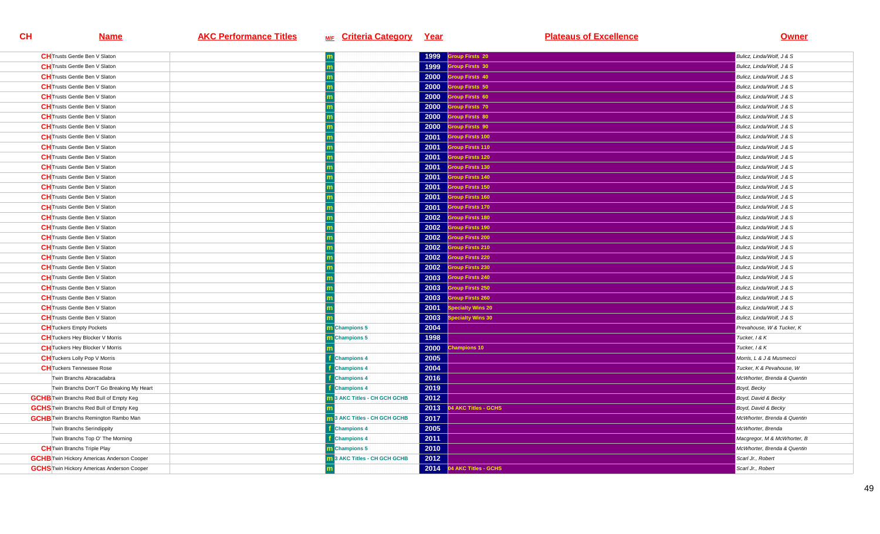| <b>CH</b> Trusts Gentle Ben V Slaton              |                                     | 1999 | <b>iroup Firsts 20</b>    | Bulicz, Linda/Wolf, J & S   |
|---------------------------------------------------|-------------------------------------|------|---------------------------|-----------------------------|
| <b>CH</b> Trusts Gentle Ben V Slaton              |                                     | 1999 | <b>iroup Firsts 30</b>    | Bulicz, Linda/Wolf, J & S   |
| <b>CH</b> Trusts Gentle Ben V Slaton              |                                     |      | 2000 Group Firsts 40      | Bulicz, Linda/Wolf, J & S   |
| <b>CH</b> Trusts Gentle Ben V Slaton              |                                     | 2000 | roup Firsts 50            | Bulicz, Linda/Wolf, J & S   |
| <b>CH</b> Trusts Gentle Ben V Slaton              |                                     | 2000 | <b>Group Firsts 60</b>    | Bulicz, Linda/Wolf, J & S   |
| <b>CH</b> Trusts Gentle Ben V Slaton              |                                     | 2000 | <b>Group Firsts 70</b>    | Bulicz, Linda/Wolf, J & S   |
| <b>CH</b> Trusts Gentle Ben V Slaton              |                                     |      | 2000 Group Firsts 80      | Bulicz, Linda/Wolf, J & S   |
| <b>CH</b> Trusts Gentle Ben V Slaton              |                                     | 2000 | <b>Sroup Firsts 90</b>    | Bulicz, Linda/Wolf, J & S   |
| <b>CH</b> Trusts Gentle Ben V Slaton              |                                     |      | 2001 Group Firsts 100     | Bulicz, Linda/Wolf, J & S   |
| <b>CH</b> Trusts Gentle Ben V Slaton              |                                     | 2001 | <b>Group Firsts 110</b>   | Bulicz, Linda/Wolf, J & S   |
| <b>CH</b> Trusts Gentle Ben V Slaton              |                                     |      | 2001 Group Firsts 120     | Bulicz, Linda/Wolf, J & S   |
| <b>CH</b> Trusts Gentle Ben V Slaton              |                                     | 2001 | <b>Group Firsts 130</b>   | Bulicz. Linda/Wolf. J & S   |
| <b>CH</b> Trusts Gentle Ben V Slaton              |                                     | 2001 | <b>Group Firsts 140</b>   | Bulicz, Linda/Wolf, J & S   |
| <b>CH</b> Trusts Gentle Ben V Slaton              |                                     | 2001 | <b>Group Firsts 150</b>   | Bulicz, Linda/Wolf, J & S   |
| <b>CH</b> Trusts Gentle Ben V Slaton              |                                     |      | 2001 Group Firsts 160     | Bulicz, Linda/Wolf, J & S   |
| <b>CH</b> Trusts Gentle Ben V Slaton              |                                     |      | 2001 Group Firsts 170     | Bulicz, Linda/Wolf, J & S   |
| <b>CH</b> Trusts Gentle Ben V Slaton              |                                     | 2002 | <b>Group Firsts 180</b>   | Bulicz, Linda/Wolf, J & S   |
| <b>CH</b> Trusts Gentle Ben V Slaton              |                                     | 2002 | <b>Group Firsts 190</b>   | Bulicz, Linda/Wolf, J & S   |
| <b>CH</b> Trusts Gentle Ben V Slaton              |                                     |      | 2002 Group Firsts 200     | Bulicz, Linda/Wolf, J & S   |
| <b>CH</b> Trusts Gentle Ben V Slaton              |                                     | 2002 | <b>Group Firsts 210</b>   | Bulicz, Linda/Wolf, J & S   |
| <b>CH</b> Trusts Gentle Ben V Slaton              |                                     | 2002 | <b>Group Firsts 220</b>   | Bulicz, Linda/Wolf, J & S   |
| <b>CH</b> Trusts Gentle Ben V Slaton              |                                     | 2002 | <b>Group Firsts 230</b>   | Bulicz, Linda/Wolf, J & S   |
| <b>CH</b> Trusts Gentle Ben V Slaton              |                                     | 2003 | <b>Group Firsts 240</b>   | Bulicz, Linda/Wolf, J & S   |
| <b>CH</b> Trusts Gentle Ben V Slaton              |                                     | 2003 | <b>Group Firsts 250</b>   | Bulicz, Linda/Wolf, J & S   |
| <b>CH</b> Trusts Gentle Ben V Slaton              |                                     | 2003 | <b>Sroup Firsts 260</b>   | Bulicz, Linda/Wolf, J & S   |
| <b>CH</b> Trusts Gentle Ben V Slaton              |                                     | 2001 | pecialty Wins 20          | Bulicz, Linda/Wolf, J & S   |
| <b>CH</b> Trusts Gentle Ben V Slaton              |                                     | 2003 | ecialty Wins 30           | Bulicz, Linda/Wolf, J & S   |
| <b>CH</b> Tuckers Empty Pockets                   | <b>Champions 5</b>                  | 2004 |                           | Prevahouse, W & Tucker, K   |
| <b>CH</b> Tuckers Hey Blocker V Morris            | <b>Champions 5</b>                  | 1998 |                           | Tucker, 1 & K               |
| <b>CH</b> Tuckers Hey Blocker V Morris            |                                     | 2000 | <b>Champions 10</b>       | Tucker, I & K               |
| <b>CH</b> Tuckers Lolly Pop V Morris              | <b>Champions 4</b>                  | 2005 |                           | Morris, L & J & Musmecci    |
| <b>CH</b> Tuckers Tennessee Rose                  | <b>Champions 4</b>                  | 2004 |                           | Tucker, K & Pevahouse, W    |
| Twin Branchs Abracadabra                          | <b>Champions 4</b>                  | 2016 |                           | McWhorter, Brenda & Quentin |
| Twin Branchs Don'T Go Breaking My Heart           | <b>Champions 4</b>                  | 2019 |                           | Boyd, Becky                 |
| <b>GCHB</b> Twin Branchs Red Bull of Empty Keg    | 3 AKC Titles - CH GCH GCHB          | 2012 |                           | Boyd, David & Becky         |
| <b>GCHS</b> Twin Branchs Red Bull of Empty Keg    |                                     |      | 2013 04 AKC Titles - GCHS | Boyd, David & Becky         |
| <b>GCHB</b> Twin Branchs Remington Rambo Man      | <b>m</b> 3 AKC Titles - CH GCH GCHB | 2017 |                           | McWhorter, Brenda & Quentin |
| Twin Branchs Serindippity                         | <b>Champions 4</b>                  | 2005 |                           | McWhorter, Brenda           |
| Twin Branchs Top O' The Morning                   | <b>Champions 4</b>                  | 2011 |                           | Macgregor, M & McWhorter, B |
| <b>CH</b> Twin Branchs Triple Play                | m Champions 5                       | 2010 |                           | McWhorter, Brenda & Quentin |
| <b>GCHB</b> Twin Hickory Americas Anderson Cooper | 3 AKC Titles - CH GCH GCHB          | 2012 |                           | Scarl Jr., Robert           |
| <b>GCHS</b> Twin Hickory Americas Anderson Cooper |                                     |      | 2014 04 AKC Titles - GCHS | Scarl Jr., Robert           |
|                                                   |                                     |      |                           |                             |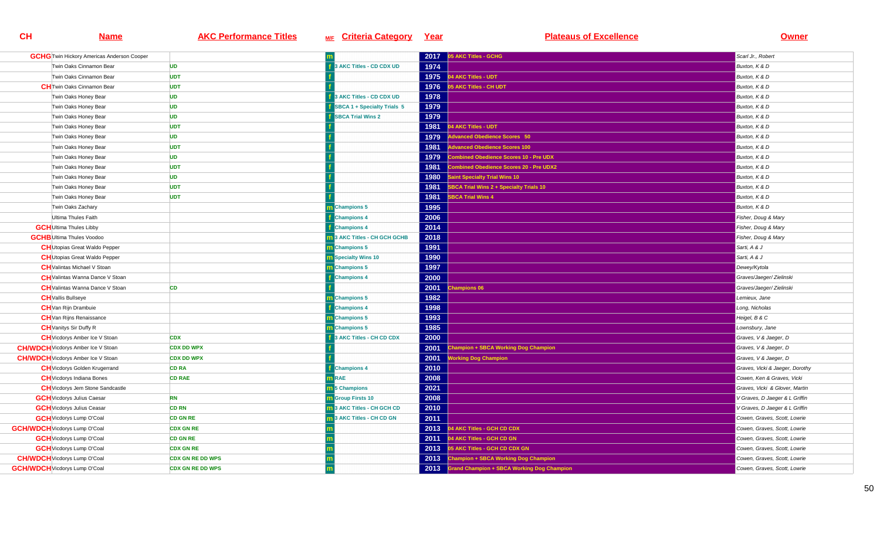| <b>GCHG</b> Twin Hickory Americas Anderson Cooper |                         |                                    | 2017 | 05 AKC Titles - GCHG                            | Scarl Jr., Robert               |
|---------------------------------------------------|-------------------------|------------------------------------|------|-------------------------------------------------|---------------------------------|
| Twin Oaks Cinnamon Bear                           | <b>UD</b>               | 3 AKC Titles - CD CDX UD           | 1974 |                                                 | Buxton, K & D                   |
| Twin Oaks Cinnamon Bear                           | <b>UDT</b>              |                                    | 1975 | 04 AKC Titles - UDT                             | Buxton, K & D                   |
| <b>CH</b> Twin Oaks Cinnamon Bear                 | <b>UDT</b>              |                                    | 1976 | 5 AKC Titles - CH UDT                           | Buxton, K & D                   |
| Twin Oaks Honey Bear                              | <b>UD</b>               | <b>BAKC Titles - CD CDX UD</b>     | 1978 |                                                 | Buxton, K & D                   |
| Twin Oaks Honey Bear                              | <b>UD</b>               | <b>SBCA 1 + Specialty Trials 5</b> | 1979 |                                                 | Buxton, K & D                   |
| Twin Oaks Honey Bear                              | <b>UD</b>               | <b>SBCA Trial Wins 2</b>           | 1979 |                                                 | Buxton, K & D                   |
| Twin Oaks Honey Bear                              | <b>UDT</b>              |                                    | 1981 | 4 AKC Titles - UDT                              | Buxton, K & D                   |
| Twin Oaks Honey Bear                              | <b>UD</b>               |                                    | 1979 | Advanced Obedience Scores 50                    | Buxton, K & D                   |
| Twin Oaks Honey Bear                              | <b>UDT</b>              |                                    | 1981 | <b>Advanced Obedience Scores 100</b>            | Buxton, K & D                   |
| Twin Oaks Honey Bear                              | <b>UD</b>               |                                    | 1979 | Combined Obedience Scores 10 - Pre UDX          | Buxton, K & D                   |
| Twin Oaks Honey Bear                              | <b>UDT</b>              |                                    | 1981 | <b>Combined Obedience Scores 20 - Pre UDX2</b>  | Buxton, K & D                   |
| Twin Oaks Honey Bear                              | <b>UD</b>               |                                    | 1980 | <b>Saint Specialty Trial Wins 10</b>            | Buxton, K & D                   |
| Twin Oaks Honey Bear                              | <b>UDT</b>              |                                    | 1981 | BCA Trial Wins 2 + Specialty Trials 10          | Buxton, K & D                   |
| Twin Oaks Honey Bear                              | <b>UDT</b>              |                                    | 1981 | <b>BCA Trial Wins 4</b>                         | Buxton, K & D                   |
| Twin Oaks Zachary                                 |                         | m Champions 5                      | 1995 |                                                 | Buxton, K & D                   |
| Ultima Thules Faith                               |                         | <b>Champions 4</b>                 | 2006 |                                                 | Fisher, Doug & Mary             |
| <b>GCH</b> Ultima Thules Libby                    |                         | <b>Champions 4</b>                 | 2014 |                                                 | Fisher, Doug & Mary             |
| <b>GCHB</b> Ultima Thules Voodoo                  |                         | 3 AKC Titles - CH GCH GCHB         | 2018 |                                                 | Fisher, Doug & Mary             |
| <b>CH</b> Utopias Great Waldo Pepper              |                         | m Champions 5                      | 1991 |                                                 | Sarti, A & J                    |
| <b>CH</b> Utopias Great Waldo Pepper              |                         | <b>n</b> Specialty Wins 10         | 1990 |                                                 | Sarti, A & J                    |
| <b>CH</b> Valintas Michael V Stoan                |                         | m Champions 5                      | 1997 |                                                 | Dewey/Kytola                    |
| <b>CH</b> Valintas Wanna Dance V Stoan            |                         | <b>Champions 4</b>                 | 2000 |                                                 | Graves/Jaeger/ Zielinski        |
| <b>CH</b> Valintas Wanna Dance V Stoan            | <b>CD</b>               |                                    | 2001 | <b>Champions 06</b>                             | Graves/Jaeger/ Zielinski        |
| <b>CH</b> Vallis Bullseye                         |                         | <b>Champions 5</b>                 | 1982 |                                                 | Lemieux, Jane                   |
| <b>CH</b> Van Rijn Drambuie                       |                         | <b>Champions 4</b>                 | 1998 |                                                 | Long, Nicholas                  |
| <b>CH</b> Van Rijns Renaissance                   |                         | <b>Champions 5</b>                 | 1993 |                                                 | Heigel, B & C                   |
| <b>CH</b> Vanitys Sir Duffy R                     |                         | <b>n</b> Champions 5               | 1985 |                                                 | Lownsbury, Jane                 |
| <b>CH</b> Vicdorys Amber Ice V Stoan              | <b>CDX</b>              | AKC Titles - CH CD CDX             | 2000 |                                                 | Graves, V & Jaeger, D           |
| <b>CH/WDCH</b> Vicdorys Amber Ice V Stoan         | <b>CDX DD WPX</b>       |                                    | 2001 | <b>Champion + SBCA Working Dog Champion</b>     | Graves, V & Jaeger, D           |
| <b>CH/WDCH</b> Vicdorys Amber Ice V Stoan         | <b>CDX DD WPX</b>       |                                    | 2001 | <b>Vorking Dog Champion</b>                     | Graves, V & Jaeger, D           |
| <b>CH</b> Vicdorys Golden Krugerrand              | <b>CD RA</b>            | <b>Champions 4</b>                 | 2010 |                                                 | Graves, Vicki & Jaeger, Dorothy |
| <b>CH</b> Vicdorys Indiana Bones                  | <b>CD RAE</b>           | <b>m</b> RAE                       | 2008 |                                                 | Cowen, Ken & Graves, Vicki      |
| <b>CH</b> Vicdorys Jem Stone Sandcastle           |                         | <b>n</b> 5 Champions               | 2021 |                                                 | Graves, Vicki & Glover, Martin  |
| <b>GCH</b> Vicdorys Julius Caesar                 | <b>RN</b>               | <b>Group Firsts 10</b>             | 2008 |                                                 | V Graves, D Jaeger & L Griffin  |
| <b>GCH</b> Vicdorys Julius Ceasar                 | <b>CD RN</b>            | 3 AKC Titles - CH GCH CD           | 2010 |                                                 | V Graves, D Jaeger & L Griffin  |
| <b>GCH</b> Vicdorys Lump O'Coal                   | <b>CD GN RE</b>         | 3 AKC Titles - CH CD GN            | 2011 |                                                 | Cowen, Graves, Scott, Lowrie    |
| <b>GCH/WDCH</b> Vicdorys Lump O'Coal              | <b>CDX GN RE</b>        |                                    | 2013 | 4 AKC Titles - GCH CD CDX                       | Cowen, Graves, Scott, Lowrie    |
| <b>GCH</b> Vicdorys Lump O'Coal                   | <b>CD GN RE</b>         |                                    | 2011 | 04 AKC Titles - GCH CD GN                       | Cowen, Graves, Scott, Lowrie    |
| <b>GCH</b> Vicdorys Lump O'Coal                   | <b>CDX GN RE</b>        |                                    |      | 2013 05 AKC Titles - GCH CD CDX GN              | Cowen, Graves, Scott, Lowrie    |
| <b>CH/WDCH</b> Vicdorys Lump O'Coal               | <b>CDX GN RE DD WPS</b> |                                    | 2013 | Champion + SBCA Working Dog Champion            | Cowen, Graves, Scott, Lowrie    |
| <b>GCH/WDCH</b> Vicdorys Lump O'Coal              | <b>CDX GN RE DD WPS</b> |                                    |      | 2013 Grand Champion + SBCA Working Dog Champion | Cowen, Graves, Scott, Lowrie    |
|                                                   |                         |                                    |      |                                                 |                                 |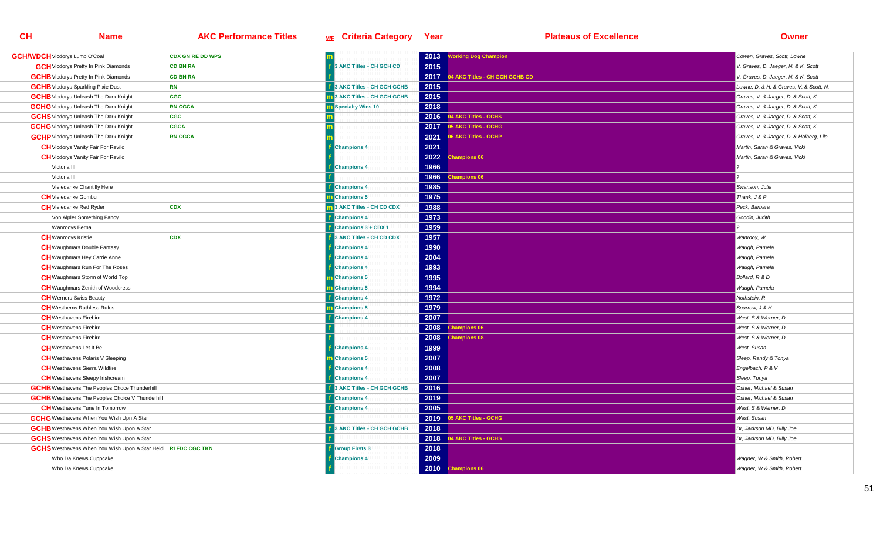| <b>GCH/WDCH</b> Vicdorys Lump O'Coal                                  | <b>CDX GN RE DD WPS</b> |                            |      | 2013 Working Dog Champion      | Cowen, Graves, Scott, Lowrie             |
|-----------------------------------------------------------------------|-------------------------|----------------------------|------|--------------------------------|------------------------------------------|
| <b>GCH</b> Vicdorys Pretty In Pink Diamonds                           | <b>CD BN RA</b>         | 3 AKC Titles - CH GCH CD   | 2015 |                                | V. Graves, D. Jaeger, N. & K. Scott      |
| <b>GCHB</b> Vicdorys Pretty In Pink Diamonds                          | <b>CD BN RA</b>         |                            | 2017 | 04 AKC Titles - CH GCH GCHB CD | V. Graves, D. Jaeger, N. & K. Scott      |
| <b>GCHB</b> Vicdorys Sparkling Pixie Dust                             | <b>RN</b>               | 3 AKC Titles - CH GCH GCHB | 2015 |                                | Lowrie, D. & H. & Graves, V. & Scott, N. |
|                                                                       |                         |                            |      |                                |                                          |
| <b>GCHB</b> Vicdorys Unleash The Dark Knight                          | <b>CGC</b>              | 3 AKC Titles - CH GCH GCHB | 2015 |                                | Graves, V. & Jaeger, D. & Scott, K.      |
| <b>GCHG</b> Vicdorys Unleash The Dark Knight                          | <b>RN CGCA</b>          | <b>Specialty Wins 10</b>   | 2018 |                                | Graves, V. & Jaeger, D. & Scott, K.      |
| <b>GCHS</b> Vicdorys Unleash The Dark Knight                          | <b>CGC</b>              |                            | 2016 | 4 AKC Titles - GCHS            | Graves, V. & Jaeger, D. & Scott, K.      |
| <b>GCHG</b> Vicdorys Unleash The Dark Knight                          | <b>CGCA</b>             |                            |      | 2017 05 AKC Titles - GCHG      | Graves, V. & Jaeger, D. & Scott, K.      |
| <b>GCHP</b> Vicdorys Unleash The Dark Knight                          | <b>RN CGCA</b>          |                            | 2021 | 06 AKC Titles - GCHP           | Graves, V. & Jaeger, D. & Holberg, Lila  |
| <b>CH</b> Vicdorys Vanity Fair For Revilo                             |                         | <b>Champions 4</b>         | 2021 |                                | Martin, Sarah & Graves, Vicki            |
| <b>CH</b> Vicdorys Vanity Fair For Revilo                             |                         |                            | 2022 | <b>Champions 06</b>            | Martin, Sarah & Graves, Vicki            |
| Victoria III                                                          |                         | <b>Champions 4</b>         | 1966 |                                |                                          |
| Victoria III                                                          |                         |                            | 1966 | <b>Champions 06</b>            |                                          |
| Vieledanke Chantilly Here                                             |                         | <b>Champions 4</b>         | 1985 |                                | Swanson, Julia                           |
| <b>CH</b> Vieledanke Gombu                                            |                         | <b>Champions 5</b>         | 1975 |                                | Thank, J & P                             |
| <b>CH</b> Vieledanke Red Ryder                                        | <b>CDX</b>              | 3 AKC Titles - CH CD CDX   | 1988 |                                | Peck, Barbara                            |
| Von Alpler Something Fancy                                            |                         | <b>Champions 4</b>         | 1973 |                                | Goodin, Judith                           |
| Wanrooys Berna                                                        |                         | Champions 3 + CDX 1        | 1959 |                                |                                          |
| <b>CH</b> Wanrooys Kristie                                            | <b>CDX</b>              | 3 AKC Titles - CH CD CDX   | 1957 |                                | Wanrooy, W                               |
| <b>CH</b> Waughmars Double Fantasy                                    |                         | <b>Champions 4</b>         | 1990 |                                | Waugh, Pamela                            |
| <b>CH</b> Waughmars Hey Carrie Anne                                   |                         | <b>Champions 4</b>         | 2004 |                                | Waugh, Pamela                            |
| <b>CH</b> Waughmars Run For The Roses                                 |                         | <b>Champions 4</b>         | 1993 |                                | Waugh, Pamela                            |
| <b>CH</b> Waughmars Storm of World Top                                |                         | <b>Champions 5</b>         | 1995 |                                | Bollard, R & D                           |
| <b>CH</b> Waughmars Zenith of Woodcress                               |                         | m Champions 5              | 1994 |                                | Waugh, Pamela                            |
| <b>CH</b> Werners Swiss Beauty                                        |                         | <b>Champions 4</b>         | 1972 |                                | Nothstein, R                             |
| <b>CH</b> Westberns Ruthless Rufus                                    |                         | m Champions 5              | 1979 |                                | Sparrow, J & H                           |
| <b>CH</b> Westhavens Firebird                                         |                         | <b>Champions 4</b>         | 2007 |                                | West. S & Werner, D                      |
| <b>CH</b> Westhavens Firebird                                         |                         |                            | 2008 | hampions 06                    | West. S & Werner, D                      |
| <b>CH</b> Westhavens Firebird                                         |                         |                            | 2008 | ampions 08                     | West. S & Werner, D                      |
| <b>CH</b> Westhavens Let It Be                                        |                         | <b>Champions 4</b>         | 1999 |                                | West, Susan                              |
| <b>CH</b> Westhavens Polaris V Sleeping                               |                         | <b>n</b> Champions 5       | 2007 |                                | Sleep, Randy & Tonya                     |
| <b>CH</b> Westhavens Sierra Wildfire                                  |                         | <b>Champions 4</b>         | 2008 |                                | Engelbach, P & V                         |
| <b>CH</b> Westhavens Sleepy Irishcream                                |                         | <b>Champions 4</b>         | 2007 |                                |                                          |
|                                                                       |                         |                            |      |                                | Sleep, Tonya                             |
| <b>GCHB</b> Westhavens The Peoples Choce Thunderhill                  |                         | 3 AKC Titles - CH GCH GCHB | 2016 |                                | Osher, Michael & Susan                   |
| <b>GCHB</b> Westhavens The Peoples Choice V Thunderhill               |                         | <b>Champions 4</b>         | 2019 |                                | Osher, Michael & Susan                   |
| <b>CH</b> Westhavens Tune In Tomorrow                                 |                         | <b>Champions 4</b>         | 2005 |                                | West, S & Werner, D.                     |
| <b>GCHG</b> Westhavens When You Wish Upn A Star                       |                         |                            | 2019 | <b>5 AKC Titles - GCHG</b>     | West, Susan                              |
| <b>GCHB</b> Westhavens When You Wish Upon A Star                      |                         | 3 AKC Titles - CH GCH GCHB | 2018 |                                | Dr, Jackson MD, Billy Joe                |
| <b>GCHS</b> Westhavens When You Wish Upon A Star                      |                         |                            | 2018 | 04 AKC Titles - GCHS           | Dr, Jackson MD, Billy Joe                |
| <b>GCHS</b> Westhavens When You Wish Upon A Star Heidi RI FDC CGC TKN |                         | <b>Group Firsts 3</b>      | 2018 |                                |                                          |
| Who Da Knews Cuppcake                                                 |                         | <b>Champions 4</b>         | 2009 |                                | Wagner, W & Smith, Robert                |
| Who Da Knews Cuppcake                                                 |                         |                            |      | 2010 Champions 06              | Wagner, W & Smith, Robert                |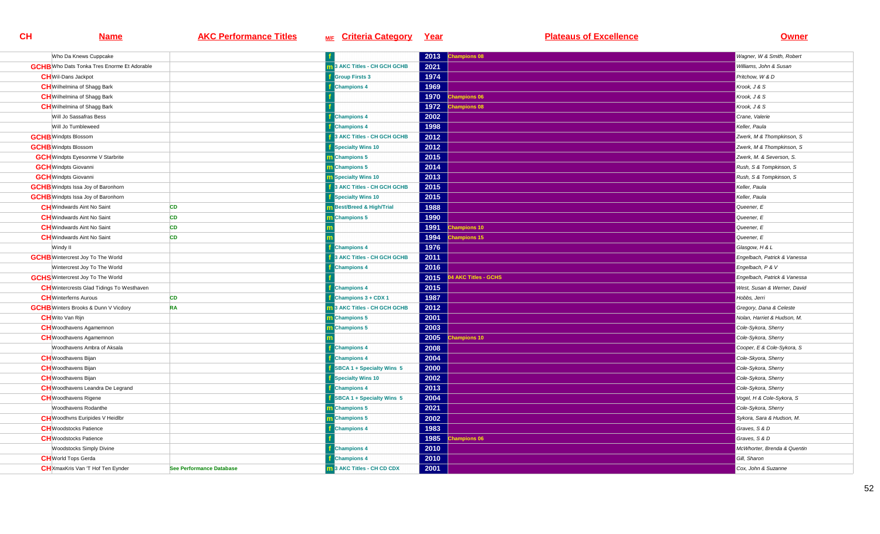| Who Da Knews Cuppcake                              |                          |                                     | 2013 | <b>Champions 08</b>  | Wagner, W & Smith, Robert    |
|----------------------------------------------------|--------------------------|-------------------------------------|------|----------------------|------------------------------|
| <b>GCHB</b> Who Dats Tonka Tres Enorme Et Adorable |                          | <b>1</b> 3 AKC Titles - CH GCH GCHB | 2021 |                      | Williams, John & Susan       |
| <b>CH</b> Wil-Dans Jackpot                         |                          | <b>Group Firsts 3</b>               | 1974 |                      | Pritchow. W & D              |
| <b>CH</b> Wilhelmina of Shagg Bark                 |                          | <b>Champions 4</b>                  | 1969 |                      | Krook, J & S                 |
| <b>CH</b> Wilhelmina of Shagg Bark                 |                          |                                     | 1970 | <b>Champions 06</b>  | Krook, J & S                 |
| <b>CH</b> Wilhelmina of Shagg Bark                 |                          |                                     |      | 1972 Champions 08    | Krook, J & S                 |
| Will Jo Sassafras Bess                             |                          | <b>Champions 4</b>                  | 2002 |                      | Crane, Valerie               |
| Will Jo Tumbleweed                                 |                          | Champions 4                         | 1998 |                      | Keller, Paula                |
| <b>GCHB</b> Windpts Blossom                        |                          | 3 AKC Titles - CH GCH GCHB          | 2012 |                      | Zwerk, M & Thompkinson, S    |
| <b>GCHB</b> Windpts Blossom                        |                          | Specialty Wins 10                   | 2012 |                      | Zwerk, M & Thompkinson, S    |
| <b>GCH</b> Windpts Eyesonme V Starbrite            |                          | m Champions 5                       | 2015 |                      | Zwerk, M. & Severson, S.     |
| <b>GCH</b> Windpts Giovanni                        |                          | m Champions 5                       | 2014 |                      | Rush, S & Tompkinson, S      |
| <b>GCH</b> Windpts Giovanni                        |                          | <b>n</b> Specialty Wins 10          | 2013 |                      | Rush, S & Tompkinson, S      |
| <b>GCHB</b> Windpts Issa Joy of Baronhorn          |                          | 3 AKC Titles - CH GCH GCHB          | 2015 |                      | Keller, Paula                |
| <b>GCHB</b> Windpts Issa Joy of Baronhorn          |                          | <b>Specialty Wins 10</b>            | 2015 |                      | Keller, Paula                |
| <b>CH</b> Windwards Aint No Saint                  | <b>CD</b>                | m Best/Breed & High/Trial           | 1988 |                      | Queener, E                   |
| <b>CH</b> Windwards Aint No Saint                  | <b>CD</b>                | <b>Champions 5</b>                  | 1990 |                      | Queener, E                   |
| <b>CH</b> Windwards Aint No Saint                  | <b>CD</b>                |                                     | 1991 | <b>Champions 10</b>  | Queener, E                   |
| <b>CH</b> Windwards Aint No Saint                  | <b>CD</b>                |                                     | 1994 | <b>Champions 15</b>  | Queener, E                   |
| Windy II                                           |                          | <b>Champions 4</b>                  | 1976 |                      | Glasgow, H & L               |
| <b>GCHB</b> Wintercrest Joy To The World           |                          | 3 AKC Titles - CH GCH GCHB          | 2011 |                      | Engelbach, Patrick & Vanessa |
| Wintercrest Joy To The World                       |                          | <b>Champions 4</b>                  | 2016 |                      | Engelbach, P & V             |
| <b>GCHS</b> Wintercrest Joy To The World           |                          |                                     | 2015 | 04 AKC Titles - GCHS | Engelbach, Patrick & Vanessa |
| <b>CH</b> Wintercrests Glad Tidings To Westhaven   |                          | <b>Champions 4</b>                  | 2015 |                      | West, Susan & Werner, David  |
| <b>CH</b> Winterferns Aurous                       | <b>CD</b>                | <b>Champions 3 + CDX 1</b>          | 1987 |                      | Hobbs, Jerri                 |
| <b>GCHB</b> Winters Brooks & Dunn V Vicdory        | <b>RA</b>                | 3 AKC Titles - CH GCH GCHB          | 2012 |                      | Gregory, Dana & Celeste      |
| <b>CH</b> Wito Van Rijn                            |                          | <b>Champions 5</b>                  | 2001 |                      | Nolan, Harriet & Hudson, M.  |
| <b>CH</b> Woodhavens Agamemnon                     |                          | Champions 5                         | 2003 |                      | Cole-Sykora, Sherry          |
| <b>CH</b> Woodhavens Agamemnon                     |                          |                                     | 2005 | hampions 10          | Cole-Sykora, Sherry          |
| Woodhavens Ambra of Aksala                         |                          | <b>Champions 4</b>                  | 2008 |                      | Cooper, E & Cole-Sykora, S   |
| <b>CH</b> Woodhavens Bijan                         |                          | <b>Champions 4</b>                  | 2004 |                      | Cole-Skyora, Sherry          |
| <b>CH</b> Woodhavens Bijan                         |                          | SBCA 1 + Specialty Wins 5           | 2000 |                      | Cole-Sykora, Sherry          |
| <b>CH</b> Woodhavens Bijan                         |                          | Specialty Wins 10                   | 2002 |                      | Cole-Sykora, Sherry          |
| <b>CH</b> Woodhavens Leandra De Legrand            |                          | <b>Champions 4</b>                  | 2013 |                      | Cole-Sykora, Sherry          |
| <b>CH</b> Woodhavens Rigene                        |                          | SBCA 1 + Specialty Wins 5           | 2004 |                      | Vogel, H & Cole-Sykora, S    |
| Woodhavens Rodanthe                                |                          | Champions 5                         | 2021 |                      | Cole-Sykora, Sherry          |
| <b>CH</b> Woodhvns Euripides V Heidlbr             |                          | m Champions 5                       | 2002 |                      | Sykora, Sara & Hudson, M.    |
| <b>CH</b> Woodstocks Patience                      |                          | <b>Champions 4</b>                  | 1983 |                      | Graves, S & D                |
| <b>CH</b> Woodstocks Patience                      |                          |                                     | 1985 | hampions 06          | Graves, S & D                |
| <b>Woodstocks Simply Divine</b>                    |                          | <b>Champions 4</b>                  | 2010 |                      | McWhorter, Brenda & Quentin  |
| <b>CH</b> World Tops Gerda                         |                          | <b>Champions 4</b>                  | 2010 |                      | Gill, Sharon                 |
| <b>CH</b> XmaxKris Van 'T Hof Ten Eynder           | See Performance Database | 13 AKC Titles - CH CD CDX           | 2001 |                      | Cox, John & Suzanne          |
|                                                    |                          |                                     |      |                      |                              |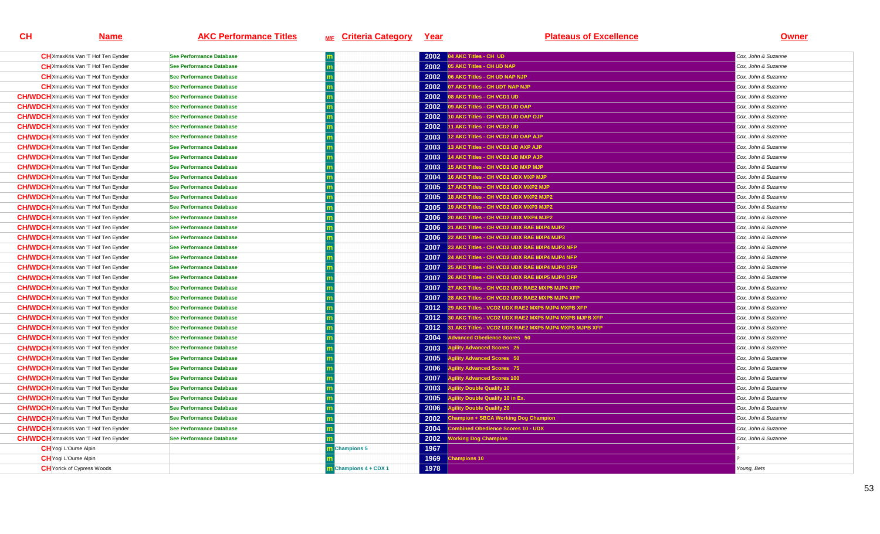| <b>CH</b> XmaxKris Van 'T Hof Ten Eynder      | <b>See Performance Database</b> |                     | 2002 | 04 AKC Titles - CH UD                                      | Cox, John & Suzanne |
|-----------------------------------------------|---------------------------------|---------------------|------|------------------------------------------------------------|---------------------|
| <b>CH</b> XmaxKris Van 'T Hof Ten Eynder      | <b>See Performance Database</b> |                     | 2002 | 05 AKC Titles - CH UD NAP                                  | Cox, John & Suzanne |
| <b>CH</b> XmaxKris Van 'T Hof Ten Eynder      | <b>See Performance Database</b> |                     |      | 2002 06 AKC Titles - CH UD NAP NJP                         | Cox, John & Suzanne |
| <b>CH</b> XmaxKris Van 'T Hof Ten Eynder      | <b>See Performance Database</b> |                     | 2002 | 07 AKC Titles - CH UDT NAP NJP                             | Cox, John & Suzanne |
| <b>CH/WDCH</b> XmaxKris Van 'T Hof Ten Eynder | <b>See Performance Database</b> |                     | 2002 | 08 AKC Titles - CH VCD1 UD                                 | Cox, John & Suzanne |
| <b>CH/WDCH</b> XmaxKris Van 'T Hof Ten Eynder | See Performance Database        |                     | 2002 | 09 AKC Titles - CH VCD1 UD OAP                             | Cox, John & Suzanne |
| <b>CH/WDCH</b> XmaxKris Van 'T Hof Ten Eynder | <b>See Performance Database</b> |                     |      | 2002 10 AKC Titles - CH VCD1 UD OAP OJP                    | Cox, John & Suzanne |
| <b>CH/WDCH</b> XmaxKris Van 'T Hof Ten Eynder | <b>See Performance Database</b> |                     | 2002 | 11 AKC Titles - CH VCD2 UD                                 | Cox, John & Suzanne |
| <b>CH/WDCH</b> XmaxKris Van 'T Hof Ten Eynder | See Performance Database        |                     | 2003 | 12 AKC Titles - CH VCD2 UD OAP AJP                         | Cox, John & Suzanne |
| <b>CH/WDCH</b> XmaxKris Van 'T Hof Ten Eynder | <b>See Performance Database</b> |                     | 2003 | 13 AKC Titles - CH VCD2 UD AXP AJP                         | Cox, John & Suzanne |
| <b>CH/WDCH</b> XmaxKris Van 'T Hof Ten Eynder | See Performance Database        |                     | 2003 | 14 AKC Titles - CH VCD2 UD MXP AJP                         | Cox, John & Suzanne |
| <b>CH/WDCH</b> XmaxKris Van 'T Hof Ten Eynder | See Performance Database        |                     | 2003 | 15 AKC Titles - CH VCD2 UD MXP MJP                         | Cox, John & Suzanne |
| <b>CH/WDCH</b> XmaxKris Van 'T Hof Ten Eynder | <b>See Performance Database</b> |                     | 2004 | 16 AKC Titles - CH VCD2 UDX MXP MJP                        | Cox, John & Suzanne |
| <b>CH/WDCH</b> XmaxKris Van 'T Hof Ten Eynder | See Performance Database        |                     | 2005 | 17 AKC Titles - CH VCD2 UDX MXP2 MJP                       | Cox. John & Suzanne |
| <b>CH/WDCH</b> XmaxKris Van 'T Hof Ten Eynder | See Performance Database        |                     | 2005 | 18 AKC Titles - CH VCD2 UDX MXP2 MJP2                      | Cox, John & Suzanne |
| <b>CH/WDCH</b> XmaxKris Van 'T Hof Ten Eynder | <b>See Performance Database</b> |                     | 2005 | 19 AKC Titles - CH VCD2 UDX MXP3 MJP2                      | Cox, John & Suzanne |
| <b>CH/WDCH</b> XmaxKris Van 'T Hof Ten Eynder | See Performance Database        |                     | 2006 | 20 AKC Titles - CH VCD2 UDX MXP4 MJP2                      | Cox, John & Suzanne |
| <b>CH/WDCH</b> XmaxKris Van 'T Hof Ten Eynder | <b>See Performance Database</b> |                     | 2006 | 21 AKC Titles - CH VCD2 UDX RAE MXP4 MJP2                  | Cox, John & Suzanne |
| <b>CH/WDCH</b> XmaxKris Van 'T Hof Ten Eynder | See Performance Database        |                     | 2006 | 22 AKC Titles - CH VCD2 UDX RAE MXP4 MJP3                  | Cox, John & Suzanne |
| <b>CH/WDCH</b> XmaxKris Van 'T Hof Ten Eynder | <b>See Performance Database</b> |                     | 2007 | 23 AKC Titles - CH VCD2 UDX RAE MXP4 MJP3 NFP              | Cox, John & Suzanne |
| <b>CH/WDCH</b> XmaxKris Van 'T Hof Ten Eynder | <b>See Performance Database</b> |                     | 2007 | 24 AKC Titles - CH VCD2 UDX RAE MXP4 MJP4 NFP              | Cox, John & Suzanne |
| <b>CH/WDCH</b> XmaxKris Van 'T Hof Ten Eynder | <b>See Performance Database</b> |                     | 2007 | 25 AKC Titles - CH VCD2 UDX RAE MXP4 MJP4 OFP              | Cox, John & Suzanne |
| <b>CH/WDCH</b> XmaxKris Van 'T Hof Ten Eynder | <b>See Performance Database</b> |                     | 2007 | 26 AKC Titles - CH VCD2 UDX RAE MXP5 MJP4 OFP              | Cox, John & Suzanne |
| <b>CH/WDCH</b> XmaxKris Van 'T Hof Ten Eynder | <b>See Performance Database</b> |                     | 2007 | 27 AKC Titles - CH VCD2 UDX RAE2 MXP5 MJP4 XFP             | Cox, John & Suzanne |
| <b>CH/WDCH</b> XmaxKris Van 'T Hof Ten Eynder | See Performance Database        |                     | 2007 | 28 AKC Titles - CH VCD2 UDX RAE2 MXP5 MJP4 XFP             | Cox, John & Suzanne |
| <b>CH/WDCH</b> XmaxKris Van 'T Hof Ten Eynder | <b>See Performance Database</b> |                     | 2012 | 29 AKC Titles - VCD2 UDX RAE2 MXP5 MJP4 MXPB XFP           | Cox, John & Suzanne |
| <b>CH/WDCH</b> XmaxKris Van 'T Hof Ten Eynder | <b>See Performance Database</b> |                     | 2012 | 30 AKC Titles - VCD2 UDX RAE2 MXP5 MJP4 MXPB MJPB XFP      | Cox, John & Suzanne |
| <b>CH/WDCH</b> XmaxKris Van 'T Hof Ten Eynder | <b>See Performance Database</b> |                     |      | 2012 31 AKC Titles - VCD2 UDX RAE2 MXP5 MJP4 MXPS MJPB XFP | Cox, John & Suzanne |
| <b>CH/WDCH</b> XmaxKris Van 'T Hof Ten Eynder | <b>See Performance Database</b> |                     | 2004 | dvanced Obedience Scores 50                                | Cox, John & Suzanne |
| <b>CH/WDCH</b> XmaxKris Van 'T Hof Ten Eynder | <b>See Performance Database</b> |                     | 2003 | gility Advanced Scores 25                                  | Cox, John & Suzanne |
| <b>CH/WDCH</b> XmaxKris Van 'T Hof Ten Eynder | <b>See Performance Database</b> |                     | 2005 | gility Advanced Scores 50                                  | Cox, John & Suzanne |
| <b>CH/WDCH</b> XmaxKris Van 'T Hof Ten Eynder | See Performance Database        |                     | 2006 | <b>Agility Advanced Scores 75</b>                          | Cox, John & Suzanne |
| <b>CH/WDCH</b> XmaxKris Van 'T Hof Ten Eynder | <b>See Performance Database</b> |                     | 2007 | gility Advanced Scores 100                                 | Cox, John & Suzanne |
| <b>CH/WDCH</b> XmaxKris Van 'T Hof Ten Eynder | <b>See Performance Database</b> |                     | 2003 | <b>Agility Double Qualify 10</b>                           | Cox, John & Suzanne |
| <b>CH/WDCH</b> XmaxKris Van 'T Hof Ten Eynder | See Performance Database        |                     | 2005 | <b>Agility Double Qualify 10 in Ex.</b>                    | Cox, John & Suzanne |
| <b>CH/WDCH</b> XmaxKris Van 'T Hof Ten Eynder | <b>See Performance Database</b> |                     | 2006 | <b>Agility Double Qualify 20</b>                           | Cox, John & Suzanne |
| <b>CH/WDCH</b> XmaxKris Van 'T Hof Ten Eynder | <b>See Performance Database</b> |                     | 2002 | <b>Champion + SBCA Working Dog Champion</b>                | Cox, John & Suzanne |
| <b>CH/WDCH</b> XmaxKris Van 'T Hof Ten Eynder | <b>See Performance Database</b> |                     | 2004 | <b>Combined Obedience Scores 10 - UDX</b>                  | Cox, John & Suzanne |
| <b>CH/WDCH</b> XmaxKris Van 'T Hof Ten Eynder | <b>See Performance Database</b> |                     | 2002 | <b><i>Iorking Dog Champion</i></b>                         | Cox, John & Suzanne |
| <b>CH</b> Yogi L'Ourse Alpin                  |                                 | <b>Champions 5</b>  | 1967 |                                                            |                     |
| <b>CH</b> Yogi L'Ourse Alpin                  |                                 |                     | 1969 | hampions 10                                                |                     |
| <b>CH</b> Yorick of Cypress Woods             |                                 | Champions 4 + CDX 1 | 1978 |                                                            | Young, Bets         |
|                                               |                                 |                     |      |                                                            |                     |